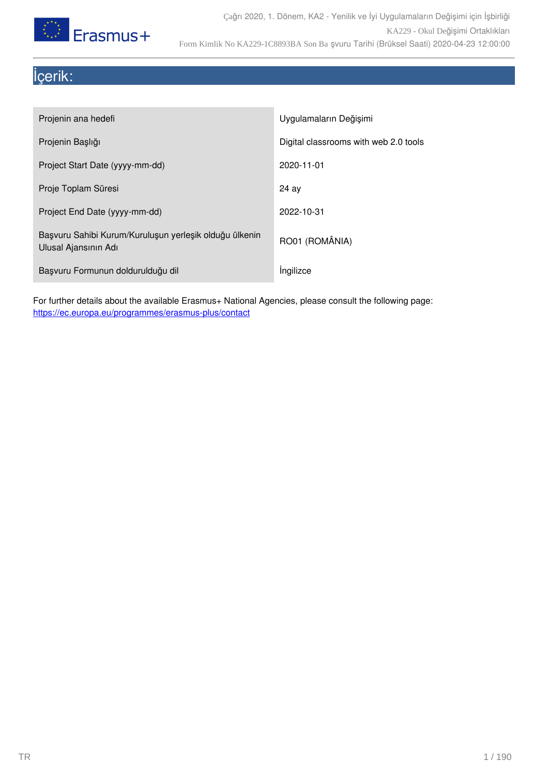

# İçerik:

| Projenin ana hedefi                                                            | Uygulamaların Değişimi                |
|--------------------------------------------------------------------------------|---------------------------------------|
| Projenin Başlığı                                                               | Digital classrooms with web 2.0 tools |
| Project Start Date (yyyy-mm-dd)                                                | 2020-11-01                            |
| Proje Toplam Süresi                                                            | 24 av                                 |
| Project End Date (yyyy-mm-dd)                                                  | 2022-10-31                            |
| Başvuru Sahibi Kurum/Kuruluşun yerleşik olduğu ülkenin<br>Ulusal Ajansının Adı | RO01 (ROMÂNIA)                        |
| Başvuru Formunun doldurulduğu dil                                              | Ingilizce                             |

For further details about the available Erasmus+ National Agencies, please consult the following page: <https://ec.europa.eu/programmes/erasmus-plus/contact>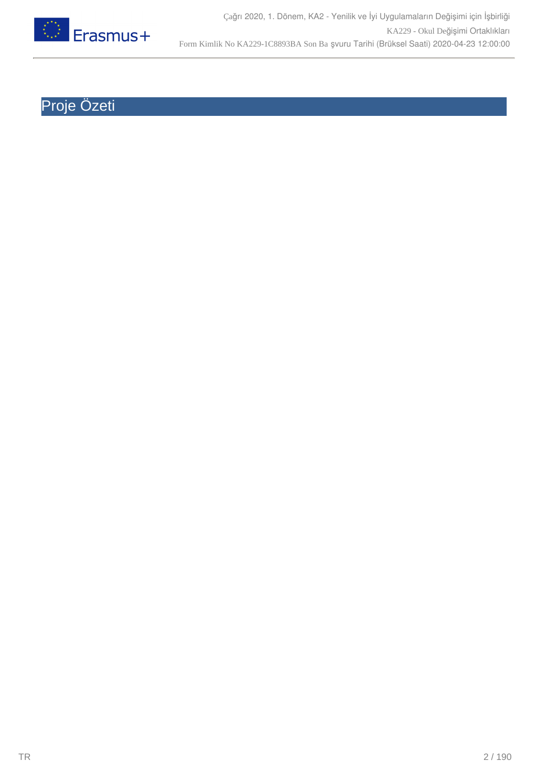

# Proje Özeti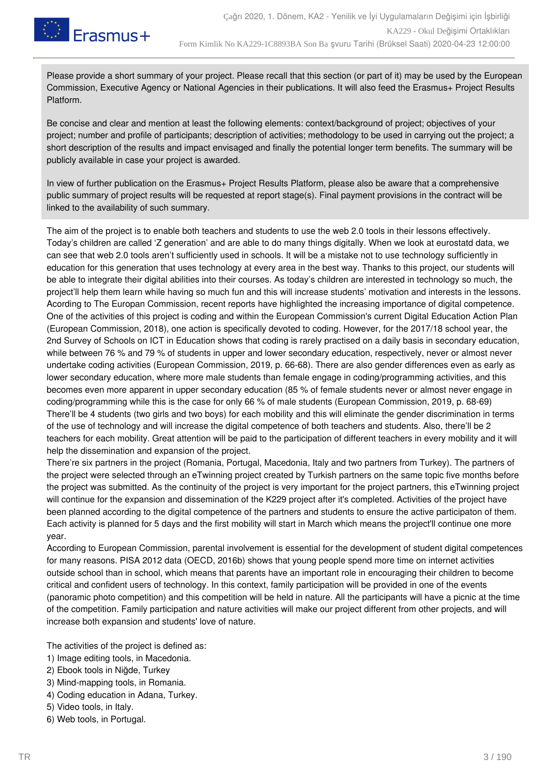

Please provide a short summary of your project. Please recall that this section (or part of it) may be used by the European Commission, Executive Agency or National Agencies in their publications. It will also feed the Erasmus+ Project Results Platform.

Be concise and clear and mention at least the following elements: context/background of project; objectives of your project; number and profile of participants; description of activities; methodology to be used in carrying out the project; a short description of the results and impact envisaged and finally the potential longer term benefits. The summary will be publicly available in case your project is awarded.

In view of further publication on the Erasmus+ Project Results Platform, please also be aware that a comprehensive public summary of project results will be requested at report stage(s). Final payment provisions in the contract will be linked to the availability of such summary.

The aim of the project is to enable both teachers and students to use the web 2.0 tools in their lessons effectively. Today's children are called 'Z generation' and are able to do many things digitally. When we look at eurostatd data, we can see that web 2.0 tools aren't sufficiently used in schools. It will be a mistake not to use technology sufficiently in education for this generation that uses technology at every area in the best way. Thanks to this project, our students will be able to integrate their digital abilities into their courses. As today's children are interested in technology so much, the project'll help them learn while having so much fun and this will increase students' motivation and interests in the lessons. Acording to The Europan Commission, recent reports have highlighted the increasing importance of digital competence. One of the activities of this project is coding and within the European Commission's current Digital Education Action Plan (European Commission, 2018), one action is specifically devoted to coding. However, for the 2017/18 school year, the 2nd Survey of Schools on ICT in Education shows that coding is rarely practised on a daily basis in secondary education, while between 76 % and 79 % of students in upper and lower secondary education, respectively, never or almost never undertake coding activities (European Commission, 2019, p. 66-68). There are also gender differences even as early as lower secondary education, where more male students than female engage in coding/programming activities, and this becomes even more apparent in upper secondary education (85 % of female students never or almost never engage in coding/programming while this is the case for only 66 % of male students (European Commission, 2019, p. 68-69) There'll be 4 students (two girls and two boys) for each mobility and this will eliminate the gender discrimination in terms of the use of technology and will increase the digital competence of both teachers and students. Also, there'll be 2 teachers for each mobility. Great attention will be paid to the participation of different teachers in every mobility and it will help the dissemination and expansion of the project.

There're six partners in the project (Romania, Portugal, Macedonia, Italy and two partners from Turkey). The partners of the project were selected through an eTwinning project created by Turkish partners on the same topic five months before the project was submitted. As the continuity of the project is very important for the project partners, this eTwinning project will continue for the expansion and dissemination of the K229 project after it's completed. Activities of the project have been planned according to the digital competence of the partners and students to ensure the active participaton of them. Each activity is planned for 5 days and the first mobility will start in March which means the project'll continue one more year.

According to European Commission, parental involvement is essential for the development of student digital competences for many reasons. PISA 2012 data (OECD, 2016b) shows that young people spend more time on internet activities outside school than in school, which means that parents have an important role in encouraging their children to become critical and confident users of technology. In this context, family participation will be provided in one of the events (panoramic photo competition) and this competition will be held in nature. All the participants will have a picnic at the time of the competition. Family participation and nature activities will make our project different from other projects, and will increase both expansion and students' love of nature.

The activities of the project is defined as:

- 1) Image editing tools, in Macedonia.
- 2) Ebook tools in Niğde, Turkey
- 3) Mind-mapping tools, in Romania.
- 4) Coding education in Adana, Turkey.
- 5) Video tools, in Italy.
- 6) Web tools, in Portugal.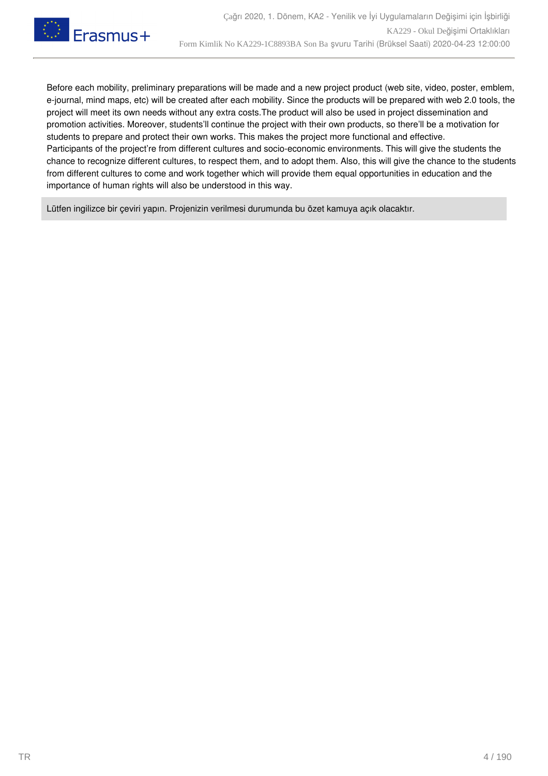

Before each mobility, preliminary preparations will be made and a new project product (web site, video, poster, emblem, e-journal, mind maps, etc) will be created after each mobility. Since the products will be prepared with web 2.0 tools, the project will meet its own needs without any extra costs.The product will also be used in project dissemination and promotion activities. Moreover, students'll continue the project with their own products, so there'll be a motivation for students to prepare and protect their own works. This makes the project more functional and effective. Participants of the project're from different cultures and socio-economic environments. This will give the students the chance to recognize different cultures, to respect them, and to adopt them. Also, this will give the chance to the students from different cultures to come and work together which will provide them equal opportunities in education and the importance of human rights will also be understood in this way.

Lütfen ingilizce bir çeviri yapın. Projenizin verilmesi durumunda bu özet kamuya açık olacaktır.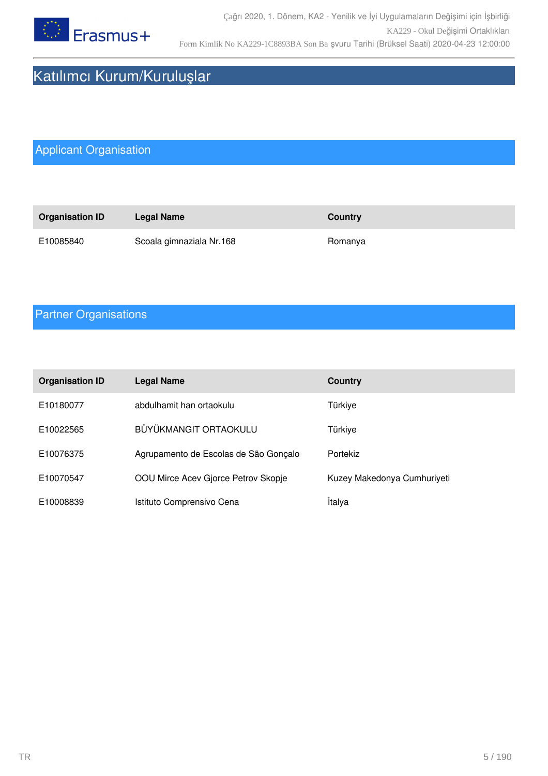

# Katılımcı Kurum/Kuruluşlar

# Applicant Organisation

| <b>Organisation ID</b> | Legal Name               | <b>Country</b> |
|------------------------|--------------------------|----------------|
| E10085840              | Scoala gimnaziala Nr.168 | Romanya        |

## Partner Organisations

| <b>Organisation ID</b> | <b>Legal Name</b>                     | <b>Country</b>              |
|------------------------|---------------------------------------|-----------------------------|
| E10180077              | abdulhamit han ortaokulu              | Türkiye                     |
| E10022565              | BÜYÜKMANGIT ORTAOKULU                 | Türkiye                     |
| E10076375              | Agrupamento de Escolas de São Gonçalo | Portekiz                    |
| E10070547              | OOU Mirce Acev Gjorce Petrov Skopje   | Kuzey Makedonya Cumhuriyeti |
| E10008839              | Istituto Comprensivo Cena             | İtalya                      |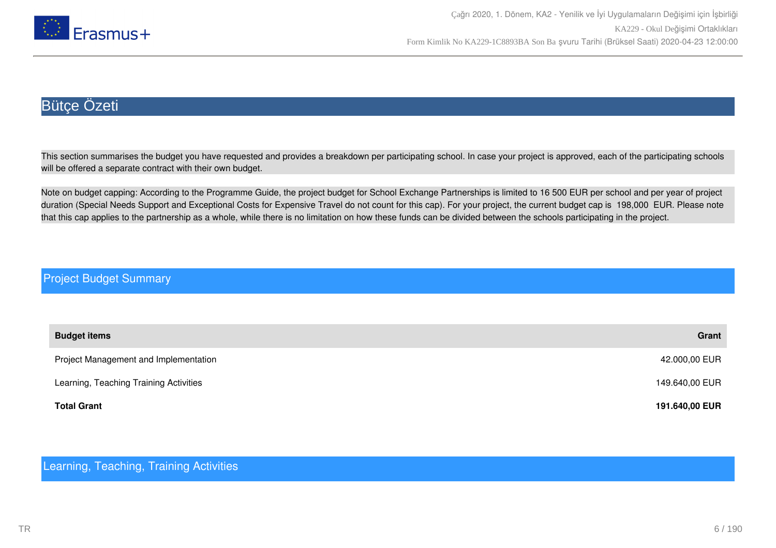

## Bütçe Özeti

This section summarises the budget you have requested and provides a breakdown per participating school. In case your project is approved, each of the participating schools will be offered a separate contract with their own budget.

Note on budget capping: According to the Programme Guide, the project budget for School Exchange Partnerships is limited to 16 500 EUR per school and per year of project duration (Special Needs Support and Exceptional Costs for Expensive Travel do not count for this cap). For your project, the current budget cap is 198,000 EUR. Please note that this cap applies to the partnership as a whole, while there is no limitation on how these funds can be divided between the schools participating in the project.

#### Project Budget Summary

| <b>Budget items</b>                    | Grant          |
|----------------------------------------|----------------|
| Project Management and Implementation  | 42.000,00 EUR  |
| Learning, Teaching Training Activities | 149.640,00 EUR |
| <b>Total Grant</b>                     | 191.640,00 EUR |

#### Learning, Teaching, Training Activities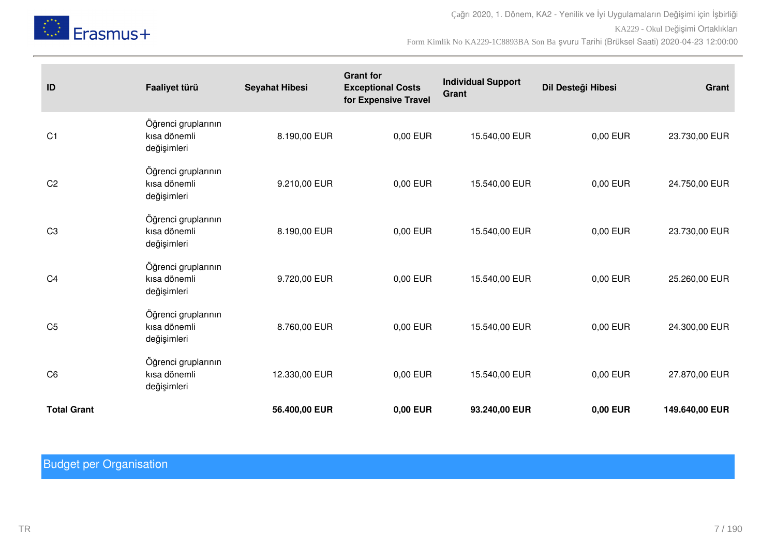

Çağrı 2020, 1. Dönem, KA2 - Yenilik ve İyi Uygulamaların Değişimi için İşbirliği KA229 - Okul Değişimi Ortaklıkları Form Kimlik No KA229-1C8893BA Son Ba şvuru Tarihi (Brüksel Saati) 2020-04-23 12:00:00

| ID                 | Faaliyet türü                                      | <b>Seyahat Hibesi</b> | <b>Grant for</b><br><b>Exceptional Costs</b><br>for Expensive Travel | <b>Individual Support</b><br>Grant | Dil Desteği Hibesi | Grant          |
|--------------------|----------------------------------------------------|-----------------------|----------------------------------------------------------------------|------------------------------------|--------------------|----------------|
| C <sub>1</sub>     | Öğrenci gruplarının<br>kısa dönemli<br>değişimleri | 8.190,00 EUR          | 0,00 EUR                                                             | 15.540,00 EUR                      | 0,00 EUR           | 23.730,00 EUR  |
| C <sub>2</sub>     | Öğrenci gruplarının<br>kısa dönemli<br>değişimleri | 9.210,00 EUR          | 0,00 EUR                                                             | 15.540,00 EUR                      | 0,00 EUR           | 24.750,00 EUR  |
| C <sub>3</sub>     | Öğrenci gruplarının<br>kısa dönemli<br>değişimleri | 8.190,00 EUR          | 0,00 EUR                                                             | 15.540,00 EUR                      | 0,00 EUR           | 23.730,00 EUR  |
| C <sub>4</sub>     | Öğrenci gruplarının<br>kısa dönemli<br>değişimleri | 9.720,00 EUR          | 0,00 EUR                                                             | 15.540,00 EUR                      | 0,00 EUR           | 25.260,00 EUR  |
| C <sub>5</sub>     | Öğrenci gruplarının<br>kısa dönemli<br>değişimleri | 8.760,00 EUR          | 0,00 EUR                                                             | 15.540,00 EUR                      | 0,00 EUR           | 24.300,00 EUR  |
| C <sub>6</sub>     | Öğrenci gruplarının<br>kısa dönemli<br>değişimleri | 12.330,00 EUR         | 0,00 EUR                                                             | 15.540,00 EUR                      | 0,00 EUR           | 27.870,00 EUR  |
| <b>Total Grant</b> |                                                    | 56.400,00 EUR         | 0,00 EUR                                                             | 93.240,00 EUR                      | 0,00 EUR           | 149.640,00 EUR |

# Budget per Organisation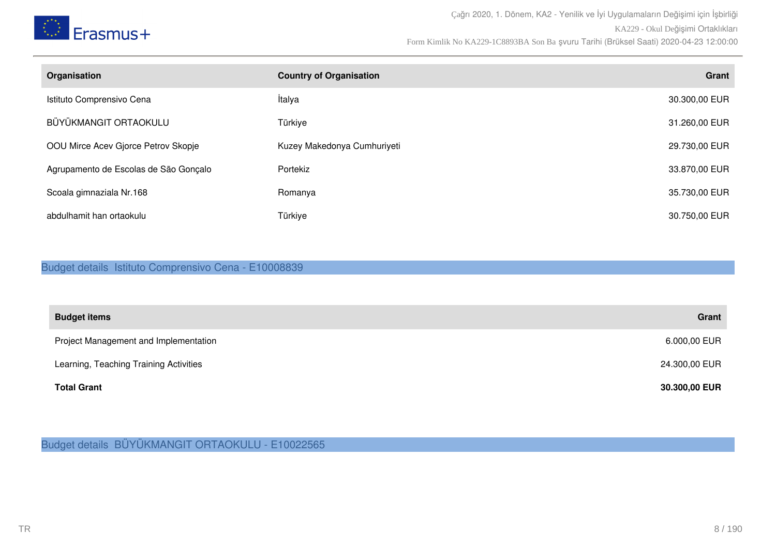

| Organisation                          | <b>Country of Organisation</b> | Grant         |
|---------------------------------------|--------------------------------|---------------|
| Istituto Comprensivo Cena             | İtalya                         | 30.300,00 EUR |
| BÜYÜKMANGIT ORTAOKULU                 | Türkiye                        | 31.260,00 EUR |
| OOU Mirce Acev Gjorce Petrov Skopje   | Kuzey Makedonya Cumhuriyeti    | 29.730,00 EUR |
| Agrupamento de Escolas de São Gonçalo | Portekiz                       | 33.870,00 EUR |
| Scoala gimnaziala Nr.168              | Romanya                        | 35.730,00 EUR |
| abdulhamit han ortaokulu              | Türkiye                        | 30.750,00 EUR |

Budget details Istituto Comprensivo Cena - E10008839

| <b>Budget items</b>                    | Grant         |
|----------------------------------------|---------------|
| Project Management and Implementation  | 6.000,00 EUR  |
| Learning, Teaching Training Activities | 24.300,00 EUR |
| <b>Total Grant</b>                     | 30.300,00 EUR |

Budget details BÜYÜKMANGIT ORTAOKULU - E10022565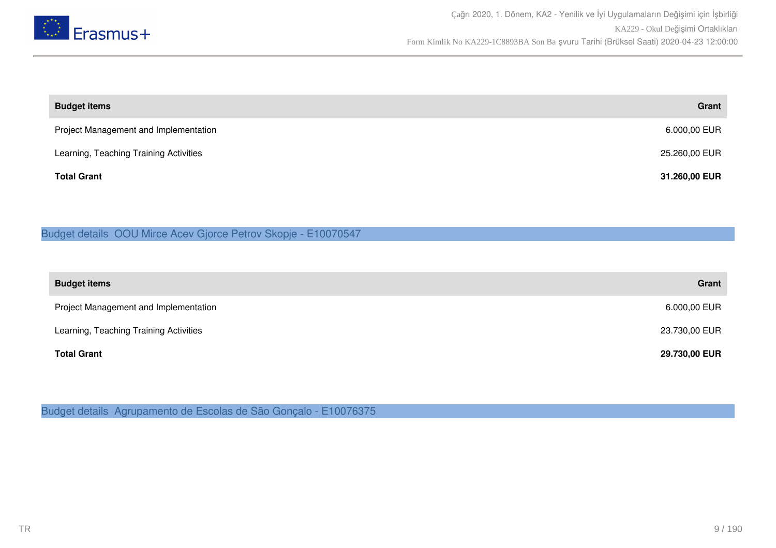

| <b>Budget items</b>                    | Grant         |
|----------------------------------------|---------------|
| Project Management and Implementation  | 6.000,00 EUR  |
| Learning, Teaching Training Activities | 25.260,00 EUR |
| <b>Total Grant</b>                     | 31.260,00 EUR |

### Budget details OOU Mirce Acev Gjorce Petrov Skopje - E10070547

| <b>Budget items</b>                    | Grant         |
|----------------------------------------|---------------|
| Project Management and Implementation  | 6.000,00 EUR  |
| Learning, Teaching Training Activities | 23.730,00 EUR |
| <b>Total Grant</b>                     | 29.730,00 EUR |

Budget details Agrupamento de Escolas de São Gonçalo - E10076375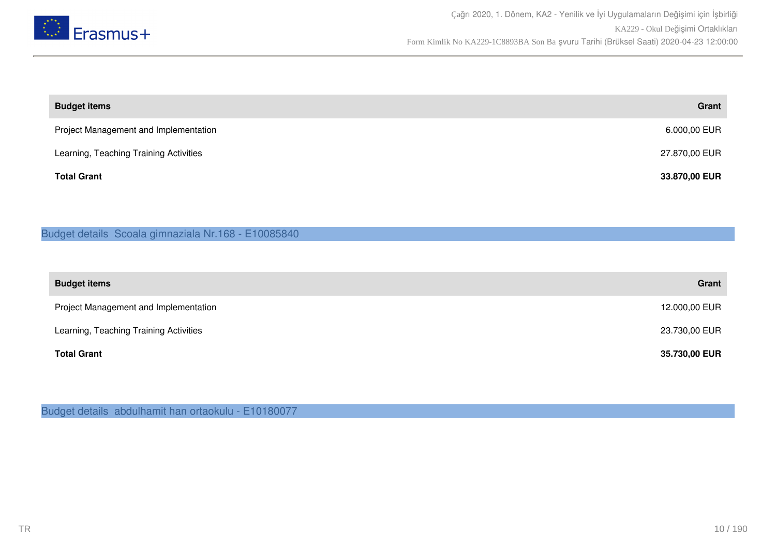

| <b>Budget items</b>                    | Grant         |
|----------------------------------------|---------------|
| Project Management and Implementation  | 6.000,00 EUR  |
| Learning, Teaching Training Activities | 27.870,00 EUR |
| <b>Total Grant</b>                     | 33.870,00 EUR |

#### Budget details Scoala gimnaziala Nr.168 - E10085840

| <b>Budget items</b>                    | Grant         |
|----------------------------------------|---------------|
| Project Management and Implementation  | 12.000,00 EUR |
| Learning, Teaching Training Activities | 23.730,00 EUR |
| <b>Total Grant</b>                     | 35.730,00 EUR |

Budget details abdulhamit han ortaokulu - E10180077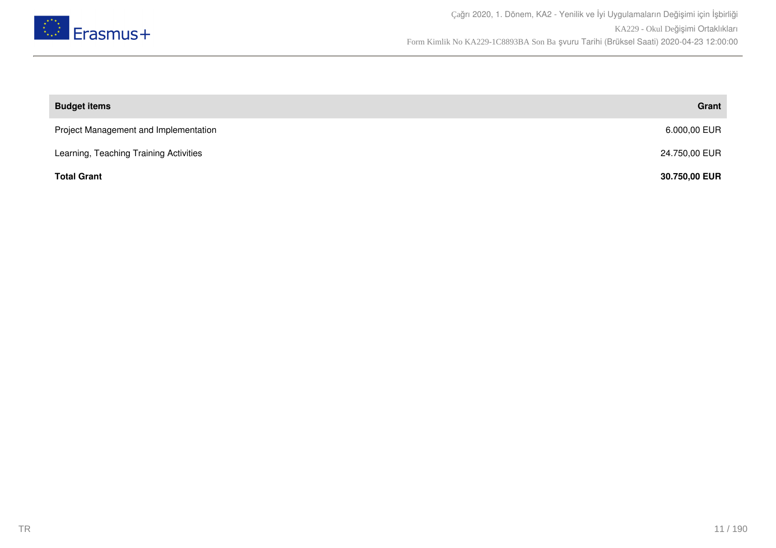

| <b>Budget items</b>                    | Grant         |
|----------------------------------------|---------------|
| Project Management and Implementation  | 6.000,00 EUR  |
| Learning, Teaching Training Activities | 24.750,00 EUR |
| <b>Total Grant</b>                     | 30.750,00 EUR |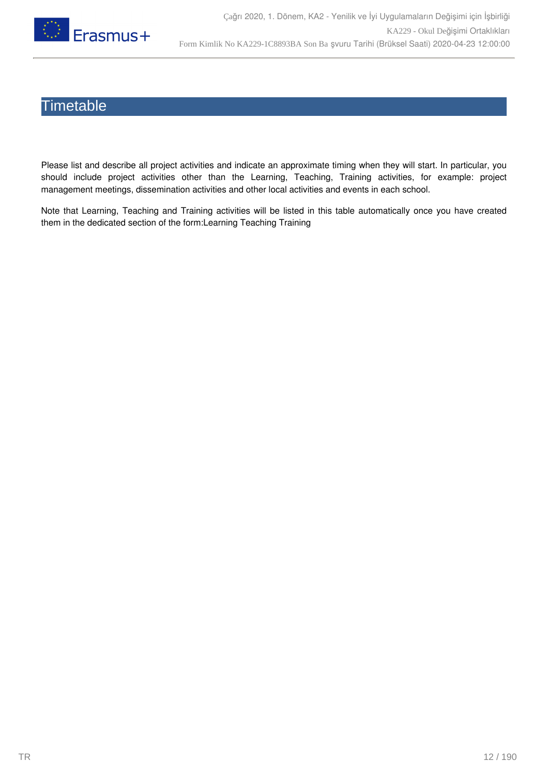

## **Timetable**

Please list and describe all project activities and indicate an approximate timing when they will start. In particular, you should include project activities other than the Learning, Teaching, Training activities, for example: project management meetings, dissemination activities and other local activities and events in each school.

Note that Learning, Teaching and Training activities will be listed in this table automatically once you have created them in the dedicated section of the form:Learning Teaching Training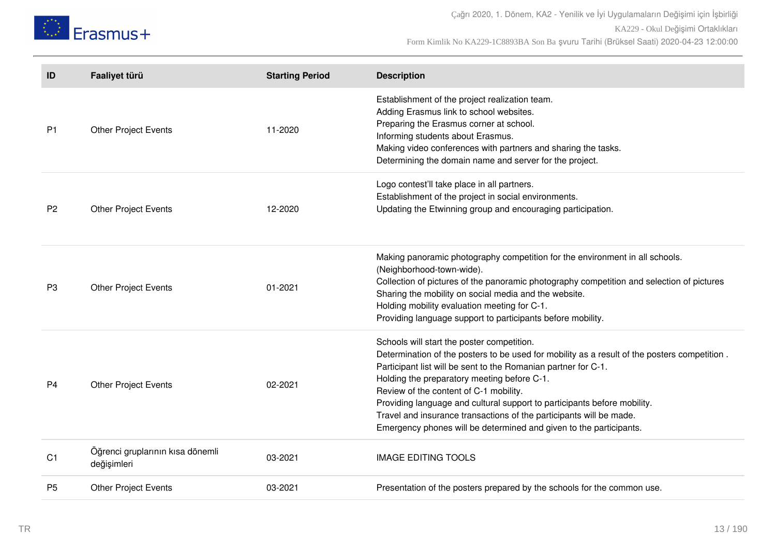

Çağrı 2020, 1. Dönem, KA2 - Yenilik ve İyi Uygulamaların Değişimi için İşbirliği KA229 - Okul Değişimi Ortaklıkları Form Kimlik No KA229-1C8893BA Son Ba şvuru Tarihi (Brüksel Saati) 2020-04-23 12:00:00

| ID             | Faaliyet türü                                   | <b>Starting Period</b> | <b>Description</b>                                                                                                                                                                                                                                                                                                                                                                                                                                                                                                             |
|----------------|-------------------------------------------------|------------------------|--------------------------------------------------------------------------------------------------------------------------------------------------------------------------------------------------------------------------------------------------------------------------------------------------------------------------------------------------------------------------------------------------------------------------------------------------------------------------------------------------------------------------------|
| P <sub>1</sub> | <b>Other Project Events</b>                     | 11-2020                | Establishment of the project realization team.<br>Adding Erasmus link to school websites.<br>Preparing the Erasmus corner at school.<br>Informing students about Erasmus.<br>Making video conferences with partners and sharing the tasks.<br>Determining the domain name and server for the project.                                                                                                                                                                                                                          |
| P <sub>2</sub> | <b>Other Project Events</b>                     | 12-2020                | Logo contest'll take place in all partners.<br>Establishment of the project in social environments.<br>Updating the Etwinning group and encouraging participation.                                                                                                                                                                                                                                                                                                                                                             |
| P <sub>3</sub> | <b>Other Project Events</b>                     | $01 - 2021$            | Making panoramic photography competition for the environment in all schools.<br>(Neighborhood-town-wide).<br>Collection of pictures of the panoramic photography competition and selection of pictures<br>Sharing the mobility on social media and the website.<br>Holding mobility evaluation meeting for C-1.<br>Providing language support to participants before mobility.                                                                                                                                                 |
| P4             | <b>Other Project Events</b>                     | 02-2021                | Schools will start the poster competition.<br>Determination of the posters to be used for mobility as a result of the posters competition.<br>Participant list will be sent to the Romanian partner for C-1.<br>Holding the preparatory meeting before C-1.<br>Review of the content of C-1 mobility.<br>Providing language and cultural support to participants before mobility.<br>Travel and insurance transactions of the participants will be made.<br>Emergency phones will be determined and given to the participants. |
| C <sub>1</sub> | Öğrenci gruplarının kısa dönemli<br>değişimleri | 03-2021                | <b>IMAGE EDITING TOOLS</b>                                                                                                                                                                                                                                                                                                                                                                                                                                                                                                     |
| P <sub>5</sub> | <b>Other Project Events</b>                     | 03-2021                | Presentation of the posters prepared by the schools for the common use.                                                                                                                                                                                                                                                                                                                                                                                                                                                        |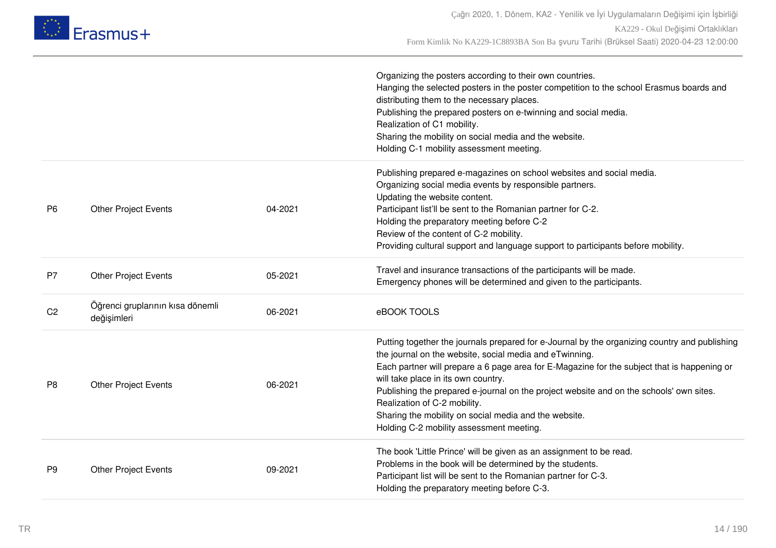

|                |                                                 |         | Organizing the posters according to their own countries.<br>Hanging the selected posters in the poster competition to the school Erasmus boards and<br>distributing them to the necessary places.<br>Publishing the prepared posters on e-twinning and social media.<br>Realization of C1 mobility.<br>Sharing the mobility on social media and the website.<br>Holding C-1 mobility assessment meeting.                                                                                                                       |
|----------------|-------------------------------------------------|---------|--------------------------------------------------------------------------------------------------------------------------------------------------------------------------------------------------------------------------------------------------------------------------------------------------------------------------------------------------------------------------------------------------------------------------------------------------------------------------------------------------------------------------------|
| P <sub>6</sub> | <b>Other Project Events</b>                     | 04-2021 | Publishing prepared e-magazines on school websites and social media.<br>Organizing social media events by responsible partners.<br>Updating the website content.<br>Participant list'll be sent to the Romanian partner for C-2.<br>Holding the preparatory meeting before C-2<br>Review of the content of C-2 mobility.<br>Providing cultural support and language support to participants before mobility.                                                                                                                   |
| <b>P7</b>      | <b>Other Project Events</b>                     | 05-2021 | Travel and insurance transactions of the participants will be made.<br>Emergency phones will be determined and given to the participants.                                                                                                                                                                                                                                                                                                                                                                                      |
| C <sub>2</sub> | Öğrenci gruplarının kısa dönemli<br>değişimleri | 06-2021 | eBOOK TOOLS                                                                                                                                                                                                                                                                                                                                                                                                                                                                                                                    |
| P <sub>8</sub> | <b>Other Project Events</b>                     | 06-2021 | Putting together the journals prepared for e-Journal by the organizing country and publishing<br>the journal on the website, social media and eTwinning.<br>Each partner will prepare a 6 page area for E-Magazine for the subject that is happening or<br>will take place in its own country.<br>Publishing the prepared e-journal on the project website and on the schools' own sites.<br>Realization of C-2 mobility.<br>Sharing the mobility on social media and the website.<br>Holding C-2 mobility assessment meeting. |
| P <sub>9</sub> | <b>Other Project Events</b>                     | 09-2021 | The book 'Little Prince' will be given as an assignment to be read.<br>Problems in the book will be determined by the students.<br>Participant list will be sent to the Romanian partner for C-3.<br>Holding the preparatory meeting before C-3.                                                                                                                                                                                                                                                                               |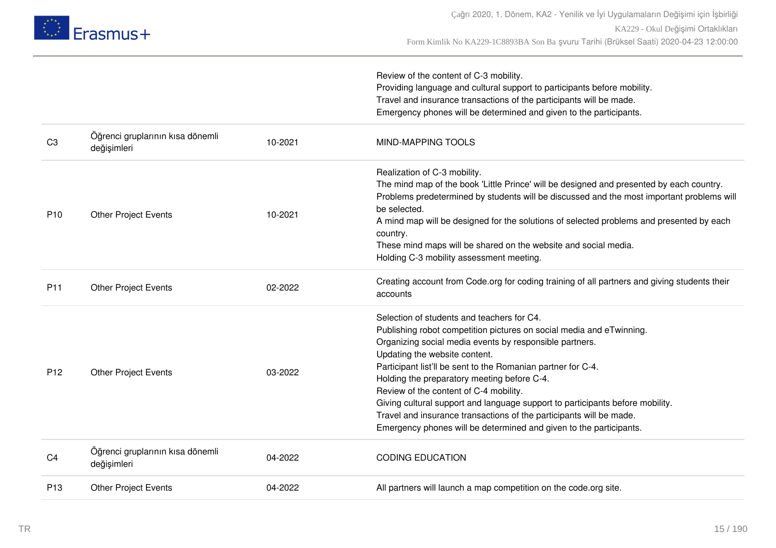

|                 |                                                 |         | Review of the content of C-3 mobility.<br>Providing language and cultural support to participants before mobility.<br>Travel and insurance transactions of the participants will be made.<br>Emergency phones will be determined and given to the participants.                                                                                                                                                                                                                                                                                                                                       |
|-----------------|-------------------------------------------------|---------|-------------------------------------------------------------------------------------------------------------------------------------------------------------------------------------------------------------------------------------------------------------------------------------------------------------------------------------------------------------------------------------------------------------------------------------------------------------------------------------------------------------------------------------------------------------------------------------------------------|
| C3              | Öğrenci gruplarının kısa dönemli<br>değişimleri | 10-2021 | <b>MIND-MAPPING TOOLS</b>                                                                                                                                                                                                                                                                                                                                                                                                                                                                                                                                                                             |
| P <sub>10</sub> | <b>Other Project Events</b>                     | 10-2021 | Realization of C-3 mobility.<br>The mind map of the book 'Little Prince' will be designed and presented by each country.<br>Problems predetermined by students will be discussed and the most important problems will<br>be selected.<br>A mind map will be designed for the solutions of selected problems and presented by each<br>country.<br>These mind maps will be shared on the website and social media.<br>Holding C-3 mobility assessment meeting.                                                                                                                                          |
| P11             | <b>Other Project Events</b>                     | 02-2022 | Creating account from Code.org for coding training of all partners and giving students their<br>accounts                                                                                                                                                                                                                                                                                                                                                                                                                                                                                              |
| P <sub>12</sub> | <b>Other Project Events</b>                     | 03-2022 | Selection of students and teachers for C4.<br>Publishing robot competition pictures on social media and eTwinning.<br>Organizing social media events by responsible partners.<br>Updating the website content.<br>Participant list'll be sent to the Romanian partner for C-4.<br>Holding the preparatory meeting before C-4.<br>Review of the content of C-4 mobility.<br>Giving cultural support and language support to participants before mobility.<br>Travel and insurance transactions of the participants will be made.<br>Emergency phones will be determined and given to the participants. |
| C4              | Öğrenci gruplarının kısa dönemli<br>değişimleri | 04-2022 | <b>CODING EDUCATION</b>                                                                                                                                                                                                                                                                                                                                                                                                                                                                                                                                                                               |
| P <sub>13</sub> | <b>Other Project Events</b>                     | 04-2022 | All partners will launch a map competition on the code.org site.                                                                                                                                                                                                                                                                                                                                                                                                                                                                                                                                      |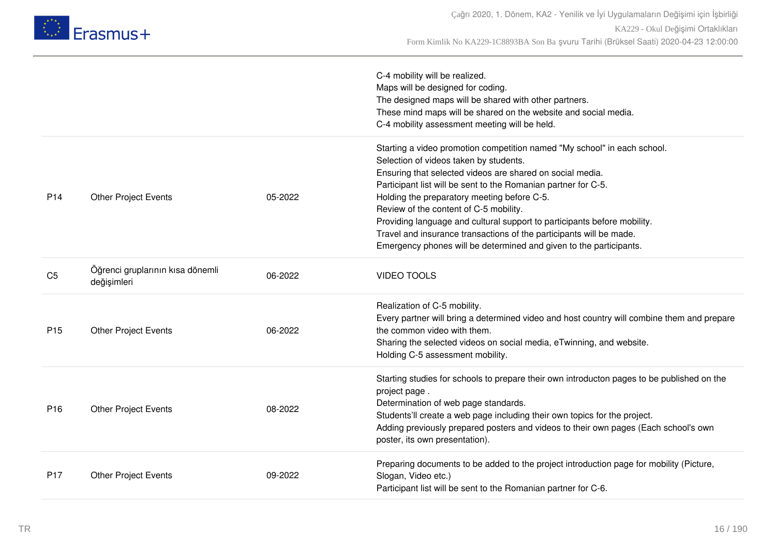

|                 |                                                 |         | C-4 mobility will be realized.<br>Maps will be designed for coding.<br>The designed maps will be shared with other partners.<br>These mind maps will be shared on the website and social media.<br>C-4 mobility assessment meeting will be held.                                                                                                                                                                                                                                                                                                                    |
|-----------------|-------------------------------------------------|---------|---------------------------------------------------------------------------------------------------------------------------------------------------------------------------------------------------------------------------------------------------------------------------------------------------------------------------------------------------------------------------------------------------------------------------------------------------------------------------------------------------------------------------------------------------------------------|
| P <sub>14</sub> | <b>Other Project Events</b>                     | 05-2022 | Starting a video promotion competition named "My school" in each school.<br>Selection of videos taken by students.<br>Ensuring that selected videos are shared on social media.<br>Participant list will be sent to the Romanian partner for C-5.<br>Holding the preparatory meeting before C-5.<br>Review of the content of C-5 mobility.<br>Providing language and cultural support to participants before mobility.<br>Travel and insurance transactions of the participants will be made.<br>Emergency phones will be determined and given to the participants. |
| C <sub>5</sub>  | Öğrenci gruplarının kısa dönemli<br>değişimleri | 06-2022 | <b>VIDEO TOOLS</b>                                                                                                                                                                                                                                                                                                                                                                                                                                                                                                                                                  |
| P <sub>15</sub> | <b>Other Project Events</b>                     | 06-2022 | Realization of C-5 mobility.<br>Every partner will bring a determined video and host country will combine them and prepare<br>the common video with them.<br>Sharing the selected videos on social media, eTwinning, and website.<br>Holding C-5 assessment mobility.                                                                                                                                                                                                                                                                                               |
| P <sub>16</sub> | <b>Other Project Events</b>                     | 08-2022 | Starting studies for schools to prepare their own introducton pages to be published on the<br>project page.<br>Determination of web page standards.<br>Students'll create a web page including their own topics for the project.<br>Adding previously prepared posters and videos to their own pages (Each school's own<br>poster, its own presentation).                                                                                                                                                                                                           |
| P <sub>17</sub> | <b>Other Project Events</b>                     | 09-2022 | Preparing documents to be added to the project introduction page for mobility (Picture,<br>Slogan, Video etc.)<br>Participant list will be sent to the Romanian partner for C-6.                                                                                                                                                                                                                                                                                                                                                                                    |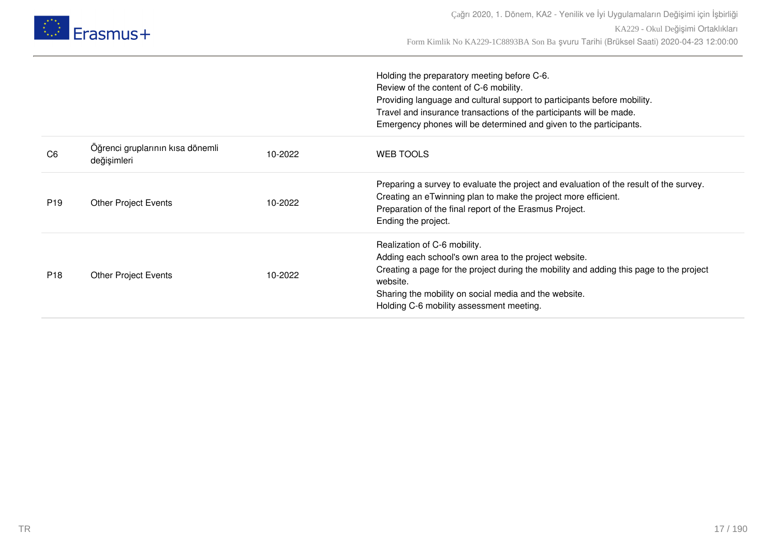

|                 |                                                 |         | Holding the preparatory meeting before C-6.<br>Review of the content of C-6 mobility.<br>Providing language and cultural support to participants before mobility.<br>Travel and insurance transactions of the participants will be made.<br>Emergency phones will be determined and given to the participants. |
|-----------------|-------------------------------------------------|---------|----------------------------------------------------------------------------------------------------------------------------------------------------------------------------------------------------------------------------------------------------------------------------------------------------------------|
| C <sub>6</sub>  | Öğrenci gruplarının kısa dönemli<br>değişimleri | 10-2022 | <b>WEB TOOLS</b>                                                                                                                                                                                                                                                                                               |
| P <sub>19</sub> | <b>Other Project Events</b>                     | 10-2022 | Preparing a survey to evaluate the project and evaluation of the result of the survey.<br>Creating an eTwinning plan to make the project more efficient.<br>Preparation of the final report of the Erasmus Project.<br>Ending the project.                                                                     |
| P <sub>18</sub> | <b>Other Project Events</b>                     | 10-2022 | Realization of C-6 mobility.<br>Adding each school's own area to the project website.<br>Creating a page for the project during the mobility and adding this page to the project<br>website.<br>Sharing the mobility on social media and the website.<br>Holding C-6 mobility assessment meeting.              |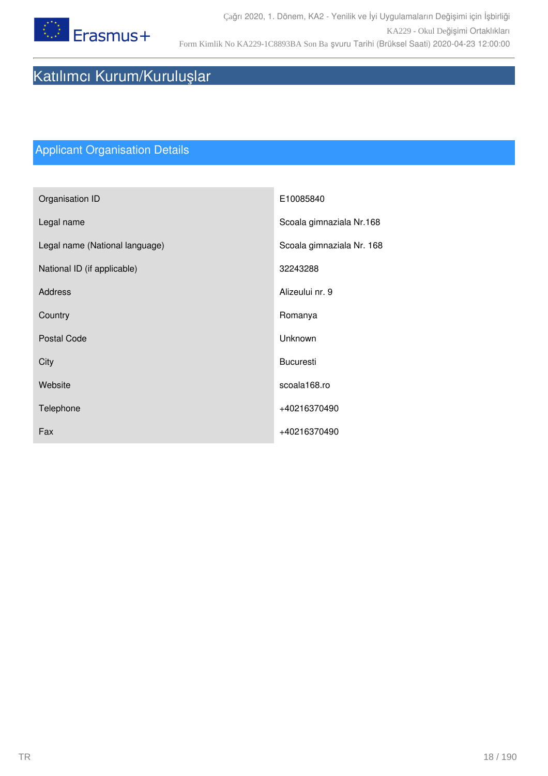

# Katılımcı Kurum/Kuruluşlar

# Applicant Organisation Details

| Organisation ID                | E10085840                 |
|--------------------------------|---------------------------|
| Legal name                     | Scoala gimnaziala Nr.168  |
| Legal name (National language) | Scoala gimnaziala Nr. 168 |
| National ID (if applicable)    | 32243288                  |
| <b>Address</b>                 | Alizeului nr. 9           |
| Country                        | Romanya                   |
| <b>Postal Code</b>             | Unknown                   |
| City                           | <b>Bucuresti</b>          |
| Website                        | scoala168.ro              |
| Telephone                      | +40216370490              |
| Fax                            | +40216370490              |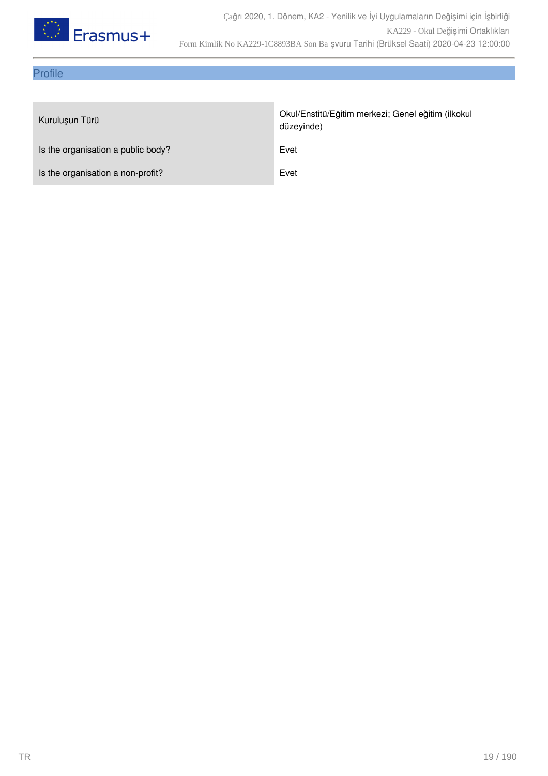

### Profile

| Kuruluşun Türü                     | Okul/Enstitü/Eğitim merkezi; Genel eğitim (ilkokul<br>düzeyinde) |
|------------------------------------|------------------------------------------------------------------|
| Is the organisation a public body? | Evet                                                             |
| Is the organisation a non-profit?  | Evet                                                             |
|                                    |                                                                  |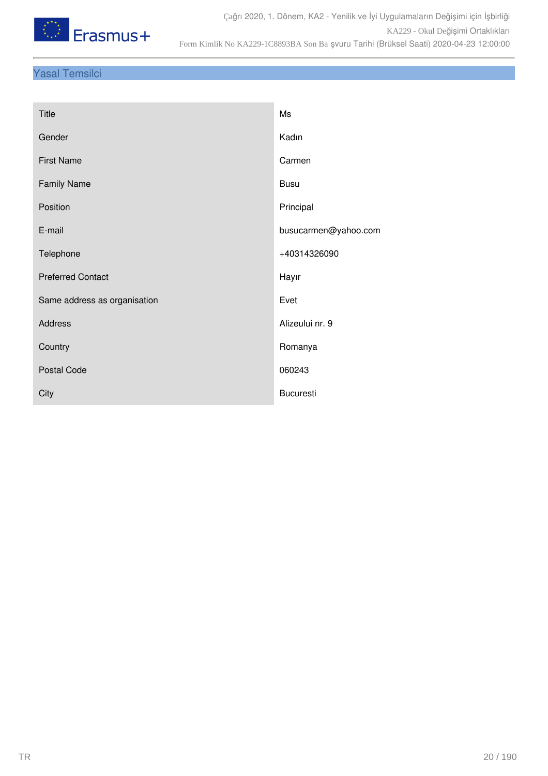

### Yasal Temsilci

| <b>Title</b>                 | Ms                   |
|------------------------------|----------------------|
| Gender                       | Kadın                |
| <b>First Name</b>            | Carmen               |
| <b>Family Name</b>           | <b>Busu</b>          |
| Position                     | Principal            |
| E-mail                       | busucarmen@yahoo.com |
| Telephone                    | +40314326090         |
| <b>Preferred Contact</b>     | Hayır                |
| Same address as organisation | Evet                 |
| <b>Address</b>               | Alizeului nr. 9      |
| Country                      | Romanya              |
| <b>Postal Code</b>           | 060243               |
| City                         | <b>Bucuresti</b>     |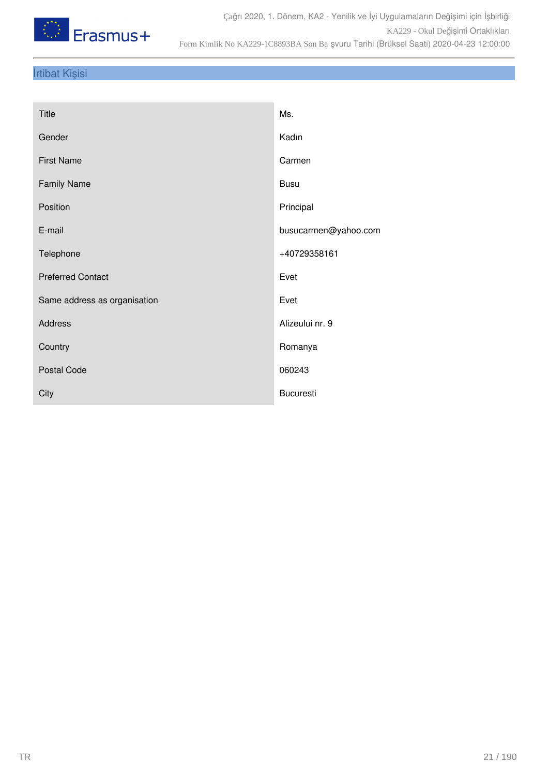

### İrtibat Kişisi

| Title                        | Ms.                  |
|------------------------------|----------------------|
| Gender                       | Kadın                |
| <b>First Name</b>            | Carmen               |
| <b>Family Name</b>           | <b>Busu</b>          |
| Position                     | Principal            |
| E-mail                       | busucarmen@yahoo.com |
| Telephone                    | +40729358161         |
| <b>Preferred Contact</b>     | Evet                 |
| Same address as organisation | Evet                 |
| Address                      | Alizeului nr. 9      |
| Country                      | Romanya              |
| <b>Postal Code</b>           | 060243               |
| City                         | <b>Bucuresti</b>     |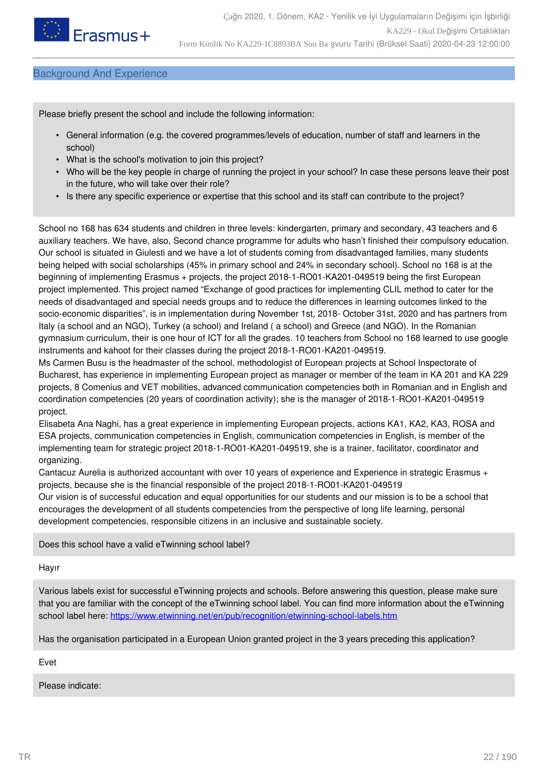

#### Background And Experience

Please briefly present the school and include the following information:

- General information (e.g. the covered programmes/levels of education, number of staff and learners in the school)
- What is the school's motivation to join this project?
- Who will be the key people in charge of running the project in your school? In case these persons leave their post in the future, who will take over their role?
- Is there any specific experience or expertise that this school and its staff can contribute to the project?

School no 168 has 634 students and children in three levels: kindergarten, primary and secondary, 43 teachers and 6 auxiliary teachers. We have, also, Second chance programme for adults who hasn't finished their compulsory education. Our school is situated in Giulesti and we have a lot of students coming from disadvantaged families, many students being helped with social scholarships (45% in primary school and 24% in secondary school). School no 168 is at the beginning of implementing Erasmus + projects, the project 2018-1-RO01-KA201-049519 being the first European project implemented. This project named "Exchange of good practices for implementing CLIL method to cater for the needs of disadvantaged and special needs groups and to reduce the differences in learning outcomes linked to the socio-economic disparities", is in implementation during November 1st, 2018- October 31st, 2020 and has partners from Italy (a school and an NGO), Turkey (a school) and Ireland ( a school) and Greece (and NGO). In the Romanian gymnasium curriculum, their is one hour of ICT for all the grades. 10 teachers from School no 168 learned to use google instruments and kahoot for their classes during the project 2018-1-RO01-KA201-049519.

Ms Carmen Busu is the headmaster of the school, methodologist of European projects at School Inspectorate of Bucharest, has experience in implementing European project as manager or member of the team in KA 201 and KA 229 projects, 8 Comenius and VET mobilities, advanced communication competencies both in Romanian and in English and coordination competencies (20 years of coordination activity); she is the manager of 2018-1-RO01-KA201-049519 project.

Elisabeta Ana Naghi, has a great experience in implementing European projects, actions KA1, KA2, KA3, ROSA and ESA projects, communication competencies in English, communication competencies in English, is member of the implementing team for strategic project 2018-1-RO01-KA201-049519, she is a trainer, facilitator, coordinator and organizing.

Cantacuz Aurelia is authorized accountant with over 10 years of experience and Experience in strategic Erasmus + projects, because she is the financial responsible of the project 2018-1-RO01-KA201-049519 Our vision is of successful education and equal opportunities for our students and our mission is to be a school that encourages the development of all students competencies from the perspective of long life learning, personal development competencies, responsible citizens in an inclusive and sustainable society.

Does this school have a valid eTwinning school label?

Hayır

Various labels exist for successful eTwinning projects and schools. Before answering this question, please make sure that you are familiar with the concept of the eTwinning school label. You can find more information about the eTwinning school label here: <https://www.etwinning.net/en/pub/recognition/etwinning-school-labels.htm>

Has the organisation participated in a European Union granted project in the 3 years preceding this application?

Evet

Please indicate: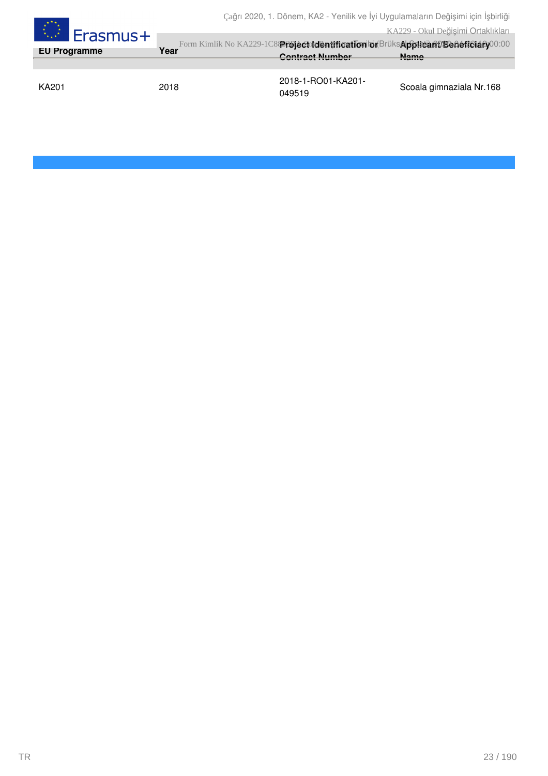| <b>A. Erasmus+</b>  |      |                                                                                                              | KA229 - Okul Değişimi Ortaklıkları |
|---------------------|------|--------------------------------------------------------------------------------------------------------------|------------------------------------|
| <b>EU Programme</b> | Year | Form Kimlik No KA229-1C839föjectoldentification bi BrüksApplicant/Beneficialy00:00<br><b>Contract Number</b> | <b>Name</b>                        |
|                     |      |                                                                                                              |                                    |
| <b>KA201</b>        | 2018 | 2018-1-RO01-KA201-<br>049519                                                                                 | Scoala gimnaziala Nr.168           |

 $\mathbb{R}^{k \times k}$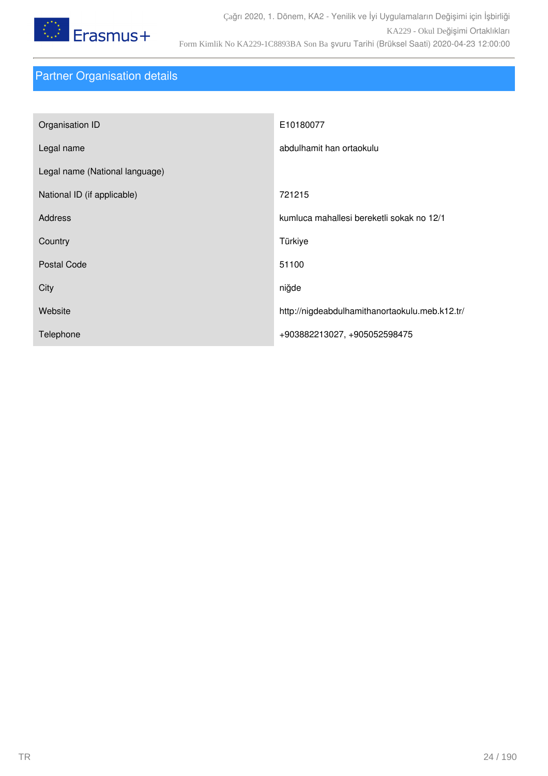

# Partner Organisation details

| Organisation ID                | E10180077                                      |
|--------------------------------|------------------------------------------------|
| Legal name                     | abdulhamit han ortaokulu                       |
| Legal name (National language) |                                                |
| National ID (if applicable)    | 721215                                         |
| <b>Address</b>                 | kumluca mahallesi bereketli sokak no 12/1      |
| Country                        | Türkiye                                        |
| <b>Postal Code</b>             | 51100                                          |
| City                           | niğde                                          |
| Website                        | http://nigdeabdulhamithanortaokulu.meb.k12.tr/ |
| Telephone                      | +903882213027, +905052598475                   |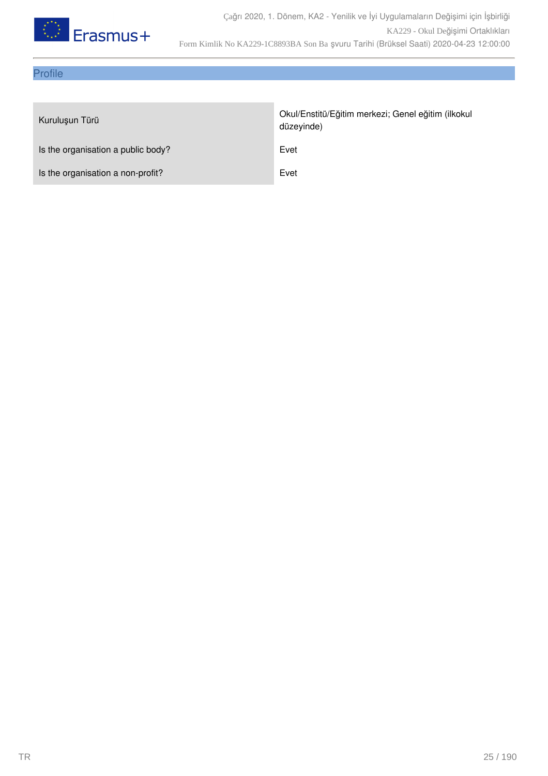

### Profile

| Kuruluşun Türü                     | Okul/Enstitü/Eğitim merkezi; Genel eğitim (ilkokul<br>düzeyinde) |
|------------------------------------|------------------------------------------------------------------|
| Is the organisation a public body? | Evet                                                             |
| Is the organisation a non-profit?  | Evet                                                             |
|                                    |                                                                  |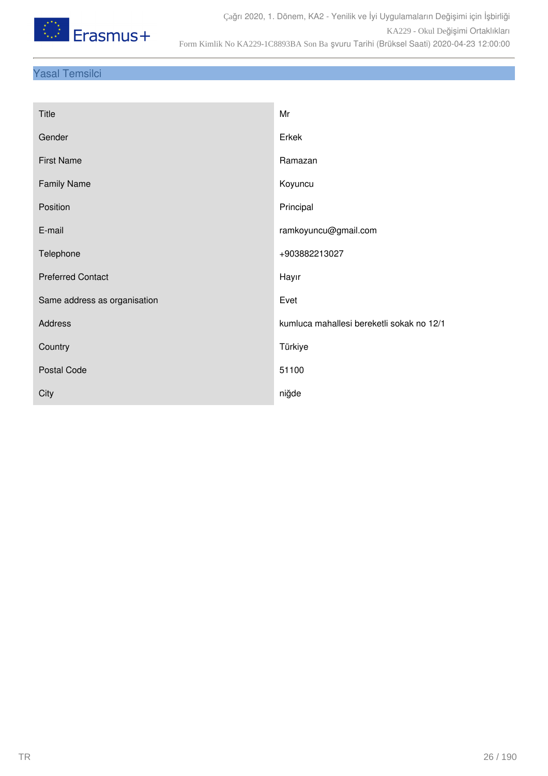

### Yasal Temsilci

| Title                        | Mr                                        |
|------------------------------|-------------------------------------------|
| Gender                       | Erkek                                     |
| <b>First Name</b>            | Ramazan                                   |
| <b>Family Name</b>           | Koyuncu                                   |
| Position                     | Principal                                 |
| E-mail                       | ramkoyuncu@gmail.com                      |
| Telephone                    | +903882213027                             |
| <b>Preferred Contact</b>     | Hayır                                     |
| Same address as organisation | Evet                                      |
| Address                      | kumluca mahallesi bereketli sokak no 12/1 |
| Country                      | Türkiye                                   |
| <b>Postal Code</b>           | 51100                                     |
| City                         | niğde                                     |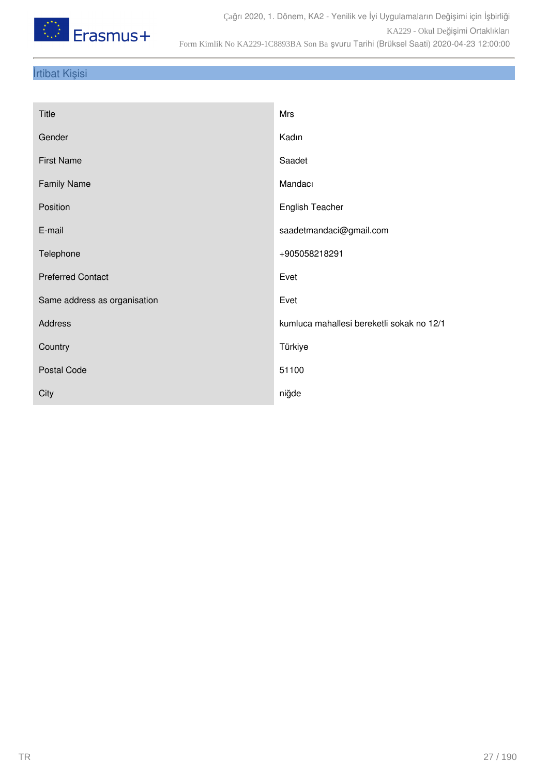

### İrtibat Kişisi

| Title                        | Mrs                                       |
|------------------------------|-------------------------------------------|
| Gender                       | Kadın                                     |
| <b>First Name</b>            | Saadet                                    |
| <b>Family Name</b>           | Mandacı                                   |
| Position                     | <b>English Teacher</b>                    |
| E-mail                       | saadetmandaci@gmail.com                   |
| Telephone                    | +905058218291                             |
| <b>Preferred Contact</b>     | Evet                                      |
| Same address as organisation | Evet                                      |
| Address                      | kumluca mahallesi bereketli sokak no 12/1 |
| Country                      | Türkiye                                   |
| Postal Code                  | 51100                                     |
| City                         | niğde                                     |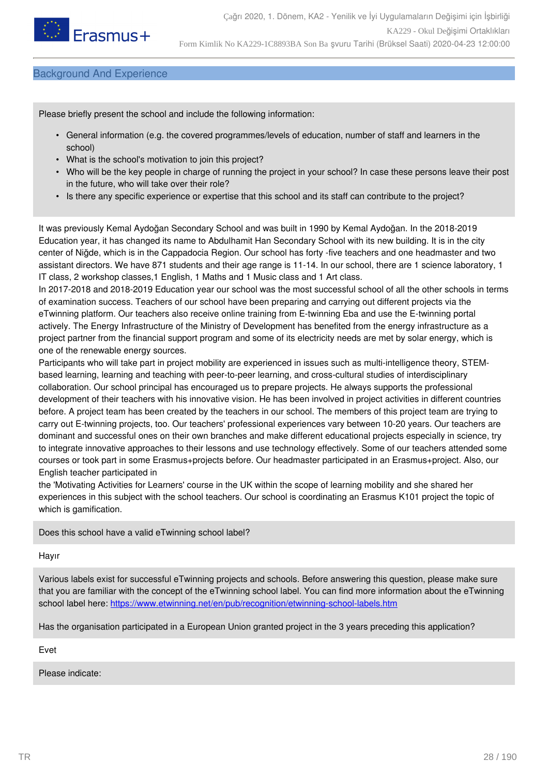

#### Background And Experience

Please briefly present the school and include the following information:

- General information (e.g. the covered programmes/levels of education, number of staff and learners in the school)
- What is the school's motivation to join this project?
- Who will be the key people in charge of running the project in your school? In case these persons leave their post in the future, who will take over their role?
- Is there any specific experience or expertise that this school and its staff can contribute to the project?

It was previously Kemal Aydoğan Secondary School and was built in 1990 by Kemal Aydoğan. In the 2018-2019 Education year, it has changed its name to Abdulhamit Han Secondary School with its new building. It is in the city center of Niğde, which is in the Cappadocia Region. Our school has forty -five teachers and one headmaster and two assistant directors. We have 871 students and their age range is 11-14. In our school, there are 1 science laboratory, 1 IT class, 2 workshop classes,1 English, 1 Maths and 1 Music class and 1 Art class.

In 2017-2018 and 2018-2019 Education year our school was the most successful school of all the other schools in terms of examination success. Teachers of our school have been preparing and carrying out different projects via the eTwinning platform. Our teachers also receive online training from E-twinning Eba and use the E-twinning portal actively. The Energy Infrastructure of the Ministry of Development has benefited from the energy infrastructure as a project partner from the financial support program and some of its electricity needs are met by solar energy, which is one of the renewable energy sources.

Participants who will take part in project mobility are experienced in issues such as multi-intelligence theory, STEMbased learning, learning and teaching with peer-to-peer learning, and cross-cultural studies of interdisciplinary collaboration. Our school principal has encouraged us to prepare projects. He always supports the professional development of their teachers with his innovative vision. He has been involved in project activities in different countries before. A project team has been created by the teachers in our school. The members of this project team are trying to carry out E-twinning projects, too. Our teachers' professional experiences vary between 10-20 years. Our teachers are dominant and successful ones on their own branches and make different educational projects especially in science, try to integrate innovative approaches to their lessons and use technology effectively. Some of our teachers attended some courses or took part in some Erasmus+projects before. Our headmaster participated in an Erasmus+project. Also, our English teacher participated in

the 'Motivating Activities for Learners' course in the UK within the scope of learning mobility and she shared her experiences in this subject with the school teachers. Our school is coordinating an Erasmus K101 project the topic of which is gamification.

Does this school have a valid eTwinning school label?

Hayır

Various labels exist for successful eTwinning projects and schools. Before answering this question, please make sure that you are familiar with the concept of the eTwinning school label. You can find more information about the eTwinning school label here: <https://www.etwinning.net/en/pub/recognition/etwinning-school-labels.htm>

Has the organisation participated in a European Union granted project in the 3 years preceding this application?

Evet

Please indicate: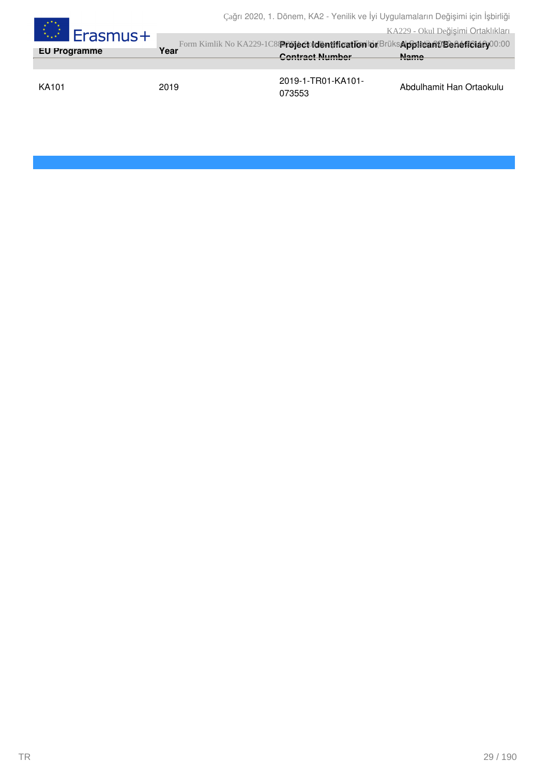| $\begin{array}{c} \star^{\star} \star_{\star} \\ \star_{\star} \star \\ \star_{\star \star} \star \end{array}$<br>⊿Erasmus+<br><b>EU Programme</b> | Year | Cagri 2020, T. Dorletti, NAZ - Yetilik ve iyi Oygulamaların Değişimi için işbirliği<br>Form Kimlik No KA229-1C839föjéctotentification bi BrüksApplicant/Benéticiany00:00<br><b>Contract Number</b> | KA229 - Okul Değişimi Ortaklıkları<br><b>Name</b> |
|----------------------------------------------------------------------------------------------------------------------------------------------------|------|----------------------------------------------------------------------------------------------------------------------------------------------------------------------------------------------------|---------------------------------------------------|
| KA101                                                                                                                                              | 2019 | 2019-1-TR01-KA101-<br>073553                                                                                                                                                                       | Abdulhamit Han Ortaokulu                          |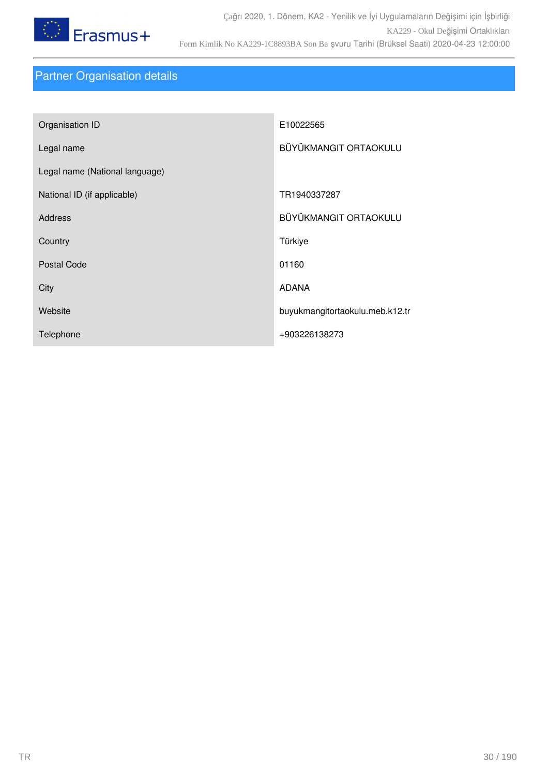

# Partner Organisation details

| Organisation ID                | E10022565                       |
|--------------------------------|---------------------------------|
| Legal name                     | BÜYÜKMANGIT ORTAOKULU           |
| Legal name (National language) |                                 |
| National ID (if applicable)    | TR1940337287                    |
| <b>Address</b>                 | BÜYÜKMANGIT ORTAOKULU           |
| Country                        | Türkiye                         |
| Postal Code                    | 01160                           |
| City                           | <b>ADANA</b>                    |
| Website                        | buyukmangitortaokulu.meb.k12.tr |
| Telephone                      | +903226138273                   |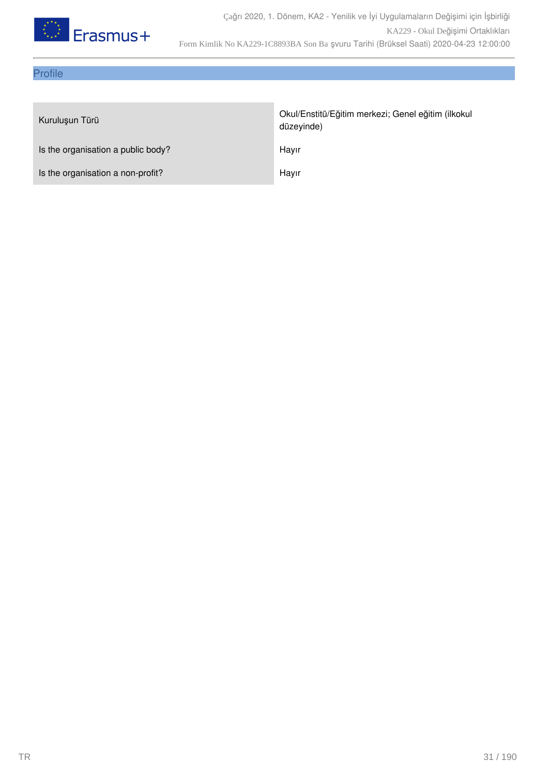

### Profile

| Kuruluşun Türü                     | Okul/Enstitü/Eğitim merkezi; Genel eğitim (ilkokul<br>düzeyinde) |
|------------------------------------|------------------------------------------------------------------|
| Is the organisation a public body? | Hayır                                                            |
| Is the organisation a non-profit?  | Hayır                                                            |
|                                    |                                                                  |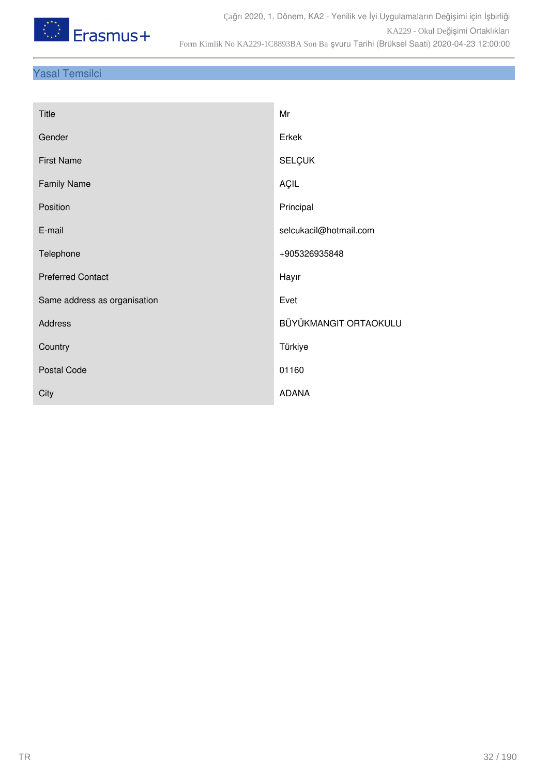

### Yasal Temsilci

| Gender<br>Erkek<br>SELÇUK<br><b>First Name</b><br>AÇIL<br><b>Family Name</b> |
|------------------------------------------------------------------------------|
|                                                                              |
|                                                                              |
|                                                                              |
| Position<br>Principal                                                        |
| E-mail<br>selcukacil@hotmail.com                                             |
| Telephone<br>+905326935848                                                   |
| <b>Preferred Contact</b><br>Hayır                                            |
| Evet<br>Same address as organisation                                         |
| BÜYÜKMANGIT ORTAOKULU<br>Address                                             |
| Türkiye<br>Country                                                           |
| Postal Code<br>01160                                                         |
| <b>ADANA</b><br>City                                                         |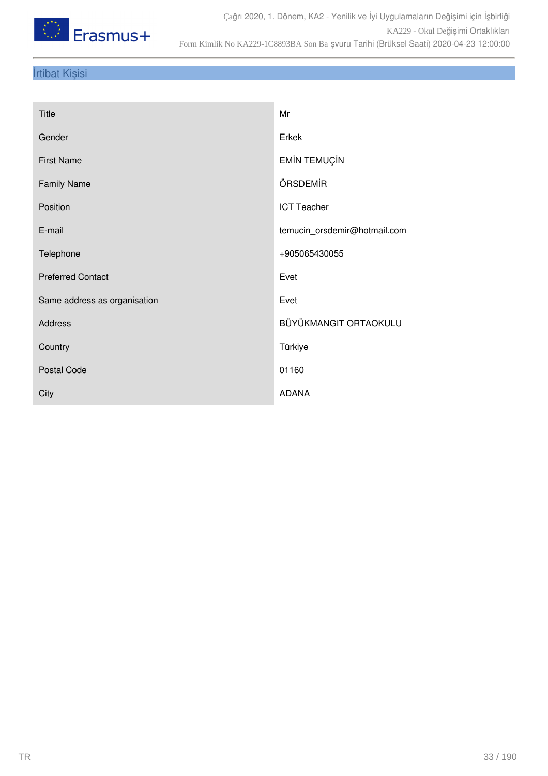

### İrtibat Kişisi

| <b>Title</b>                 | Mr                           |
|------------------------------|------------------------------|
| Gender                       | Erkek                        |
| <b>First Name</b>            | <b>EMİN TEMUÇİN</b>          |
| <b>Family Name</b>           | ÖRSDEMİR                     |
| Position                     | <b>ICT Teacher</b>           |
| E-mail                       | temucin_orsdemir@hotmail.com |
| Telephone                    | +905065430055                |
| <b>Preferred Contact</b>     | Evet                         |
| Same address as organisation | Evet                         |
| Address                      | BÜYÜKMANGIT ORTAOKULU        |
| Country                      | Türkiye                      |
| Postal Code                  | 01160                        |
| City                         | <b>ADANA</b>                 |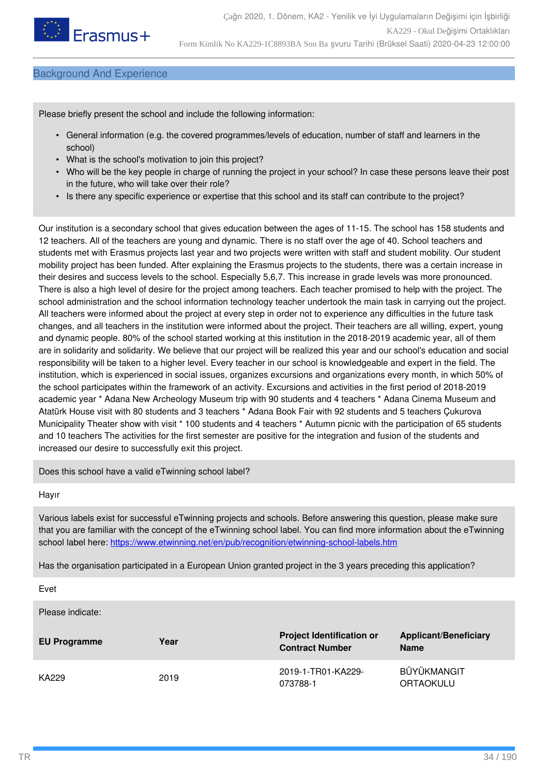

#### Background And Experience

Please briefly present the school and include the following information:

- General information (e.g. the covered programmes/levels of education, number of staff and learners in the school)
- What is the school's motivation to join this project?
- Who will be the key people in charge of running the project in your school? In case these persons leave their post in the future, who will take over their role?
- Is there any specific experience or expertise that this school and its staff can contribute to the project?

Our institution is a secondary school that gives education between the ages of 11-15. The school has 158 students and 12 teachers. All of the teachers are young and dynamic. There is no staff over the age of 40. School teachers and students met with Erasmus projects last year and two projects were written with staff and student mobility. Our student mobility project has been funded. After explaining the Erasmus projects to the students, there was a certain increase in their desires and success levels to the school. Especially 5,6,7. This increase in grade levels was more pronounced. There is also a high level of desire for the project among teachers. Each teacher promised to help with the project. The school administration and the school information technology teacher undertook the main task in carrying out the project. All teachers were informed about the project at every step in order not to experience any difficulties in the future task changes, and all teachers in the institution were informed about the project. Their teachers are all willing, expert, young and dynamic people. 80% of the school started working at this institution in the 2018-2019 academic year, all of them are in solidarity and solidarity. We believe that our project will be realized this year and our school's education and social responsibility will be taken to a higher level. Every teacher in our school is knowledgeable and expert in the field. The institution, which is experienced in social issues, organizes excursions and organizations every month, in which 50% of the school participates within the framework of an activity. Excursions and activities in the first period of 2018-2019 academic year \* Adana New Archeology Museum trip with 90 students and 4 teachers \* Adana Cinema Museum and Atatürk House visit with 80 students and 3 teachers \* Adana Book Fair with 92 students and 5 teachers Çukurova Municipality Theater show with visit \* 100 students and 4 teachers \* Autumn picnic with the participation of 65 students and 10 teachers The activities for the first semester are positive for the integration and fusion of the students and increased our desire to successfully exit this project.

Does this school have a valid eTwinning school label?

#### Hayır

Various labels exist for successful eTwinning projects and schools. Before answering this question, please make sure that you are familiar with the concept of the eTwinning school label. You can find more information about the eTwinning school label here: <https://www.etwinning.net/en/pub/recognition/etwinning-school-labels.htm>

Has the organisation participated in a European Union granted project in the 3 years preceding this application?

Evet

Please indicate:

| <b>EU Programme</b> | Year | <b>Project Identification or</b><br><b>Contract Number</b> | <b>Applicant/Beneficiary</b><br><b>Name</b> |
|---------------------|------|------------------------------------------------------------|---------------------------------------------|
| KA229               | 2019 | 2019-1-TR01-KA229-<br>073788-1                             | BÜYÜKMANGIT<br><b>ORTAOKULU</b>             |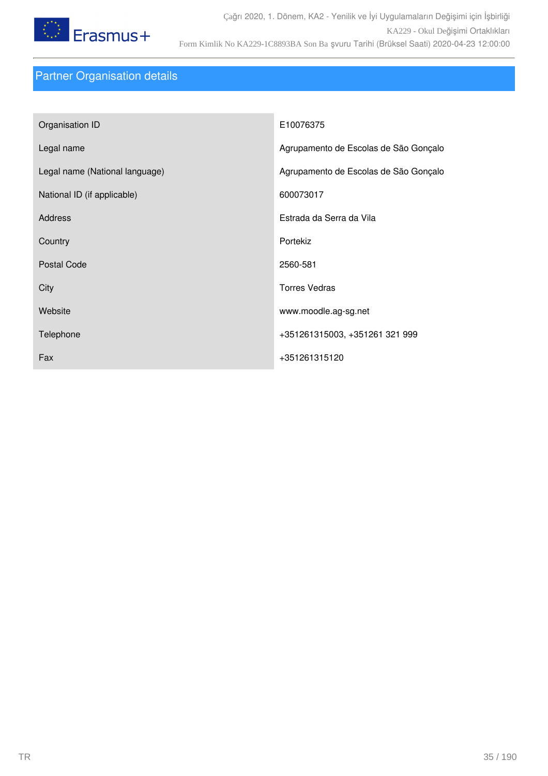

# Partner Organisation details

| Organisation ID                | E10076375                             |
|--------------------------------|---------------------------------------|
| Legal name                     | Agrupamento de Escolas de São Gonçalo |
| Legal name (National language) | Agrupamento de Escolas de São Gonçalo |
| National ID (if applicable)    | 600073017                             |
| <b>Address</b>                 | Estrada da Serra da Vila              |
| Country                        | Portekiz                              |
| <b>Postal Code</b>             | 2560-581                              |
| City                           | <b>Torres Vedras</b>                  |
| Website                        | www.moodle.ag-sg.net                  |
| Telephone                      | +351261315003, +351261 321 999        |
| Fax                            | +351261315120                         |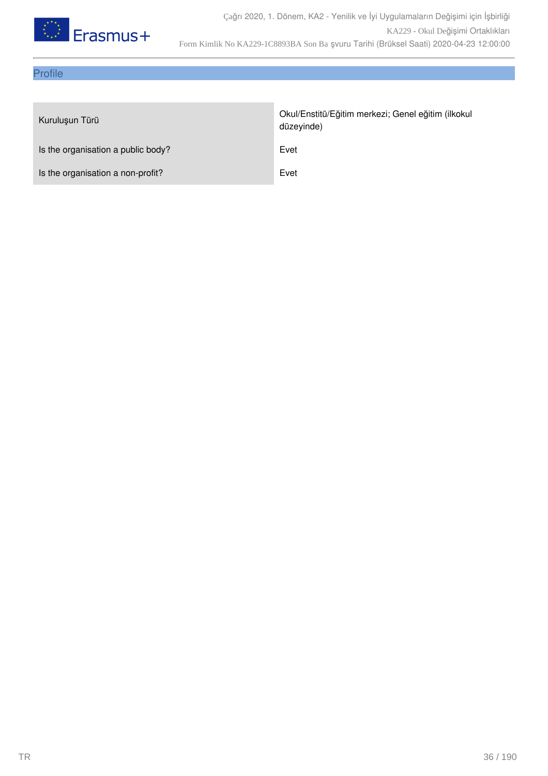

### Profile

| Kuruluşun Türü                     | Okul/Enstitü/Eğitim merkezi; Genel eğitim (ilkokul<br>düzeyinde) |
|------------------------------------|------------------------------------------------------------------|
| Is the organisation a public body? | Evet                                                             |
| Is the organisation a non-profit?  | Evet                                                             |
|                                    |                                                                  |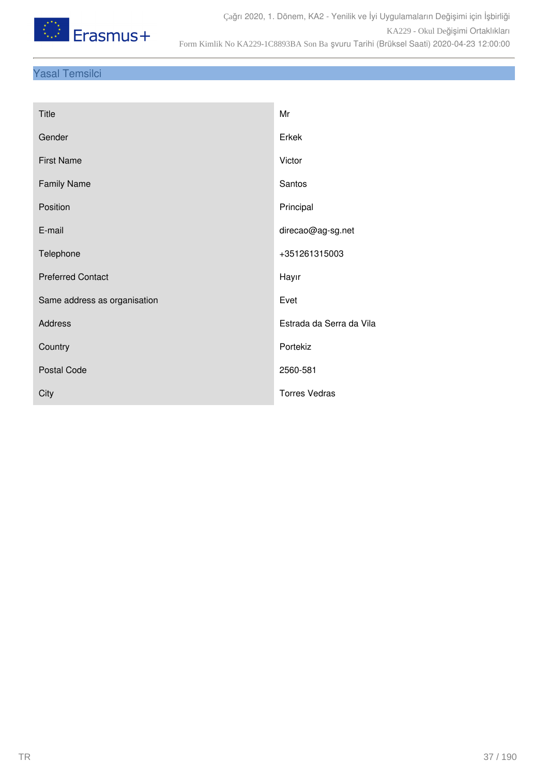

## Yasal Temsilci

| <b>Title</b>                 | Mr                       |
|------------------------------|--------------------------|
| Gender                       | Erkek                    |
| <b>First Name</b>            | Victor                   |
| <b>Family Name</b>           | Santos                   |
| Position                     | Principal                |
| E-mail                       | direcao@ag-sg.net        |
| Telephone                    | +351261315003            |
| <b>Preferred Contact</b>     | Hayır                    |
| Same address as organisation | Evet                     |
| <b>Address</b>               | Estrada da Serra da Vila |
| Country                      | Portekiz                 |
| <b>Postal Code</b>           | 2560-581                 |
| City                         | <b>Torres Vedras</b>     |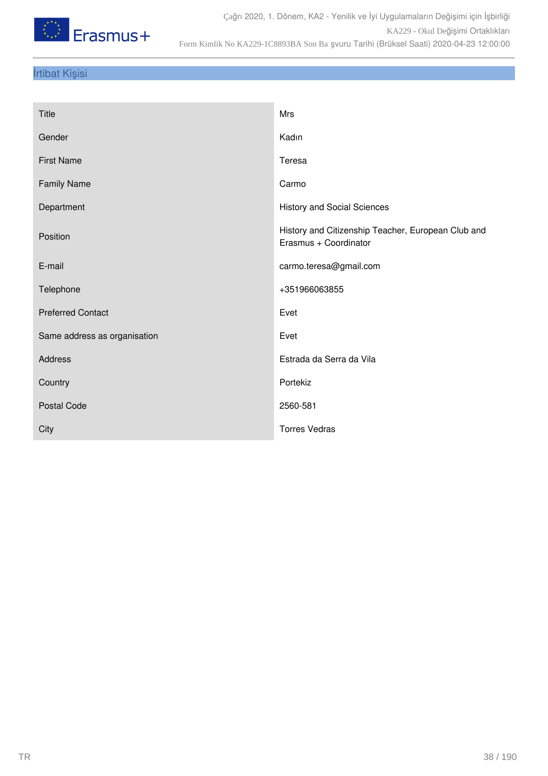

## İrtibat Kişisi

| <b>Title</b>                 | Mrs                                                                         |
|------------------------------|-----------------------------------------------------------------------------|
| Gender                       | Kadın                                                                       |
| <b>First Name</b>            | Teresa                                                                      |
| <b>Family Name</b>           | Carmo                                                                       |
| Department                   | <b>History and Social Sciences</b>                                          |
| Position                     | History and Citizenship Teacher, European Club and<br>Erasmus + Coordinator |
| E-mail                       | carmo.teresa@gmail.com                                                      |
| Telephone                    | +351966063855                                                               |
| <b>Preferred Contact</b>     | Evet                                                                        |
| Same address as organisation | Evet                                                                        |
| Address                      | Estrada da Serra da Vila                                                    |
| Country                      | Portekiz                                                                    |
| <b>Postal Code</b>           | 2560-581                                                                    |
| City                         | <b>Torres Vedras</b>                                                        |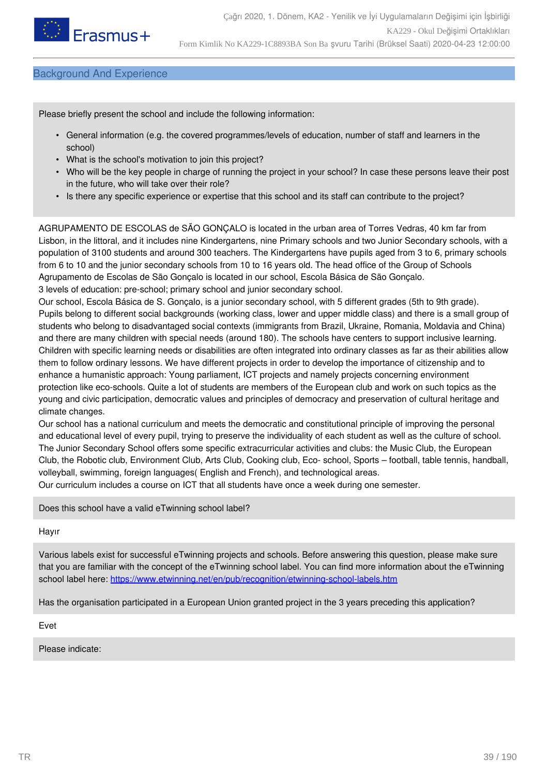

### Background And Experience

Please briefly present the school and include the following information:

- General information (e.g. the covered programmes/levels of education, number of staff and learners in the school)
- What is the school's motivation to join this project?
- Who will be the key people in charge of running the project in your school? In case these persons leave their post in the future, who will take over their role?
- Is there any specific experience or expertise that this school and its staff can contribute to the project?

AGRUPAMENTO DE ESCOLAS de SÃO GONÇALO is located in the urban area of Torres Vedras, 40 km far from Lisbon, in the littoral, and it includes nine Kindergartens, nine Primary schools and two Junior Secondary schools, with a population of 3100 students and around 300 teachers. The Kindergartens have pupils aged from 3 to 6, primary schools from 6 to 10 and the junior secondary schools from 10 to 16 years old. The head office of the Group of Schools Agrupamento de Escolas de São Gonçalo is located in our school, Escola Básica de São Gonçalo. 3 levels of education: pre-school; primary school and junior secondary school.

Our school, Escola Básica de S. Gonçalo, is a junior secondary school, with 5 different grades (5th to 9th grade). Pupils belong to different social backgrounds (working class, lower and upper middle class) and there is a small group of students who belong to disadvantaged social contexts (immigrants from Brazil, Ukraine, Romania, Moldavia and China) and there are many children with special needs (around 180). The schools have centers to support inclusive learning. Children with specific learning needs or disabilities are often integrated into ordinary classes as far as their abilities allow them to follow ordinary lessons. We have different projects in order to develop the importance of citizenship and to enhance a humanistic approach: Young parliament, ICT projects and namely projects concerning environment protection like eco-schools. Quite a lot of students are members of the European club and work on such topics as the young and civic participation, democratic values and principles of democracy and preservation of cultural heritage and climate changes.

Our school has a national curriculum and meets the democratic and constitutional principle of improving the personal and educational level of every pupil, trying to preserve the individuality of each student as well as the culture of school. The Junior Secondary School offers some specific extracurricular activities and clubs: the Music Club, the European Club, the Robotic club, Environment Club, Arts Club, Cooking club, Eco- school, Sports – football, table tennis, handball, volleyball, swimming, foreign languages( English and French), and technological areas.

Our curriculum includes a course on ICT that all students have once a week during one semester.

Does this school have a valid eTwinning school label?

Hayır

Various labels exist for successful eTwinning projects and schools. Before answering this question, please make sure that you are familiar with the concept of the eTwinning school label. You can find more information about the eTwinning school label here: <https://www.etwinning.net/en/pub/recognition/etwinning-school-labels.htm>

Has the organisation participated in a European Union granted project in the 3 years preceding this application?

Evet

Please indicate: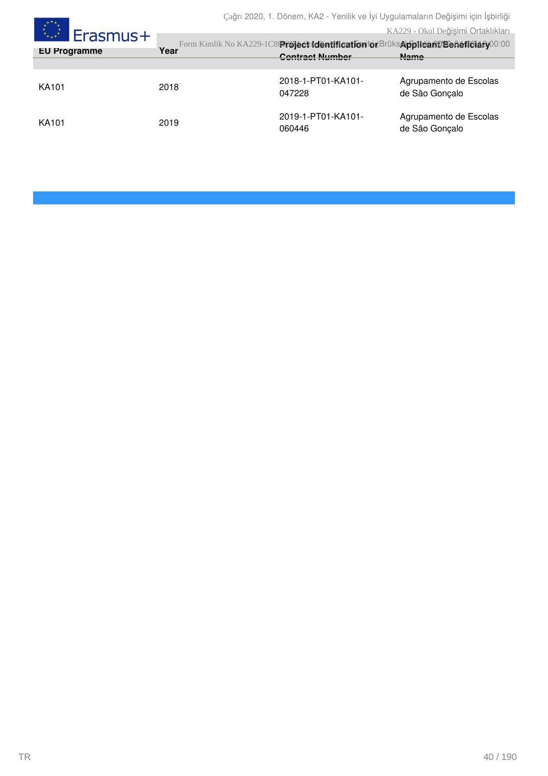Çağrı 2020, 1. Dönem, KA2 - Yenilik ve İyi Uygulamaların Değişimi için İşbirliği

### KA229 - Okul Değişimi Ortaklıkları

| Erasmus+            |      |                                                                                                              | KA229 - Okul Değişimi Ortaklıkları       |
|---------------------|------|--------------------------------------------------------------------------------------------------------------|------------------------------------------|
| <b>EU Programme</b> | Year | Form Kimlik No KA229-1C889föjéctvidentification bi BrüksApplicant/Benéffeiany00:00<br><b>Contract Number</b> | <b>Name</b>                              |
|                     |      |                                                                                                              |                                          |
| KA101               | 2018 | 2018-1-PT01-KA101-<br>047228                                                                                 | Agrupamento de Escolas<br>de São Gonçalo |
| KA101               | 2019 | 2019-1-PT01-KA101-<br>060446                                                                                 | Agrupamento de Escolas<br>de São Gonçalo |

 $\star^{\star\star}$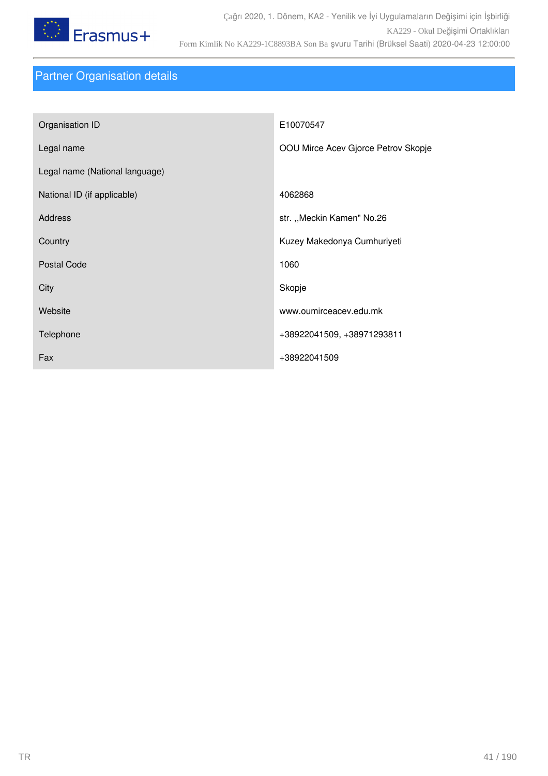

## Partner Organisation details

| Organisation ID                | E10070547                           |
|--------------------------------|-------------------------------------|
| Legal name                     | OOU Mirce Acev Gjorce Petrov Skopje |
| Legal name (National language) |                                     |
| National ID (if applicable)    | 4062868                             |
| <b>Address</b>                 | str. "Meckin Kamen" No.26           |
| Country                        | Kuzey Makedonya Cumhuriyeti         |
| <b>Postal Code</b>             | 1060                                |
| City                           | Skopje                              |
| Website                        | www.oumirceacev.edu.mk              |
| Telephone                      | +38922041509, +38971293811          |
| Fax                            | +38922041509                        |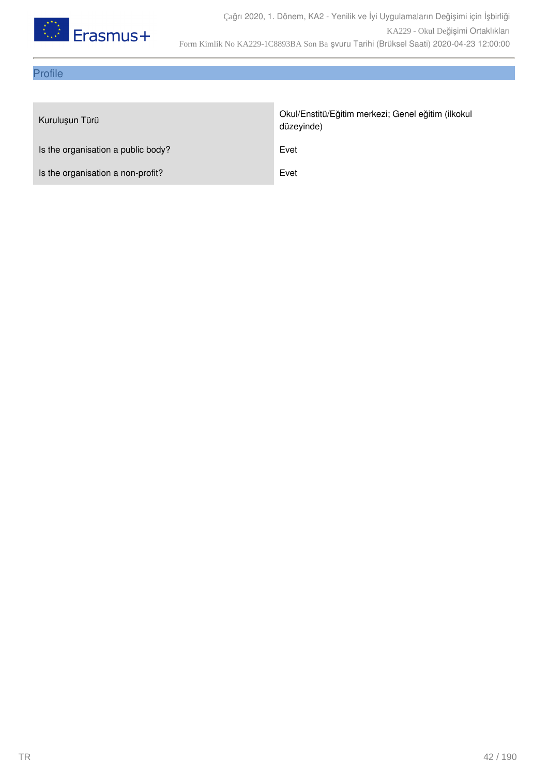

## Profile

| Kuruluşun Türü                     | Okul/Enstitü/Eğitim merkezi; Genel eğitim (ilkokul<br>düzeyinde) |
|------------------------------------|------------------------------------------------------------------|
| Is the organisation a public body? | Evet                                                             |
| Is the organisation a non-profit?  | Evet                                                             |
|                                    |                                                                  |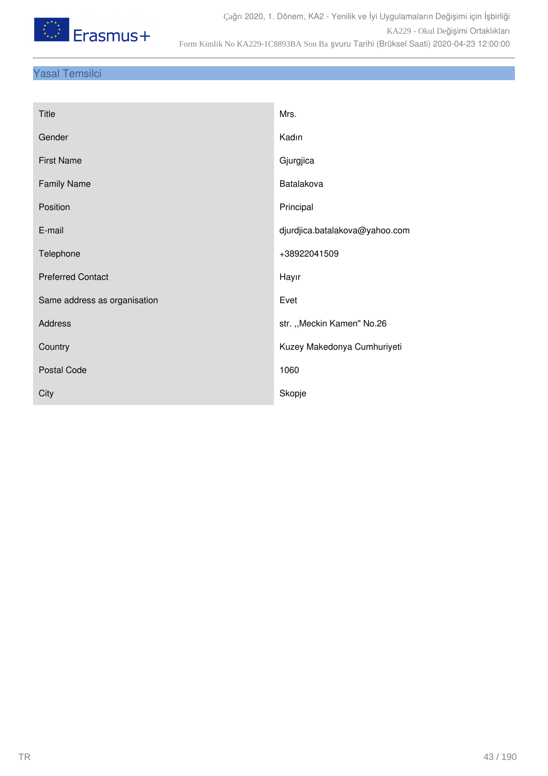

## Yasal Temsilci

| <b>Title</b>                 | Mrs.                           |
|------------------------------|--------------------------------|
| Gender                       | Kadın                          |
| <b>First Name</b>            | Gjurgjica                      |
| <b>Family Name</b>           | Batalakova                     |
| Position                     | Principal                      |
| E-mail                       | djurdjica.batalakova@yahoo.com |
| Telephone                    | +38922041509                   |
| <b>Preferred Contact</b>     | Hayır                          |
| Same address as organisation | Evet                           |
| Address                      | str. "Meckin Kamen" No.26      |
| Country                      | Kuzey Makedonya Cumhuriyeti    |
| Postal Code                  | 1060                           |
| City                         | Skopje                         |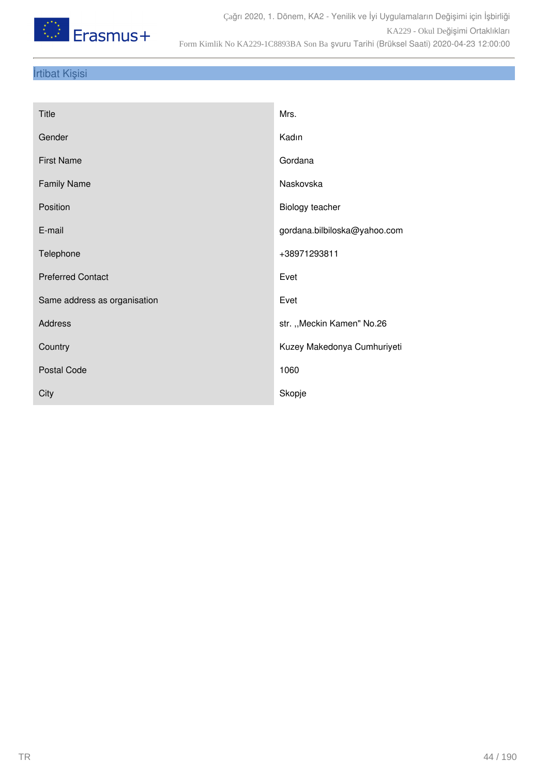

## İrtibat Kişisi

| <b>Title</b>                 | Mrs.                         |
|------------------------------|------------------------------|
| Gender                       | Kadın                        |
| <b>First Name</b>            | Gordana                      |
| <b>Family Name</b>           | Naskovska                    |
| Position                     | Biology teacher              |
| E-mail                       | gordana.bilbiloska@yahoo.com |
| Telephone                    | +38971293811                 |
| <b>Preferred Contact</b>     | Evet                         |
| Same address as organisation | Evet                         |
| <b>Address</b>               | str. "Meckin Kamen" No.26    |
| Country                      | Kuzey Makedonya Cumhuriyeti  |
| Postal Code                  | 1060                         |
| City                         | Skopje                       |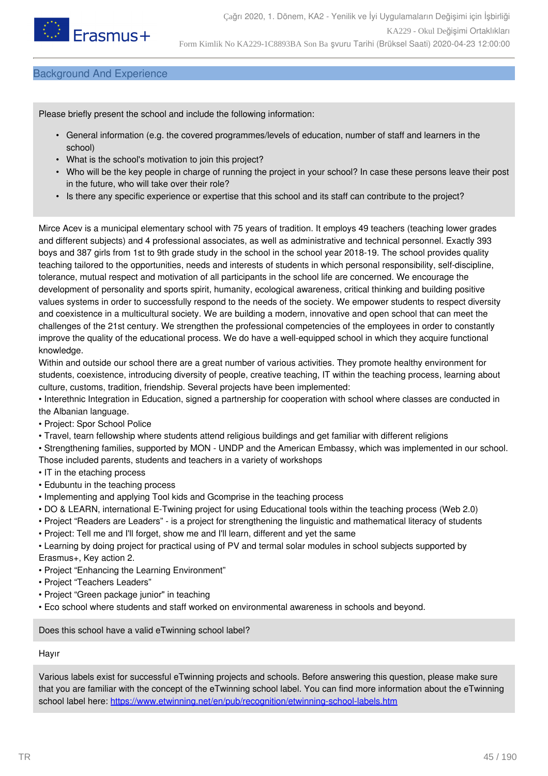

### Background And Experience

Please briefly present the school and include the following information:

- General information (e.g. the covered programmes/levels of education, number of staff and learners in the school)
- What is the school's motivation to join this project?
- Who will be the key people in charge of running the project in your school? In case these persons leave their post in the future, who will take over their role?
- Is there any specific experience or expertise that this school and its staff can contribute to the project?

Mirce Acev is a municipal elementary school with 75 years of tradition. It employs 49 teachers (teaching lower grades and different subjects) and 4 professional associates, as well as administrative and technical personnel. Exactly 393 boys and 387 girls from 1st to 9th grade study in the school in the school year 2018-19. The school provides quality teaching tailored to the opportunities, needs and interests of students in which personal responsibility, self-discipline, tolerance, mutual respect and motivation of all participants in the school life are concerned. We encourage the development of personality and sports spirit, humanity, ecological awareness, critical thinking and building positive values systems in order to successfully respond to the needs of the society. We empower students to respect diversity and coexistence in a multicultural society. We are building a modern, innovative and open school that can meet the challenges of the 21st century. We strengthen the professional competencies of the employees in order to constantly improve the quality of the educational process. We do have a well-equipped school in which they acquire functional knowledge.

Within and outside our school there are a great number of various activities. They promote healthy environment for students, coexistence, introducing diversity of people, creative teaching, IT within the teaching process, learning about culture, customs, tradition, friendship. Several projects have been implemented:

• Interethnic Integration in Education, signed a partnership for cooperation with school where classes are conducted in the Albanian language.

• Project: Spor School Police

• Travel, tearn fellowship where students attend religious buildings and get familiar with different religions

• Strengthening families, supported by MON - UNDP and the American Embassy, which was implemented in our school. Those included parents, students and teachers in a variety of workshops

- IT in the etaching process
- Edubuntu in the teaching process
- Implementing and applying Tool kids and Gcomprise in the teaching process
- DO & LEARN, international E-Twining project for using Educational tools within the teaching process (Web 2.0)
- Project "Readers are Leaders" is a project for strengthening the linguistic and mathematical literacy of students
- Project: Tell me and I'll forget, show me and I'll learn, different and yet the same

• Learning by doing project for practical using of PV and termal solar modules in school subjects supported by Erasmus+, Key action 2.

- Project "Enhancing the Learning Environment"
- Project "Teachers Leaders"
- Project "Green package junior" in teaching
- Eco school where students and staff worked on environmental awareness in schools and beyond.

Does this school have a valid eTwinning school label?

Hayır

Various labels exist for successful eTwinning projects and schools. Before answering this question, please make sure that you are familiar with the concept of the eTwinning school label. You can find more information about the eTwinning school label here: <https://www.etwinning.net/en/pub/recognition/etwinning-school-labels.htm>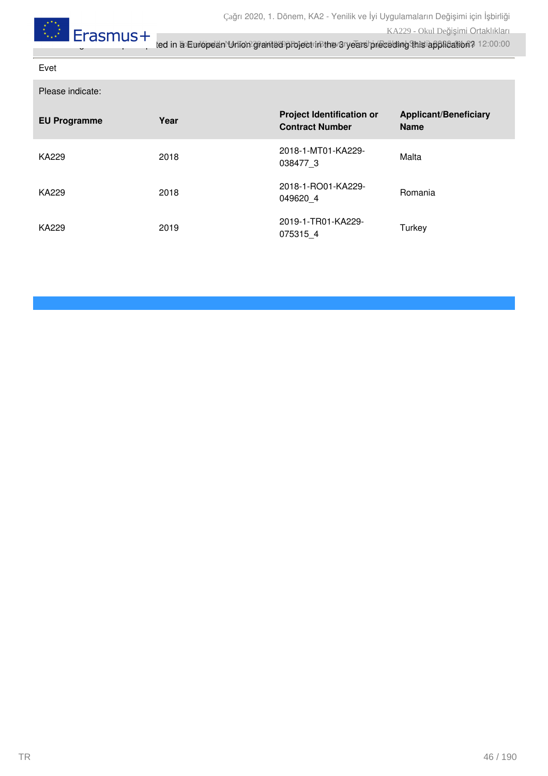

Evet

Please indicate:

| <b>EU Programme</b> | Year | <b>Project Identification or</b><br><b>Contract Number</b> | <b>Applicant/Beneficiary</b><br><b>Name</b> |
|---------------------|------|------------------------------------------------------------|---------------------------------------------|
| KA229               | 2018 | 2018-1-MT01-KA229-<br>038477 3                             | Malta                                       |
| KA229               | 2018 | 2018-1-RO01-KA229-<br>049620 4                             | Romania                                     |
| KA229               | 2019 | 2019-1-TR01-KA229-<br>075315 4                             | Turkey                                      |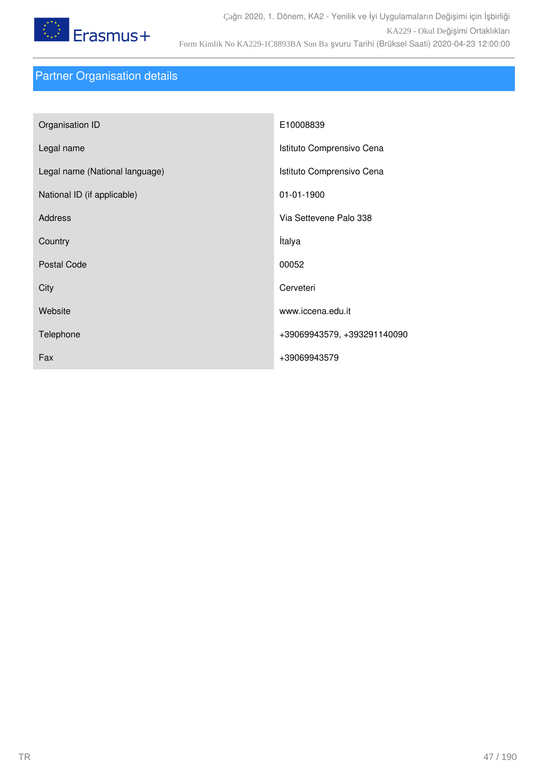

## Partner Organisation details

| Organisation ID                | E10008839                   |
|--------------------------------|-----------------------------|
| Legal name                     | Istituto Comprensivo Cena   |
| Legal name (National language) | Istituto Comprensivo Cena   |
| National ID (if applicable)    | 01-01-1900                  |
| <b>Address</b>                 | Via Settevene Palo 338      |
| Country                        | İtalya                      |
| <b>Postal Code</b>             | 00052                       |
| City                           | Cerveteri                   |
| Website                        | www.iccena.edu.it           |
| Telephone                      | +39069943579, +393291140090 |
| Fax                            | +39069943579                |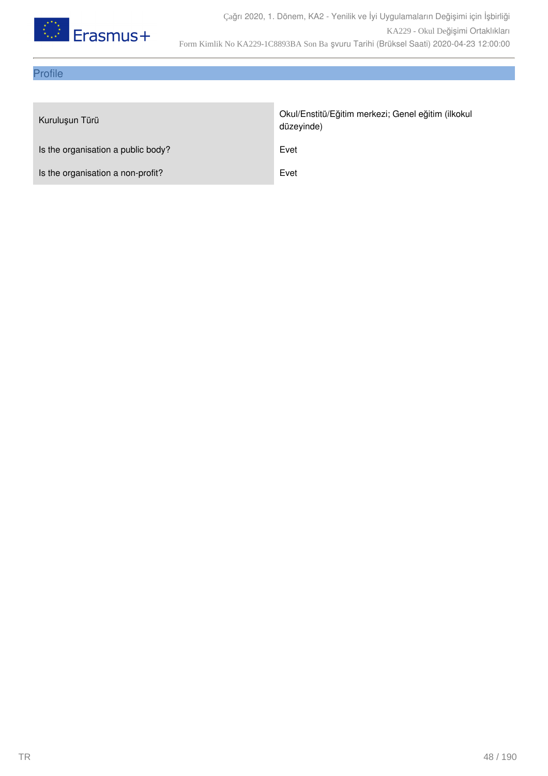

## Profile

| Kuruluşun Türü                     | Okul/Enstitü/Eğitim merkezi; Genel eğitim (ilkokul<br>düzeyinde) |
|------------------------------------|------------------------------------------------------------------|
| Is the organisation a public body? | Evet                                                             |
| Is the organisation a non-profit?  | Evet                                                             |
|                                    |                                                                  |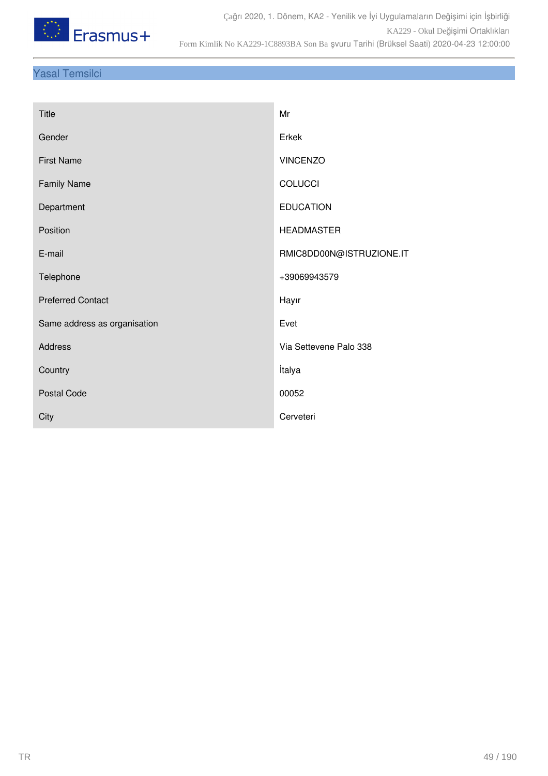

## Yasal Temsilci

| <b>Title</b>                 | Mr                       |
|------------------------------|--------------------------|
| Gender                       | Erkek                    |
| <b>First Name</b>            | <b>VINCENZO</b>          |
| <b>Family Name</b>           | <b>COLUCCI</b>           |
| Department                   | <b>EDUCATION</b>         |
| Position                     | <b>HEADMASTER</b>        |
| E-mail                       | RMIC8DD00N@ISTRUZIONE.IT |
| Telephone                    | +39069943579             |
| <b>Preferred Contact</b>     | Hayır                    |
| Same address as organisation | Evet                     |
| Address                      | Via Settevene Palo 338   |
| Country                      | İtalya                   |
| Postal Code                  | 00052                    |
| City                         | Cerveteri                |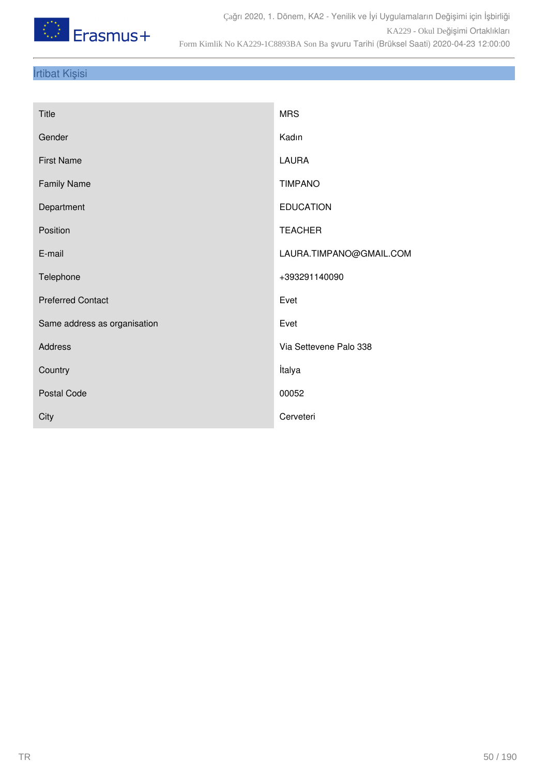

## İrtibat Kişisi

| Title                        | <b>MRS</b>              |
|------------------------------|-------------------------|
| Gender                       | Kadın                   |
| <b>First Name</b>            | LAURA                   |
| <b>Family Name</b>           | <b>TIMPANO</b>          |
| Department                   | <b>EDUCATION</b>        |
| Position                     | <b>TEACHER</b>          |
| E-mail                       | LAURA.TIMPANO@GMAIL.COM |
| Telephone                    | +393291140090           |
| <b>Preferred Contact</b>     | Evet                    |
| Same address as organisation | Evet                    |
| Address                      | Via Settevene Palo 338  |
| Country                      | İtalya                  |
| Postal Code                  | 00052                   |
| City                         | Cerveteri               |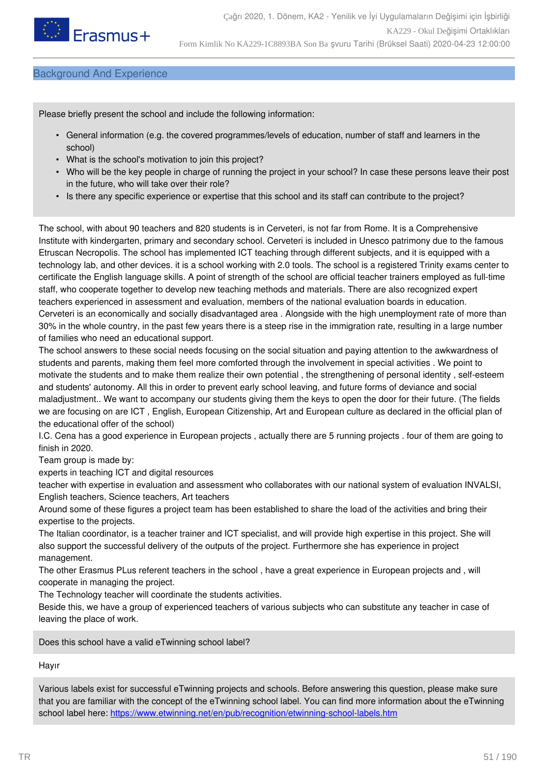

### Background And Experience

Please briefly present the school and include the following information:

- General information (e.g. the covered programmes/levels of education, number of staff and learners in the school)
- What is the school's motivation to join this project?
- Who will be the key people in charge of running the project in your school? In case these persons leave their post in the future, who will take over their role?
- Is there any specific experience or expertise that this school and its staff can contribute to the project?

The school, with about 90 teachers and 820 students is in Cerveteri, is not far from Rome. It is a Comprehensive Institute with kindergarten, primary and secondary school. Cerveteri is included in Unesco patrimony due to the famous Etruscan Necropolis. The school has implemented ICT teaching through different subjects, and it is equipped with a technology lab, and other devices. it is a school working with 2.0 tools. The school is a registered Trinity exams center to certificate the English language skills. A point of strength of the school are official teacher trainers employed as full-time staff, who cooperate together to develop new teaching methods and materials. There are also recognized expert teachers experienced in assessment and evaluation, members of the national evaluation boards in education. Cerveteri is an economically and socially disadvantaged area . Alongside with the high unemployment rate of more than 30% in the whole country, in the past few years there is a steep rise in the immigration rate, resulting in a large number of families who need an educational support.

The school answers to these social needs focusing on the social situation and paying attention to the awkwardness of students and parents, making them feel more comforted through the involvement in special activities . We point to motivate the students and to make them realize their own potential , the strengthening of personal identity , self-esteem and students' autonomy. All this in order to prevent early school leaving, and future forms of deviance and social maladjustment.. We want to accompany our students giving them the keys to open the door for their future. (The fields we are focusing on are ICT , English, European Citizenship, Art and European culture as declared in the official plan of the educational offer of the school)

I.C. Cena has a good experience in European projects , actually there are 5 running projects . four of them are going to finish in 2020.

Team group is made by:

experts in teaching ICT and digital resources

teacher with expertise in evaluation and assessment who collaborates with our national system of evaluation INVALSI, English teachers, Science teachers, Art teachers

Around some of these figures a project team has been established to share the load of the activities and bring their expertise to the projects.

The Italian coordinator, is a teacher trainer and ICT specialist, and will provide high expertise in this project. She will also support the successful delivery of the outputs of the project. Furthermore she has experience in project management.

The other Erasmus PLus referent teachers in the school , have a great experience in European projects and , will cooperate in managing the project.

The Technology teacher will coordinate the students activities.

Beside this, we have a group of experienced teachers of various subjects who can substitute any teacher in case of leaving the place of work.

Does this school have a valid eTwinning school label?

#### Hayır

Various labels exist for successful eTwinning projects and schools. Before answering this question, please make sure that you are familiar with the concept of the eTwinning school label. You can find more information about the eTwinning school label here: <https://www.etwinning.net/en/pub/recognition/etwinning-school-labels.htm>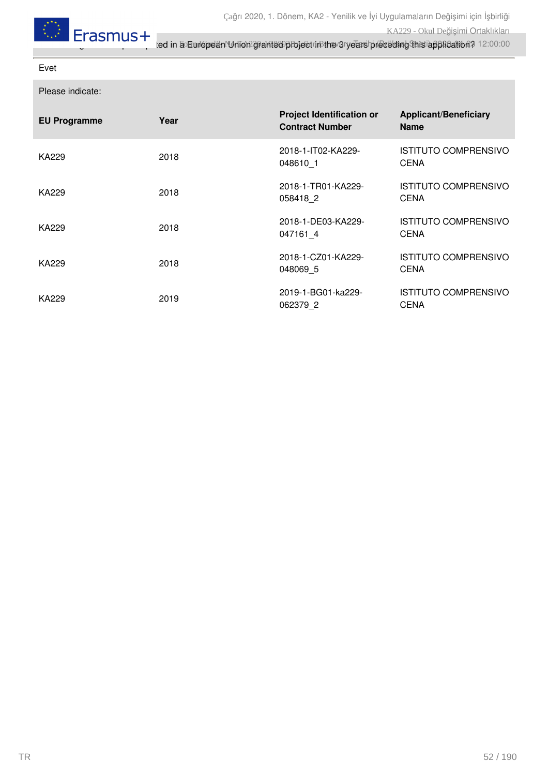

Evet

Please indicate:

| <b>EU Programme</b> | Year | <b>Project Identification or</b><br><b>Contract Number</b> | <b>Applicant/Beneficiary</b><br><b>Name</b> |
|---------------------|------|------------------------------------------------------------|---------------------------------------------|
| KA229               | 2018 | 2018-1-IT02-KA229-<br>048610 1                             | <b>ISTITUTO COMPRENSIVO</b><br><b>CENA</b>  |
| KA229               | 2018 | 2018-1-TR01-KA229-<br>058418 2                             | <b>ISTITUTO COMPRENSIVO</b><br><b>CENA</b>  |
| KA229               | 2018 | 2018-1-DE03-KA229-<br>047161 4                             | <b>ISTITUTO COMPRENSIVO</b><br><b>CENA</b>  |
| KA229               | 2018 | 2018-1-CZ01-KA229-<br>048069 5                             | <b>ISTITUTO COMPRENSIVO</b><br><b>CENA</b>  |
| KA229               | 2019 | 2019-1-BG01-ka229-<br>062379 2                             | <b>ISTITUTO COMPRENSIVO</b><br><b>CENA</b>  |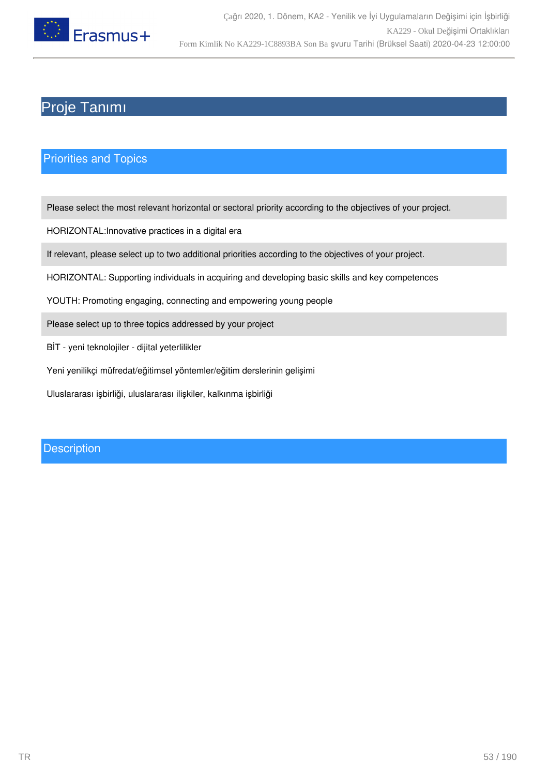

## Proje Tanımı

### Priorities and Topics

Please select the most relevant horizontal or sectoral priority according to the objectives of your project.

HORIZONTAL:Innovative practices in a digital era

If relevant, please select up to two additional priorities according to the objectives of your project.

HORIZONTAL: Supporting individuals in acquiring and developing basic skills and key competences

YOUTH: Promoting engaging, connecting and empowering young people

Please select up to three topics addressed by your project

- BİT yeni teknolojiler dijital yeterlilikler
- Yeni yenilikçi müfredat/eğitimsel yöntemler/eğitim derslerinin gelişimi

Uluslararası işbirliği, uluslararası ilişkiler, kalkınma işbirliği

### **Description**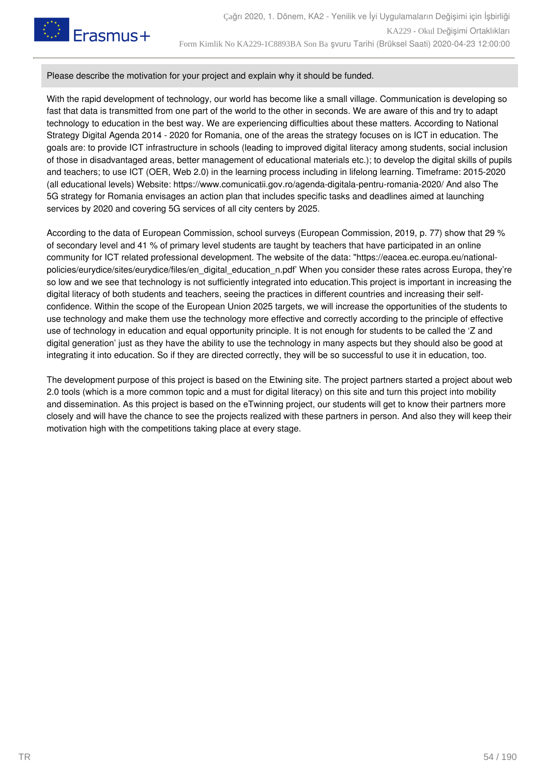

#### Please describe the motivation for your project and explain why it should be funded.

With the rapid development of technology, our world has become like a small village. Communication is developing so fast that data is transmitted from one part of the world to the other in seconds. We are aware of this and try to adapt technology to education in the best way. We are experiencing difficulties about these matters. According to National Strategy Digital Agenda 2014 - 2020 for Romania, one of the areas the strategy focuses on is ICT in education. The goals are: to provide ICT infrastructure in schools (leading to improved digital literacy among students, social inclusion of those in disadvantaged areas, better management of educational materials etc.); to develop the digital skills of pupils and teachers; to use ICT (OER, Web 2.0) in the learning process including in lifelong learning. Timeframe: 2015-2020 (all educational levels) Website: https://www.comunicatii.gov.ro/agenda-digitala-pentru-romania-2020/ And also The 5G strategy for Romania envisages an action plan that includes specific tasks and deadlines aimed at launching services by 2020 and covering 5G services of all city centers by 2025.

According to the data of European Commission, school surveys (European Commission, 2019, p. 77) show that 29 % of secondary level and 41 % of primary level students are taught by teachers that have participated in an online community for ICT related professional development. The website of the data: "https://eacea.ec.europa.eu/nationalpolicies/eurydice/sites/eurydice/files/en\_digital\_education\_n.pdf' When you consider these rates across Europa, they're so low and we see that technology is not sufficiently integrated into education.This project is important in increasing the digital literacy of both students and teachers, seeing the practices in different countries and increasing their selfconfidence. Within the scope of the European Union 2025 targets, we will increase the opportunities of the students to use technology and make them use the technology more effective and correctly according to the principle of effective use of technology in education and equal opportunity principle. It is not enough for students to be called the 'Z and digital generation' just as they have the ability to use the technology in many aspects but they should also be good at integrating it into education. So if they are directed correctly, they will be so successful to use it in education, too.

The development purpose of this project is based on the Etwining site. The project partners started a project about web 2.0 tools (which is a more common topic and a must for digital literacy) on this site and turn this project into mobility and dissemination. As this project is based on the eTwinning project, our students will get to know their partners more closely and will have the chance to see the projects realized with these partners in person. And also they will keep their motivation high with the competitions taking place at every stage.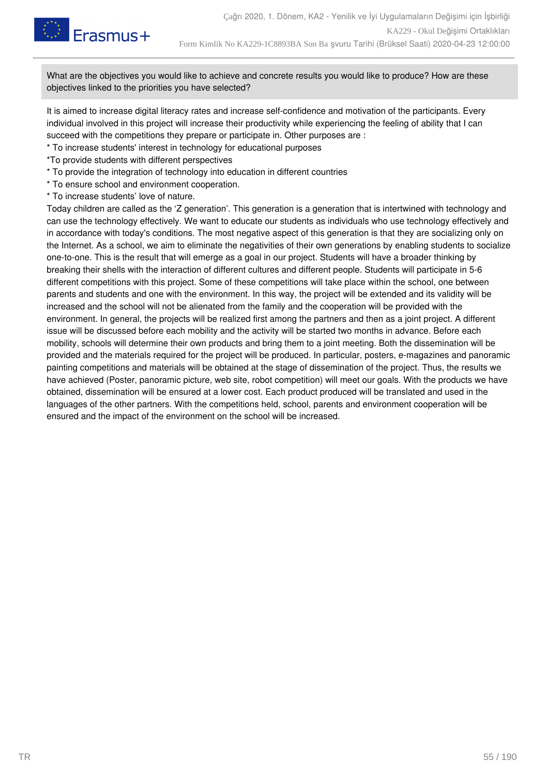

What are the objectives you would like to achieve and concrete results you would like to produce? How are these objectives linked to the priorities you have selected?

It is aimed to increase digital literacy rates and increase self-confidence and motivation of the participants. Every individual involved in this project will increase their productivity while experiencing the feeling of ability that I can succeed with the competitions they prepare or participate in. Other purposes are :

- \* To increase students' interest in technology for educational purposes
- \*To provide students with different perspectives
- \* To provide the integration of technology into education in different countries
- \* To ensure school and environment cooperation.
- \* To increase students' love of nature.

Today children are called as the 'Z generation'. This generation is a generation that is intertwined with technology and can use the technology effectively. We want to educate our students as individuals who use technology effectively and in accordance with today's conditions. The most negative aspect of this generation is that they are socializing only on the Internet. As a school, we aim to eliminate the negativities of their own generations by enabling students to socialize one-to-one. This is the result that will emerge as a goal in our project. Students will have a broader thinking by breaking their shells with the interaction of different cultures and different people. Students will participate in 5-6 different competitions with this project. Some of these competitions will take place within the school, one between parents and students and one with the environment. In this way, the project will be extended and its validity will be increased and the school will not be alienated from the family and the cooperation will be provided with the environment. In general, the projects will be realized first among the partners and then as a joint project. A different issue will be discussed before each mobility and the activity will be started two months in advance. Before each mobility, schools will determine their own products and bring them to a joint meeting. Both the dissemination will be provided and the materials required for the project will be produced. In particular, posters, e-magazines and panoramic painting competitions and materials will be obtained at the stage of dissemination of the project. Thus, the results we have achieved (Poster, panoramic picture, web site, robot competition) will meet our goals. With the products we have obtained, dissemination will be ensured at a lower cost. Each product produced will be translated and used in the languages of the other partners. With the competitions held, school, parents and environment cooperation will be ensured and the impact of the environment on the school will be increased.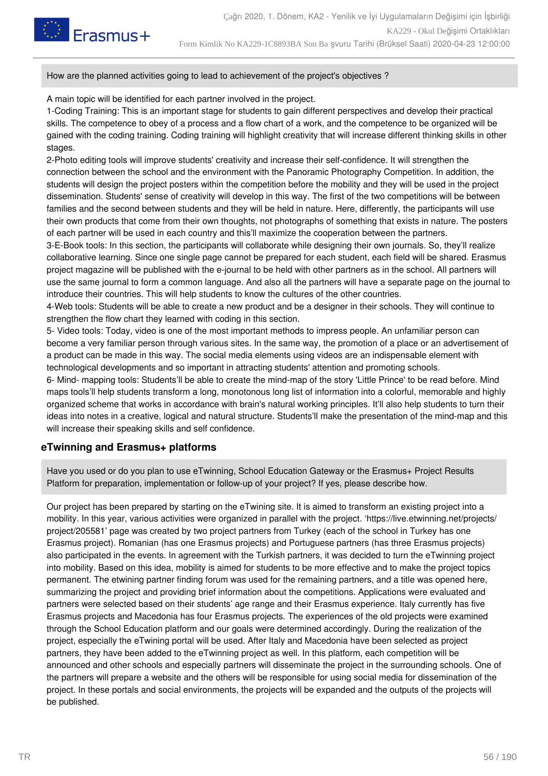

How are the planned activities going to lead to achievement of the project's objectives ?

A main topic will be identified for each partner involved in the project.

1-Coding Training: This is an important stage for students to gain different perspectives and develop their practical skills. The competence to obey of a process and a flow chart of a work, and the competence to be organized will be gained with the coding training. Coding training will highlight creativity that will increase different thinking skills in other stages.

2-Photo editing tools will improve students' creativity and increase their self-confidence. It will strengthen the connection between the school and the environment with the Panoramic Photography Competition. In addition, the students will design the project posters within the competition before the mobility and they will be used in the project dissemination. Students' sense of creativity will develop in this way. The first of the two competitions will be between families and the second between students and they will be held in nature. Here, differently, the participants will use their own products that come from their own thoughts, not photographs of something that exists in nature. The posters of each partner will be used in each country and this'll maximize the cooperation between the partners.

3-E-Book tools: In this section, the participants will collaborate while designing their own journals. So, they'll realize collaborative learning. Since one single page cannot be prepared for each student, each field will be shared. Erasmus project magazine will be published with the e-journal to be held with other partners as in the school. All partners will use the same journal to form a common language. And also all the partners will have a separate page on the journal to introduce their countries. This will help students to know the cultures of the other countries.

4-Web tools: Students will be able to create a new product and be a designer in their schools. They will continue to strengthen the flow chart they learned with coding in this section.

5- Video tools: Today, video is one of the most important methods to impress people. An unfamiliar person can become a very familiar person through various sites. In the same way, the promotion of a place or an advertisement of a product can be made in this way. The social media elements using videos are an indispensable element with technological developments and so important in attracting students' attention and promoting schools.

6- Mind- mapping tools: Students'll be able to create the mind-map of the story 'Little Prince' to be read before. Mind maps tools'll help students transform a long, monotonous long list of information into a colorful, memorable and highly organized scheme that works in accordance with brain's natural working principles. It'll also help students to turn their ideas into notes in a creative, logical and natural structure. Students'll make the presentation of the mind-map and this will increase their speaking skills and self confidence.

#### **eTwinning and Erasmus+ platforms**

Have you used or do you plan to use eTwinning, School Education Gateway or the Erasmus+ Project Results Platform for preparation, implementation or follow-up of your project? If yes, please describe how.

Our project has been prepared by starting on the eTwining site. It is aimed to transform an existing project into a mobility. In this year, various activities were organized in parallel with the project. 'https://live.etwinning.net/projects/ project/205581' page was created by two project partners from Turkey (each of the school in Turkey has one Erasmus project). Romanian (has one Erasmus projects) and Portuguese partners (has three Erasmus projects) also participated in the events. In agreement with the Turkish partners, it was decided to turn the eTwinning project into mobility. Based on this idea, mobility is aimed for students to be more effective and to make the project topics permanent. The etwining partner finding forum was used for the remaining partners, and a title was opened here, summarizing the project and providing brief information about the competitions. Applications were evaluated and partners were selected based on their students' age range and their Erasmus experience. Italy currently has five Erasmus projects and Macedonia has four Erasmus projects. The experiences of the old projects were examined through the School Education platform and our goals were determined accordingly. During the realization of the project, especially the eTwining portal will be used. After Italy and Macedonia have been selected as project partners, they have been added to the eTwinning project as well. In this platform, each competition will be announced and other schools and especially partners will disseminate the project in the surrounding schools. One of the partners will prepare a website and the others will be responsible for using social media for dissemination of the project. In these portals and social environments, the projects will be expanded and the outputs of the projects will be published.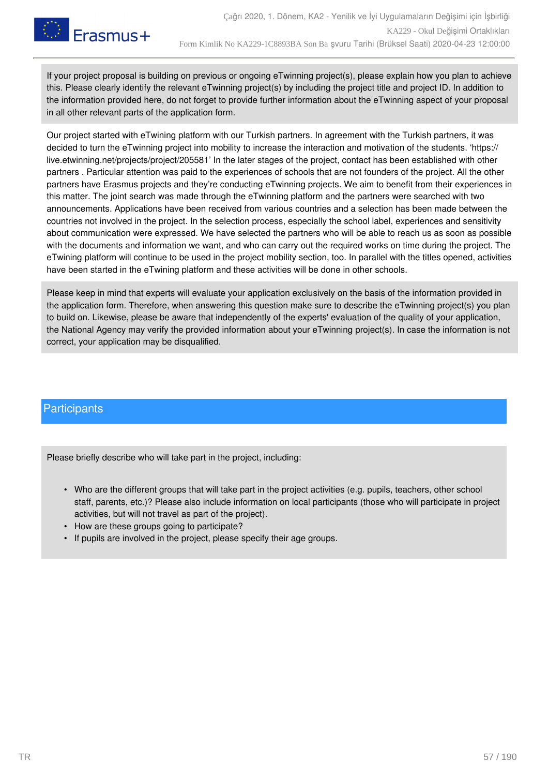

If your project proposal is building on previous or ongoing eTwinning project(s), please explain how you plan to achieve this. Please clearly identify the relevant eTwinning project(s) by including the project title and project ID. In addition to the information provided here, do not forget to provide further information about the eTwinning aspect of your proposal in all other relevant parts of the application form.

Our project started with eTwining platform with our Turkish partners. In agreement with the Turkish partners, it was decided to turn the eTwinning project into mobility to increase the interaction and motivation of the students. 'https:// live.etwinning.net/projects/project/205581' In the later stages of the project, contact has been established with other partners . Particular attention was paid to the experiences of schools that are not founders of the project. All the other partners have Erasmus projects and they're conducting eTwinning projects. We aim to benefit from their experiences in this matter. The joint search was made through the eTwinning platform and the partners were searched with two announcements. Applications have been received from various countries and a selection has been made between the countries not involved in the project. In the selection process, especially the school label, experiences and sensitivity about communication were expressed. We have selected the partners who will be able to reach us as soon as possible with the documents and information we want, and who can carry out the required works on time during the project. The eTwining platform will continue to be used in the project mobility section, too. In parallel with the titles opened, activities have been started in the eTwining platform and these activities will be done in other schools.

Please keep in mind that experts will evaluate your application exclusively on the basis of the information provided in the application form. Therefore, when answering this question make sure to describe the eTwinning project(s) you plan to build on. Likewise, please be aware that independently of the experts' evaluation of the quality of your application, the National Agency may verify the provided information about your eTwinning project(s). In case the information is not correct, your application may be disqualified.

### **Participants**

Please briefly describe who will take part in the project, including:

- Who are the different groups that will take part in the project activities (e.g. pupils, teachers, other school staff, parents, etc.)? Please also include information on local participants (those who will participate in project activities, but will not travel as part of the project).
- How are these groups going to participate?
- If pupils are involved in the project, please specify their age groups.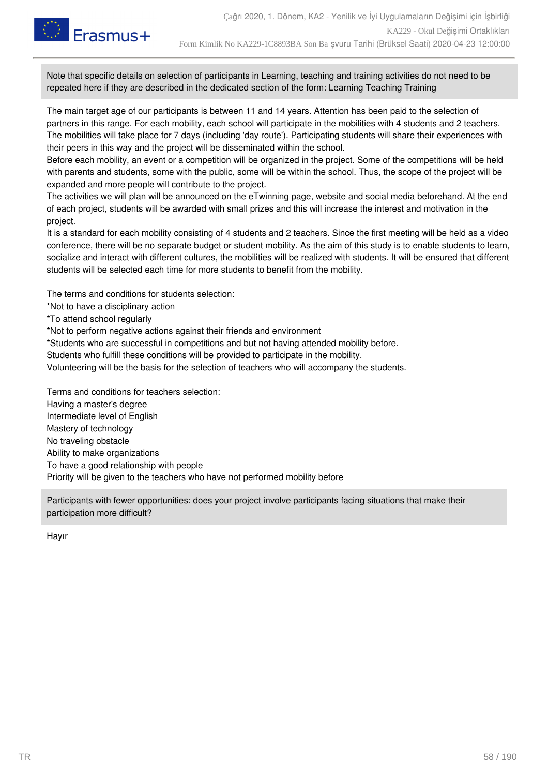

Note that specific details on selection of participants in Learning, teaching and training activities do not need to be repeated here if they are described in the dedicated section of the form: Learning Teaching Training

The main target age of our participants is between 11 and 14 years. Attention has been paid to the selection of partners in this range. For each mobility, each school will participate in the mobilities with 4 students and 2 teachers. The mobilities will take place for 7 days (including 'day route'). Participating students will share their experiences with their peers in this way and the project will be disseminated within the school.

Before each mobility, an event or a competition will be organized in the project. Some of the competitions will be held with parents and students, some with the public, some will be within the school. Thus, the scope of the project will be expanded and more people will contribute to the project.

The activities we will plan will be announced on the eTwinning page, website and social media beforehand. At the end of each project, students will be awarded with small prizes and this will increase the interest and motivation in the project.

It is a standard for each mobility consisting of 4 students and 2 teachers. Since the first meeting will be held as a video conference, there will be no separate budget or student mobility. As the aim of this study is to enable students to learn, socialize and interact with different cultures, the mobilities will be realized with students. It will be ensured that different students will be selected each time for more students to benefit from the mobility.

The terms and conditions for students selection:

\*Not to have a disciplinary action

\*To attend school regularly

\*Not to perform negative actions against their friends and environment

\*Students who are successful in competitions and but not having attended mobility before.

Students who fulfill these conditions will be provided to participate in the mobility.

Volunteering will be the basis for the selection of teachers who will accompany the students.

Terms and conditions for teachers selection: Having a master's degree Intermediate level of English Mastery of technology No traveling obstacle Ability to make organizations To have a good relationship with people Priority will be given to the teachers who have not performed mobility before

Participants with fewer opportunities: does your project involve participants facing situations that make their participation more difficult?

Hayır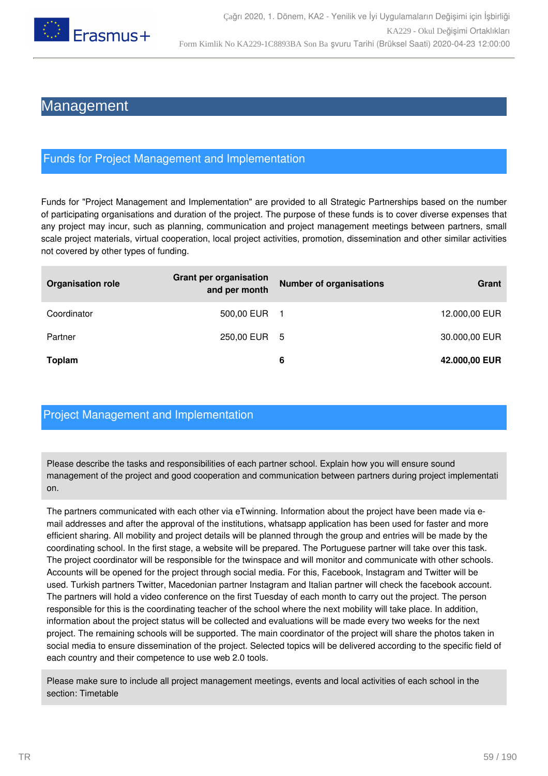

## Management

### Funds for Project Management and Implementation

Funds for "Project Management and Implementation" are provided to all Strategic Partnerships based on the number of participating organisations and duration of the project. The purpose of these funds is to cover diverse expenses that any project may incur, such as planning, communication and project management meetings between partners, small scale project materials, virtual cooperation, local project activities, promotion, dissemination and other similar activities not covered by other types of funding.

| <b>Organisation role</b> | <b>Grant per organisation</b><br>and per month | <b>Number of organisations</b> | Grant         |
|--------------------------|------------------------------------------------|--------------------------------|---------------|
| Coordinator              | 500,00 EUR                                     |                                | 12.000,00 EUR |
| Partner                  | 250,00 EUR 5                                   |                                | 30.000,00 EUR |
| <b>Toplam</b>            |                                                | 6                              | 42.000,00 EUR |

### Project Management and Implementation

Please describe the tasks and responsibilities of each partner school. Explain how you will ensure sound management of the project and good cooperation and communication between partners during project implementati on.

The partners communicated with each other via eTwinning. Information about the project have been made via email addresses and after the approval of the institutions, whatsapp application has been used for faster and more efficient sharing. All mobility and project details will be planned through the group and entries will be made by the coordinating school. In the first stage, a website will be prepared. The Portuguese partner will take over this task. The project coordinator will be responsible for the twinspace and will monitor and communicate with other schools. Accounts will be opened for the project through social media. For this, Facebook, Instagram and Twitter will be used. Turkish partners Twitter, Macedonian partner Instagram and Italian partner will check the facebook account. The partners will hold a video conference on the first Tuesday of each month to carry out the project. The person responsible for this is the coordinating teacher of the school where the next mobility will take place. In addition, information about the project status will be collected and evaluations will be made every two weeks for the next project. The remaining schools will be supported. The main coordinator of the project will share the photos taken in social media to ensure dissemination of the project. Selected topics will be delivered according to the specific field of each country and their competence to use web 2.0 tools.

Please make sure to include all project management meetings, events and local activities of each school in the section: Timetable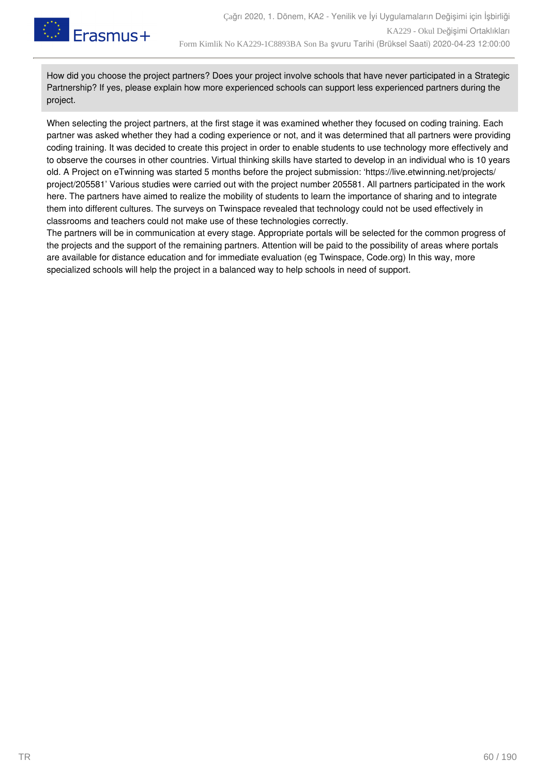

How did you choose the project partners? Does your project involve schools that have never participated in a Strategic Partnership? If yes, please explain how more experienced schools can support less experienced partners during the project.

When selecting the project partners, at the first stage it was examined whether they focused on coding training. Each partner was asked whether they had a coding experience or not, and it was determined that all partners were providing coding training. It was decided to create this project in order to enable students to use technology more effectively and to observe the courses in other countries. Virtual thinking skills have started to develop in an individual who is 10 years old. A Project on eTwinning was started 5 months before the project submission: 'https://live.etwinning.net/projects/ project/205581' Various studies were carried out with the project number 205581. All partners participated in the work here. The partners have aimed to realize the mobility of students to learn the importance of sharing and to integrate them into different cultures. The surveys on Twinspace revealed that technology could not be used effectively in classrooms and teachers could not make use of these technologies correctly.

The partners will be in communication at every stage. Appropriate portals will be selected for the common progress of the projects and the support of the remaining partners. Attention will be paid to the possibility of areas where portals are available for distance education and for immediate evaluation (eg Twinspace, Code.org) In this way, more specialized schools will help the project in a balanced way to help schools in need of support.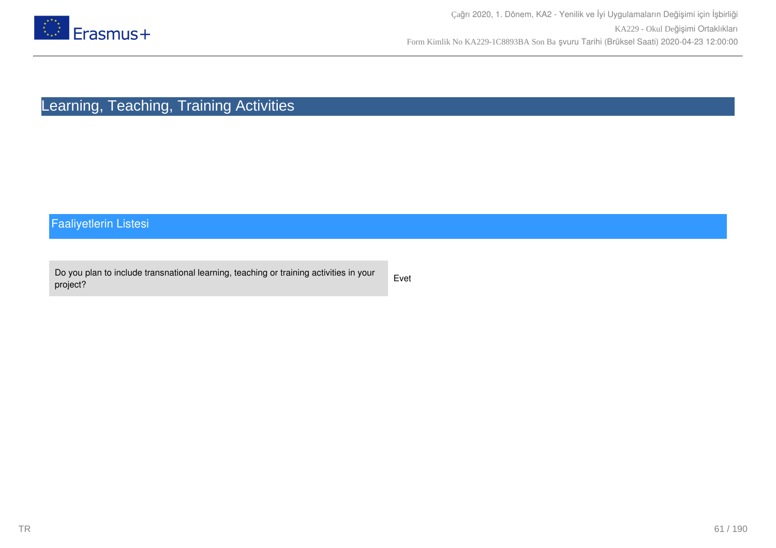

# Learning, Teaching, Training Activities

## Faaliyetlerin Listesi

| Do you plan to include transnational learning, teaching or training activities in your | Evet |
|----------------------------------------------------------------------------------------|------|
| project?                                                                               |      |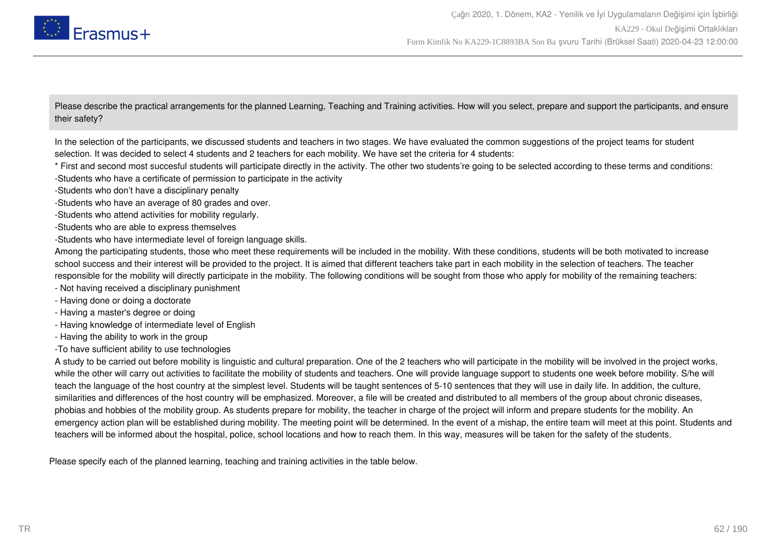

Please describe the practical arrangements for the planned Learning, Teaching and Training activities. How will you select, prepare and support the participants, and ensure their safety?

In the selection of the participants, we discussed students and teachers in two stages. We have evaluated the common suggestions of the project teams for student selection. It was decided to select 4 students and 2 teachers for each mobility. We have set the criteria for 4 students:

- \* First and second most succesful students will participate directly in the activity. The other two students're going to be selected according to these terms and conditions: -Students who have a certificate of permission to participate in the activity
- -Students who don't have a disciplinary penalty
- -Students who have an average of 80 grades and over.
- -Students who attend activities for mobility regularly.
- -Students who are able to express themselves
- -Students who have intermediate level of foreign language skills.

Among the participating students, those who meet these requirements will be included in the mobility. With these conditions, students will be both motivated to increase school success and their interest will be provided to the project. It is aimed that different teachers take part in each mobility in the selection of teachers. The teacher responsible for the mobility will directly participate in the mobility. The following conditions will be sought from those who apply for mobility of the remaining teachers:

- Not having received a disciplinary punishment
- Having done or doing a doctorate
- Having a master's degree or doing
- Having knowledge of intermediate level of English
- Having the ability to work in the group
- -To have sufficient ability to use technologies

A study to be carried out before mobility is linguistic and cultural preparation. One of the 2 teachers who will participate in the mobility will be involved in the project works, while the other will carry out activities to facilitate the mobility of students and teachers. One will provide language support to students one week before mobility. S/he will teach the language of the host country at the simplest level. Students will be taught sentences of 5-10 sentences that they will use in daily life. In addition, the culture, similarities and differences of the host country will be emphasized. Moreover, a file will be created and distributed to all members of the group about chronic diseases, phobias and hobbies of the mobility group. As students prepare for mobility, the teacher in charge of the project will inform and prepare students for the mobility. An emergency action plan will be established during mobility. The meeting point will be determined. In the event of a mishap, the entire team will meet at this point. Students and teachers will be informed about the hospital, police, school locations and how to reach them. In this way, measures will be taken for the safety of the students.

Please specify each of the planned learning, teaching and training activities in the table below.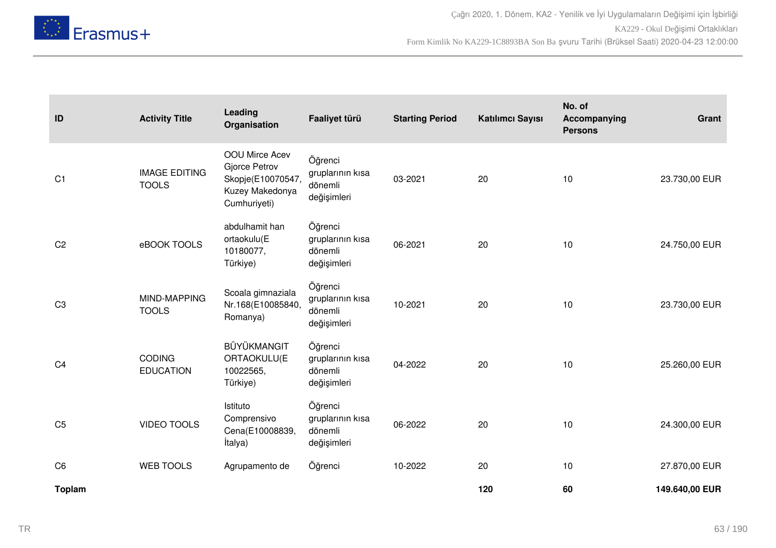

| ID             | <b>Activity Title</b>                | Leading<br>Organisation                                                                 | Faaliyet türü                                         | <b>Starting Period</b> | Katılımcı Sayısı | No. of<br>Accompanying<br><b>Persons</b> | Grant          |
|----------------|--------------------------------------|-----------------------------------------------------------------------------------------|-------------------------------------------------------|------------------------|------------------|------------------------------------------|----------------|
| C <sub>1</sub> | <b>IMAGE EDITING</b><br><b>TOOLS</b> | OOU Mirce Acev<br>Gjorce Petrov<br>Skopje(E10070547,<br>Kuzey Makedonya<br>Cumhuriyeti) | Öğrenci<br>gruplarının kısa<br>dönemli<br>değişimleri | 03-2021                | 20               | 10                                       | 23.730,00 EUR  |
| C <sub>2</sub> | eBOOK TOOLS                          | abdulhamit han<br>ortaokulu(E<br>10180077,<br>Türkiye)                                  | Öğrenci<br>gruplarının kısa<br>dönemli<br>değişimleri | 06-2021                | 20               | 10                                       | 24.750,00 EUR  |
| C <sub>3</sub> | MIND-MAPPING<br><b>TOOLS</b>         | Scoala gimnaziala<br>Nr.168(E10085840,<br>Romanya)                                      | Öğrenci<br>gruplarının kısa<br>dönemli<br>değişimleri | 10-2021                | 20               | 10                                       | 23.730,00 EUR  |
| C <sub>4</sub> | <b>CODING</b><br><b>EDUCATION</b>    | BÜYÜKMANGIT<br>ORTAOKULU(E<br>10022565,<br>Türkiye)                                     | Öğrenci<br>gruplarının kısa<br>dönemli<br>değişimleri | 04-2022                | 20               | 10                                       | 25.260,00 EUR  |
| C <sub>5</sub> | <b>VIDEO TOOLS</b>                   | Istituto<br>Comprensivo<br>Cena(E10008839,<br><i>italya</i> )                           | Öğrenci<br>gruplarının kısa<br>dönemli<br>değişimleri | 06-2022                | 20               | 10                                       | 24.300,00 EUR  |
| C <sub>6</sub> | <b>WEB TOOLS</b>                     | Agrupamento de                                                                          | Öğrenci                                               | 10-2022                | 20               | 10                                       | 27.870,00 EUR  |
| <b>Toplam</b>  |                                      |                                                                                         |                                                       |                        | 120              | 60                                       | 149.640,00 EUR |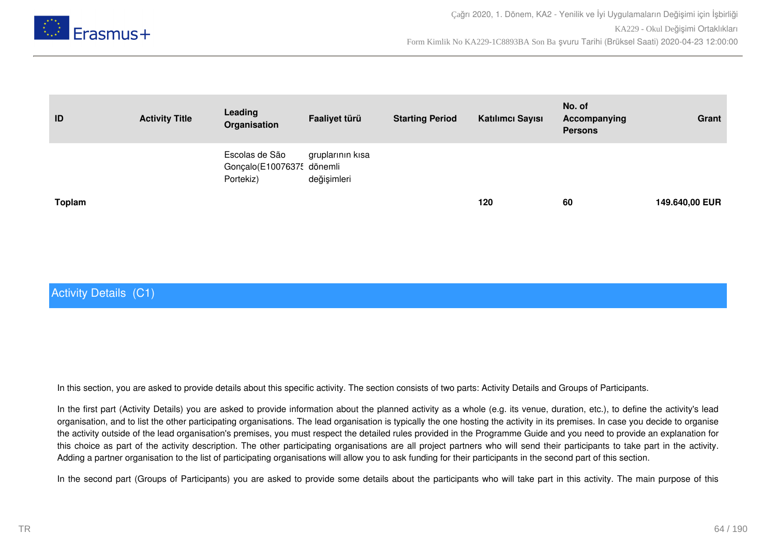

| ID            | <b>Activity Title</b> | Leading<br>Organisation                                  | Faaliyet türü                   | <b>Starting Period</b> | Katılımcı Sayısı | No. of<br>Accompanying<br><b>Persons</b> | Grant          |
|---------------|-----------------------|----------------------------------------------------------|---------------------------------|------------------------|------------------|------------------------------------------|----------------|
|               |                       | Escolas de São<br>Gonçalo(E10076375 dönemli<br>Portekiz) | gruplarının kısa<br>değişimleri |                        |                  |                                          |                |
| <b>Toplam</b> |                       |                                                          |                                 |                        | 120              | 60                                       | 149.640,00 EUR |

### Activity Details (C1)

In this section, you are asked to provide details about this specific activity. The section consists of two parts: Activity Details and Groups of Participants.

In the first part (Activity Details) you are asked to provide information about the planned activity as a whole (e.g. its venue, duration, etc.), to define the activity's lead organisation, and to list the other participating organisations. The lead organisation is typically the one hosting the activity in its premises. In case you decide to organise the activity outside of the lead organisation's premises, you must respect the detailed rules provided in the Programme Guide and you need to provide an explanation for this choice as part of the activity description. The other participating organisations are all project partners who will send their participants to take part in the activity. Adding a partner organisation to the list of participating organisations will allow you to ask funding for their participants in the second part of this section.

In the second part (Groups of Participants) you are asked to provide some details about the participants who will take part in this activity. The main purpose of this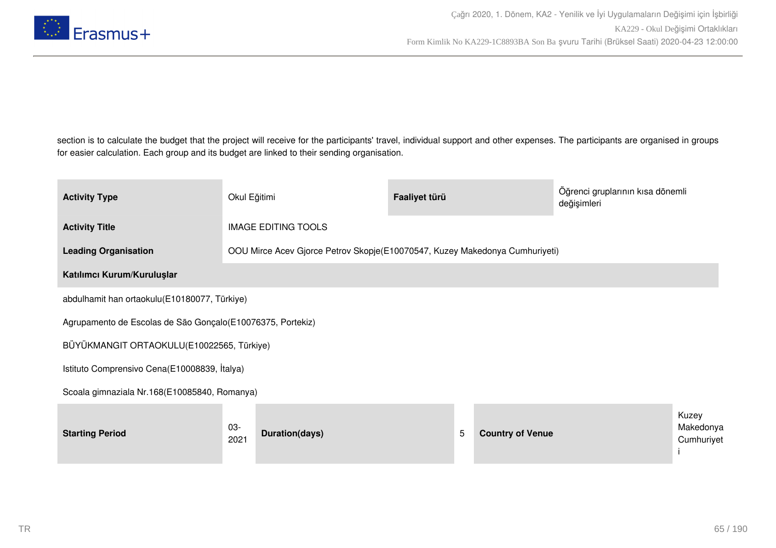

section is to calculate the budget that the project will receive for the participants' travel, individual support and other expenses. The participants are organised in groups for easier calculation. Each group and its budget are linked to their sending organisation.

| <b>Activity Type</b>                                        | Okul Eğitimi                                 |                                                                             | Faaliyet türü |   |                         | Öğrenci gruplarının kısa dönemli<br>değişimleri |                                  |
|-------------------------------------------------------------|----------------------------------------------|-----------------------------------------------------------------------------|---------------|---|-------------------------|-------------------------------------------------|----------------------------------|
| <b>Activity Title</b>                                       |                                              | <b>IMAGE EDITING TOOLS</b>                                                  |               |   |                         |                                                 |                                  |
| <b>Leading Organisation</b>                                 |                                              | OOU Mirce Acev Gjorce Petrov Skopje(E10070547, Kuzey Makedonya Cumhuriyeti) |               |   |                         |                                                 |                                  |
| Katılımcı Kurum/Kuruluşlar                                  |                                              |                                                                             |               |   |                         |                                                 |                                  |
| abdulhamit han ortaokulu(E10180077, Türkiye)                |                                              |                                                                             |               |   |                         |                                                 |                                  |
| Agrupamento de Escolas de São Gonçalo (E10076375, Portekiz) |                                              |                                                                             |               |   |                         |                                                 |                                  |
| BÜYÜKMANGIT ORTAOKULU(E10022565, Türkiye)                   |                                              |                                                                             |               |   |                         |                                                 |                                  |
|                                                             | Istituto Comprensivo Cena(E10008839, İtalya) |                                                                             |               |   |                         |                                                 |                                  |
| Scoala gimnaziala Nr.168(E10085840, Romanya)                |                                              |                                                                             |               |   |                         |                                                 |                                  |
| <b>Starting Period</b>                                      | $03 -$<br>2021                               | Duration(days)                                                              |               | 5 | <b>Country of Venue</b> |                                                 | Kuzey<br>Makedonya<br>Cumhuriyet |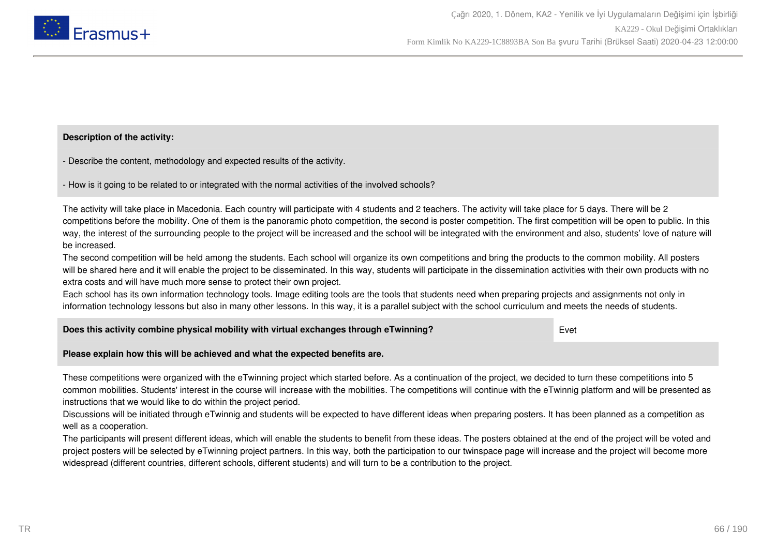

#### **Description of the activity:**

- Describe the content, methodology and expected results of the activity.

- How is it going to be related to or integrated with the normal activities of the involved schools?

The activity will take place in Macedonia. Each country will participate with 4 students and 2 teachers. The activity will take place for 5 days. There will be 2 competitions before the mobility. One of them is the panoramic photo competition, the second is poster competition. The first competition will be open to public. In this way, the interest of the surrounding people to the project will be increased and the school will be integrated with the environment and also, students' love of nature will be increased.

The second competition will be held among the students. Each school will organize its own competitions and bring the products to the common mobility. All posters will be shared here and it will enable the project to be disseminated. In this way, students will participate in the dissemination activities with their own products with no extra costs and will have much more sense to protect their own project.

Each school has its own information technology tools. Image editing tools are the tools that students need when preparing projects and assignments not only in information technology lessons but also in many other lessons. In this way, it is a parallel subject with the school curriculum and meets the needs of students.

| Does this activity combine physical mobility with virtual exchanges through eTwinning? | Evet |
|----------------------------------------------------------------------------------------|------|
|----------------------------------------------------------------------------------------|------|

#### **Please explain how this will be achieved and what the expected benefits are.**

These competitions were organized with the eTwinning project which started before. As a continuation of the project, we decided to turn these competitions into 5 common mobilities. Students' interest in the course will increase with the mobilities. The competitions will continue with the eTwinnig platform and will be presented as instructions that we would like to do within the project period.

Discussions will be initiated through eTwinnig and students will be expected to have different ideas when preparing posters. It has been planned as a competition as well as a cooperation.

The participants will present different ideas, which will enable the students to benefit from these ideas. The posters obtained at the end of the project will be voted and project posters will be selected by eTwinning project partners. In this way, both the participation to our twinspace page will increase and the project will become more widespread (different countries, different schools, different students) and will turn to be a contribution to the project.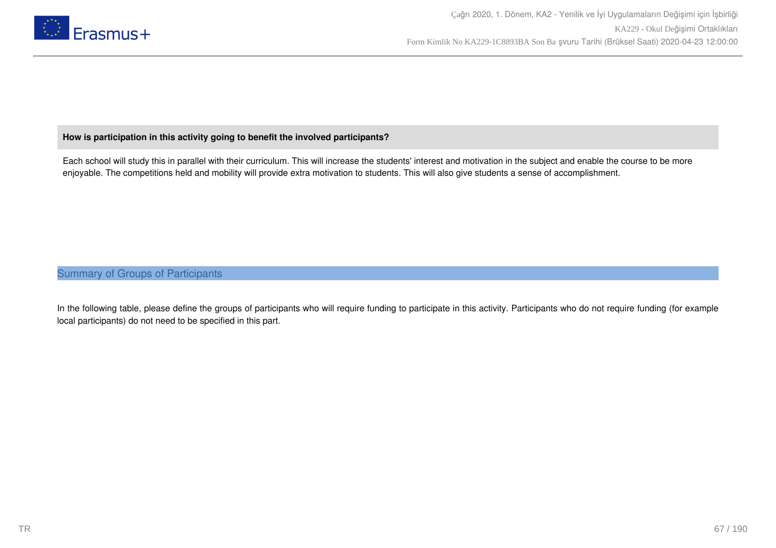

#### **How is participation in this activity going to benefit the involved participants?**

Each school will study this in parallel with their curriculum. This will increase the students' interest and motivation in the subject and enable the course to be more enjoyable. The competitions held and mobility will provide extra motivation to students. This will also give students a sense of accomplishment.

### Summary of Groups of Participants

In the following table, please define the groups of participants who will require funding to participate in this activity. Participants who do not require funding (for example local participants) do not need to be specified in this part.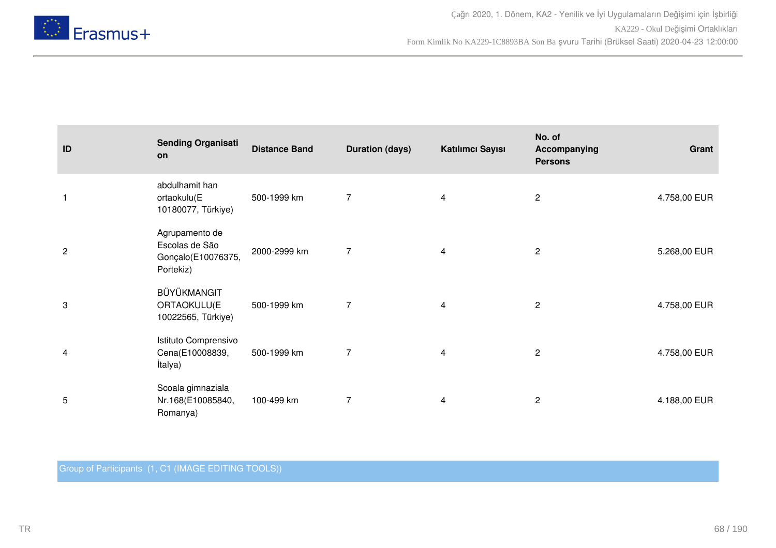

| ID             | <b>Sending Organisati</b><br>on                                     | <b>Distance Band</b> | <b>Duration (days)</b> | Katılımcı Sayısı | No. of<br>Accompanying<br><b>Persons</b> | Grant        |
|----------------|---------------------------------------------------------------------|----------------------|------------------------|------------------|------------------------------------------|--------------|
| $\mathbf{1}$   | abdulhamit han<br>ortaokulu(E<br>10180077, Türkiye)                 | 500-1999 km          | 7                      | 4                | $\overline{c}$                           | 4.758,00 EUR |
| $\overline{c}$ | Agrupamento de<br>Escolas de São<br>Gonçalo(E10076375,<br>Portekiz) | 2000-2999 km         | $\overline{7}$         | 4                | $\overline{c}$                           | 5.268,00 EUR |
| 3              | BÜYÜKMANGIT<br>ORTAOKULU(E<br>10022565, Türkiye)                    | 500-1999 km          | $\overline{7}$         | 4                | $\overline{c}$                           | 4.758,00 EUR |
| 4              | Istituto Comprensivo<br>Cena(E10008839,<br>İtalya)                  | 500-1999 km          | 7                      | 4                | $\overline{c}$                           | 4.758,00 EUR |
| 5              | Scoala gimnaziala<br>Nr.168(E10085840,<br>Romanya)                  | 100-499 km           | 7                      | 4                | $\overline{c}$                           | 4.188,00 EUR |

Group of Participants (1, C1 (IMAGE EDITING TOOLS))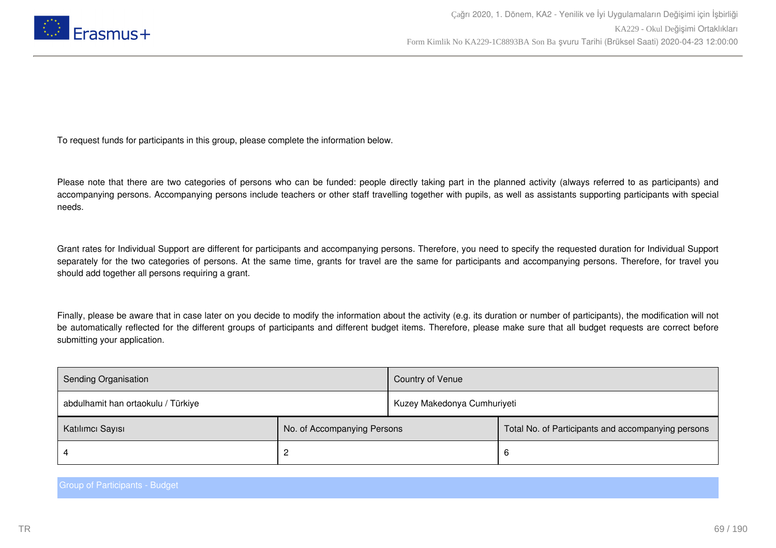

To request funds for participants in this group, please complete the information below.

Please note that there are two categories of persons who can be funded: people directly taking part in the planned activity (always referred to as participants) and accompanying persons. Accompanying persons include teachers or other staff travelling together with pupils, as well as assistants supporting participants with special needs.

Grant rates for Individual Support are different for participants and accompanying persons. Therefore, you need to specify the requested duration for Individual Support separately for the two categories of persons. At the same time, grants for travel are the same for participants and accompanying persons. Therefore, for travel you should add together all persons requiring a grant.

Finally, please be aware that in case later on you decide to modify the information about the activity (e.g. its duration or number of participants), the modification will not be automatically reflected for the different groups of participants and different budget items. Therefore, please make sure that all budget requests are correct before submitting your application.

| Sending Organisation               |                             | Country of Venue            |                                                    |
|------------------------------------|-----------------------------|-----------------------------|----------------------------------------------------|
| abdulhamit han ortaokulu / Türkiye |                             | Kuzey Makedonya Cumhuriyeti |                                                    |
| Katılımcı Sayısı                   | No. of Accompanying Persons |                             | Total No. of Participants and accompanying persons |
|                                    |                             |                             | -6                                                 |

Group of Participants - Budget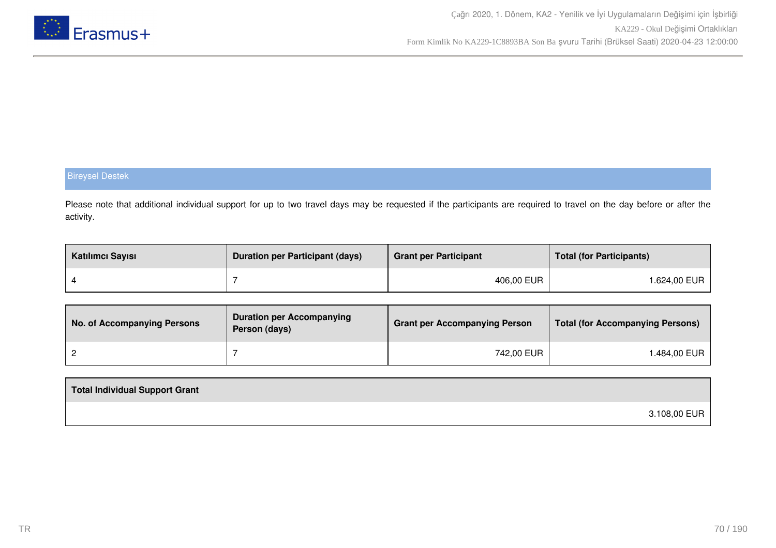

### Bireysel Destek

Please note that additional individual support for up to two travel days may be requested if the participants are required to travel on the day before or after the activity.

| Katılımcı Sayısı | <b>Duration per Participant (days)</b> | <b>Grant per Participant</b> | <b>Total (for Participants)</b> |
|------------------|----------------------------------------|------------------------------|---------------------------------|
|                  |                                        | 406,00 EUR                   | 1.624,00 EUR                    |

| No. of Accompanying Persons | <b>Duration per Accompanying</b><br>Person (days) | <b>Grant per Accompanying Person</b> | <b>Total (for Accompanying Persons)</b> |
|-----------------------------|---------------------------------------------------|--------------------------------------|-----------------------------------------|
|                             |                                                   | 742,00 EUR                           | ⊺.484,00 EUR                            |

| Total Individual Support Grant |              |
|--------------------------------|--------------|
|                                | 3.108,00 EUR |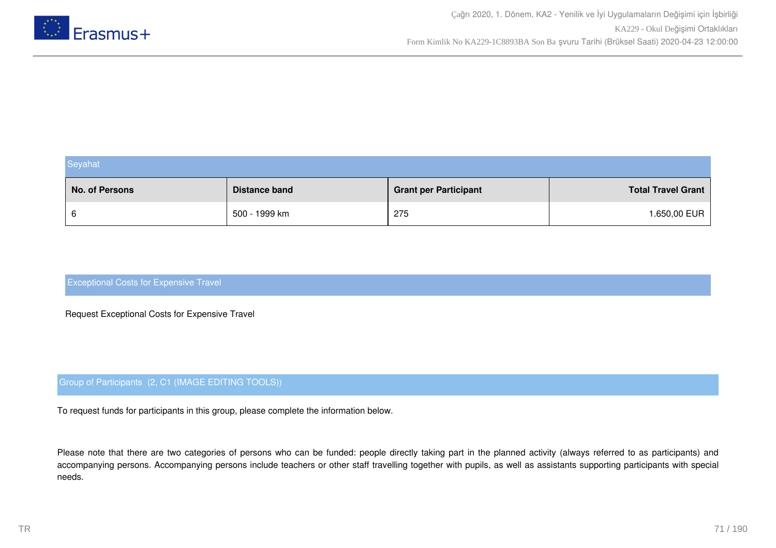

| Seyahat        |                      |                              |                           |  |
|----------------|----------------------|------------------------------|---------------------------|--|
| No. of Persons | <b>Distance band</b> | <b>Grant per Participant</b> | <b>Total Travel Grant</b> |  |
| 6              | 500 - 1999 km        | 275                          | 1.650,00 EUR              |  |

### Exceptional Costs for Expensive Travel

Request Exceptional Costs for Expensive Travel

#### Group of Participants (2, C1 (IMAGE EDITING TOOLS))

To request funds for participants in this group, please complete the information below.

Please note that there are two categories of persons who can be funded: people directly taking part in the planned activity (always referred to as participants) and accompanying persons. Accompanying persons include teachers or other staff travelling together with pupils, as well as assistants supporting participants with special needs.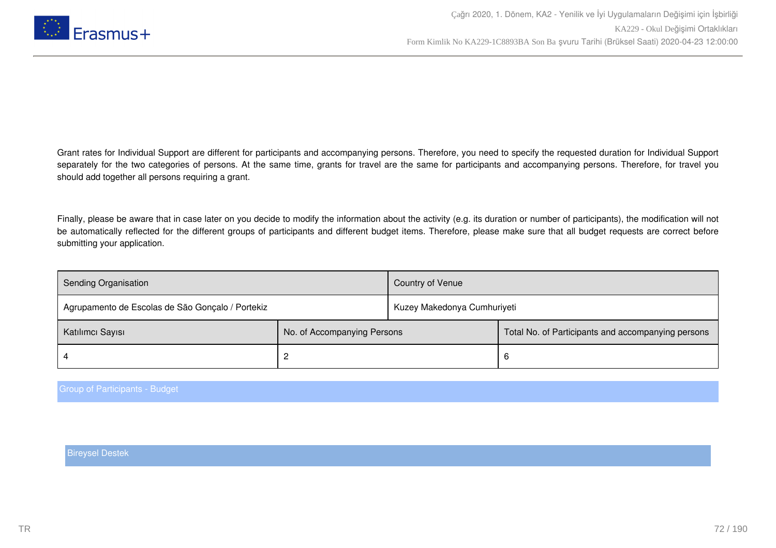

Grant rates for Individual Support are different for participants and accompanying persons. Therefore, you need to specify the requested duration for Individual Support separately for the two categories of persons. At the same time, grants for travel are the same for participants and accompanying persons. Therefore, for travel you should add together all persons requiring a grant.

Finally, please be aware that in case later on you decide to modify the information about the activity (e.g. its duration or number of participants), the modification will not be automatically reflected for the different groups of participants and different budget items. Therefore, please make sure that all budget requests are correct before submitting your application.

| <b>Sending Organisation</b>                      |                             | Country of Venue            |                                                    |
|--------------------------------------------------|-----------------------------|-----------------------------|----------------------------------------------------|
| Agrupamento de Escolas de São Gonçalo / Portekiz |                             | Kuzey Makedonya Cumhuriyeti |                                                    |
| Katılımcı Sayısı                                 | No. of Accompanying Persons |                             | Total No. of Participants and accompanying persons |
|                                                  |                             |                             | 6                                                  |

Group of Participants - Budget

Bireysel Destek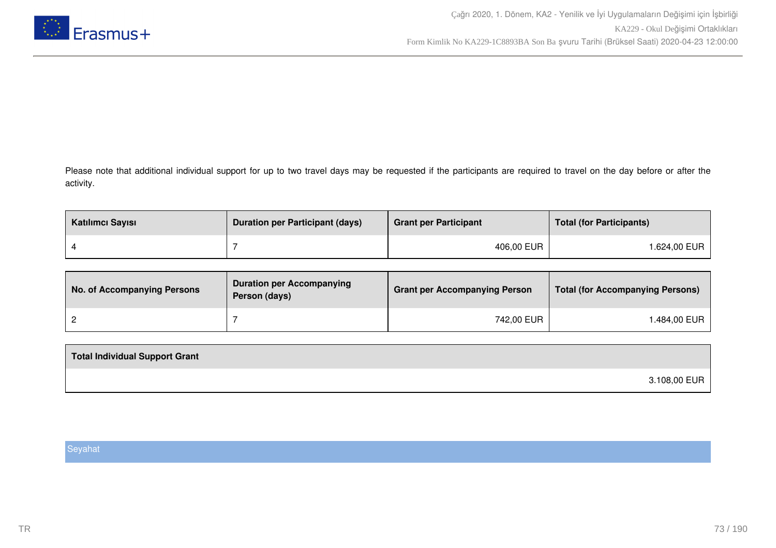

Please note that additional individual support for up to two travel days may be requested if the participants are required to travel on the day before or after the activity.

| Katılımcı Sayısı | <b>Duration per Participant (days)</b> | <b>Grant per Participant</b> | <b>Total (for Participants)</b> |
|------------------|----------------------------------------|------------------------------|---------------------------------|
|                  |                                        | 406,00 EUR                   | 1.624,00 EUR                    |

| No. of Accompanying Persons | <b>Duration per Accompanying</b><br>Person (days) | <b>Grant per Accompanying Person</b> | Total (for Accompanying Persons) |
|-----------------------------|---------------------------------------------------|--------------------------------------|----------------------------------|
|                             |                                                   | 742,00 EUR                           | .484,00 EUR                      |

| 3.108,00 EUR |  |
|--------------|--|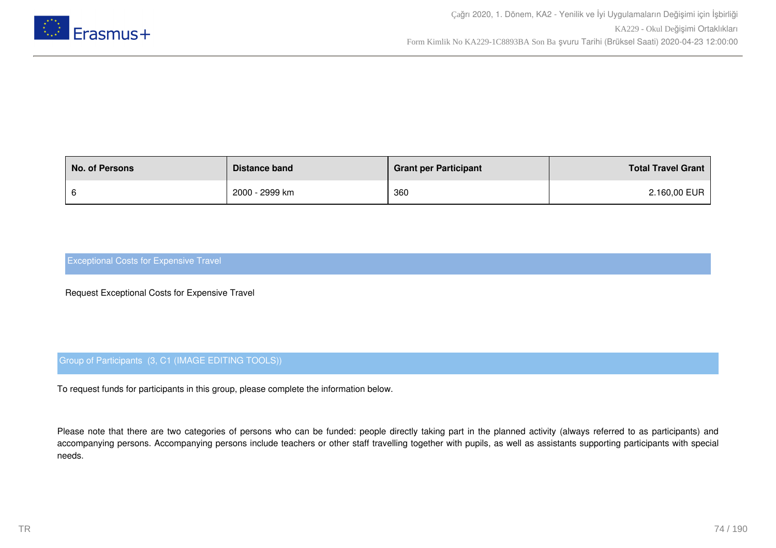

| <b>No. of Persons</b> | Distance band  | <b>Grant per Participant</b> | <b>Total Travel Grant</b> |
|-----------------------|----------------|------------------------------|---------------------------|
|                       | 2000 - 2999 km | 360                          | 2.160,00 EUR              |

Request Exceptional Costs for Expensive Travel

## Group of Participants (3, C1 (IMAGE EDITING TOOLS))

To request funds for participants in this group, please complete the information below.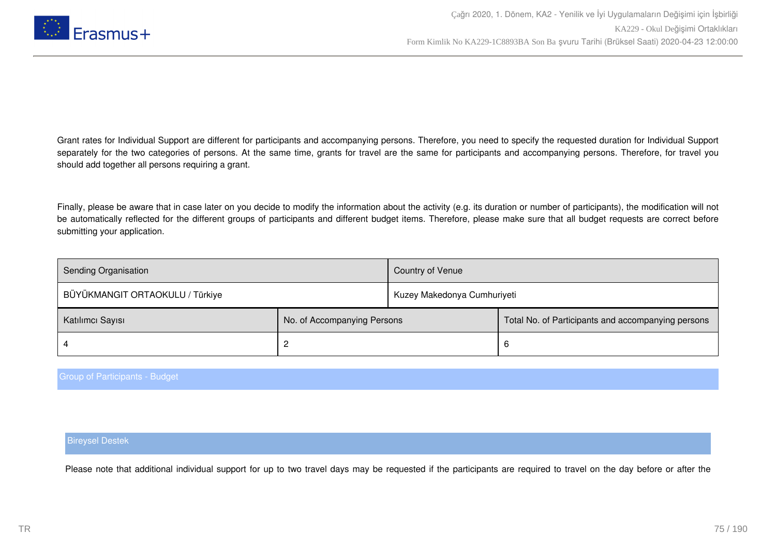

Finally, please be aware that in case later on you decide to modify the information about the activity (e.g. its duration or number of participants), the modification will not be automatically reflected for the different groups of participants and different budget items. Therefore, please make sure that all budget requests are correct before submitting your application.

| <b>Sending Organisation</b>     |                             | Country of Venue            |                                                    |
|---------------------------------|-----------------------------|-----------------------------|----------------------------------------------------|
| BÜYÜKMANGIT ORTAOKULU / Türkiye |                             | Kuzey Makedonya Cumhuriyeti |                                                    |
| Katılımcı Sayısı                | No. of Accompanying Persons |                             | Total No. of Participants and accompanying persons |
|                                 |                             |                             | 6                                                  |

Group of Participants - Budget

#### Bireysel Destek

Please note that additional individual support for up to two travel days may be requested if the participants are required to travel on the day before or after the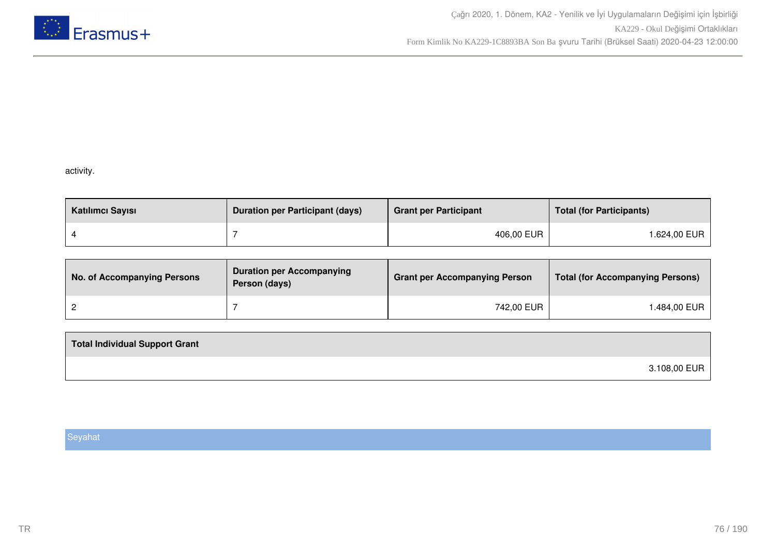

## activity.

| Katılımcı Sayısı | <b>Duration per Participant (days)</b> | <b>Grant per Participant</b> | <b>Total (for Participants)</b> |
|------------------|----------------------------------------|------------------------------|---------------------------------|
|                  |                                        | 406,00 EUR                   | 1.624,00 EUR                    |

| No. of Accompanying Persons | <b>Duration per Accompanying</b><br>Person (days) | <b>Grant per Accompanying Person</b> | <b>Total (for Accompanying Persons)</b> |
|-----------------------------|---------------------------------------------------|--------------------------------------|-----------------------------------------|
|                             |                                                   | 742,00 EUR                           | .484,00 EUR                             |

| <b>Total Individual Support Grant</b> |              |
|---------------------------------------|--------------|
|                                       | 3.108,00 EUR |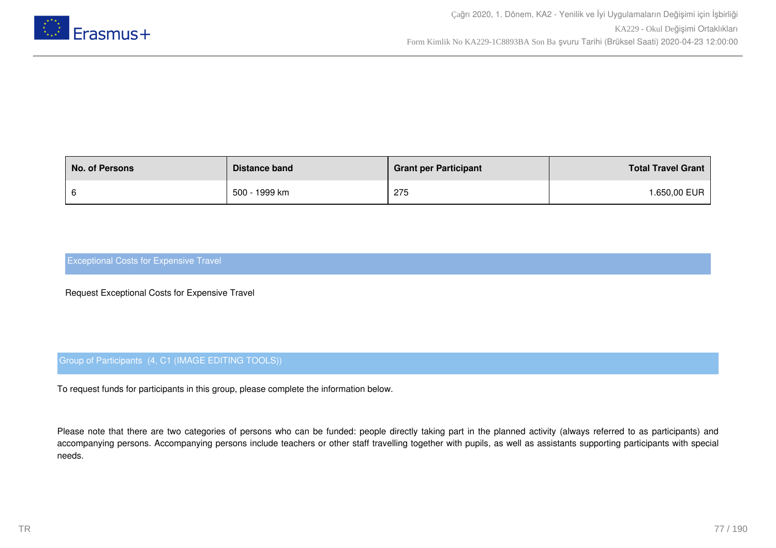

| <b>No. of Persons</b> | Distance band | <b>Grant per Participant</b> | <b>Total Travel Grant</b> |
|-----------------------|---------------|------------------------------|---------------------------|
|                       | 500 - 1999 km | 275                          | <b>.650,00 EUR</b>        |

Request Exceptional Costs for Expensive Travel

## Group of Participants (4, C1 (IMAGE EDITING TOOLS))

To request funds for participants in this group, please complete the information below.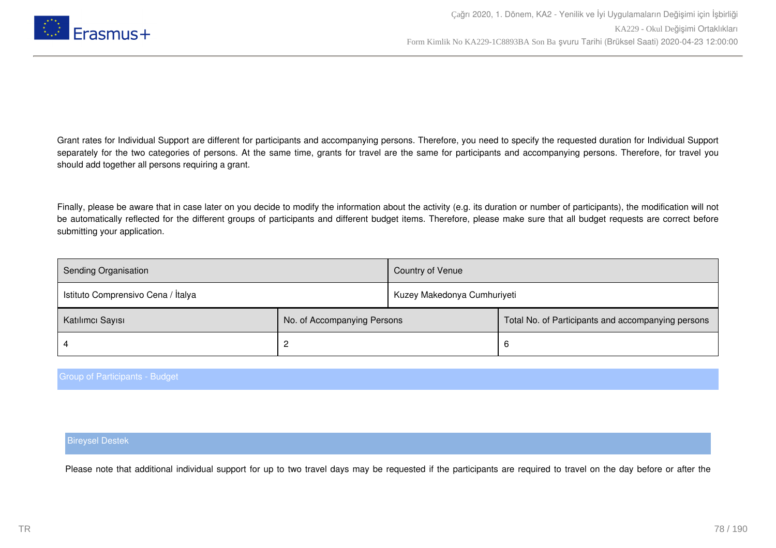

Finally, please be aware that in case later on you decide to modify the information about the activity (e.g. its duration or number of participants), the modification will not be automatically reflected for the different groups of participants and different budget items. Therefore, please make sure that all budget requests are correct before submitting your application.

| Sending Organisation               |                             | Country of Venue            |                                                    |
|------------------------------------|-----------------------------|-----------------------------|----------------------------------------------------|
| Istituto Comprensivo Cena / Italya |                             | Kuzey Makedonya Cumhuriyeti |                                                    |
| Katılımcı Sayısı                   | No. of Accompanying Persons |                             | Total No. of Participants and accompanying persons |
|                                    |                             |                             | 6                                                  |

#### Group of Participants - Budget

#### Bireysel Destek

Please note that additional individual support for up to two travel days may be requested if the participants are required to travel on the day before or after the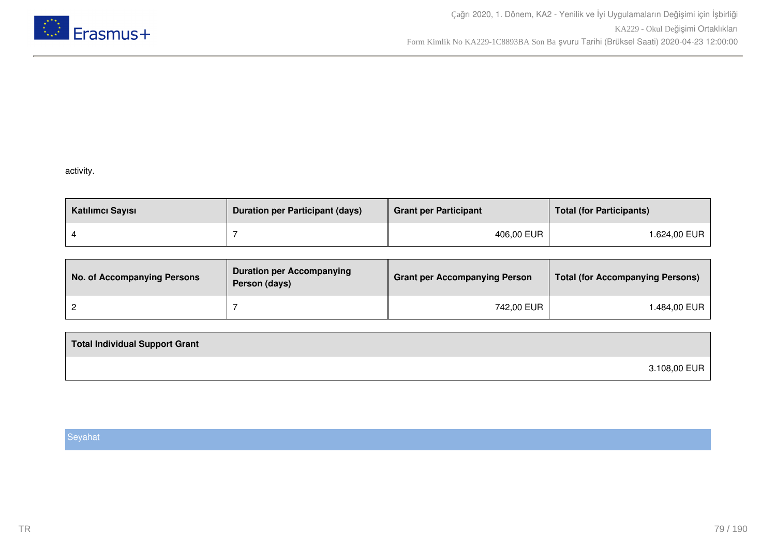

## activity.

| Katılımcı Sayısı | <b>Duration per Participant (days)</b> | <b>Grant per Participant</b> | <b>Total (for Participants)</b> |
|------------------|----------------------------------------|------------------------------|---------------------------------|
|                  |                                        | 406,00 EUR                   | l.624,00 EUR                    |

| No. of Accompanying Persons | <b>Duration per Accompanying</b><br>Person (days) | <b>Grant per Accompanying Person</b> | <b>Total (for Accompanying Persons)</b> |
|-----------------------------|---------------------------------------------------|--------------------------------------|-----------------------------------------|
|                             |                                                   | 742,00 EUR                           | 1.484,00 EUR                            |

| <b>Total Individual Support Grant</b> |              |
|---------------------------------------|--------------|
|                                       | 3.108,00 EUR |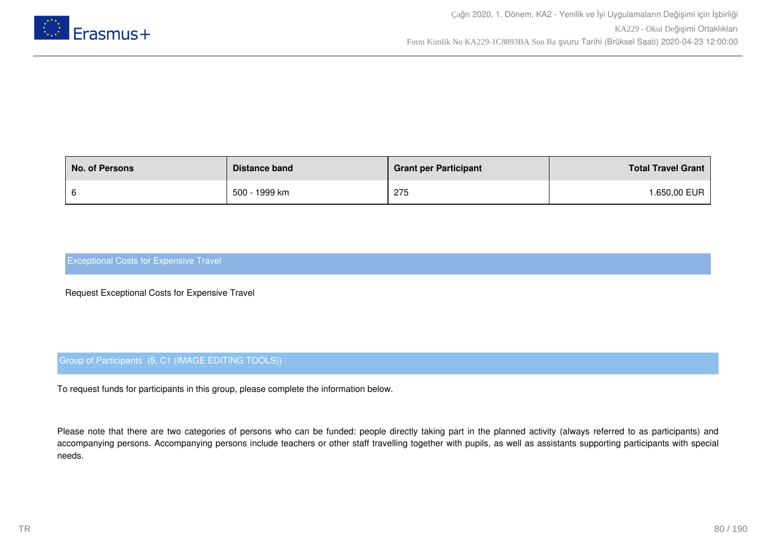

| <b>No. of Persons</b> | Distance band | <b>Grant per Participant</b> | <b>Total Travel Grant</b> |
|-----------------------|---------------|------------------------------|---------------------------|
|                       | 500 - 1999 km | 275                          | <b>.650,00 EUR</b>        |

Request Exceptional Costs for Expensive Travel

## Group of Participants (5, C1 (IMAGE EDITING TOOLS))

To request funds for participants in this group, please complete the information below.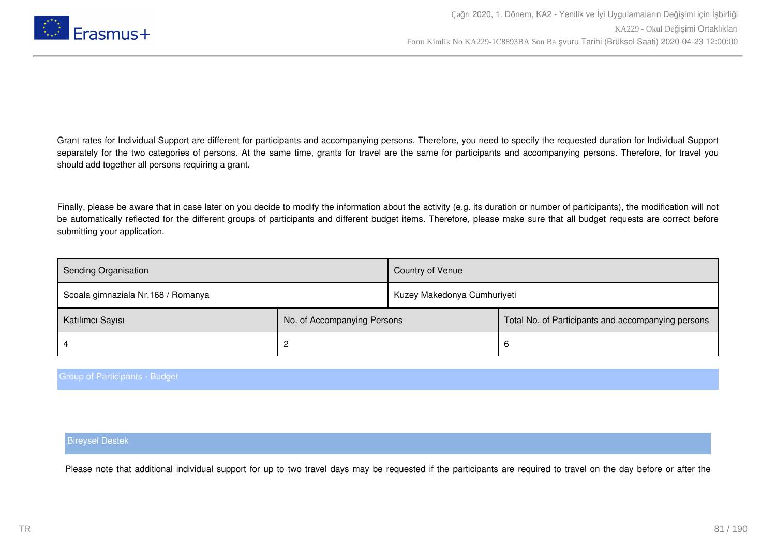

Finally, please be aware that in case later on you decide to modify the information about the activity (e.g. its duration or number of participants), the modification will not be automatically reflected for the different groups of participants and different budget items. Therefore, please make sure that all budget requests are correct before submitting your application.

| Sending Organisation               |                             |                             |                                                    |
|------------------------------------|-----------------------------|-----------------------------|----------------------------------------------------|
| Scoala gimnaziala Nr.168 / Romanya |                             | Kuzey Makedonya Cumhuriyeti |                                                    |
| Katılımcı Sayısı                   | No. of Accompanying Persons |                             | Total No. of Participants and accompanying persons |
|                                    |                             |                             | 6                                                  |

#### Group of Participants - Budget

#### Bireysel Destek

Please note that additional individual support for up to two travel days may be requested if the participants are required to travel on the day before or after the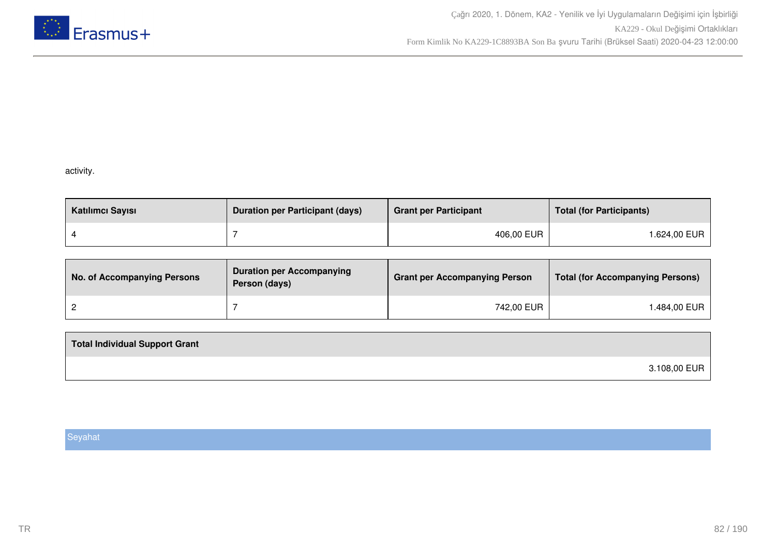

## activity.

| Katılımcı Sayısı | <b>Duration per Participant (days)</b> | <b>Grant per Participant</b> | <b>Total (for Participants)</b> |
|------------------|----------------------------------------|------------------------------|---------------------------------|
|                  |                                        | 406,00 EUR                   | 1.624,00 EUR                    |

| No. of Accompanying Persons | <b>Duration per Accompanying</b><br>Person (days) | <b>Grant per Accompanying Person</b> | <b>Total (for Accompanying Persons)</b> |
|-----------------------------|---------------------------------------------------|--------------------------------------|-----------------------------------------|
|                             |                                                   | 742,00 EUR                           | .484,00 EUR                             |

| <b>Total Individual Support Grant</b> |              |
|---------------------------------------|--------------|
|                                       | 3.108,00 EUR |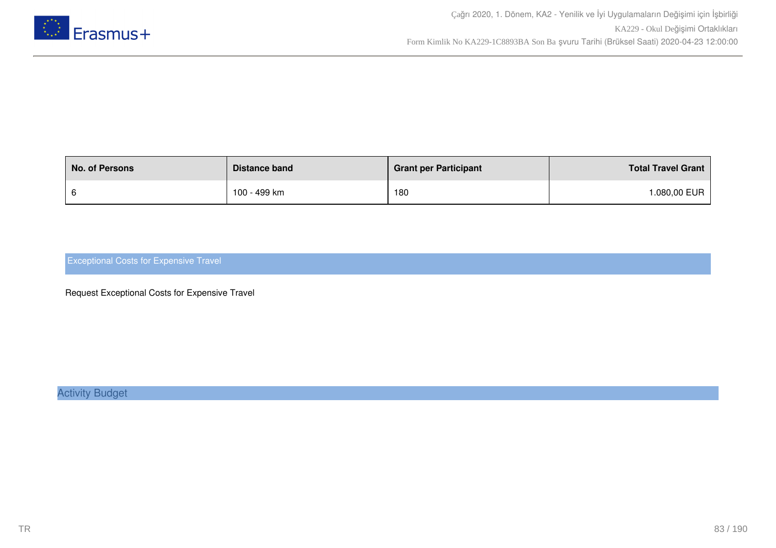

| <b>No. of Persons</b> | Distance band | <b>Grant per Participant</b> | <b>Total Travel Grant</b> |
|-----------------------|---------------|------------------------------|---------------------------|
|                       | 100 - 499 km  | 180                          | .080,00 EUR               |

Request Exceptional Costs for Expensive Travel

Activity Budget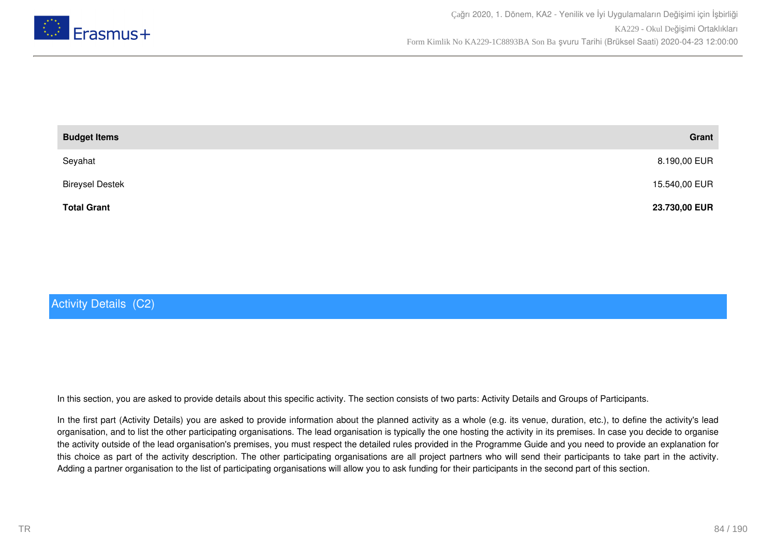

| <b>Budget Items</b>    | Grant         |
|------------------------|---------------|
| Seyahat                | 8.190,00 EUR  |
| <b>Bireysel Destek</b> | 15.540,00 EUR |
| <b>Total Grant</b>     | 23.730,00 EUR |

# Activity Details (C2)

In this section, you are asked to provide details about this specific activity. The section consists of two parts: Activity Details and Groups of Participants.

In the first part (Activity Details) you are asked to provide information about the planned activity as a whole (e.g. its venue, duration, etc.), to define the activity's lead organisation, and to list the other participating organisations. The lead organisation is typically the one hosting the activity in its premises. In case you decide to organise the activity outside of the lead organisation's premises, you must respect the detailed rules provided in the Programme Guide and you need to provide an explanation for this choice as part of the activity description. The other participating organisations are all project partners who will send their participants to take part in the activity. Adding a partner organisation to the list of participating organisations will allow you to ask funding for their participants in the second part of this section.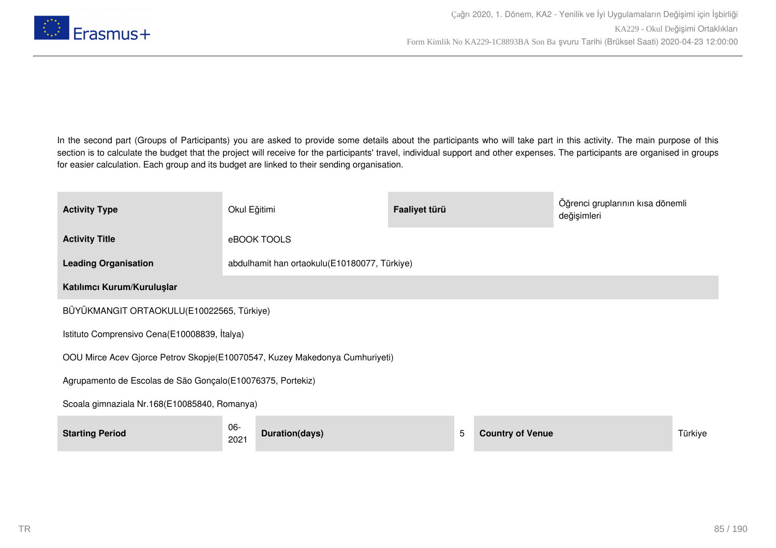

In the second part (Groups of Participants) you are asked to provide some details about the participants who will take part in this activity. The main purpose of this section is to calculate the budget that the project will receive for the participants' travel, individual support and other expenses. The participants are organised in groups for easier calculation. Each group and its budget are linked to their sending organisation.

| <b>Activity Type</b>                                                        | Okul Eğitimi |                                              | Faaliyet türü |   |                         | Öğrenci gruplarının kısa dönemli<br>değişimleri |         |
|-----------------------------------------------------------------------------|--------------|----------------------------------------------|---------------|---|-------------------------|-------------------------------------------------|---------|
| <b>Activity Title</b>                                                       |              | eBOOK TOOLS                                  |               |   |                         |                                                 |         |
| <b>Leading Organisation</b>                                                 |              | abdulhamit han ortaokulu(E10180077, Türkiye) |               |   |                         |                                                 |         |
| Katılımcı Kurum/Kuruluşlar                                                  |              |                                              |               |   |                         |                                                 |         |
| BÜYÜKMANGIT ORTAOKULU(E10022565, Türkiye)                                   |              |                                              |               |   |                         |                                                 |         |
| Istituto Comprensivo Cena(E10008839, İtalya)                                |              |                                              |               |   |                         |                                                 |         |
| OOU Mirce Acev Gjorce Petrov Skopje(E10070547, Kuzey Makedonya Cumhuriyeti) |              |                                              |               |   |                         |                                                 |         |
| Agrupamento de Escolas de São Gonçalo (E10076375, Portekiz)                 |              |                                              |               |   |                         |                                                 |         |
| Scoala gimnaziala Nr.168(E10085840, Romanya)                                |              |                                              |               |   |                         |                                                 |         |
| <b>Starting Period</b>                                                      | 06-<br>2021  | Duration(days)                               |               | 5 | <b>Country of Venue</b> |                                                 | Türkiye |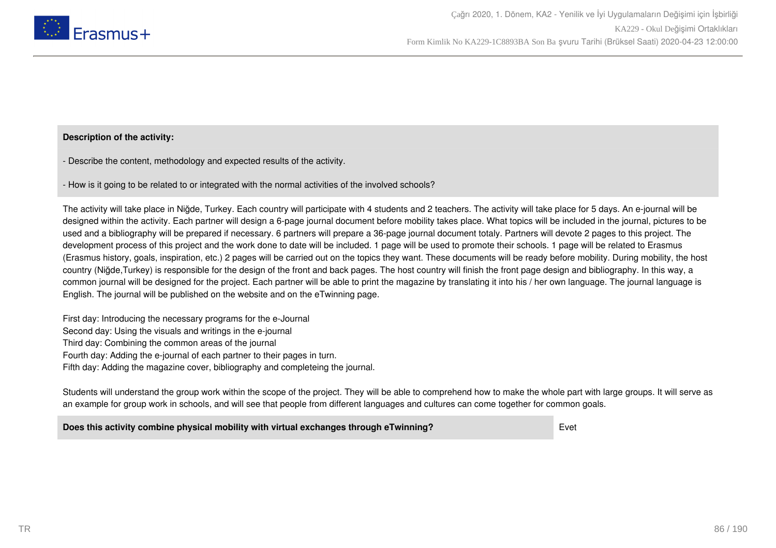

### **Description of the activity:**

- Describe the content, methodology and expected results of the activity.

- How is it going to be related to or integrated with the normal activities of the involved schools?

The activity will take place in Niğde, Turkey. Each country will participate with 4 students and 2 teachers. The activity will take place for 5 days. An e-journal will be designed within the activity. Each partner will design a 6-page journal document before mobility takes place. What topics will be included in the journal, pictures to be used and a bibliography will be prepared if necessary. 6 partners will prepare a 36-page journal document totaly. Partners will devote 2 pages to this project. The development process of this project and the work done to date will be included. 1 page will be used to promote their schools. 1 page will be related to Erasmus (Erasmus history, goals, inspiration, etc.) 2 pages will be carried out on the topics they want. These documents will be ready before mobility. During mobility, the host country (Niğde,Turkey) is responsible for the design of the front and back pages. The host country will finish the front page design and bibliography. In this way, a common journal will be designed for the project. Each partner will be able to print the magazine by translating it into his / her own language. The journal language is English. The journal will be published on the website and on the eTwinning page.

First day: Introducing the necessary programs for the e-Journal Second day: Using the visuals and writings in the e-journal Third day: Combining the common areas of the journal Fourth day: Adding the e-journal of each partner to their pages in turn. Fifth day: Adding the magazine cover, bibliography and completeing the journal.

Students will understand the group work within the scope of the project. They will be able to comprehend how to make the whole part with large groups. It will serve as an example for group work in schools, and will see that people from different languages and cultures can come together for common goals.

**Does this activity combine physical mobility with virtual exchanges through eTwinning?** Evet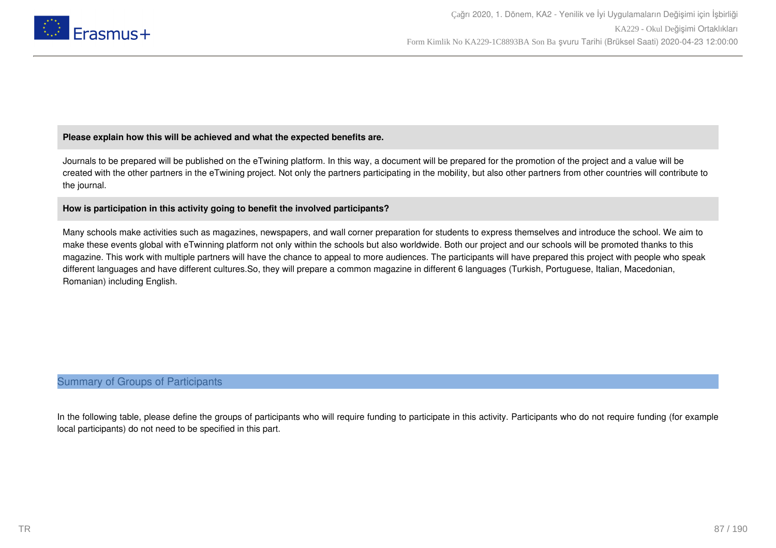

## **Please explain how this will be achieved and what the expected benefits are.**

Journals to be prepared will be published on the eTwining platform. In this way, a document will be prepared for the promotion of the project and a value will be created with the other partners in the eTwining project. Not only the partners participating in the mobility, but also other partners from other countries will contribute to the journal.

## **How is participation in this activity going to benefit the involved participants?**

Many schools make activities such as magazines, newspapers, and wall corner preparation for students to express themselves and introduce the school. We aim to make these events global with eTwinning platform not only within the schools but also worldwide. Both our project and our schools will be promoted thanks to this magazine. This work with multiple partners will have the chance to appeal to more audiences. The participants will have prepared this project with people who speak different languages and have different cultures.So, they will prepare a common magazine in different 6 languages (Turkish, Portuguese, Italian, Macedonian, Romanian) including English.

## Summary of Groups of Participants

In the following table, please define the groups of participants who will require funding to participate in this activity. Participants who do not require funding (for example local participants) do not need to be specified in this part.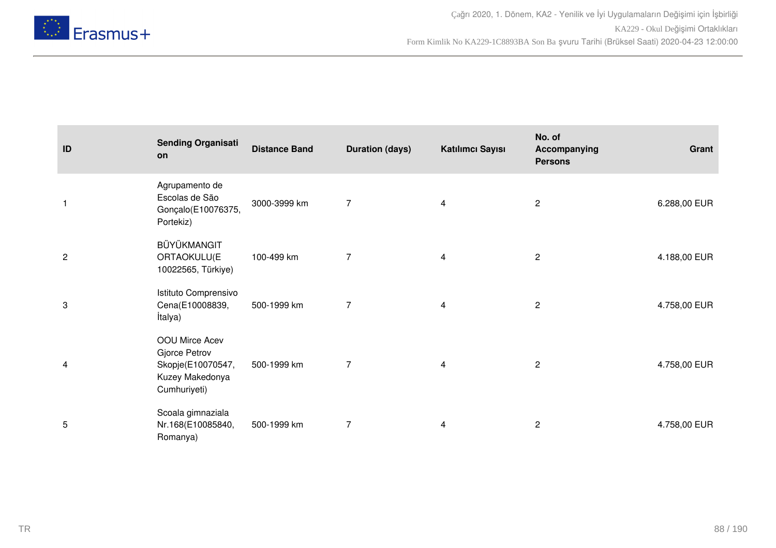

| ID             | <b>Sending Organisati</b><br>on                                                         | <b>Distance Band</b> | <b>Duration (days)</b> | Katılımcı Sayısı | No. of<br>Accompanying<br><b>Persons</b> | Grant        |
|----------------|-----------------------------------------------------------------------------------------|----------------------|------------------------|------------------|------------------------------------------|--------------|
| 1              | Agrupamento de<br>Escolas de São<br>Gonçalo(E10076375,<br>Portekiz)                     | 3000-3999 km         | $\overline{7}$         | 4                | $\overline{c}$                           | 6.288,00 EUR |
| $\overline{c}$ | BÜYÜKMANGIT<br>ORTAOKULU(E<br>10022565, Türkiye)                                        | 100-499 km           | $\overline{7}$         | 4                | $\sqrt{2}$                               | 4.188,00 EUR |
| 3              | Istituto Comprensivo<br>Cena(E10008839,<br><i>italya)</i>                               | 500-1999 km          | $\overline{7}$         | 4                | $\overline{c}$                           | 4.758,00 EUR |
| 4              | OOU Mirce Acev<br>Gjorce Petrov<br>Skopje(E10070547,<br>Kuzey Makedonya<br>Cumhuriyeti) | 500-1999 km          | 7                      | 4                | $\overline{c}$                           | 4.758,00 EUR |
| 5              | Scoala gimnaziala<br>Nr.168(E10085840,<br>Romanya)                                      | 500-1999 km          | 7                      | 4                | $\overline{c}$                           | 4.758,00 EUR |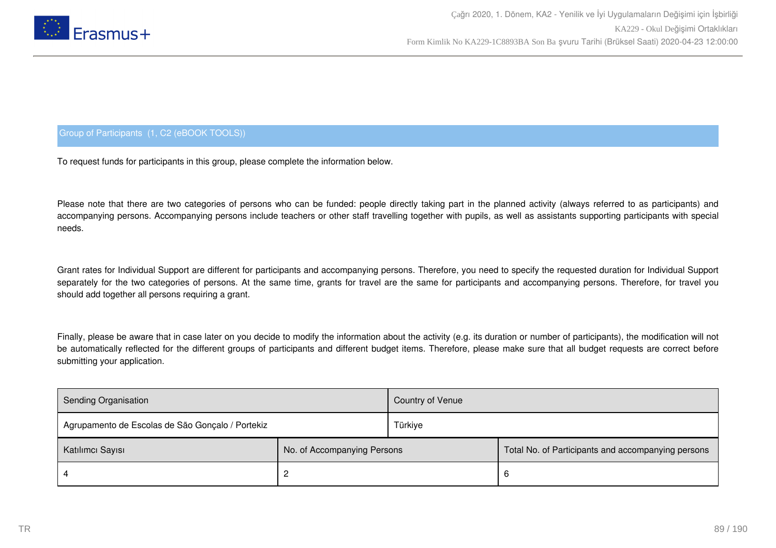

## Group of Participants (1, C2 (eBOOK TOOLS))

To request funds for participants in this group, please complete the information below.

Please note that there are two categories of persons who can be funded: people directly taking part in the planned activity (always referred to as participants) and accompanying persons. Accompanying persons include teachers or other staff travelling together with pupils, as well as assistants supporting participants with special needs.

Grant rates for Individual Support are different for participants and accompanying persons. Therefore, you need to specify the requested duration for Individual Support separately for the two categories of persons. At the same time, grants for travel are the same for participants and accompanying persons. Therefore, for travel you should add together all persons requiring a grant.

Finally, please be aware that in case later on you decide to modify the information about the activity (e.g. its duration or number of participants), the modification will not be automatically reflected for the different groups of participants and different budget items. Therefore, please make sure that all budget requests are correct before submitting your application.

| Sending Organisation                             |                             | Country of Venue |                                                    |
|--------------------------------------------------|-----------------------------|------------------|----------------------------------------------------|
| Agrupamento de Escolas de São Gonçalo / Portekiz |                             | Türkiye          |                                                    |
| Katılımcı Sayısı                                 | No. of Accompanying Persons |                  | Total No. of Participants and accompanying persons |
|                                                  |                             |                  | 6                                                  |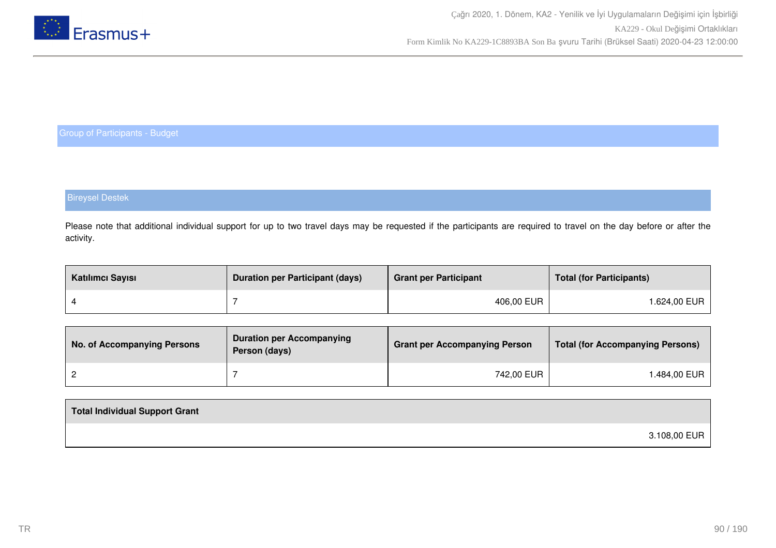

## Bireysel Destek

Please note that additional individual support for up to two travel days may be requested if the participants are required to travel on the day before or after the activity.

| Katılımcı Sayısı | <b>Duration per Participant (days)</b> | <b>Grant per Participant</b> | <b>Total (for Participants)</b> |
|------------------|----------------------------------------|------------------------------|---------------------------------|
|                  |                                        | 406,00 EUR                   | 1.624,00 EUR                    |

| No. of Accompanying Persons | <b>Duration per Accompanying</b><br>Person (days) | <b>Grant per Accompanying Person</b> | Total (for Accompanying Persons) |
|-----------------------------|---------------------------------------------------|--------------------------------------|----------------------------------|
|                             |                                                   | 742,00 EUR                           | l.484,00 EUR                     |

| Total Individual Support Grant |              |
|--------------------------------|--------------|
|                                | 3.108,00 EUR |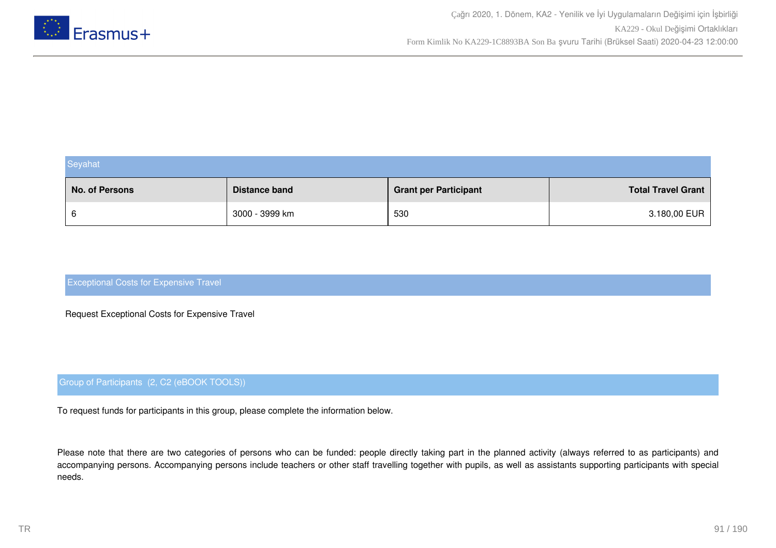

| Seyahat        |                |                              |                           |
|----------------|----------------|------------------------------|---------------------------|
| No. of Persons | Distance band  | <b>Grant per Participant</b> | <b>Total Travel Grant</b> |
| 6              | 3000 - 3999 km | 530                          | 3.180,00 EUR              |

Request Exceptional Costs for Expensive Travel

## Group of Participants (2, C2 (eBOOK TOOLS))

To request funds for participants in this group, please complete the information below.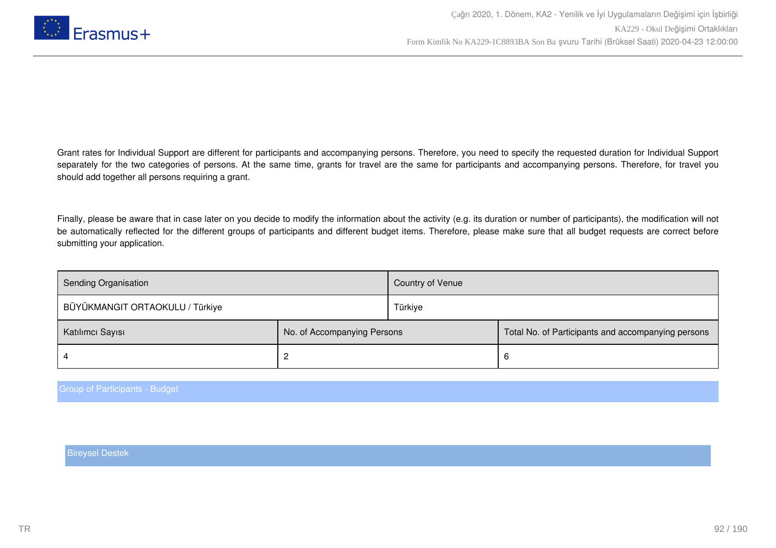

Finally, please be aware that in case later on you decide to modify the information about the activity (e.g. its duration or number of participants), the modification will not be automatically reflected for the different groups of participants and different budget items. Therefore, please make sure that all budget requests are correct before submitting your application.

| Sending Organisation            |                             | Country of Venue |                                                    |
|---------------------------------|-----------------------------|------------------|----------------------------------------------------|
| BÜYÜKMANGIT ORTAOKULU / Türkiye |                             | Türkiye          |                                                    |
| Katılımcı Sayısı                | No. of Accompanying Persons |                  | Total No. of Participants and accompanying persons |
|                                 |                             |                  | 6                                                  |

Group of Participants - Budget

Bireysel Destek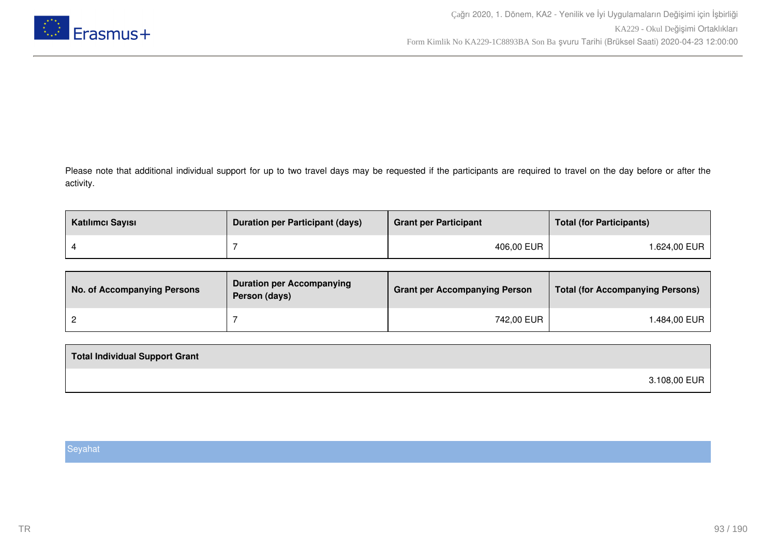

Please note that additional individual support for up to two travel days may be requested if the participants are required to travel on the day before or after the activity.

| Katılımcı Sayısı | <b>Duration per Participant (days)</b> | <b>Grant per Participant</b> | <b>Total (for Participants)</b> |
|------------------|----------------------------------------|------------------------------|---------------------------------|
|                  |                                        | 406,00 EUR                   | 1.624,00 EUR                    |

| No. of Accompanying Persons | <b>Duration per Accompanying</b><br>Person (days) | <b>Grant per Accompanying Person</b> | Total (for Accompanying Persons) |
|-----------------------------|---------------------------------------------------|--------------------------------------|----------------------------------|
|                             |                                                   | 742,00 EUR                           | .484,00 EUR                      |

| Total Individual Support Grant |              |
|--------------------------------|--------------|
|                                | 3.108,00 EUR |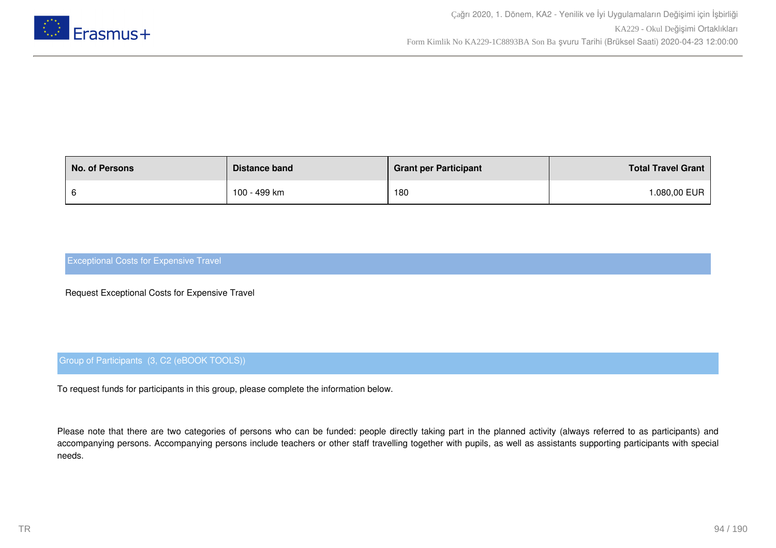

| <b>No. of Persons</b> | Distance band | <b>Grant per Participant</b> | <b>Total Travel Grant</b> |
|-----------------------|---------------|------------------------------|---------------------------|
|                       | 100 - 499 km  | 180                          | .080,00 EUR               |

Request Exceptional Costs for Expensive Travel

## Group of Participants (3, C2 (eBOOK TOOLS))

To request funds for participants in this group, please complete the information below.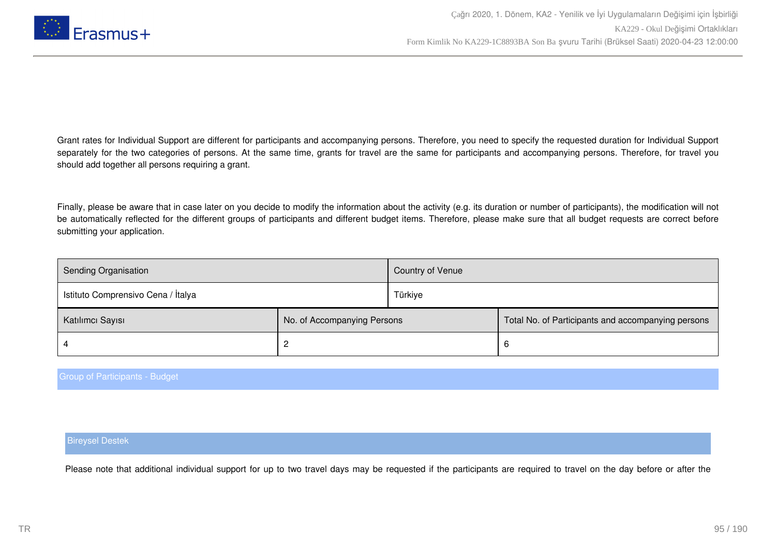

Finally, please be aware that in case later on you decide to modify the information about the activity (e.g. its duration or number of participants), the modification will not be automatically reflected for the different groups of participants and different budget items. Therefore, please make sure that all budget requests are correct before submitting your application.

| Sending Organisation               |                             | Country of Venue |                                                    |
|------------------------------------|-----------------------------|------------------|----------------------------------------------------|
| Istituto Comprensivo Cena / Italya |                             | Türkiye          |                                                    |
| Katılımcı Sayısı                   | No. of Accompanying Persons |                  | Total No. of Participants and accompanying persons |
|                                    |                             |                  | 6                                                  |

#### Group of Participants - Budget

#### Bireysel Destek

Please note that additional individual support for up to two travel days may be requested if the participants are required to travel on the day before or after the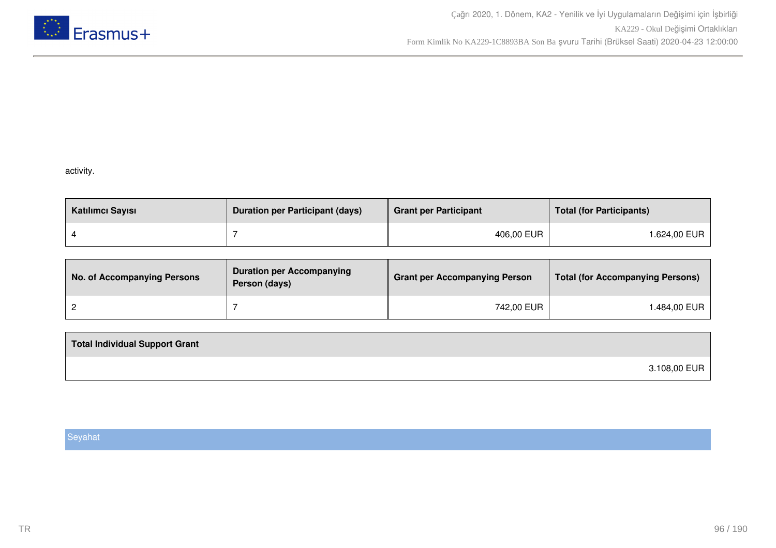

## activity.

| Katılımcı Sayısı | <b>Duration per Participant (days)</b> | <b>Grant per Participant</b> | <b>Total (for Participants)</b> |
|------------------|----------------------------------------|------------------------------|---------------------------------|
|                  |                                        | 406,00 EUR                   | l.624,00 EUR                    |

| No. of Accompanying Persons | <b>Duration per Accompanying</b><br>Person (days) | <b>Grant per Accompanying Person</b> | <b>Total (for Accompanying Persons)</b> |
|-----------------------------|---------------------------------------------------|--------------------------------------|-----------------------------------------|
|                             |                                                   | 742,00 EUR                           | 1.484,00 EUR                            |

| <b>Total Individual Support Grant</b> |              |
|---------------------------------------|--------------|
|                                       | 3.108,00 EUR |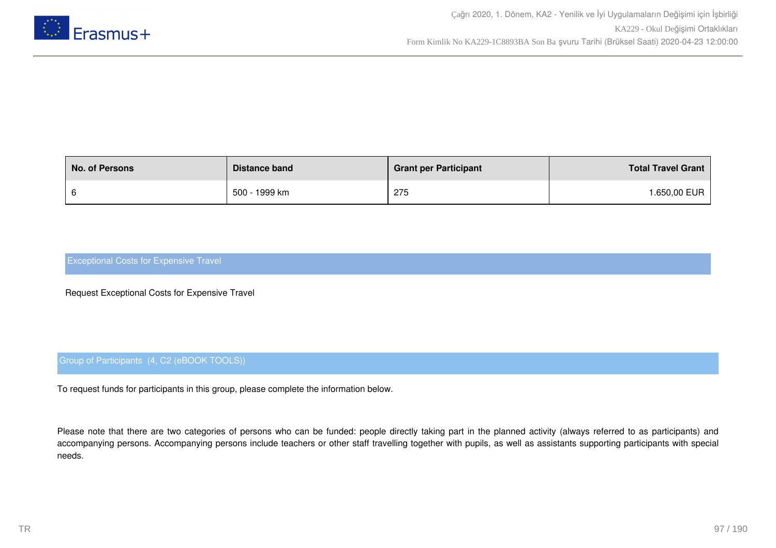

| <b>No. of Persons</b> | Distance band | <b>Grant per Participant</b> | <b>Total Travel Grant</b> |
|-----------------------|---------------|------------------------------|---------------------------|
|                       | 500 - 1999 km | 275                          | <b>.650,00 EUR</b>        |

Request Exceptional Costs for Expensive Travel

## Group of Participants (4, C2 (eBOOK TOOLS))

To request funds for participants in this group, please complete the information below.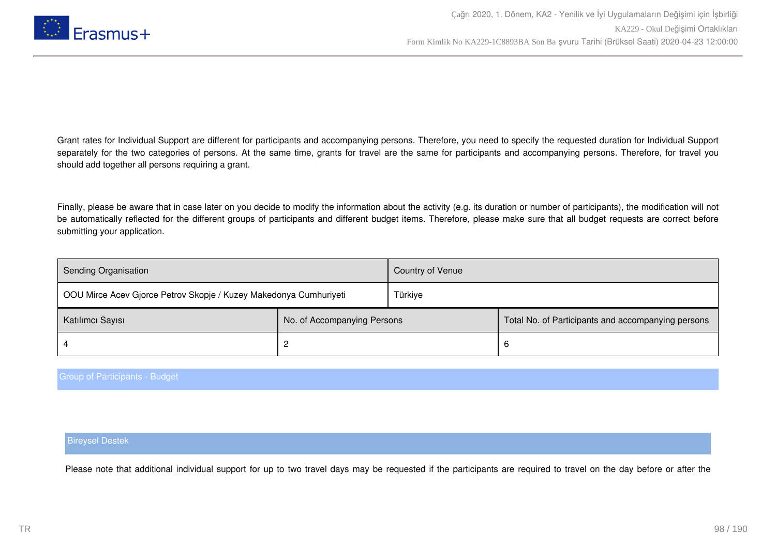

Finally, please be aware that in case later on you decide to modify the information about the activity (e.g. its duration or number of participants), the modification will not be automatically reflected for the different groups of participants and different budget items. Therefore, please make sure that all budget requests are correct before submitting your application.

| Sending Organisation                                              |                             | Country of Venue |                                                    |
|-------------------------------------------------------------------|-----------------------------|------------------|----------------------------------------------------|
| OOU Mirce Acev Gjorce Petrov Skopje / Kuzey Makedonya Cumhuriyeti |                             | Türkiye          |                                                    |
| Katılımcı Sayısı                                                  | No. of Accompanying Persons |                  | Total No. of Participants and accompanying persons |
|                                                                   |                             |                  | 6                                                  |

#### Group of Participants - Budget

#### Bireysel Destek

Please note that additional individual support for up to two travel days may be requested if the participants are required to travel on the day before or after the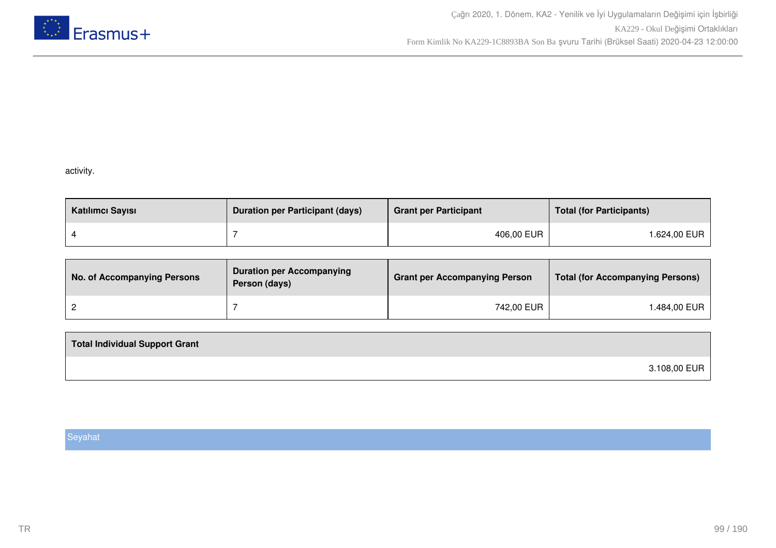

## activity.

| Katılımcı Sayısı | <b>Duration per Participant (days)</b> | <b>Grant per Participant</b> | <b>Total (for Participants)</b> |
|------------------|----------------------------------------|------------------------------|---------------------------------|
|                  |                                        | 406,00 EUR                   | l.624,00 EUR                    |

| <b>No. of Accompanying Persons</b> | <b>Duration per Accompanying</b><br>Person (days) | <b>Grant per Accompanying Person</b> | <b>Total (for Accompanying Persons)</b> |
|------------------------------------|---------------------------------------------------|--------------------------------------|-----------------------------------------|
|                                    |                                                   | 742,00 EUR                           | ⊺.484,00 EUR                            |

| <b>Total Individual Support Grant</b> |              |
|---------------------------------------|--------------|
|                                       | 3.108,00 EUR |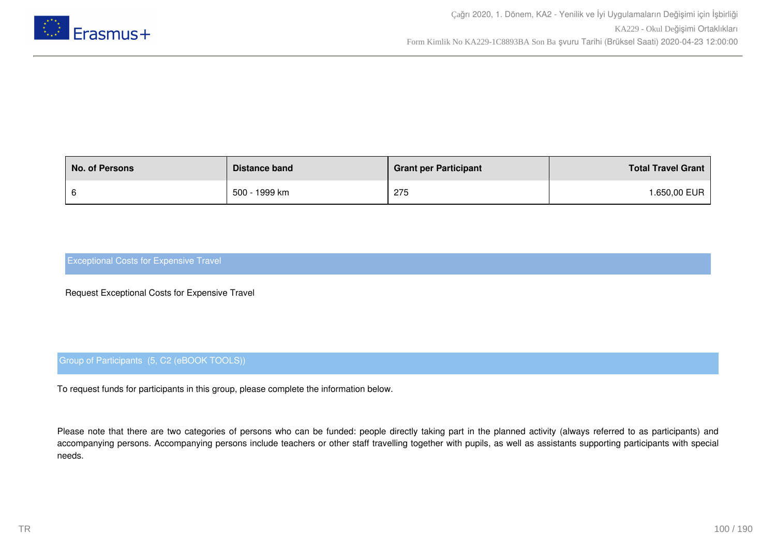

| <b>No. of Persons</b> | Distance band | <b>Grant per Participant</b> | <b>Total Travel Grant</b> |
|-----------------------|---------------|------------------------------|---------------------------|
|                       | 500 - 1999 km | 275                          | <b>.650,00 EUR</b>        |

Request Exceptional Costs for Expensive Travel

## Group of Participants (5, C2 (eBOOK TOOLS))

To request funds for participants in this group, please complete the information below.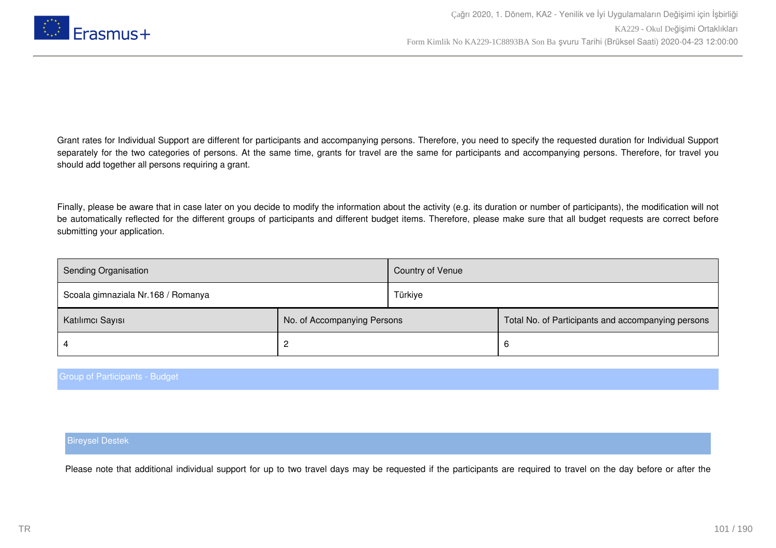

Finally, please be aware that in case later on you decide to modify the information about the activity (e.g. its duration or number of participants), the modification will not be automatically reflected for the different groups of participants and different budget items. Therefore, please make sure that all budget requests are correct before submitting your application.

| <b>Sending Organisation</b>        |                             | Country of Venue |                                                    |
|------------------------------------|-----------------------------|------------------|----------------------------------------------------|
| Scoala gimnaziala Nr.168 / Romanya |                             | Türkiye          |                                                    |
| Katılımcı Sayısı                   | No. of Accompanying Persons |                  | Total No. of Participants and accompanying persons |
|                                    |                             |                  | 6                                                  |

#### Group of Participants - Budget

#### Bireysel Destek

Please note that additional individual support for up to two travel days may be requested if the participants are required to travel on the day before or after the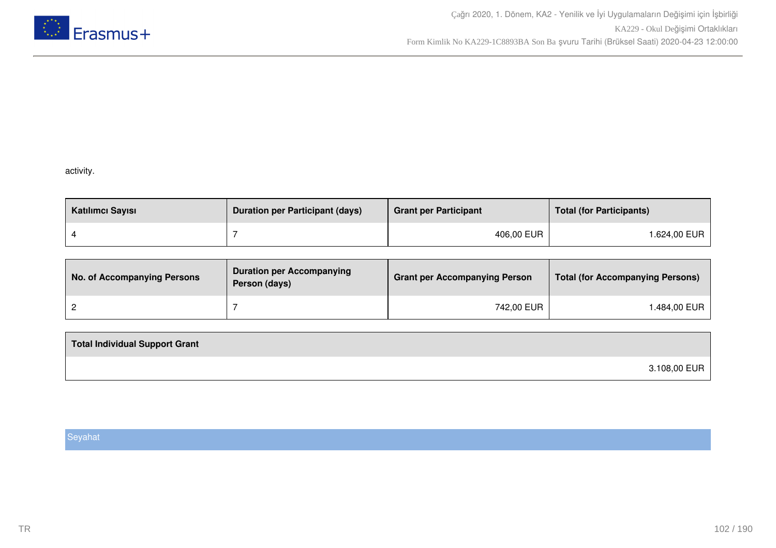

## activity.

| Katılımcı Sayısı | <b>Duration per Participant (days)</b> | <b>Grant per Participant</b> | <b>Total (for Participants)</b> |
|------------------|----------------------------------------|------------------------------|---------------------------------|
|                  |                                        | 406,00 EUR                   | l.624,00 EUR                    |

| No. of Accompanying Persons | <b>Duration per Accompanying</b><br>Person (days) | <b>Grant per Accompanying Person</b> | <b>Total (for Accompanying Persons)</b> |
|-----------------------------|---------------------------------------------------|--------------------------------------|-----------------------------------------|
|                             |                                                   | 742,00 EUR                           | l.484,00 EUR                            |

| <b>Total Individual Support Grant</b> |              |
|---------------------------------------|--------------|
|                                       | 3.108,00 EUR |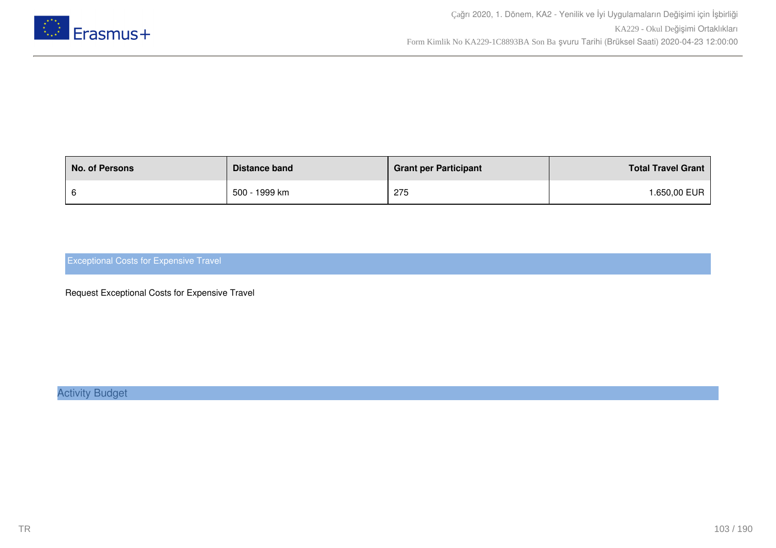

| <b>No. of Persons</b> | Distance band | <b>Grant per Participant</b> | <b>Total Travel Grant</b> |
|-----------------------|---------------|------------------------------|---------------------------|
|                       | 500 - 1999 km | 275                          | .650,00 EUR               |

Request Exceptional Costs for Expensive Travel

Activity Budget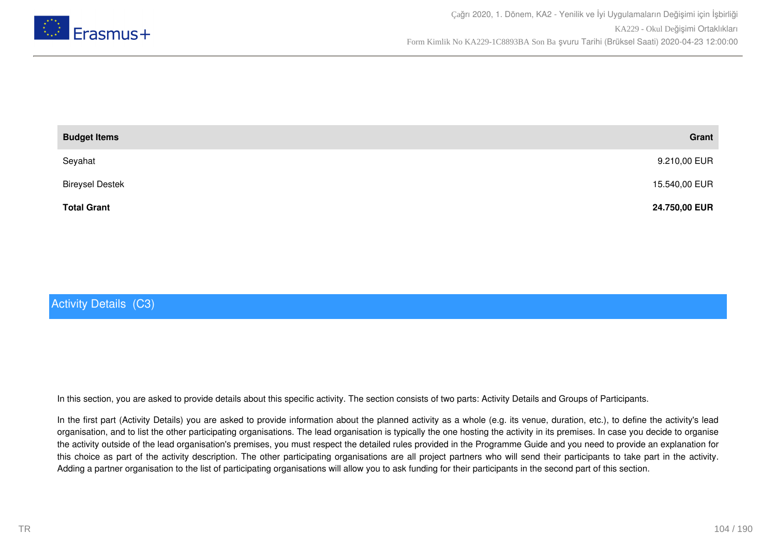

| <b>Budget Items</b>    | Grant         |
|------------------------|---------------|
| Seyahat                | 9.210,00 EUR  |
| <b>Bireysel Destek</b> | 15.540,00 EUR |
| <b>Total Grant</b>     | 24.750,00 EUR |

# Activity Details (C3)

In this section, you are asked to provide details about this specific activity. The section consists of two parts: Activity Details and Groups of Participants.

In the first part (Activity Details) you are asked to provide information about the planned activity as a whole (e.g. its venue, duration, etc.), to define the activity's lead organisation, and to list the other participating organisations. The lead organisation is typically the one hosting the activity in its premises. In case you decide to organise the activity outside of the lead organisation's premises, you must respect the detailed rules provided in the Programme Guide and you need to provide an explanation for this choice as part of the activity description. The other participating organisations are all project partners who will send their participants to take part in the activity. Adding a partner organisation to the list of participating organisations will allow you to ask funding for their participants in the second part of this section.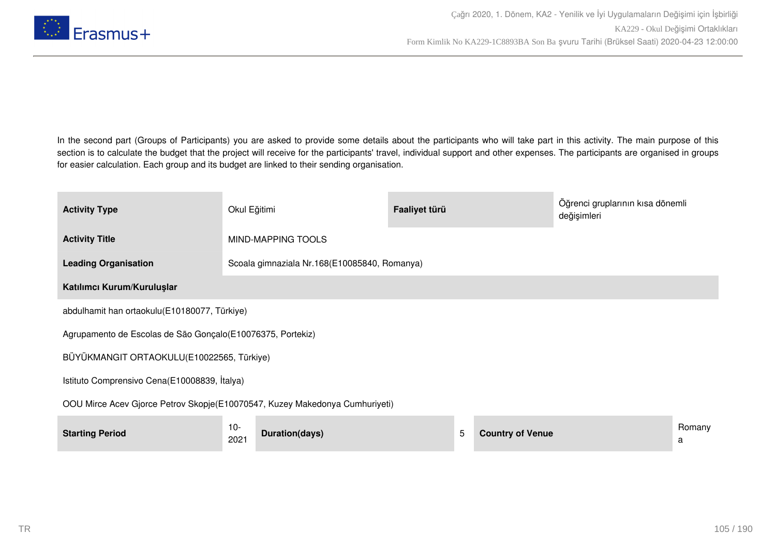

In the second part (Groups of Participants) you are asked to provide some details about the participants who will take part in this activity. The main purpose of this section is to calculate the budget that the project will receive for the participants' travel, individual support and other expenses. The participants are organised in groups for easier calculation. Each group and its budget are linked to their sending organisation.

| <b>Activity Type</b>                                                        | Okul Eğitimi                                 |                | Faaliyet türü |   |                         | Öğrenci gruplarının kısa dönemli<br>değişimleri |             |  |  |  |
|-----------------------------------------------------------------------------|----------------------------------------------|----------------|---------------|---|-------------------------|-------------------------------------------------|-------------|--|--|--|
| <b>Activity Title</b>                                                       | MIND-MAPPING TOOLS                           |                |               |   |                         |                                                 |             |  |  |  |
| <b>Leading Organisation</b>                                                 | Scoala gimnaziala Nr.168(E10085840, Romanya) |                |               |   |                         |                                                 |             |  |  |  |
| Katılımcı Kurum/Kuruluşlar                                                  |                                              |                |               |   |                         |                                                 |             |  |  |  |
| abdulhamit han ortaokulu(E10180077, Türkiye)                                |                                              |                |               |   |                         |                                                 |             |  |  |  |
| Agrupamento de Escolas de São Gonçalo (E10076375, Portekiz)                 |                                              |                |               |   |                         |                                                 |             |  |  |  |
| BÜYÜKMANGIT ORTAOKULU(E10022565, Türkiye)                                   |                                              |                |               |   |                         |                                                 |             |  |  |  |
| Istituto Comprensivo Cena(E10008839, İtalya)                                |                                              |                |               |   |                         |                                                 |             |  |  |  |
| OOU Mirce Acev Gjorce Petrov Skopje(E10070547, Kuzey Makedonya Cumhuriyeti) |                                              |                |               |   |                         |                                                 |             |  |  |  |
| <b>Starting Period</b>                                                      | 10-<br>2021                                  | Duration(days) |               | 5 | <b>Country of Venue</b> |                                                 | Romany<br>a |  |  |  |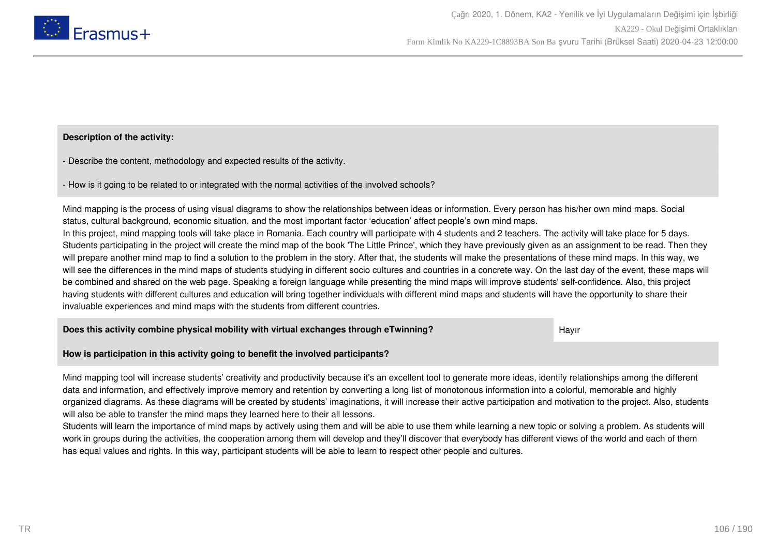

## **Description of the activity:**

- Describe the content, methodology and expected results of the activity.

- How is it going to be related to or integrated with the normal activities of the involved schools?

Mind mapping is the process of using visual diagrams to show the relationships between ideas or information. Every person has his/her own mind maps. Social status, cultural background, economic situation, and the most important factor 'education' affect people's own mind maps. In this project, mind mapping tools will take place in Romania. Each country will participate with 4 students and 2 teachers. The activity will take place for 5 days. Students participating in the project will create the mind map of the book 'The Little Prince', which they have previously given as an assignment to be read. Then they will prepare another mind map to find a solution to the problem in the story. After that, the students will make the presentations of these mind maps. In this way, we will see the differences in the mind maps of students studying in different socio cultures and countries in a concrete way. On the last day of the event, these maps will be combined and shared on the web page. Speaking a foreign language while presenting the mind maps will improve students' self-confidence. Also, this project having students with different cultures and education will bring together individuals with different mind maps and students will have the opportunity to share their invaluable experiences and mind maps with the students from different countries.

**Does this activity combine physical mobility with virtual exchanges through eTwinning?** Hayir

**How is participation in this activity going to benefit the involved participants?**

Mind mapping tool will increase students' creativity and productivity because it's an excellent tool to generate more ideas, identify relationships among the different data and information, and effectively improve memory and retention by converting a long list of monotonous information into a colorful, memorable and highly organized diagrams. As these diagrams will be created by students' imaginations, it will increase their active participation and motivation to the project. Also, students will also be able to transfer the mind maps they learned here to their all lessons.

Students will learn the importance of mind maps by actively using them and will be able to use them while learning a new topic or solving a problem. As students will work in groups during the activities, the cooperation among them will develop and they'll discover that everybody has different views of the world and each of them has equal values and rights. In this way, participant students will be able to learn to respect other people and cultures.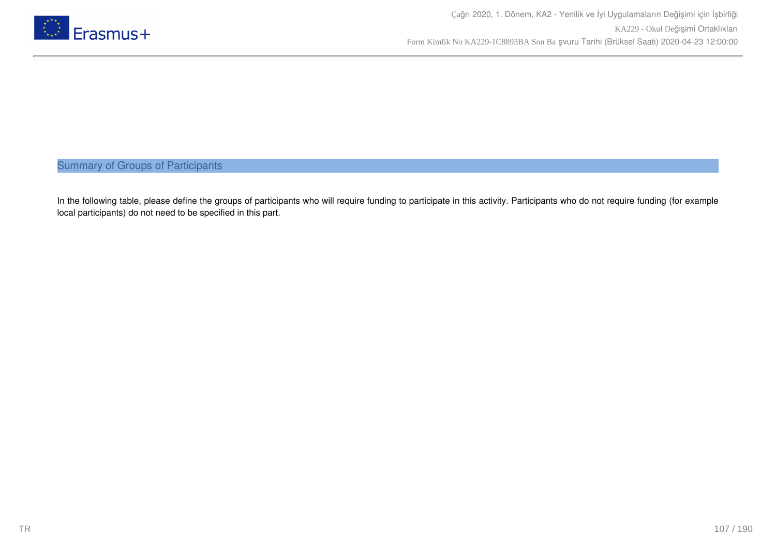

Summary of Groups of Participants

In the following table, please define the groups of participants who will require funding to participate in this activity. Participants who do not require funding (for example local participants) do not need to be specified in this part.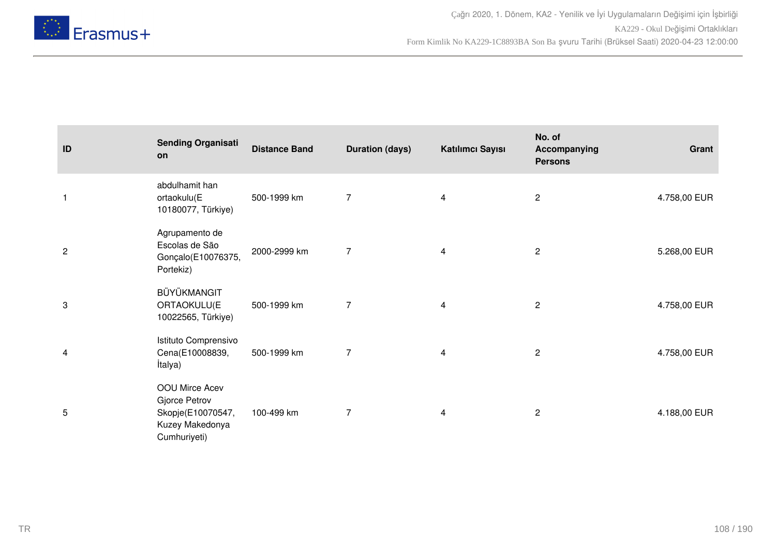

| ID           | <b>Sending Organisati</b><br>on                                                         | <b>Distance Band</b> | <b>Duration (days)</b> | Katılımcı Sayısı        | No. of<br>Accompanying<br><b>Persons</b> | Grant        |
|--------------|-----------------------------------------------------------------------------------------|----------------------|------------------------|-------------------------|------------------------------------------|--------------|
| $\mathbf{1}$ | abdulhamit han<br>ortaokulu(E<br>10180077, Türkiye)                                     | 500-1999 km          | $\overline{7}$         | $\overline{\mathbf{4}}$ | $\mathbf{2}$                             | 4.758,00 EUR |
| $\sqrt{2}$   | Agrupamento de<br>Escolas de São<br>Gonçalo(E10076375,<br>Portekiz)                     | 2000-2999 km         | $\overline{7}$         | 4                       | $\mathbf{2}$                             | 5.268,00 EUR |
| 3            | BÜYÜKMANGIT<br>ORTAOKULU(E<br>10022565, Türkiye)                                        | 500-1999 km          | $\overline{7}$         | 4                       | $\mathbf{2}$                             | 4.758,00 EUR |
| 4            | Istituto Comprensivo<br>Cena(E10008839,<br>İtalya)                                      | 500-1999 km          | 7                      | 4                       | $\overline{2}$                           | 4.758,00 EUR |
| 5            | OOU Mirce Acev<br>Gjorce Petrov<br>Skopje(E10070547,<br>Kuzey Makedonya<br>Cumhuriyeti) | 100-499 km           | 7                      | 4                       | $\overline{c}$                           | 4.188,00 EUR |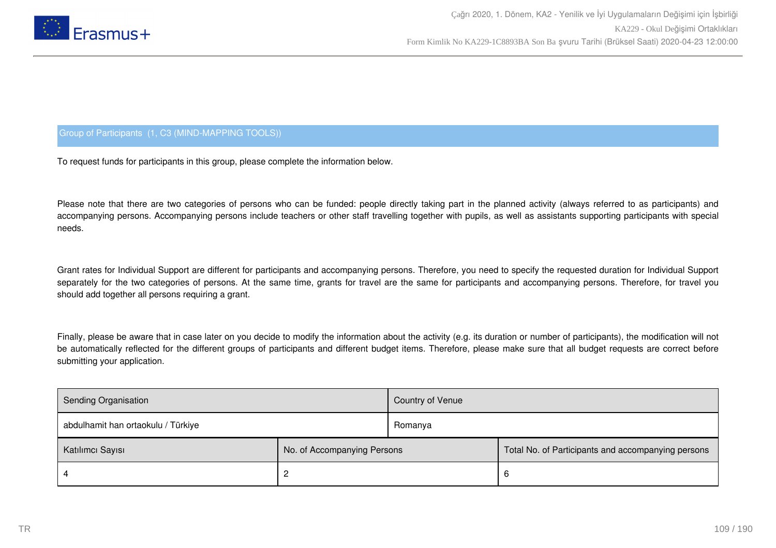

## Group of Participants (1, C3 (MIND-MAPPING TOOLS))

To request funds for participants in this group, please complete the information below.

Please note that there are two categories of persons who can be funded: people directly taking part in the planned activity (always referred to as participants) and accompanying persons. Accompanying persons include teachers or other staff travelling together with pupils, as well as assistants supporting participants with special needs.

Grant rates for Individual Support are different for participants and accompanying persons. Therefore, you need to specify the requested duration for Individual Support separately for the two categories of persons. At the same time, grants for travel are the same for participants and accompanying persons. Therefore, for travel you should add together all persons requiring a grant.

Finally, please be aware that in case later on you decide to modify the information about the activity (e.g. its duration or number of participants), the modification will not be automatically reflected for the different groups of participants and different budget items. Therefore, please make sure that all budget requests are correct before submitting your application.

| <b>Sending Organisation</b>        |                             | Country of Venue |                                                    |
|------------------------------------|-----------------------------|------------------|----------------------------------------------------|
| abdulhamit han ortaokulu / Türkiye |                             | Romanya          |                                                    |
| Katılımcı Sayısı                   | No. of Accompanying Persons |                  | Total No. of Participants and accompanying persons |
|                                    | ာ                           |                  | 6                                                  |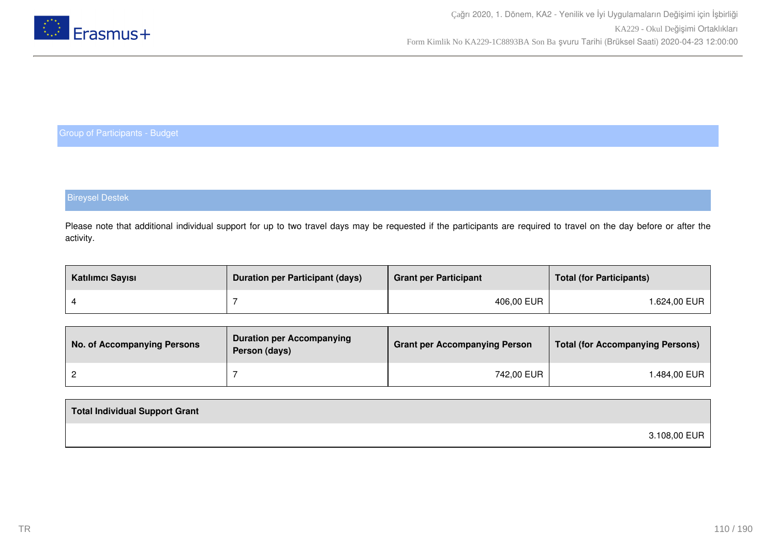

## Bireysel Destek

Please note that additional individual support for up to two travel days may be requested if the participants are required to travel on the day before or after the activity.

| Katılımcı Sayısı | <b>Duration per Participant (days)</b> | <b>Grant per Participant</b> | <b>Total (for Participants)</b> |
|------------------|----------------------------------------|------------------------------|---------------------------------|
|                  |                                        | 406,00 EUR                   | l.624,00 EUR                    |

| No. of Accompanying Persons | <b>Duration per Accompanying</b><br>Person (days) | <b>Grant per Accompanying Person</b> | <b>Total (for Accompanying Persons)</b> |
|-----------------------------|---------------------------------------------------|--------------------------------------|-----------------------------------------|
|                             |                                                   | 742,00 EUR                           | ⊦.484,00 EUR                            |

| Total Individual Support Grant |              |
|--------------------------------|--------------|
|                                | 3.108,00 EUR |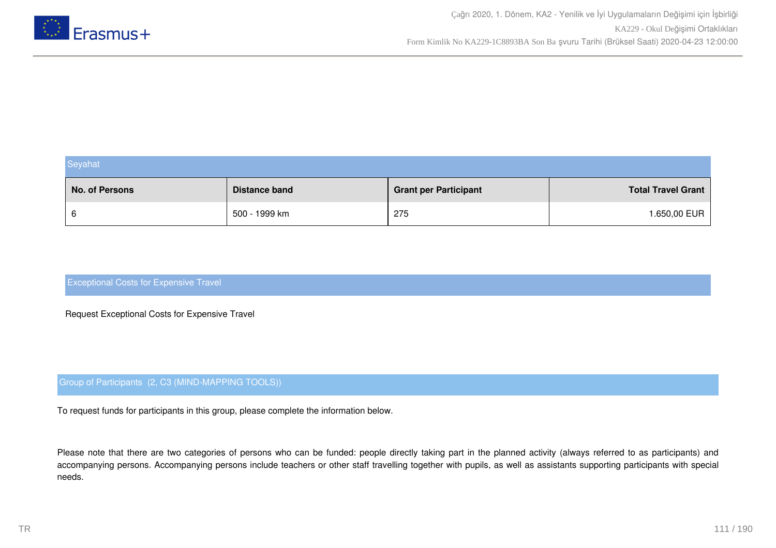

| Seyahat        |                      |                              |                           |
|----------------|----------------------|------------------------------|---------------------------|
| No. of Persons | <b>Distance band</b> | <b>Grant per Participant</b> | <b>Total Travel Grant</b> |
| 6              | 500 - 1999 km        | 275                          | 1.650,00 EUR              |

Request Exceptional Costs for Expensive Travel

### Group of Participants (2, C3 (MIND-MAPPING TOOLS))

To request funds for participants in this group, please complete the information below.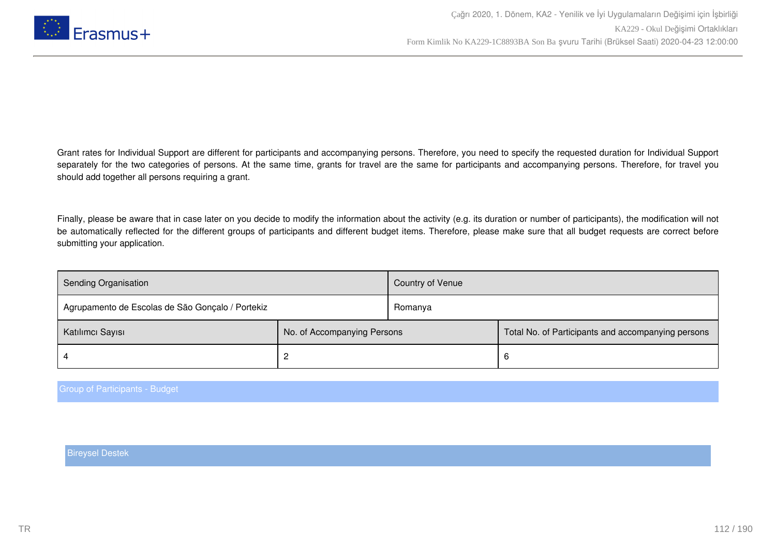

Finally, please be aware that in case later on you decide to modify the information about the activity (e.g. its duration or number of participants), the modification will not be automatically reflected for the different groups of participants and different budget items. Therefore, please make sure that all budget requests are correct before submitting your application.

| <b>Sending Organisation</b>                      |                             | Country of Venue |                                                    |
|--------------------------------------------------|-----------------------------|------------------|----------------------------------------------------|
| Agrupamento de Escolas de São Gonçalo / Portekiz |                             | Romanya          |                                                    |
| Katılımcı Sayısı                                 | No. of Accompanying Persons |                  | Total No. of Participants and accompanying persons |
|                                                  |                             |                  | 6                                                  |

Group of Participants - Budget

Bireysel Destek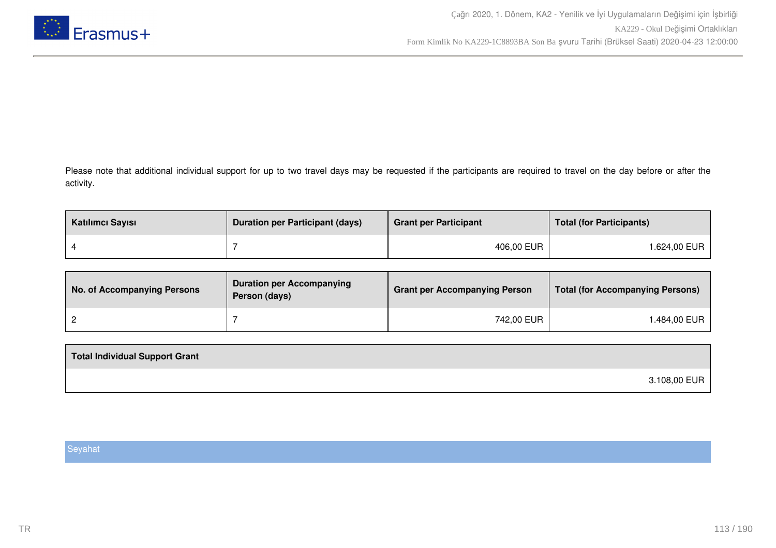

Please note that additional individual support for up to two travel days may be requested if the participants are required to travel on the day before or after the activity.

| Katılımcı Sayısı | <b>Duration per Participant (days)</b> | <b>Grant per Participant</b> | <b>Total (for Participants)</b> |
|------------------|----------------------------------------|------------------------------|---------------------------------|
|                  |                                        | 406,00 EUR                   | 1.624,00 EUR                    |

| No. of Accompanying Persons | <b>Duration per Accompanying</b><br>Person (days) | <b>Grant per Accompanying Person</b> | Total (for Accompanying Persons) |
|-----------------------------|---------------------------------------------------|--------------------------------------|----------------------------------|
|                             |                                                   | 742,00 EUR                           | 1.484,00 EUR                     |

| <b>Total Individual Support Grant</b> |              |
|---------------------------------------|--------------|
|                                       | 3.108,00 EUR |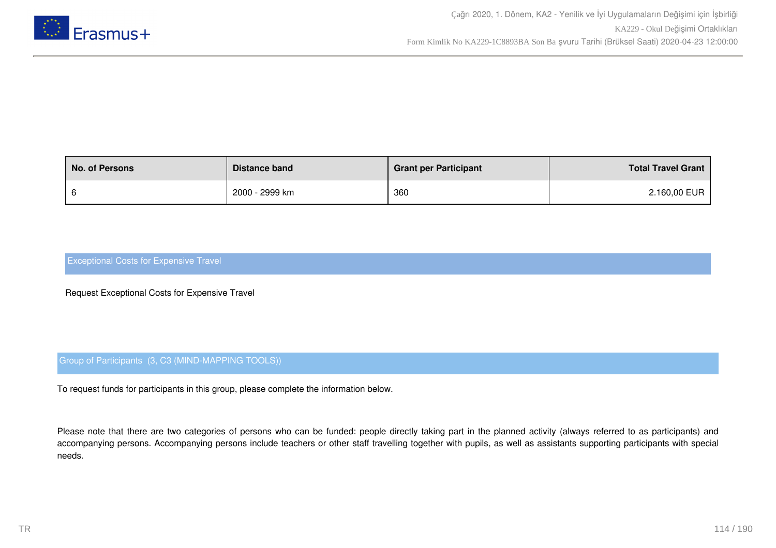

| <b>No. of Persons</b> | Distance band  | <b>Grant per Participant</b> | <b>Total Travel Grant</b> |
|-----------------------|----------------|------------------------------|---------------------------|
|                       | 2000 - 2999 km | 360                          | 2.160,00 EUR              |

Request Exceptional Costs for Expensive Travel

## Group of Participants (3, C3 (MIND-MAPPING TOOLS))

To request funds for participants in this group, please complete the information below.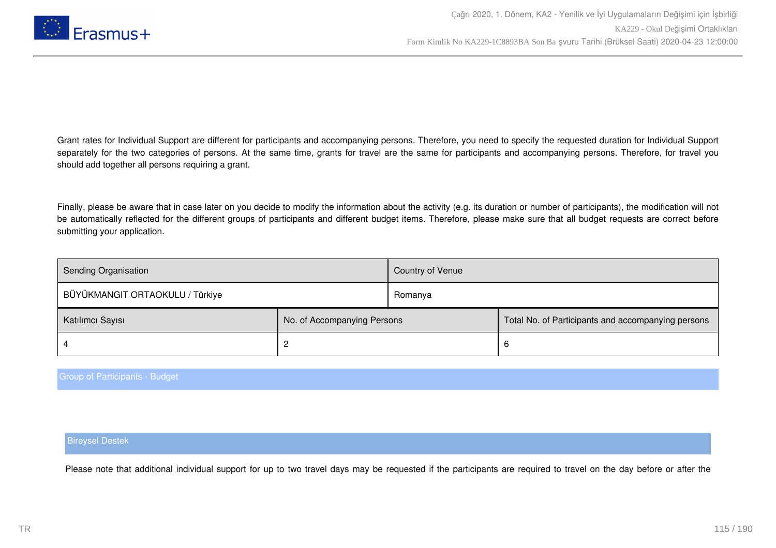

Finally, please be aware that in case later on you decide to modify the information about the activity (e.g. its duration or number of participants), the modification will not be automatically reflected for the different groups of participants and different budget items. Therefore, please make sure that all budget requests are correct before submitting your application.

| Sending Organisation            |                             | Country of Venue |                                                    |
|---------------------------------|-----------------------------|------------------|----------------------------------------------------|
| BÜYÜKMANGIT ORTAOKULU / Türkiye |                             | Romanya          |                                                    |
| Katılımcı Sayısı                | No. of Accompanying Persons |                  | Total No. of Participants and accompanying persons |
|                                 |                             |                  | b                                                  |

### Group of Participants - Budget

### Bireysel Destek

Please note that additional individual support for up to two travel days may be requested if the participants are required to travel on the day before or after the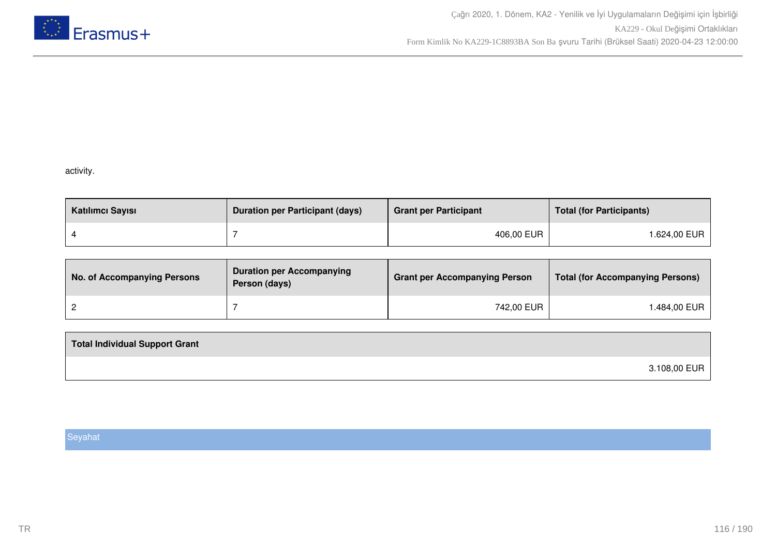

### activity.

| Katılımcı Sayısı | <b>Duration per Participant (days)</b> | <b>Grant per Participant</b> | <b>Total (for Participants)</b> |
|------------------|----------------------------------------|------------------------------|---------------------------------|
|                  |                                        | 406,00 EUR                   | l.624,00 EUR                    |

| No. of Accompanying Persons | <b>Duration per Accompanying</b><br>Person (days) | <b>Grant per Accompanying Person</b> | <b>Total (for Accompanying Persons)</b> |
|-----------------------------|---------------------------------------------------|--------------------------------------|-----------------------------------------|
|                             |                                                   | 742,00 EUR                           | .484,00 EUR                             |

| <b>Total Individual Support Grant</b> |              |
|---------------------------------------|--------------|
|                                       | 3.108,00 EUR |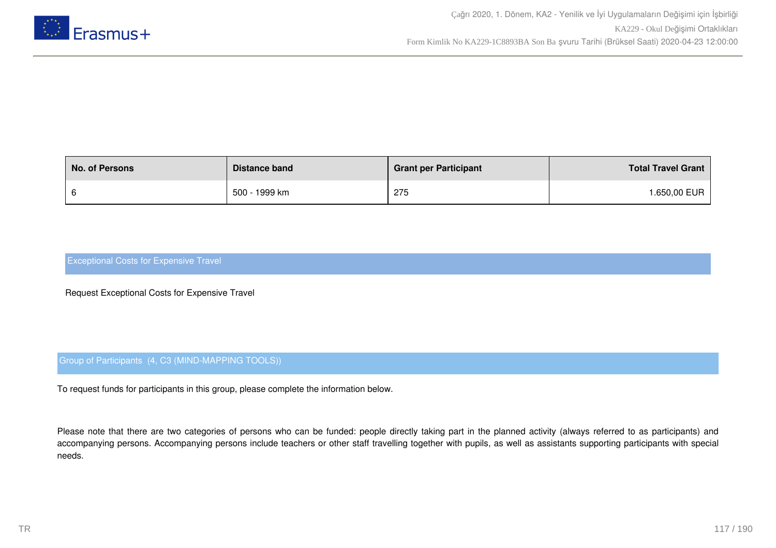

| <b>No. of Persons</b> | Distance band | <b>Grant per Participant</b> | <b>Total Travel Grant</b> |
|-----------------------|---------------|------------------------------|---------------------------|
|                       | 500 - 1999 km | 275                          | <b>.650,00 EUR</b>        |

Request Exceptional Costs for Expensive Travel

## Group of Participants (4, C3 (MIND-MAPPING TOOLS))

To request funds for participants in this group, please complete the information below.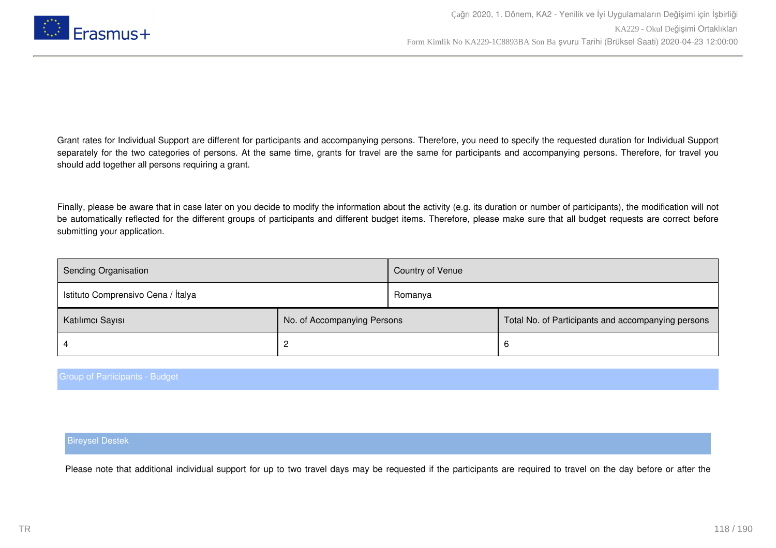

Finally, please be aware that in case later on you decide to modify the information about the activity (e.g. its duration or number of participants), the modification will not be automatically reflected for the different groups of participants and different budget items. Therefore, please make sure that all budget requests are correct before submitting your application.

| <b>Sending Organisation</b>        |                             | Country of Venue |                                                    |
|------------------------------------|-----------------------------|------------------|----------------------------------------------------|
| Istituto Comprensivo Cena / İtalya |                             | Romanya          |                                                    |
| Katılımcı Sayısı                   | No. of Accompanying Persons |                  | Total No. of Participants and accompanying persons |
|                                    |                             |                  | 6                                                  |

### Group of Participants - Budget

### Bireysel Destek

Please note that additional individual support for up to two travel days may be requested if the participants are required to travel on the day before or after the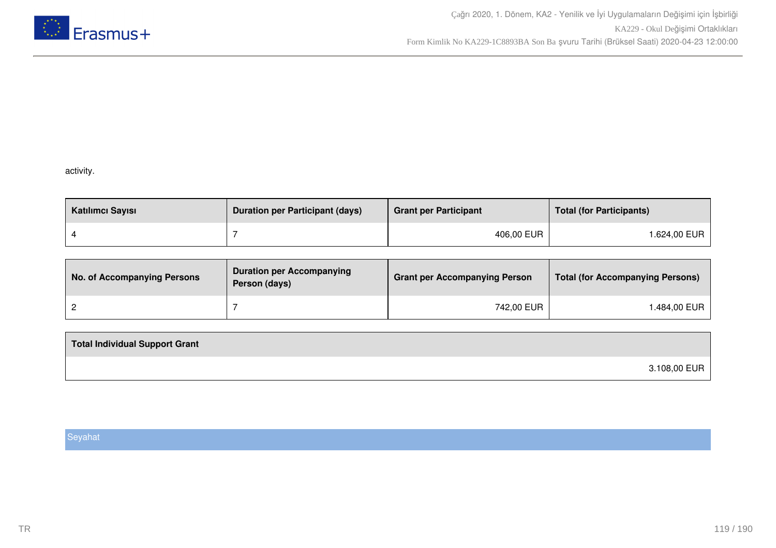

## activity.

| Katılımcı Sayısı | <b>Duration per Participant (days)</b> | <b>Grant per Participant</b> | <b>Total (for Participants)</b> |
|------------------|----------------------------------------|------------------------------|---------------------------------|
|                  |                                        | 406,00 EUR                   | l.624,00 EUR                    |

| No. of Accompanying Persons | <b>Duration per Accompanying</b><br>Person (days) | <b>Grant per Accompanying Person</b> | <b>Total (for Accompanying Persons)</b> |
|-----------------------------|---------------------------------------------------|--------------------------------------|-----------------------------------------|
|                             |                                                   | 742,00 EUR                           | .484,00 EUR                             |

| <b>Total Individual Support Grant</b> |              |
|---------------------------------------|--------------|
|                                       | 3.108,00 EUR |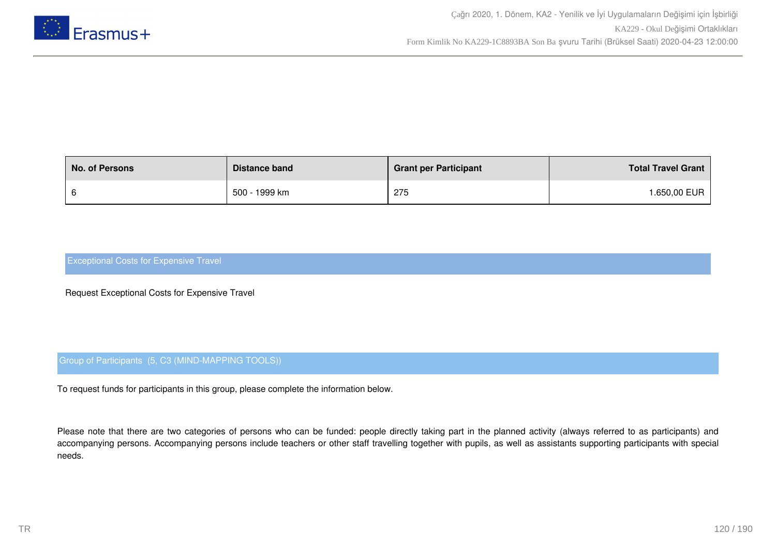

| <b>No. of Persons</b> | Distance band | <b>Grant per Participant</b> | <b>Total Travel Grant</b> |
|-----------------------|---------------|------------------------------|---------------------------|
|                       | 500 - 1999 km | 275                          | <b>.650,00 EUR</b>        |

Request Exceptional Costs for Expensive Travel

## Group of Participants (5, C3 (MIND-MAPPING TOOLS))

To request funds for participants in this group, please complete the information below.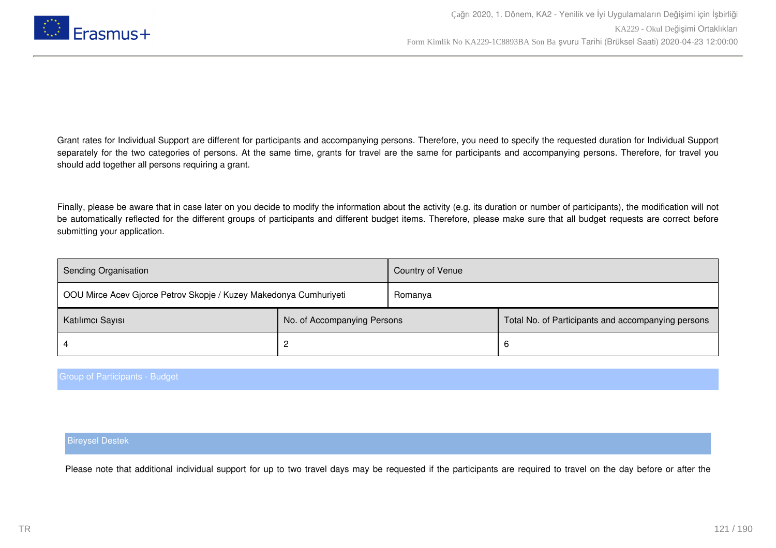

Finally, please be aware that in case later on you decide to modify the information about the activity (e.g. its duration or number of participants), the modification will not be automatically reflected for the different groups of participants and different budget items. Therefore, please make sure that all budget requests are correct before submitting your application.

| Sending Organisation                                              |                             | Country of Venue |                                                    |
|-------------------------------------------------------------------|-----------------------------|------------------|----------------------------------------------------|
| OOU Mirce Acev Gjorce Petrov Skopje / Kuzey Makedonya Cumhuriyeti |                             | Romanya          |                                                    |
| Katılımcı Sayısı                                                  | No. of Accompanying Persons |                  | Total No. of Participants and accompanying persons |
|                                                                   |                             |                  | 6                                                  |

### Group of Participants - Budget

### Bireysel Destek

Please note that additional individual support for up to two travel days may be requested if the participants are required to travel on the day before or after the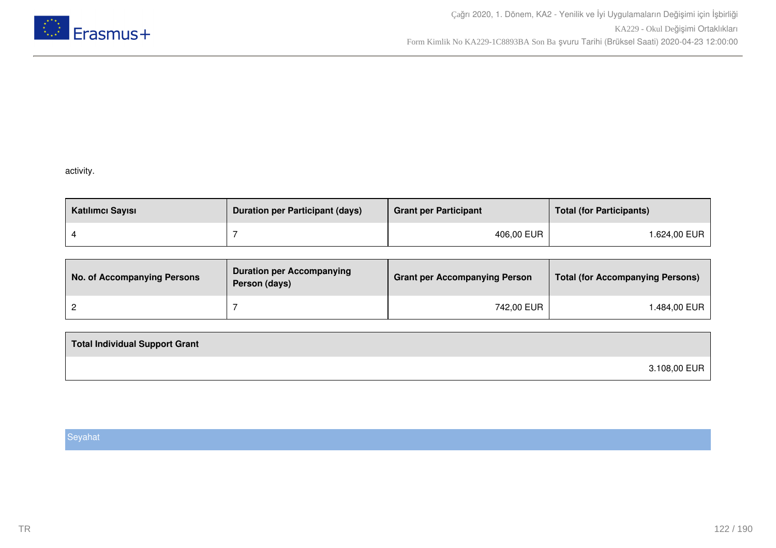

## activity.

| Katılımcı Sayısı | <b>Duration per Participant (days)</b> | <b>Grant per Participant</b> | <b>Total (for Participants)</b> |
|------------------|----------------------------------------|------------------------------|---------------------------------|
|                  |                                        | 406,00 EUR                   | l.624,00 EUR                    |

| No. of Accompanying Persons | <b>Duration per Accompanying</b><br>Person (days) | <b>Grant per Accompanying Person</b> | <b>Total (for Accompanying Persons)</b> |
|-----------------------------|---------------------------------------------------|--------------------------------------|-----------------------------------------|
|                             |                                                   | 742,00 EUR                           | 1.484,00 EUR                            |

| <b>Total Individual Support Grant</b> |              |
|---------------------------------------|--------------|
|                                       | 3.108,00 EUR |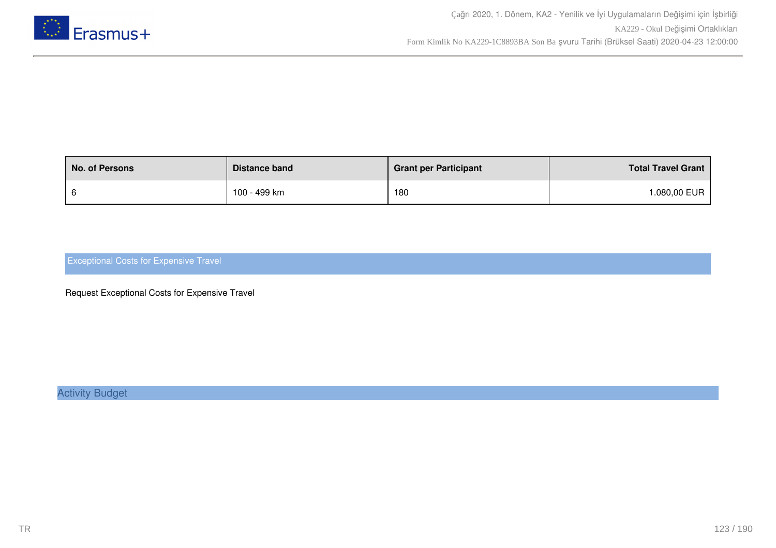

| <b>No. of Persons</b> | Distance band | <b>Grant per Participant</b> | <b>Total Travel Grant</b> |
|-----------------------|---------------|------------------------------|---------------------------|
|                       | 100 - 499 km  | 180                          | .080,00 EUR               |

Request Exceptional Costs for Expensive Travel

Activity Budget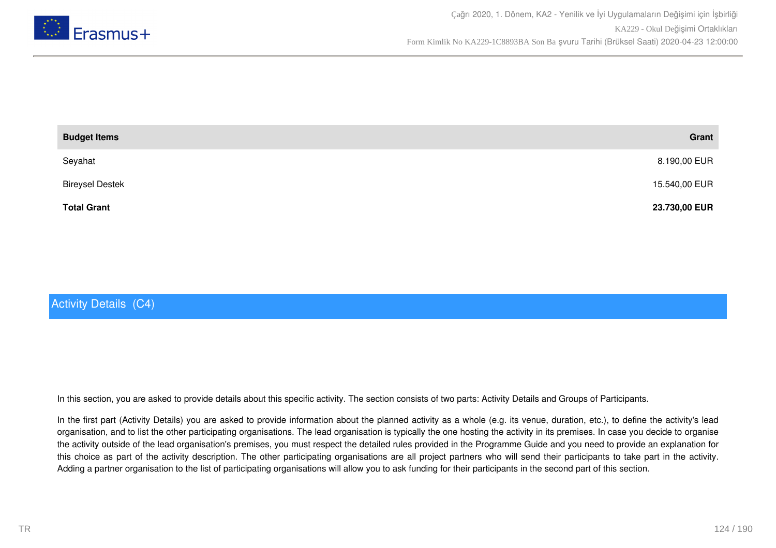

| <b>Budget Items</b>    | Grant         |
|------------------------|---------------|
| Seyahat                | 8.190,00 EUR  |
| <b>Bireysel Destek</b> | 15.540,00 EUR |
| <b>Total Grant</b>     | 23.730,00 EUR |

# Activity Details (C4)

In this section, you are asked to provide details about this specific activity. The section consists of two parts: Activity Details and Groups of Participants.

In the first part (Activity Details) you are asked to provide information about the planned activity as a whole (e.g. its venue, duration, etc.), to define the activity's lead organisation, and to list the other participating organisations. The lead organisation is typically the one hosting the activity in its premises. In case you decide to organise the activity outside of the lead organisation's premises, you must respect the detailed rules provided in the Programme Guide and you need to provide an explanation for this choice as part of the activity description. The other participating organisations are all project partners who will send their participants to take part in the activity. Adding a partner organisation to the list of participating organisations will allow you to ask funding for their participants in the second part of this section.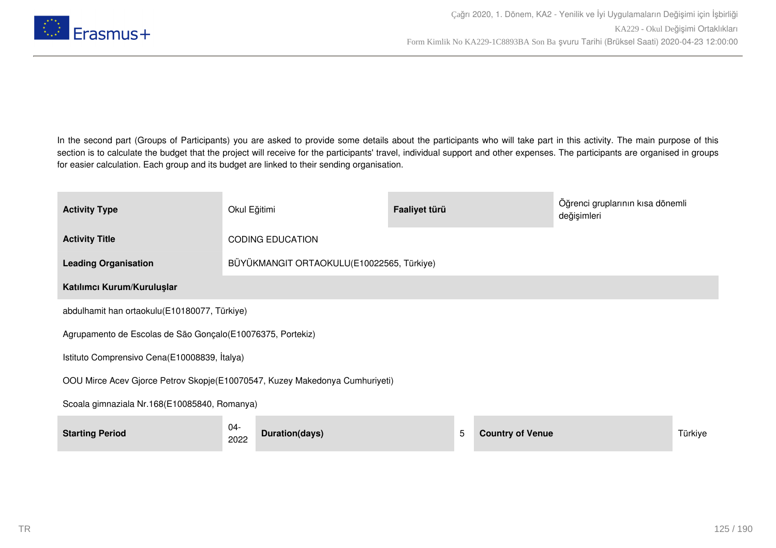

In the second part (Groups of Participants) you are asked to provide some details about the participants who will take part in this activity. The main purpose of this section is to calculate the budget that the project will receive for the participants' travel, individual support and other expenses. The participants are organised in groups for easier calculation. Each group and its budget are linked to their sending organisation.

| <b>Activity Type</b>                                                        | Okul Eğitimi                                 | Faaliyet türü                             |                         | Öğrenci gruplarının kısa dönemli<br>değişimleri |         |  |
|-----------------------------------------------------------------------------|----------------------------------------------|-------------------------------------------|-------------------------|-------------------------------------------------|---------|--|
| <b>Activity Title</b>                                                       | <b>CODING EDUCATION</b>                      |                                           |                         |                                                 |         |  |
| <b>Leading Organisation</b>                                                 |                                              | BÜYÜKMANGIT ORTAOKULU(E10022565, Türkiye) |                         |                                                 |         |  |
| Katılımcı Kurum/Kuruluşlar                                                  |                                              |                                           |                         |                                                 |         |  |
|                                                                             | abdulhamit han ortaokulu(E10180077, Türkiye) |                                           |                         |                                                 |         |  |
| Agrupamento de Escolas de São Gonçalo (E10076375, Portekiz)                 |                                              |                                           |                         |                                                 |         |  |
| Istituto Comprensivo Cena(E10008839, İtalya)                                |                                              |                                           |                         |                                                 |         |  |
| OOU Mirce Acev Gjorce Petrov Skopje(E10070547, Kuzey Makedonya Cumhuriyeti) |                                              |                                           |                         |                                                 |         |  |
| Scoala gimnaziala Nr.168(E10085840, Romanya)                                |                                              |                                           |                         |                                                 |         |  |
| <b>Starting Period</b>                                                      | 04-<br>Duration(days)<br>2022                | 5                                         | <b>Country of Venue</b> |                                                 | Türkiye |  |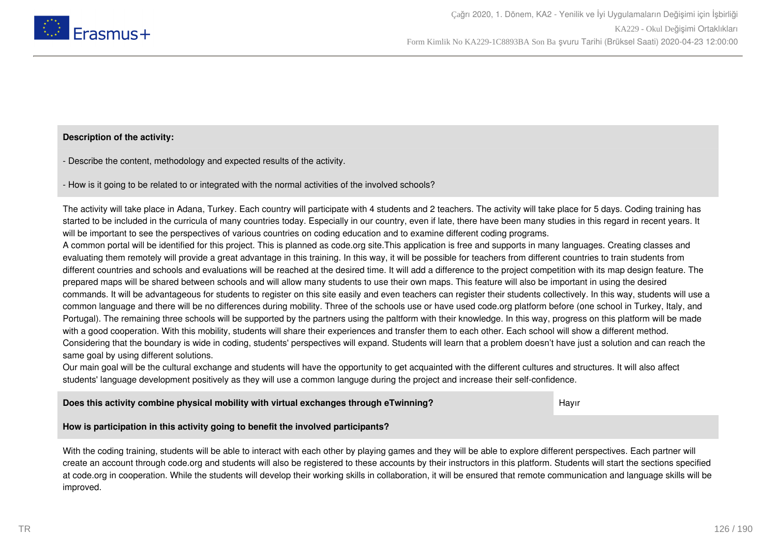

### **Description of the activity:**

- Describe the content, methodology and expected results of the activity.

- How is it going to be related to or integrated with the normal activities of the involved schools?

The activity will take place in Adana, Turkey. Each country will participate with 4 students and 2 teachers. The activity will take place for 5 days. Coding training has started to be included in the curricula of many countries today. Especially in our country, even if late, there have been many studies in this regard in recent years. It will be important to see the perspectives of various countries on coding education and to examine different coding programs.

A common portal will be identified for this project. This is planned as code.org site.This application is free and supports in many languages. Creating classes and evaluating them remotely will provide a great advantage in this training. In this way, it will be possible for teachers from different countries to train students from different countries and schools and evaluations will be reached at the desired time. It will add a difference to the project competition with its map design feature. The prepared maps will be shared between schools and will allow many students to use their own maps. This feature will also be important in using the desired commands. It will be advantageous for students to register on this site easily and even teachers can register their students collectively. In this way, students will use a common language and there will be no differences during mobility. Three of the schools use or have used code.org platform before (one school in Turkey, Italy, and Portugal). The remaining three schools will be supported by the partners using the paltform with their knowledge. In this way, progress on this platform will be made with a good cooperation. With this mobility, students will share their experiences and transfer them to each other. Each school will show a different method. Considering that the boundary is wide in coding, students' perspectives will expand. Students will learn that a problem doesn't have just a solution and can reach the same goal by using different solutions.

Our main goal will be the cultural exchange and students will have the opportunity to get acquainted with the different cultures and structures. It will also affect students' language development positively as they will use a common languge during the project and increase their self-confidence.

**Does this activity combine physical mobility with virtual exchanges through eTwinning?** Hayir

## **How is participation in this activity going to benefit the involved participants?**

With the coding training, students will be able to interact with each other by playing games and they will be able to explore different perspectives. Each partner will create an account through code.org and students will also be registered to these accounts by their instructors in this platform. Students will start the sections specified at code.org in cooperation. While the students will develop their working skills in collaboration, it will be ensured that remote communication and language skills will be improved.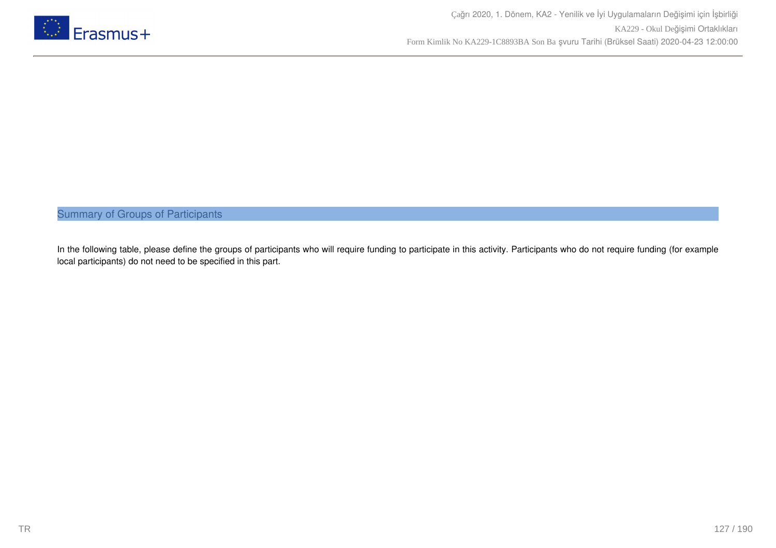

Summary of Groups of Participants

In the following table, please define the groups of participants who will require funding to participate in this activity. Participants who do not require funding (for example local participants) do not need to be specified in this part.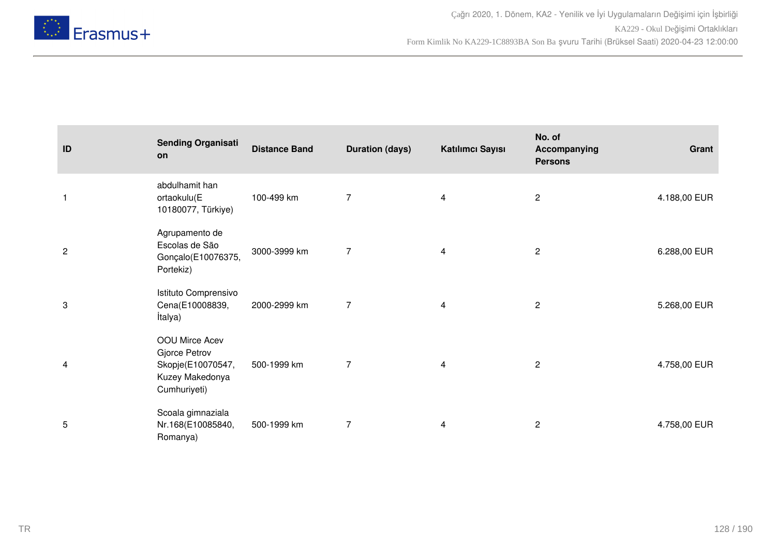

| ID                      | <b>Sending Organisati</b><br>on                                                         | <b>Distance Band</b> | <b>Duration (days)</b> | Katılımcı Sayısı        | No. of<br>Accompanying<br><b>Persons</b> | Grant        |
|-------------------------|-----------------------------------------------------------------------------------------|----------------------|------------------------|-------------------------|------------------------------------------|--------------|
| $\mathbf{1}$            | abdulhamit han<br>ortaokulu(E<br>10180077, Türkiye)                                     | 100-499 km           | $\overline{7}$         | $\overline{\mathbf{4}}$ | $\mathbf{2}$                             | 4.188,00 EUR |
| $\sqrt{2}$              | Agrupamento de<br>Escolas de São<br>Gonçalo(E10076375,<br>Portekiz)                     | 3000-3999 km         | $\overline{7}$         | 4                       | $\overline{c}$                           | 6.288,00 EUR |
| 3                       | Istituto Comprensivo<br>Cena(E10008839,<br>İtalya)                                      | 2000-2999 km         | $\overline{7}$         | 4                       | $\overline{c}$                           | 5.268,00 EUR |
| $\overline{\mathbf{4}}$ | OOU Mirce Acev<br>Gjorce Petrov<br>Skopje(E10070547,<br>Kuzey Makedonya<br>Cumhuriyeti) | 500-1999 km          | $\overline{7}$         | 4                       | $\mathbf{2}$                             | 4.758,00 EUR |
| 5                       | Scoala gimnaziala<br>Nr.168(E10085840,<br>Romanya)                                      | 500-1999 km          | $\overline{7}$         | 4                       | $\mathbf{2}$                             | 4.758,00 EUR |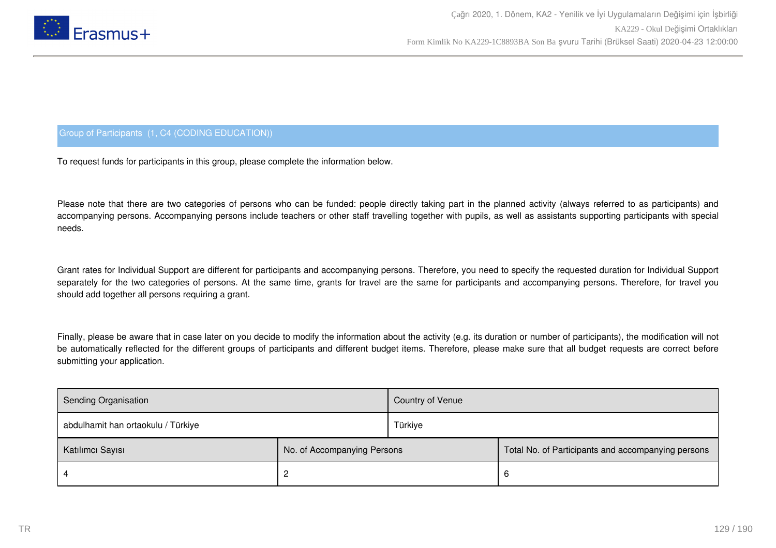

## Group of Participants (1, C4 (CODING EDUCATION))

To request funds for participants in this group, please complete the information below.

Please note that there are two categories of persons who can be funded: people directly taking part in the planned activity (always referred to as participants) and accompanying persons. Accompanying persons include teachers or other staff travelling together with pupils, as well as assistants supporting participants with special needs.

Grant rates for Individual Support are different for participants and accompanying persons. Therefore, you need to specify the requested duration for Individual Support separately for the two categories of persons. At the same time, grants for travel are the same for participants and accompanying persons. Therefore, for travel you should add together all persons requiring a grant.

Finally, please be aware that in case later on you decide to modify the information about the activity (e.g. its duration or number of participants), the modification will not be automatically reflected for the different groups of participants and different budget items. Therefore, please make sure that all budget requests are correct before submitting your application.

| Sending Organisation               |                             | <b>Country of Venue</b> |                                                    |
|------------------------------------|-----------------------------|-------------------------|----------------------------------------------------|
| abdulhamit han ortaokulu / Türkiye |                             | Türkiye                 |                                                    |
| Katılımcı Sayısı                   | No. of Accompanying Persons |                         | Total No. of Participants and accompanying persons |
|                                    |                             |                         | <sub>t</sub>                                       |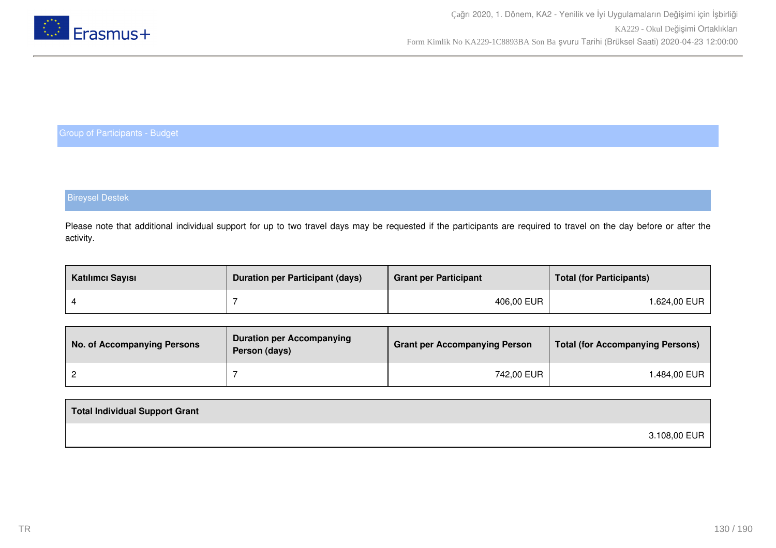

## Bireysel Destek

Please note that additional individual support for up to two travel days may be requested if the participants are required to travel on the day before or after the activity.

| Katılımcı Sayısı | <b>Duration per Participant (days)</b> | <b>Grant per Participant</b> | <b>Total (for Participants)</b> |
|------------------|----------------------------------------|------------------------------|---------------------------------|
|                  |                                        | 406,00 EUR                   | l.624,00 EUR                    |

| No. of Accompanying Persons | <b>Duration per Accompanying</b><br>Person (days) | <b>Grant per Accompanying Person</b> | <b>Total (for Accompanying Persons)</b> |
|-----------------------------|---------------------------------------------------|--------------------------------------|-----------------------------------------|
|                             |                                                   | 742,00 EUR                           | ⊦.484,00 EUR                            |

| Total Individual Support Grant |              |
|--------------------------------|--------------|
|                                | 3.108,00 EUR |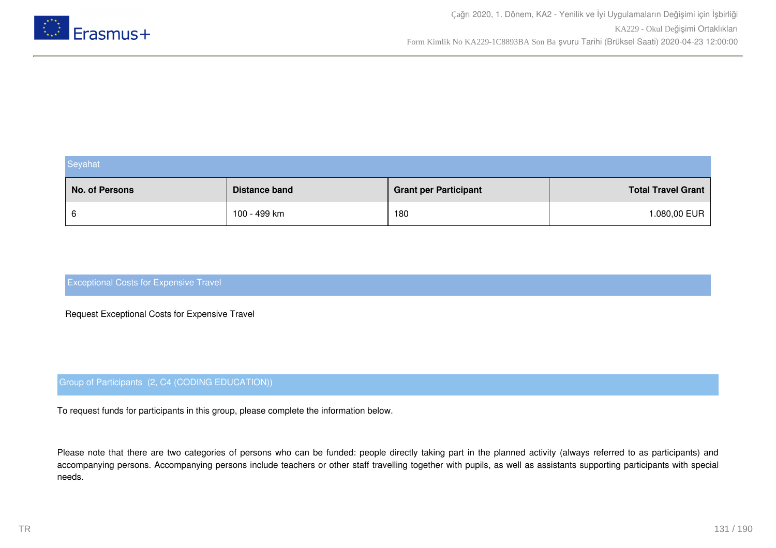

| Seyahat        |                      |                              |                           |  |
|----------------|----------------------|------------------------------|---------------------------|--|
| No. of Persons | <b>Distance band</b> | <b>Grant per Participant</b> | <b>Total Travel Grant</b> |  |
| 6              | 100 - 499 km         | 180                          | 1.080,00 EUR              |  |

Request Exceptional Costs for Expensive Travel

## Group of Participants (2, C4 (CODING EDUCATION))

To request funds for participants in this group, please complete the information below.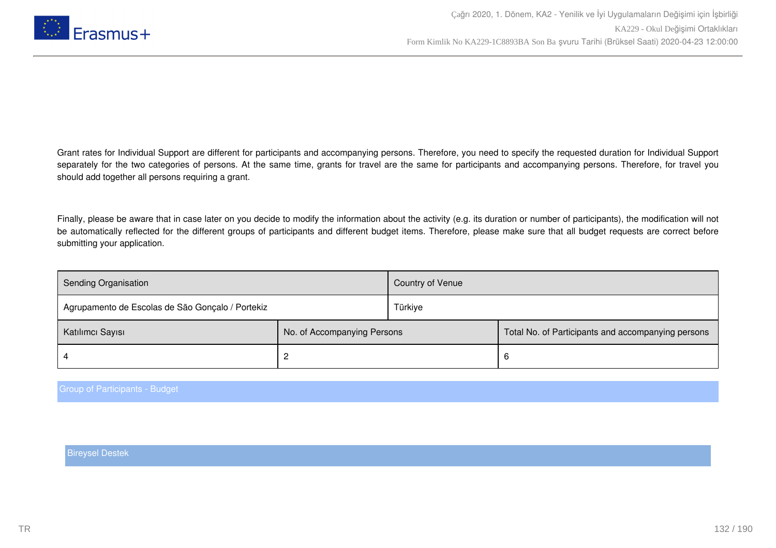

Finally, please be aware that in case later on you decide to modify the information about the activity (e.g. its duration or number of participants), the modification will not be automatically reflected for the different groups of participants and different budget items. Therefore, please make sure that all budget requests are correct before submitting your application.

| <b>Sending Organisation</b>                      |                             | Country of Venue |                                                    |
|--------------------------------------------------|-----------------------------|------------------|----------------------------------------------------|
| Agrupamento de Escolas de São Gonçalo / Portekiz |                             | Türkiye          |                                                    |
| Katılımcı Sayısı                                 | No. of Accompanying Persons |                  | Total No. of Participants and accompanying persons |
|                                                  |                             |                  | 6                                                  |

Group of Participants - Budget

Bireysel Destek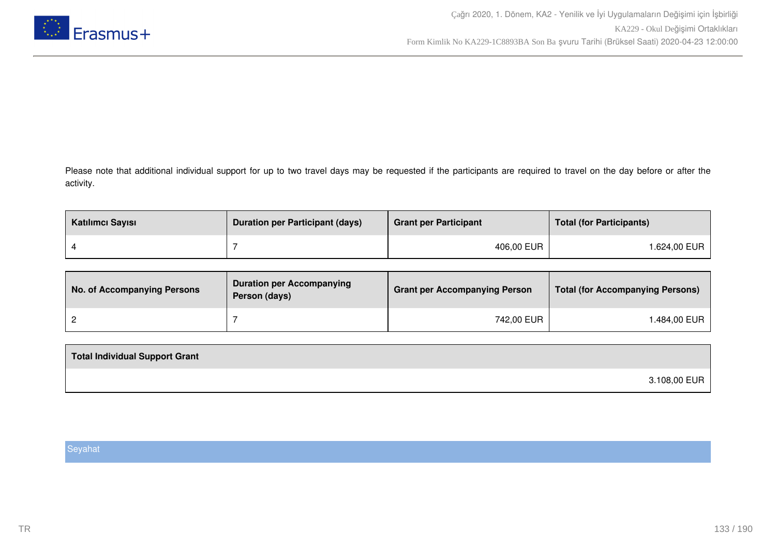

Please note that additional individual support for up to two travel days may be requested if the participants are required to travel on the day before or after the activity.

| Katılımcı Sayısı | <b>Duration per Participant (days)</b> | <b>Grant per Participant</b> | <b>Total (for Participants)</b> |
|------------------|----------------------------------------|------------------------------|---------------------------------|
|                  |                                        | 406,00 EUR                   | 1.624,00 EUR                    |

| No. of Accompanying Persons | <b>Duration per Accompanying</b><br>Person (days) | <b>Grant per Accompanying Person</b> | Total (for Accompanying Persons) |
|-----------------------------|---------------------------------------------------|--------------------------------------|----------------------------------|
|                             |                                                   | 742,00 EUR                           | 1.484,00 EUR                     |

| 3.108,00 EUR |  |
|--------------|--|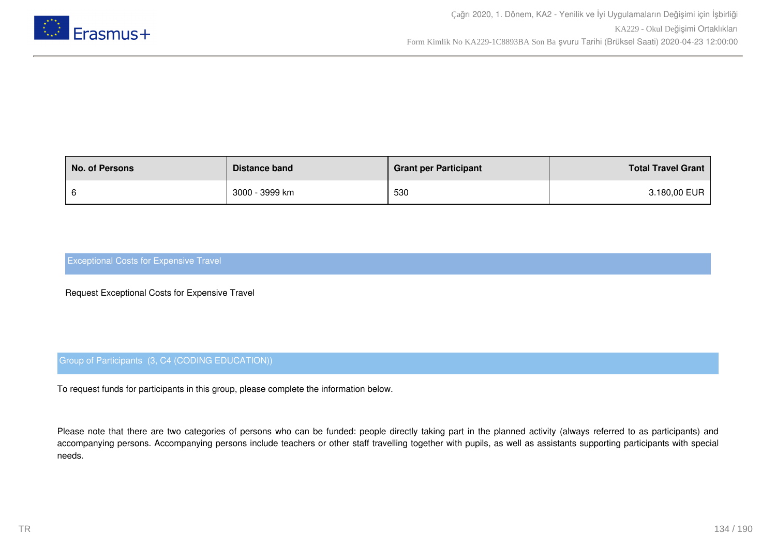

| <b>No. of Persons</b> | Distance band  | <b>Grant per Participant</b> | <b>Total Travel Grant</b> |
|-----------------------|----------------|------------------------------|---------------------------|
|                       | 3000 - 3999 km | 530                          | 3.180,00 EUR              |

Request Exceptional Costs for Expensive Travel

## Group of Participants (3, C4 (CODING EDUCATION))

To request funds for participants in this group, please complete the information below.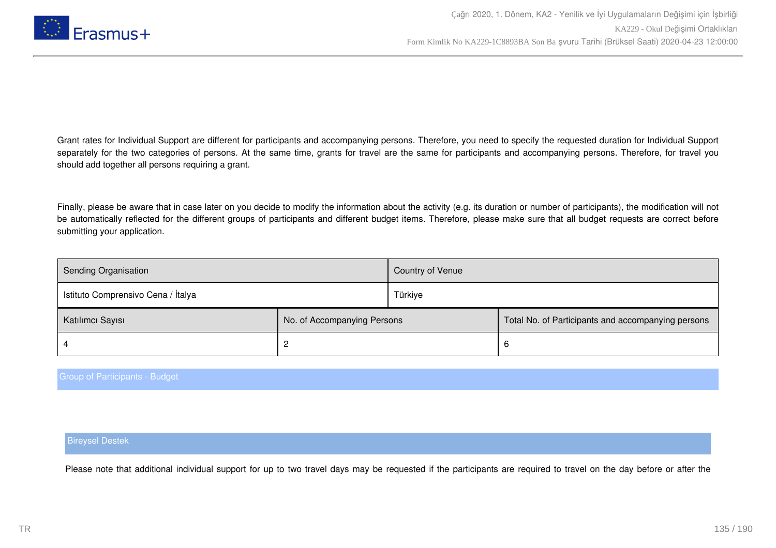

Finally, please be aware that in case later on you decide to modify the information about the activity (e.g. its duration or number of participants), the modification will not be automatically reflected for the different groups of participants and different budget items. Therefore, please make sure that all budget requests are correct before submitting your application.

| <b>Sending Organisation</b>        |                             | Country of Venue |                                                    |
|------------------------------------|-----------------------------|------------------|----------------------------------------------------|
| Istituto Comprensivo Cena / Italya |                             | Türkiye          |                                                    |
| Katılımcı Sayısı                   | No. of Accompanying Persons |                  | Total No. of Participants and accompanying persons |
|                                    |                             |                  | 6                                                  |

### Group of Participants - Budget

### Bireysel Destek

Please note that additional individual support for up to two travel days may be requested if the participants are required to travel on the day before or after the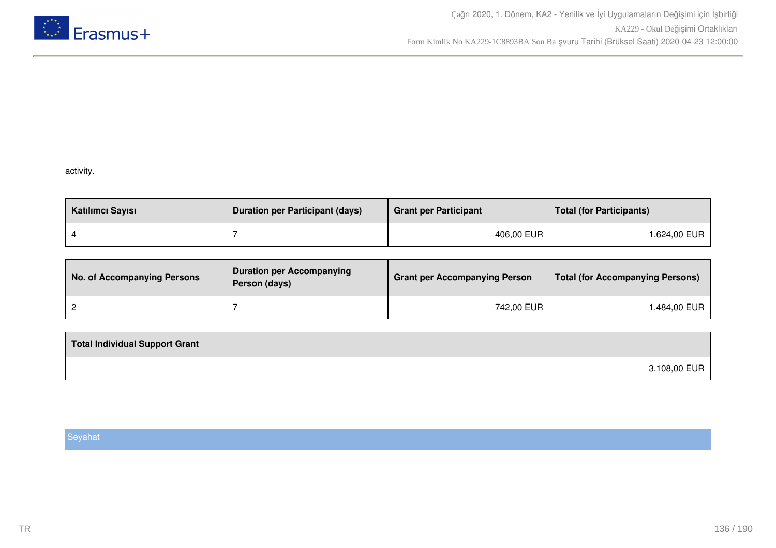

## activity.

| Katılımcı Sayısı | <b>Duration per Participant (days)</b> | <b>Grant per Participant</b> | <b>Total (for Participants)</b> |
|------------------|----------------------------------------|------------------------------|---------------------------------|
|                  |                                        | 406,00 EUR                   | l.624,00 EUR                    |

| No. of Accompanying Persons | <b>Duration per Accompanying</b><br>Person (days) | <b>Grant per Accompanying Person</b> | <b>Total (for Accompanying Persons)</b> |
|-----------------------------|---------------------------------------------------|--------------------------------------|-----------------------------------------|
|                             |                                                   | 742,00 EUR                           | .484,00 EUR                             |

| <b>Total Individual Support Grant</b> |              |
|---------------------------------------|--------------|
|                                       | 3.108,00 EUR |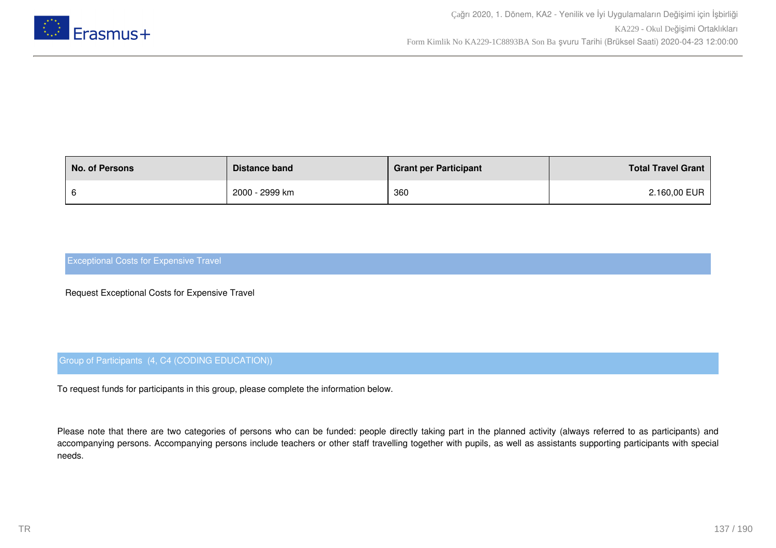

| <b>No. of Persons</b> | Distance band  | <b>Grant per Participant</b> | <b>Total Travel Grant</b> |
|-----------------------|----------------|------------------------------|---------------------------|
|                       | 2000 - 2999 km | 360                          | 2.160,00 EUR              |

Request Exceptional Costs for Expensive Travel

## Group of Participants (4, C4 (CODING EDUCATION))

To request funds for participants in this group, please complete the information below.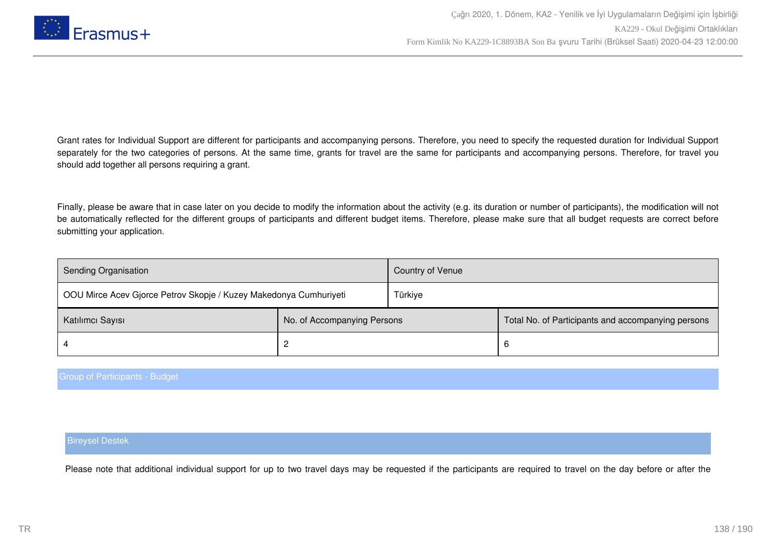

Finally, please be aware that in case later on you decide to modify the information about the activity (e.g. its duration or number of participants), the modification will not be automatically reflected for the different groups of participants and different budget items. Therefore, please make sure that all budget requests are correct before submitting your application.

| <b>Sending Organisation</b>                                       |                             | Country of Venue |                                                    |
|-------------------------------------------------------------------|-----------------------------|------------------|----------------------------------------------------|
| OOU Mirce Acev Gjorce Petrov Skopje / Kuzey Makedonya Cumhuriyeti |                             | Türkiye          |                                                    |
| Katılımcı Sayısı                                                  | No. of Accompanying Persons |                  | Total No. of Participants and accompanying persons |
|                                                                   |                             |                  | 6                                                  |

### Group of Participants - Budget

### Bireysel Destek

Please note that additional individual support for up to two travel days may be requested if the participants are required to travel on the day before or after the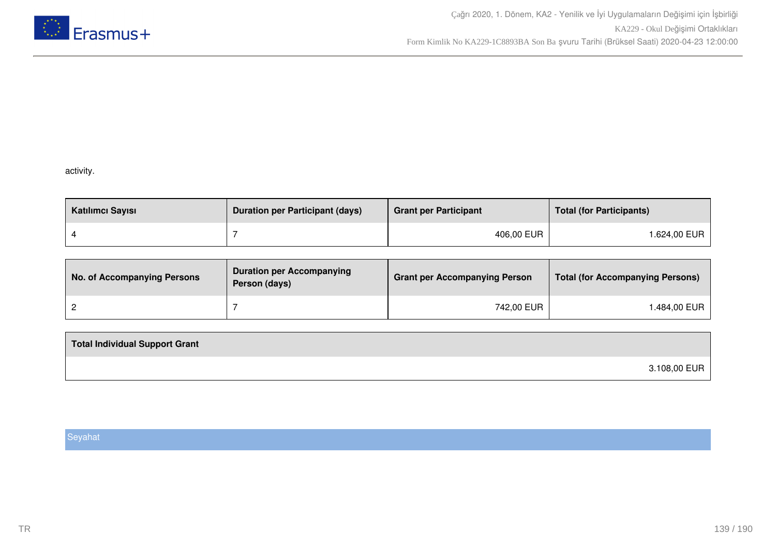

### activity.

| Katılımcı Sayısı | <b>Duration per Participant (days)</b> | <b>Grant per Participant</b> | <b>Total (for Participants)</b> |
|------------------|----------------------------------------|------------------------------|---------------------------------|
|                  |                                        | 406,00 EUR                   | l.624,00 EUR                    |

| No. of Accompanying Persons | <b>Duration per Accompanying</b><br>Person (days) | <b>Grant per Accompanying Person</b> | <b>Total (for Accompanying Persons)</b> |
|-----------------------------|---------------------------------------------------|--------------------------------------|-----------------------------------------|
|                             |                                                   | 742,00 EUR                           | .484,00 EUR                             |

| <b>Total Individual Support Grant</b> |              |
|---------------------------------------|--------------|
|                                       | 3.108,00 EUR |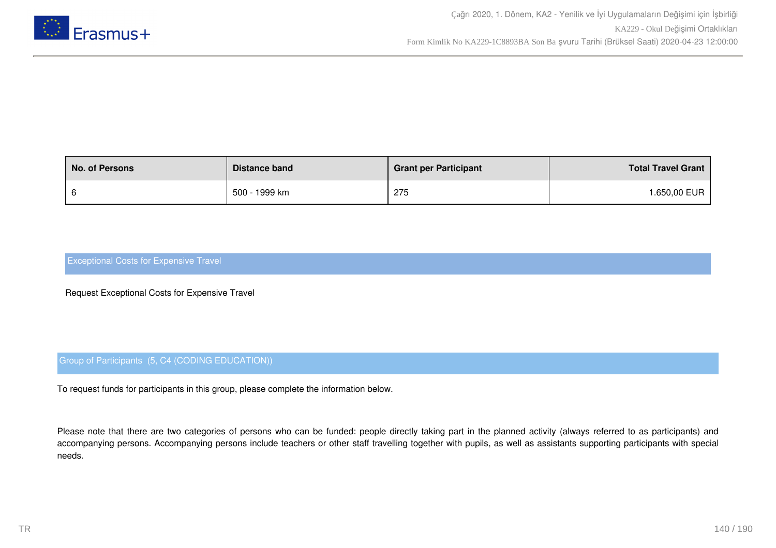

| <b>No. of Persons</b> | Distance band | <b>Grant per Participant</b> | <b>Total Travel Grant</b> |
|-----------------------|---------------|------------------------------|---------------------------|
|                       | 500 - 1999 km | 275                          | <b>.650,00 EUR</b>        |

Request Exceptional Costs for Expensive Travel

## Group of Participants (5, C4 (CODING EDUCATION))

To request funds for participants in this group, please complete the information below.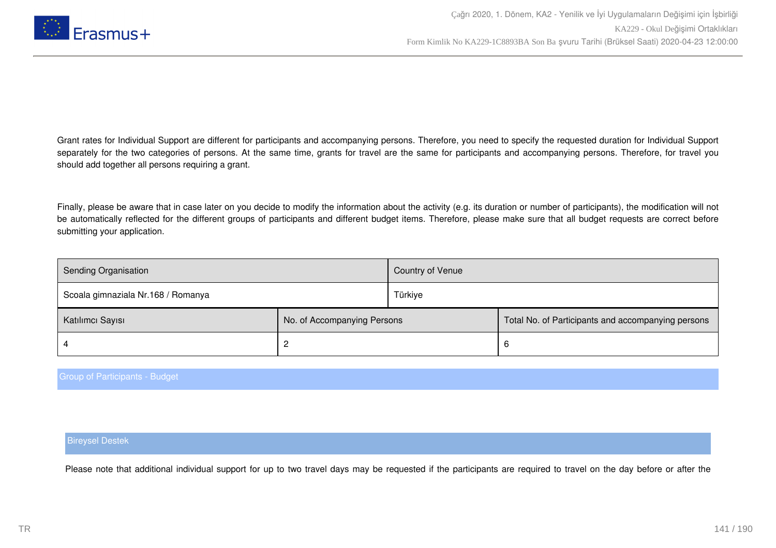

Finally, please be aware that in case later on you decide to modify the information about the activity (e.g. its duration or number of participants), the modification will not be automatically reflected for the different groups of participants and different budget items. Therefore, please make sure that all budget requests are correct before submitting your application.

| <b>Sending Organisation</b>        |                             | Country of Venue |                                                    |
|------------------------------------|-----------------------------|------------------|----------------------------------------------------|
| Scoala gimnaziala Nr.168 / Romanya |                             | Türkiye          |                                                    |
| Katılımcı Sayısı                   | No. of Accompanying Persons |                  | Total No. of Participants and accompanying persons |
|                                    |                             |                  | 6                                                  |

### Group of Participants - Budget

### Bireysel Destek

Please note that additional individual support for up to two travel days may be requested if the participants are required to travel on the day before or after the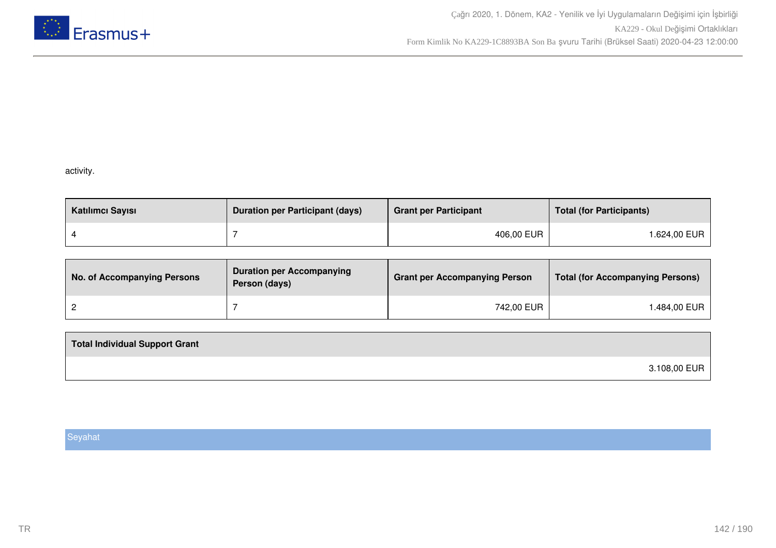

## activity.

| Katılımcı Sayısı | <b>Duration per Participant (days)</b> | <b>Grant per Participant</b> | <b>Total (for Participants)</b> |
|------------------|----------------------------------------|------------------------------|---------------------------------|
|                  |                                        | 406,00 EUR                   | l.624,00 EUR                    |

| No. of Accompanying Persons | <b>Duration per Accompanying</b><br>Person (days) | <b>Grant per Accompanying Person</b> | <b>Total (for Accompanying Persons)</b> |
|-----------------------------|---------------------------------------------------|--------------------------------------|-----------------------------------------|
|                             |                                                   | 742,00 EUR                           | 1.484,00 EUR                            |

| <b>Total Individual Support Grant</b> |              |
|---------------------------------------|--------------|
|                                       | 3.108,00 EUR |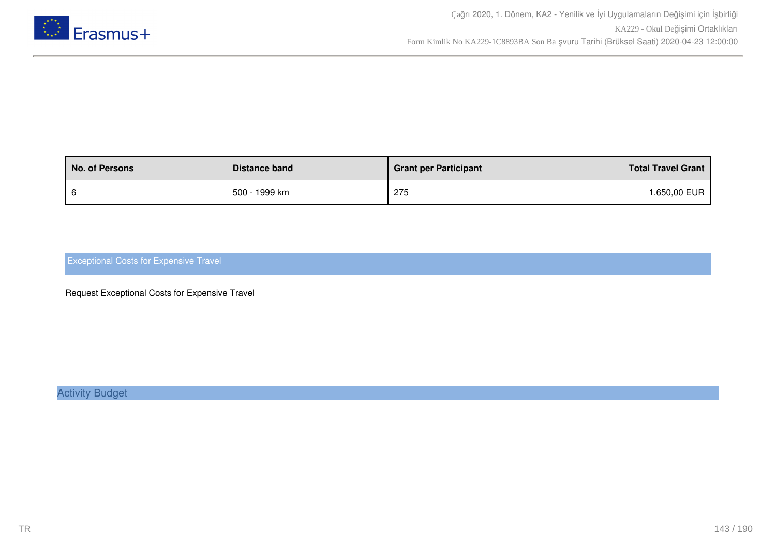

| <b>No. of Persons</b> | Distance band | <b>Grant per Participant</b> | <b>Total Travel Grant</b> |
|-----------------------|---------------|------------------------------|---------------------------|
|                       | 500 - 1999 km | 275                          | .650,00 EUR               |

Request Exceptional Costs for Expensive Travel

Activity Budget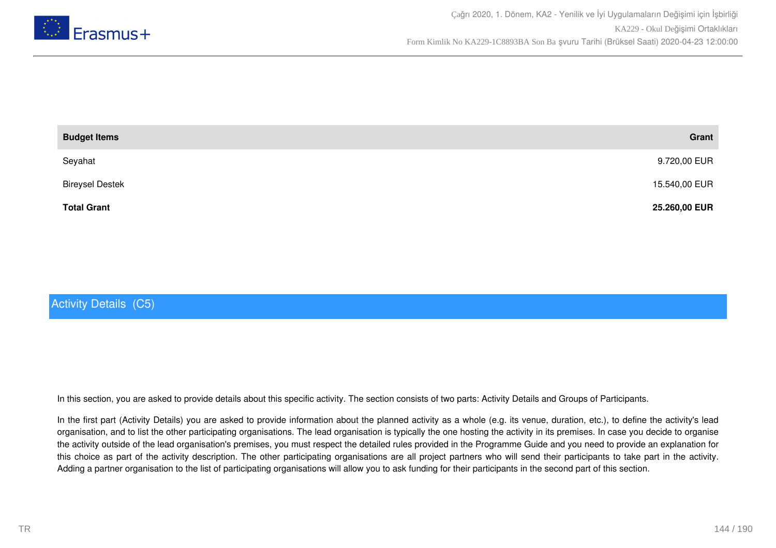

| <b>Budget Items</b>    | Grant         |
|------------------------|---------------|
| Seyahat                | 9.720,00 EUR  |
| <b>Bireysel Destek</b> | 15.540,00 EUR |
| <b>Total Grant</b>     | 25.260,00 EUR |

# Activity Details (C5)

In this section, you are asked to provide details about this specific activity. The section consists of two parts: Activity Details and Groups of Participants.

In the first part (Activity Details) you are asked to provide information about the planned activity as a whole (e.g. its venue, duration, etc.), to define the activity's lead organisation, and to list the other participating organisations. The lead organisation is typically the one hosting the activity in its premises. In case you decide to organise the activity outside of the lead organisation's premises, you must respect the detailed rules provided in the Programme Guide and you need to provide an explanation for this choice as part of the activity description. The other participating organisations are all project partners who will send their participants to take part in the activity. Adding a partner organisation to the list of participating organisations will allow you to ask funding for their participants in the second part of this section.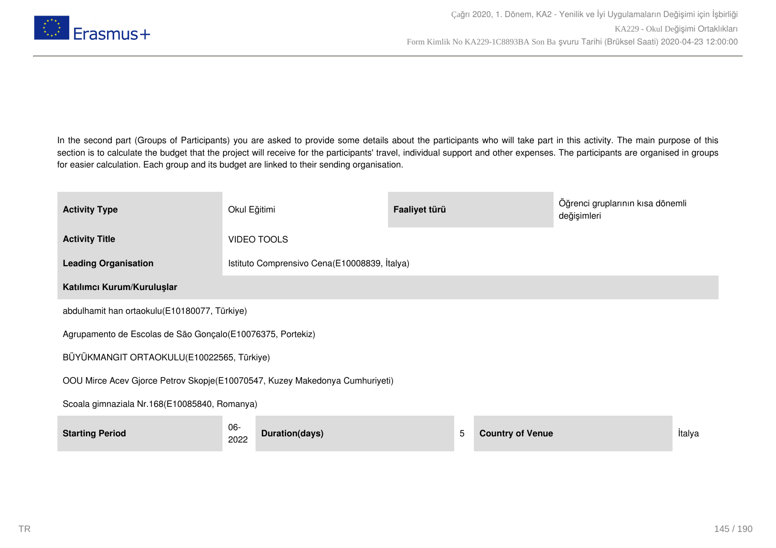

In the second part (Groups of Participants) you are asked to provide some details about the participants who will take part in this activity. The main purpose of this section is to calculate the budget that the project will receive for the participants' travel, individual support and other expenses. The participants are organised in groups for easier calculation. Each group and its budget are linked to their sending organisation.

| <b>Activity Type</b>                                                        | Okul Eğitimi                                 |                                              | Faaliyet türü |   |                         | Öğrenci gruplarının kısa dönemli<br>değişimleri |        |
|-----------------------------------------------------------------------------|----------------------------------------------|----------------------------------------------|---------------|---|-------------------------|-------------------------------------------------|--------|
| <b>Activity Title</b>                                                       |                                              | <b>VIDEO TOOLS</b>                           |               |   |                         |                                                 |        |
| <b>Leading Organisation</b>                                                 |                                              | Istituto Comprensivo Cena(E10008839, İtalya) |               |   |                         |                                                 |        |
| Katılımcı Kurum/Kuruluşlar                                                  |                                              |                                              |               |   |                         |                                                 |        |
|                                                                             | abdulhamit han ortaokulu(E10180077, Türkiye) |                                              |               |   |                         |                                                 |        |
| Agrupamento de Escolas de São Gonçalo (E10076375, Portekiz)                 |                                              |                                              |               |   |                         |                                                 |        |
| BÜYÜKMANGIT ORTAOKULU(E10022565, Türkiye)                                   |                                              |                                              |               |   |                         |                                                 |        |
| OOU Mirce Acev Gjorce Petrov Skopje(E10070547, Kuzey Makedonya Cumhuriyeti) |                                              |                                              |               |   |                         |                                                 |        |
| Scoala gimnaziala Nr.168(E10085840, Romanya)                                |                                              |                                              |               |   |                         |                                                 |        |
| <b>Starting Period</b>                                                      | $06 -$<br>2022                               | Duration(days)                               |               | 5 | <b>Country of Venue</b> |                                                 | İtalya |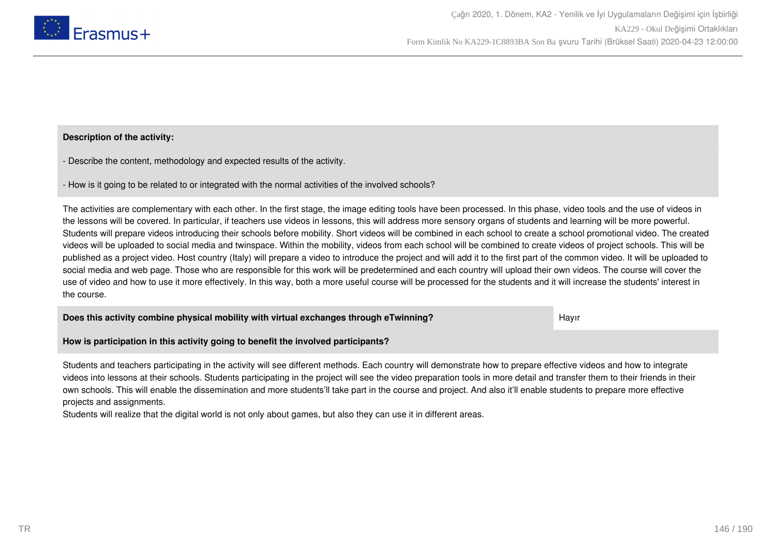

# **Description of the activity:**

- Describe the content, methodology and expected results of the activity.

- How is it going to be related to or integrated with the normal activities of the involved schools?

The activities are complementary with each other. In the first stage, the image editing tools have been processed. In this phase, video tools and the use of videos in the lessons will be covered. In particular, if teachers use videos in lessons, this will address more sensory organs of students and learning will be more powerful. Students will prepare videos introducing their schools before mobility. Short videos will be combined in each school to create a school promotional video. The created videos will be uploaded to social media and twinspace. Within the mobility, videos from each school will be combined to create videos of project schools. This will be published as a project video. Host country (Italy) will prepare a video to introduce the project and will add it to the first part of the common video. It will be uploaded to social media and web page. Those who are responsible for this work will be predetermined and each country will upload their own videos. The course will cover the use of video and how to use it more effectively. In this way, both a more useful course will be processed for the students and it will increase the students' interest in the course.

**Does this activity combine physical mobility with virtual exchanges through eTwinning?** Hayir

**How is participation in this activity going to benefit the involved participants?**

Students and teachers participating in the activity will see different methods. Each country will demonstrate how to prepare effective videos and how to integrate videos into lessons at their schools. Students participating in the project will see the video preparation tools in more detail and transfer them to their friends in their own schools. This will enable the dissemination and more students'll take part in the course and project. And also it'll enable students to prepare more effective projects and assignments.

Students will realize that the digital world is not only about games, but also they can use it in different areas.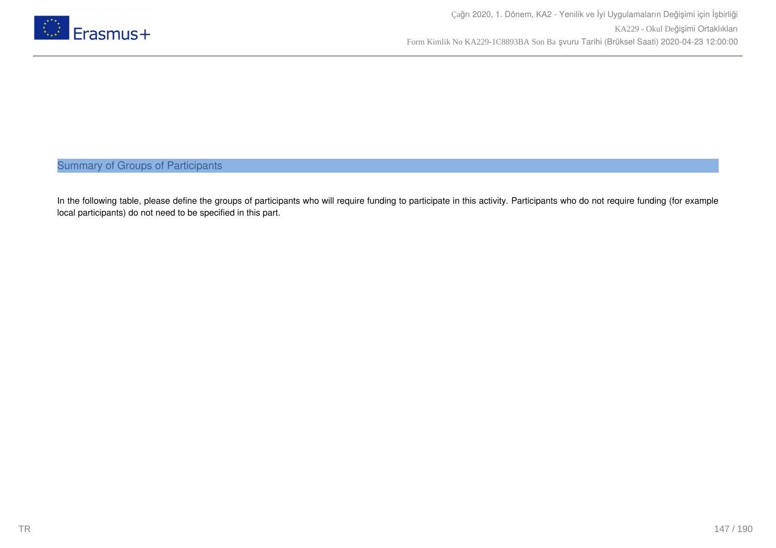

Summary of Groups of Participants

In the following table, please define the groups of participants who will require funding to participate in this activity. Participants who do not require funding (for example local participants) do not need to be specified in this part.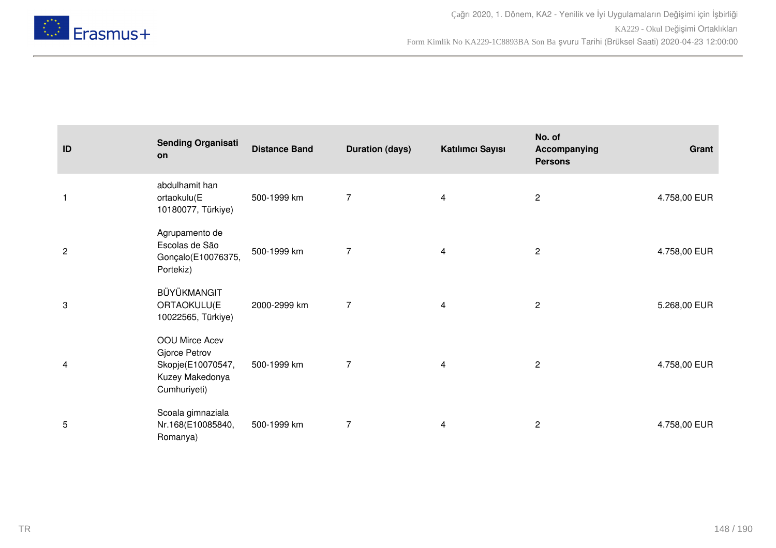

| ID             | <b>Sending Organisati</b><br>on                                                         | <b>Distance Band</b> | <b>Duration (days)</b> | Katılımcı Sayısı | No. of<br>Accompanying<br><b>Persons</b> | Grant        |
|----------------|-----------------------------------------------------------------------------------------|----------------------|------------------------|------------------|------------------------------------------|--------------|
| $\mathbf{1}$   | abdulhamit han<br>ortaokulu(E<br>10180077, Türkiye)                                     | 500-1999 km          | $\overline{7}$         | $\overline{4}$   | $\mathbf{2}$                             | 4.758,00 EUR |
| $\overline{c}$ | Agrupamento de<br>Escolas de São<br>Gonçalo(E10076375,<br>Portekiz)                     | 500-1999 km          | $\overline{7}$         | 4                | $\overline{2}$                           | 4.758,00 EUR |
| 3              | BÜYÜKMANGIT<br>ORTAOKULU(E<br>10022565, Türkiye)                                        | 2000-2999 km         | $\overline{7}$         | 4                | $\mathbf{2}$                             | 5.268,00 EUR |
| 4              | OOU Mirce Acev<br>Gjorce Petrov<br>Skopje(E10070547,<br>Kuzey Makedonya<br>Cumhuriyeti) | 500-1999 km          | $\overline{7}$         | 4                | $\mathbf{2}$                             | 4.758,00 EUR |
| 5              | Scoala gimnaziala<br>Nr.168(E10085840,<br>Romanya)                                      | 500-1999 km          | $\overline{7}$         | 4                | $\overline{2}$                           | 4.758,00 EUR |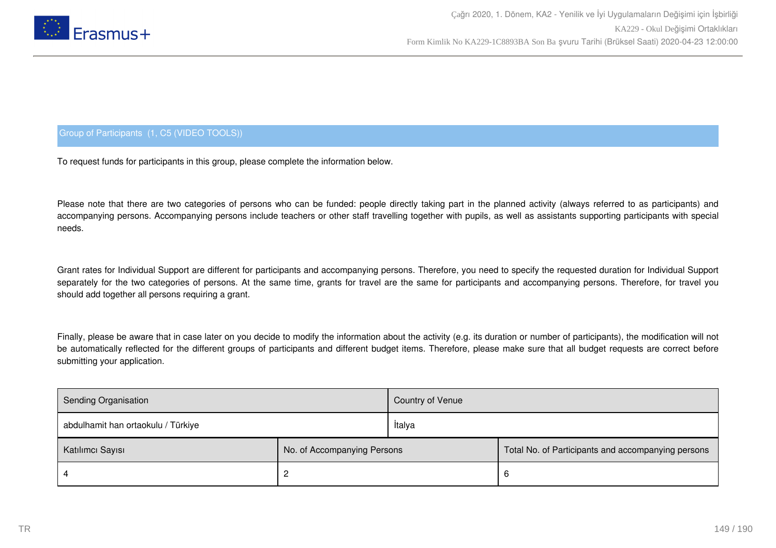

# Group of Participants (1, C5 (VIDEO TOOLS))

To request funds for participants in this group, please complete the information below.

Please note that there are two categories of persons who can be funded: people directly taking part in the planned activity (always referred to as participants) and accompanying persons. Accompanying persons include teachers or other staff travelling together with pupils, as well as assistants supporting participants with special needs.

Grant rates for Individual Support are different for participants and accompanying persons. Therefore, you need to specify the requested duration for Individual Support separately for the two categories of persons. At the same time, grants for travel are the same for participants and accompanying persons. Therefore, for travel you should add together all persons requiring a grant.

Finally, please be aware that in case later on you decide to modify the information about the activity (e.g. its duration or number of participants), the modification will not be automatically reflected for the different groups of participants and different budget items. Therefore, please make sure that all budget requests are correct before submitting your application.

| Sending Organisation                            |  | Country of Venue |                                                    |  |
|-------------------------------------------------|--|------------------|----------------------------------------------------|--|
| abdulhamit han ortaokulu / Türkiye              |  | İtalya           |                                                    |  |
| No. of Accompanying Persons<br>Katılımcı Sayısı |  |                  | Total No. of Participants and accompanying persons |  |
|                                                 |  |                  | <sub>t</sub>                                       |  |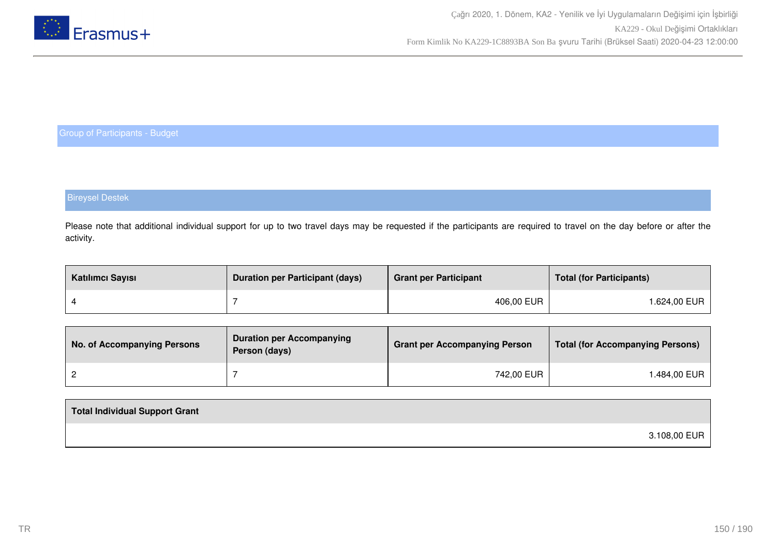

# Bireysel Destek

Please note that additional individual support for up to two travel days may be requested if the participants are required to travel on the day before or after the activity.

| Katılımcı Sayısı | <b>Duration per Participant (days)</b> | <b>Grant per Participant</b> | <b>Total (for Participants)</b> |
|------------------|----------------------------------------|------------------------------|---------------------------------|
|                  |                                        | 406,00 EUR                   | l.624,00 EUR                    |

| No. of Accompanying Persons | <b>Duration per Accompanying</b><br>Person (days) | <b>Grant per Accompanying Person</b> | <b>Total (for Accompanying Persons)</b> |
|-----------------------------|---------------------------------------------------|--------------------------------------|-----------------------------------------|
|                             |                                                   | 742,00 EUR                           | ⊦.484,00 EUR                            |

| Total Individual Support Grant |              |
|--------------------------------|--------------|
|                                | 3.108,00 EUR |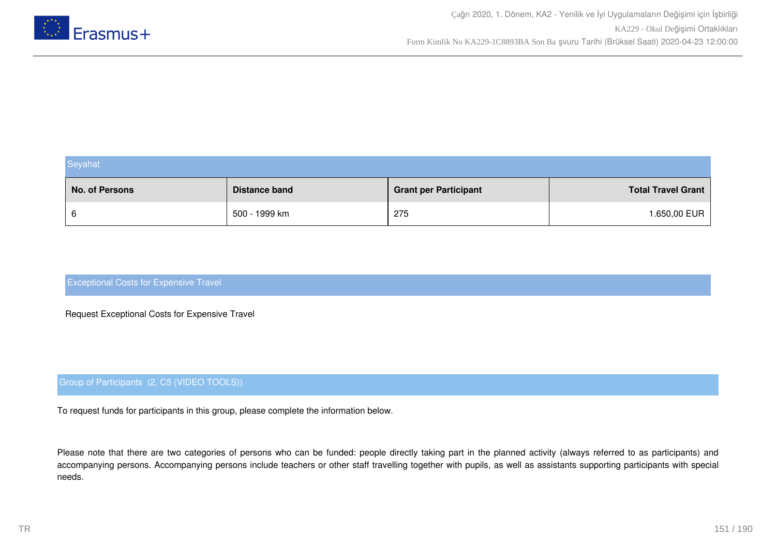

| Seyahat        |                      |                              |                           |  |  |
|----------------|----------------------|------------------------------|---------------------------|--|--|
| No. of Persons | <b>Distance band</b> | <b>Grant per Participant</b> | <b>Total Travel Grant</b> |  |  |
| 6              | 500 - 1999 km        | 275                          | 1.650,00 EUR              |  |  |

Request Exceptional Costs for Expensive Travel

# Group of Participants (2, C5 (VIDEO TOOLS))

To request funds for participants in this group, please complete the information below.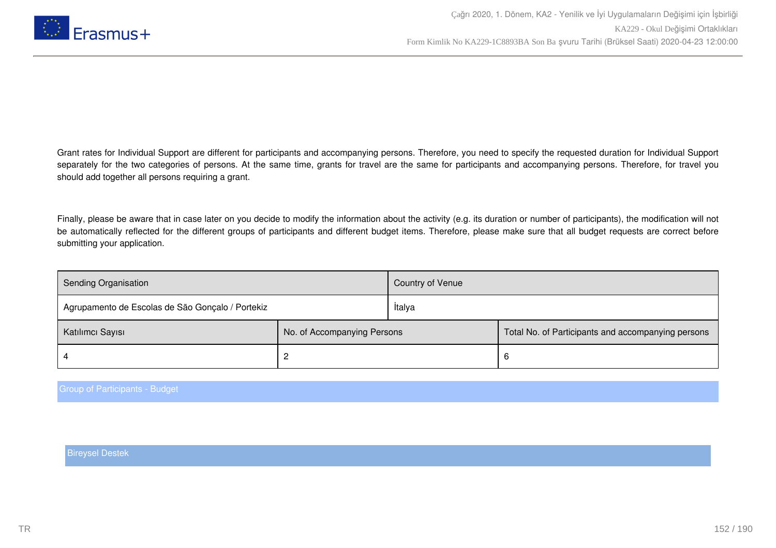

Finally, please be aware that in case later on you decide to modify the information about the activity (e.g. its duration or number of participants), the modification will not be automatically reflected for the different groups of participants and different budget items. Therefore, please make sure that all budget requests are correct before submitting your application.

| <b>Sending Organisation</b>                      |                             | Country of Venue |                                                    |  |
|--------------------------------------------------|-----------------------------|------------------|----------------------------------------------------|--|
| Agrupamento de Escolas de São Gonçalo / Portekiz |                             | İtalya           |                                                    |  |
| Katılımcı Sayısı                                 | No. of Accompanying Persons |                  | Total No. of Participants and accompanying persons |  |
|                                                  |                             |                  | b                                                  |  |

Group of Participants - Budget

Bireysel Destek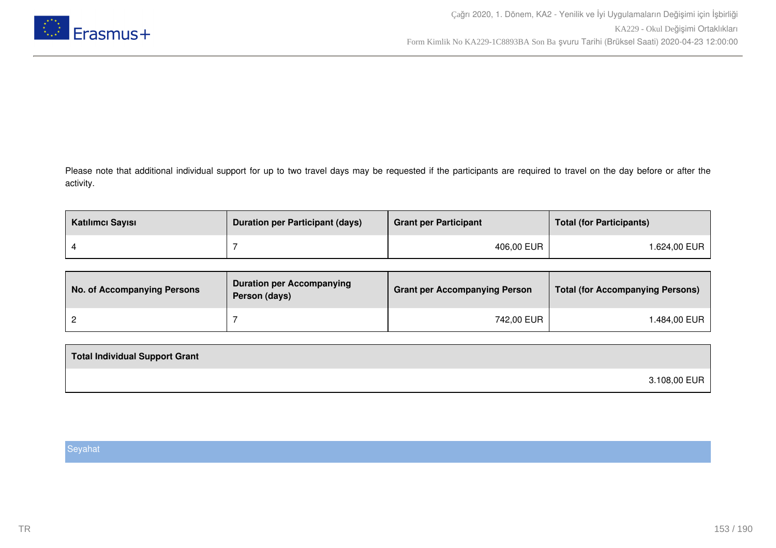

Please note that additional individual support for up to two travel days may be requested if the participants are required to travel on the day before or after the activity.

| Katılımcı Sayısı | <b>Duration per Participant (days)</b> | <b>Grant per Participant</b> | <b>Total (for Participants)</b> |
|------------------|----------------------------------------|------------------------------|---------------------------------|
|                  |                                        | 406,00 EUR                   | 1.624,00 EUR                    |

| No. of Accompanying Persons | <b>Duration per Accompanying</b><br>Person (days) | <b>Grant per Accompanying Person</b> | Total (for Accompanying Persons) |
|-----------------------------|---------------------------------------------------|--------------------------------------|----------------------------------|
|                             |                                                   | 742,00 EUR                           | 1.484,00 EUR                     |

| 3.108,00 EUR |  |
|--------------|--|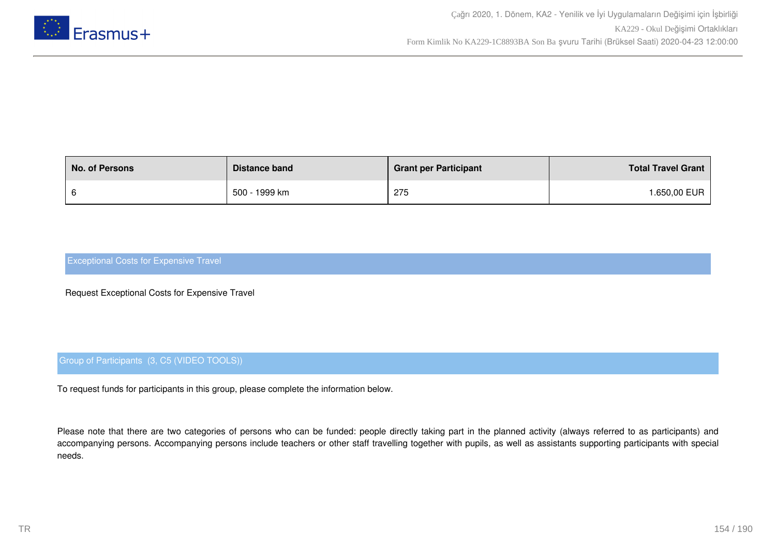

| <b>No. of Persons</b> | Distance band | <b>Grant per Participant</b> | <b>Total Travel Grant</b> |
|-----------------------|---------------|------------------------------|---------------------------|
|                       | 500 - 1999 km | 275                          | <b>.650,00 EUR</b>        |

Request Exceptional Costs for Expensive Travel

# Group of Participants (3, C5 (VIDEO TOOLS))

To request funds for participants in this group, please complete the information below.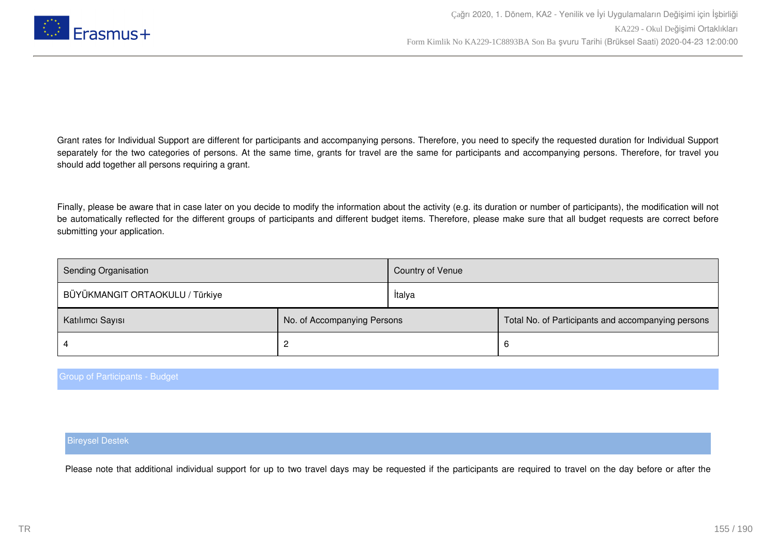

Finally, please be aware that in case later on you decide to modify the information about the activity (e.g. its duration or number of participants), the modification will not be automatically reflected for the different groups of participants and different budget items. Therefore, please make sure that all budget requests are correct before submitting your application.

| <b>Sending Organisation</b>     |                             | Country of Venue |                                                    |
|---------------------------------|-----------------------------|------------------|----------------------------------------------------|
| BÜYÜKMANGIT ORTAOKULU / Türkiye |                             | İtalya           |                                                    |
| Katılımcı Sayısı                | No. of Accompanying Persons |                  | Total No. of Participants and accompanying persons |
|                                 |                             |                  | 6                                                  |

#### Group of Participants - Budget

#### Bireysel Destek

Please note that additional individual support for up to two travel days may be requested if the participants are required to travel on the day before or after the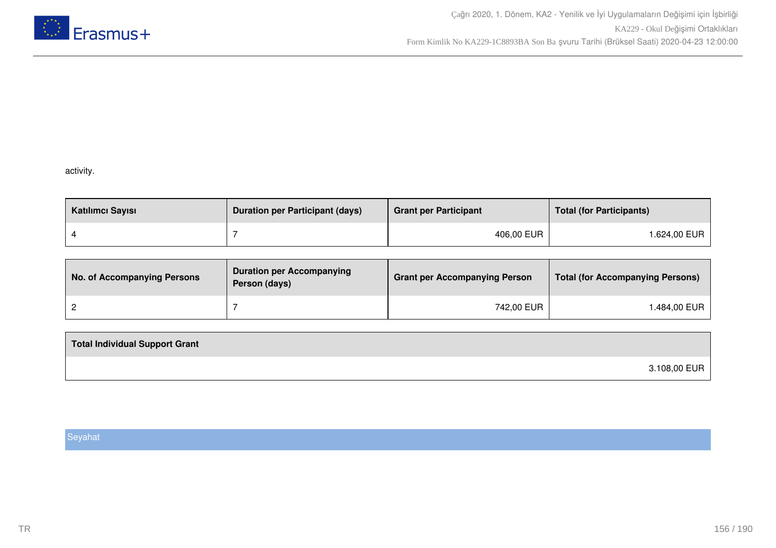

# activity.

| Katılımcı Sayısı | <b>Duration per Participant (days)</b> | <b>Grant per Participant</b> | <b>Total (for Participants)</b> |
|------------------|----------------------------------------|------------------------------|---------------------------------|
|                  |                                        | 406,00 EUR                   | l.624,00 EUR                    |

| <b>No. of Accompanying Persons</b> | <b>Duration per Accompanying</b><br>Person (days) | <b>Grant per Accompanying Person</b> | <b>Total (for Accompanying Persons)</b> |
|------------------------------------|---------------------------------------------------|--------------------------------------|-----------------------------------------|
|                                    |                                                   | 742,00 EUR                           | ⊺.484,00 EUR                            |

| <b>Total Individual Support Grant</b> |              |
|---------------------------------------|--------------|
|                                       | 3.108,00 EUR |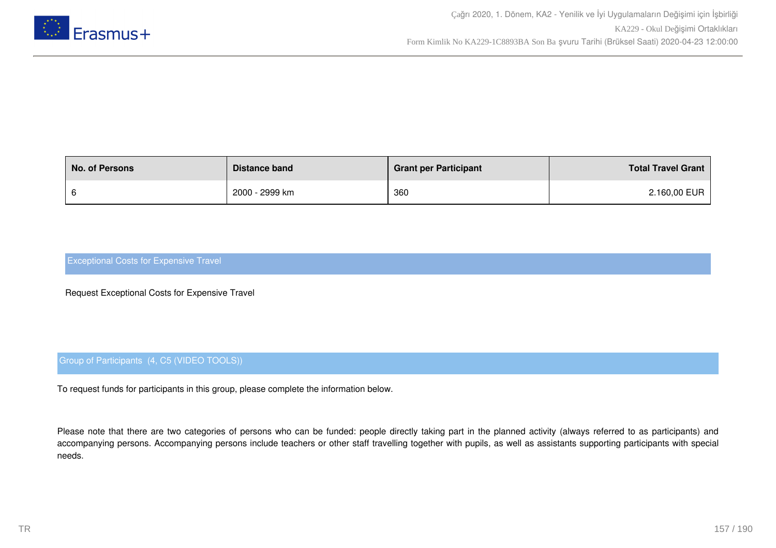

| <b>No. of Persons</b> | Distance band  | <b>Grant per Participant</b> | <b>Total Travel Grant</b> |
|-----------------------|----------------|------------------------------|---------------------------|
|                       | 2000 - 2999 km | 360                          | 2.160,00 EUR              |

Request Exceptional Costs for Expensive Travel

# Group of Participants (4, C5 (VIDEO TOOLS))

To request funds for participants in this group, please complete the information below.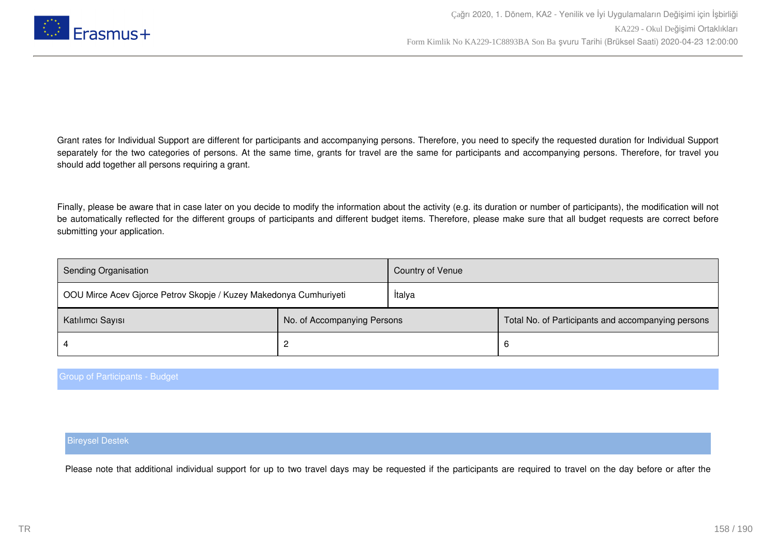

Finally, please be aware that in case later on you decide to modify the information about the activity (e.g. its duration or number of participants), the modification will not be automatically reflected for the different groups of participants and different budget items. Therefore, please make sure that all budget requests are correct before submitting your application.

| Sending Organisation                                              |                             | Country of Venue |                                                    |
|-------------------------------------------------------------------|-----------------------------|------------------|----------------------------------------------------|
| OOU Mirce Acev Gjorce Petrov Skopje / Kuzey Makedonya Cumhuriyeti |                             | <b>Italya</b>    |                                                    |
| Katılımcı Sayısı                                                  | No. of Accompanying Persons |                  | Total No. of Participants and accompanying persons |
|                                                                   |                             |                  | 6                                                  |

#### Group of Participants - Budget

#### Bireysel Destek

Please note that additional individual support for up to two travel days may be requested if the participants are required to travel on the day before or after the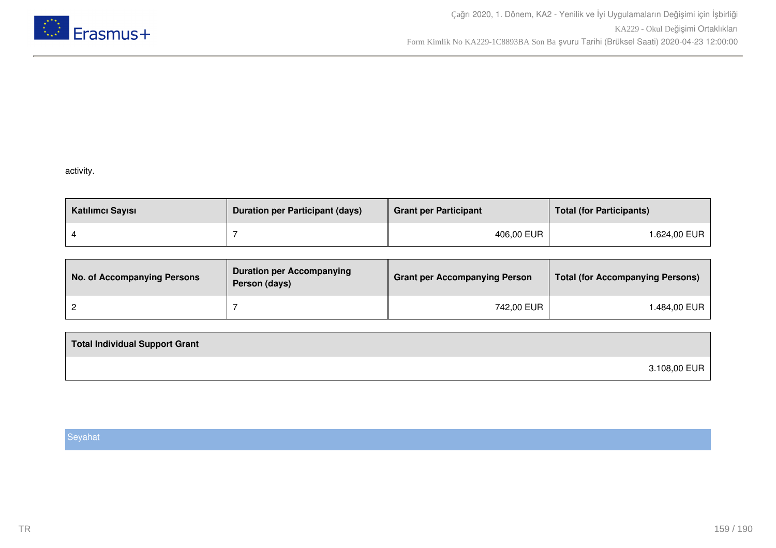

# activity.

| Katılımcı Sayısı | <b>Duration per Participant (days)</b> | <b>Grant per Participant</b> | <b>Total (for Participants)</b> |
|------------------|----------------------------------------|------------------------------|---------------------------------|
|                  |                                        | 406,00 EUR                   | l.624,00 EUR                    |

| <b>No. of Accompanying Persons</b> | <b>Duration per Accompanying</b><br>Person (days) | <b>Grant per Accompanying Person</b> | <b>Total (for Accompanying Persons)</b> |
|------------------------------------|---------------------------------------------------|--------------------------------------|-----------------------------------------|
|                                    |                                                   | 742,00 EUR                           | ⊺.484,00 EUR                            |

| <b>Total Individual Support Grant</b> |              |
|---------------------------------------|--------------|
|                                       | 3.108,00 EUR |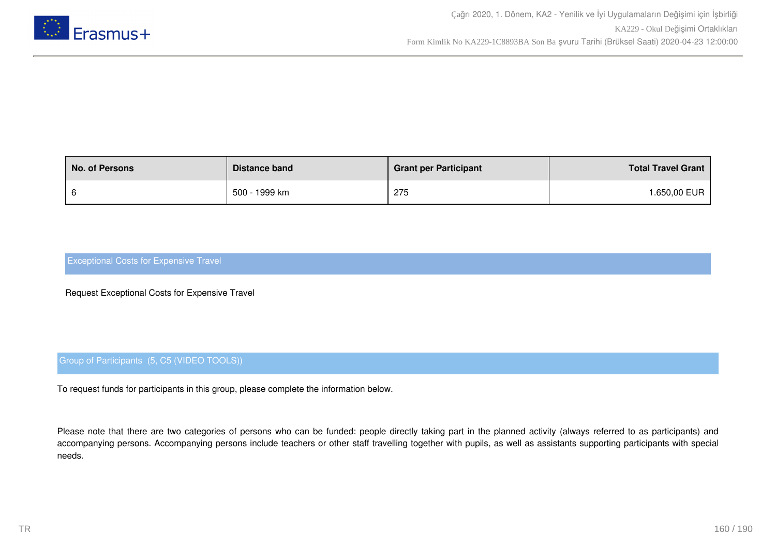

| <b>No. of Persons</b> | Distance band | <b>Grant per Participant</b> | <b>Total Travel Grant</b> |
|-----------------------|---------------|------------------------------|---------------------------|
|                       | 500 - 1999 km | 275                          | <b>.650,00 EUR</b>        |

Request Exceptional Costs for Expensive Travel

# Group of Participants (5, C5 (VIDEO TOOLS))

To request funds for participants in this group, please complete the information below.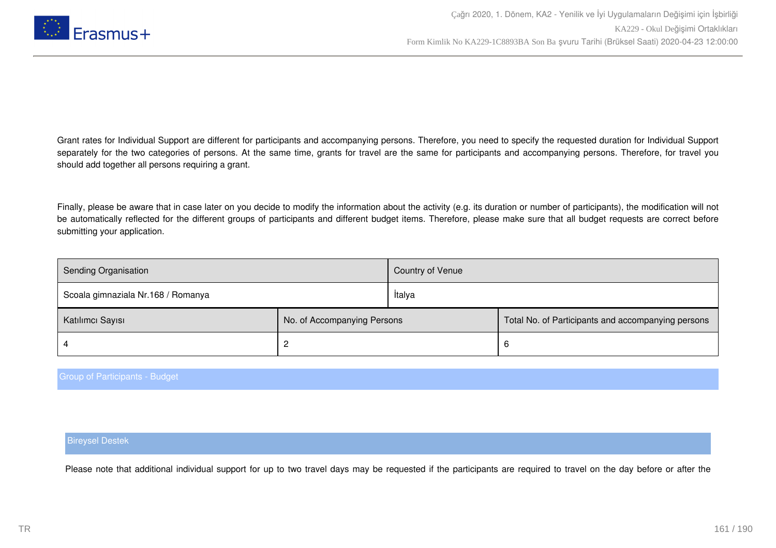

Finally, please be aware that in case later on you decide to modify the information about the activity (e.g. its duration or number of participants), the modification will not be automatically reflected for the different groups of participants and different budget items. Therefore, please make sure that all budget requests are correct before submitting your application.

| Sending Organisation               |                             | Country of Venue |                                                    |
|------------------------------------|-----------------------------|------------------|----------------------------------------------------|
| Scoala gimnaziala Nr.168 / Romanya |                             | İtalya           |                                                    |
| Katılımcı Sayısı                   | No. of Accompanying Persons |                  | Total No. of Participants and accompanying persons |
|                                    |                             |                  | b                                                  |

#### Group of Participants - Budget

#### Bireysel Destek

Please note that additional individual support for up to two travel days may be requested if the participants are required to travel on the day before or after the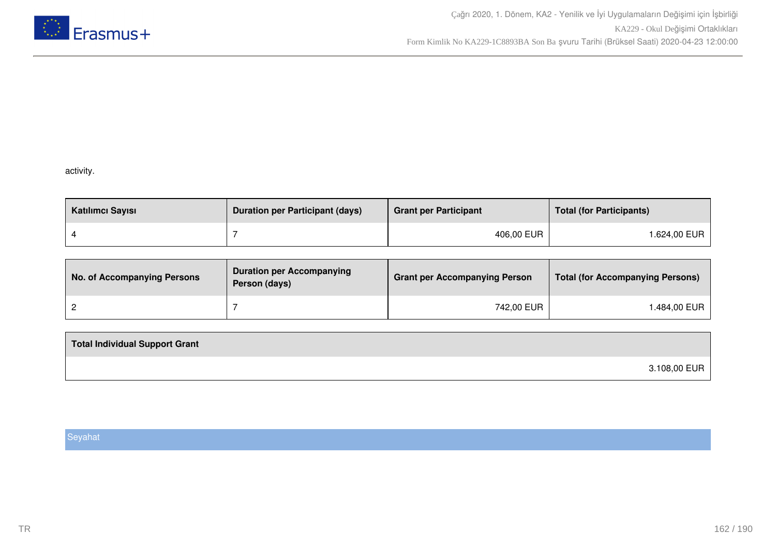

# activity.

| Katılımcı Sayısı | <b>Duration per Participant (days)</b> | <b>Grant per Participant</b> | <b>Total (for Participants)</b> |
|------------------|----------------------------------------|------------------------------|---------------------------------|
|                  |                                        | 406,00 EUR                   | l.624,00 EUR                    |

| <b>No. of Accompanying Persons</b> | <b>Duration per Accompanying</b><br>Person (days) | <b>Grant per Accompanying Person</b> | <b>Total (for Accompanying Persons)</b> |
|------------------------------------|---------------------------------------------------|--------------------------------------|-----------------------------------------|
|                                    |                                                   | 742,00 EUR                           | ⊺.484,00 EUR                            |

| <b>Total Individual Support Grant</b> |              |
|---------------------------------------|--------------|
|                                       | 3.108,00 EUR |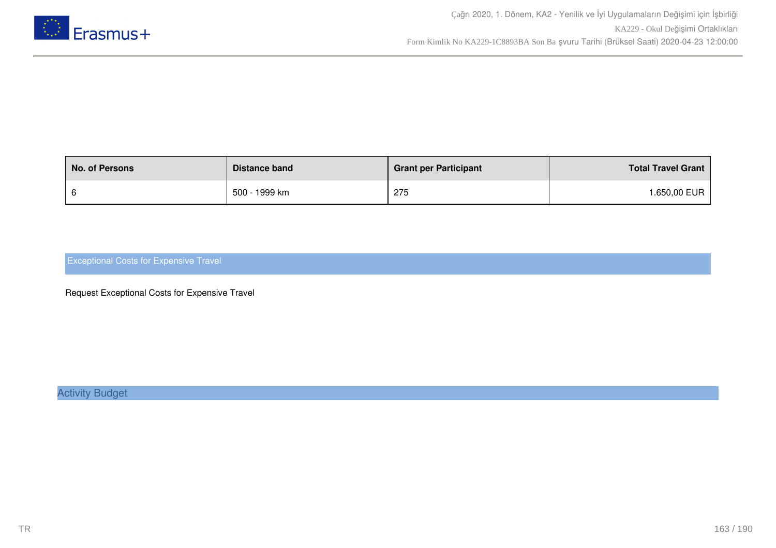

| <b>No. of Persons</b> | Distance band | <b>Grant per Participant</b> | <b>Total Travel Grant</b> |
|-----------------------|---------------|------------------------------|---------------------------|
|                       | 500 - 1999 km | 275                          | .650,00 EUR               |

Request Exceptional Costs for Expensive Travel

Activity Budget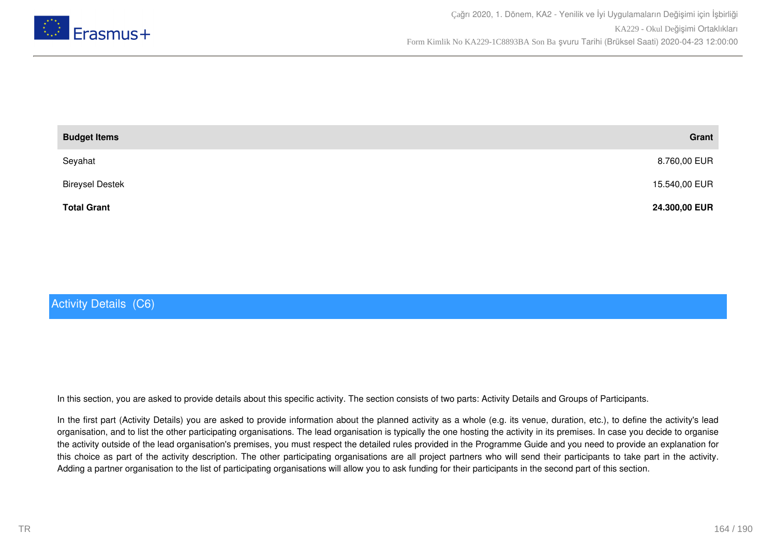

| <b>Budget Items</b>    | Grant         |
|------------------------|---------------|
| Seyahat                | 8.760,00 EUR  |
| <b>Bireysel Destek</b> | 15.540,00 EUR |
| <b>Total Grant</b>     | 24.300,00 EUR |

# Activity Details (C6)

In this section, you are asked to provide details about this specific activity. The section consists of two parts: Activity Details and Groups of Participants.

In the first part (Activity Details) you are asked to provide information about the planned activity as a whole (e.g. its venue, duration, etc.), to define the activity's lead organisation, and to list the other participating organisations. The lead organisation is typically the one hosting the activity in its premises. In case you decide to organise the activity outside of the lead organisation's premises, you must respect the detailed rules provided in the Programme Guide and you need to provide an explanation for this choice as part of the activity description. The other participating organisations are all project partners who will send their participants to take part in the activity. Adding a partner organisation to the list of participating organisations will allow you to ask funding for their participants in the second part of this section.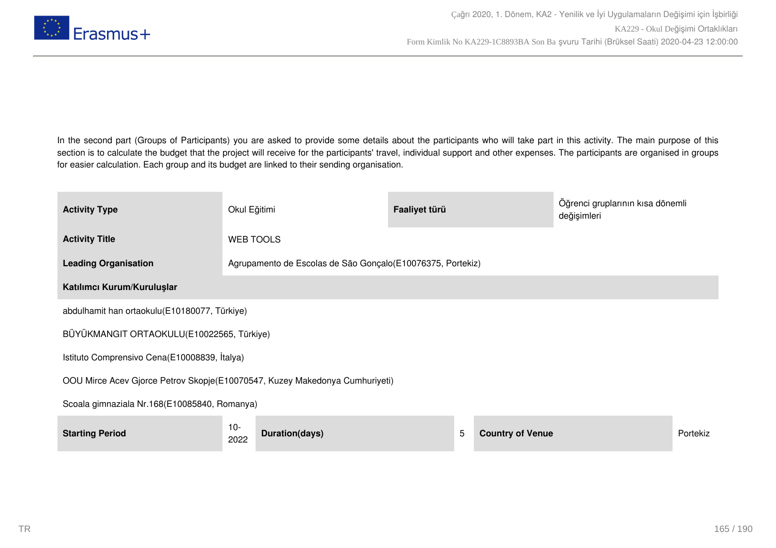

In the second part (Groups of Participants) you are asked to provide some details about the participants who will take part in this activity. The main purpose of this section is to calculate the budget that the project will receive for the participants' travel, individual support and other expenses. The participants are organised in groups for easier calculation. Each group and its budget are linked to their sending organisation.

| <b>Activity Type</b>                                                        | Okul Eğitimi   |                                                             | Faaliyet türü |   |                         | Öğrenci gruplarının kısa dönemli<br>değişimleri |          |
|-----------------------------------------------------------------------------|----------------|-------------------------------------------------------------|---------------|---|-------------------------|-------------------------------------------------|----------|
| <b>Activity Title</b>                                                       |                | <b>WEB TOOLS</b>                                            |               |   |                         |                                                 |          |
| <b>Leading Organisation</b>                                                 |                | Agrupamento de Escolas de São Gonçalo (E10076375, Portekiz) |               |   |                         |                                                 |          |
| Katılımcı Kurum/Kuruluşlar                                                  |                |                                                             |               |   |                         |                                                 |          |
| abdulhamit han ortaokulu(E10180077, Türkiye)                                |                |                                                             |               |   |                         |                                                 |          |
| BÜYÜKMANGIT ORTAOKULU(E10022565, Türkiye)                                   |                |                                                             |               |   |                         |                                                 |          |
| Istituto Comprensivo Cena(E10008839, İtalya)                                |                |                                                             |               |   |                         |                                                 |          |
| OOU Mirce Acev Gjorce Petrov Skopje(E10070547, Kuzey Makedonya Cumhuriyeti) |                |                                                             |               |   |                         |                                                 |          |
| Scoala gimnaziala Nr.168(E10085840, Romanya)                                |                |                                                             |               |   |                         |                                                 |          |
| <b>Starting Period</b>                                                      | $10 -$<br>2022 | Duration(days)                                              |               | 5 | <b>Country of Venue</b> |                                                 | Portekiz |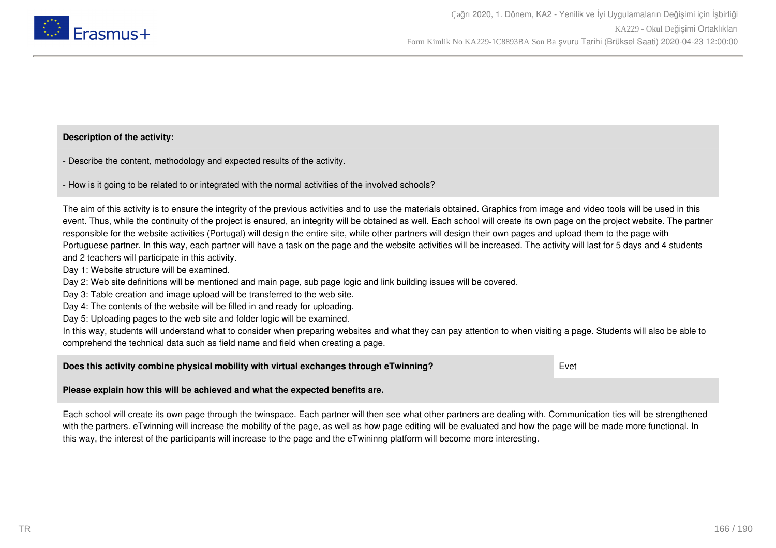

## **Description of the activity:**

- Describe the content, methodology and expected results of the activity.

- How is it going to be related to or integrated with the normal activities of the involved schools?

The aim of this activity is to ensure the integrity of the previous activities and to use the materials obtained. Graphics from image and video tools will be used in this event. Thus, while the continuity of the project is ensured, an integrity will be obtained as well. Each school will create its own page on the project website. The partner responsible for the website activities (Portugal) will design the entire site, while other partners will design their own pages and upload them to the page with Portuguese partner. In this way, each partner will have a task on the page and the website activities will be increased. The activity will last for 5 days and 4 students and 2 teachers will participate in this activity.

Day 1: Website structure will be examined.

Day 2: Web site definitions will be mentioned and main page, sub page logic and link building issues will be covered.

Day 3: Table creation and image upload will be transferred to the web site.

Day 4: The contents of the website will be filled in and ready for uploading.

Day 5: Uploading pages to the web site and folder logic will be examined.

In this way, students will understand what to consider when preparing websites and what they can pay attention to when visiting a page. Students will also be able to comprehend the technical data such as field name and field when creating a page.

### **Does this activity combine physical mobility with virtual exchanges through eTwinning?** Evet

### **Please explain how this will be achieved and what the expected benefits are.**

Each school will create its own page through the twinspace. Each partner will then see what other partners are dealing with. Communication ties will be strengthened with the partners. eTwinning will increase the mobility of the page, as well as how page editing will be evaluated and how the page will be made more functional. In this way, the interest of the participants will increase to the page and the eTwininng platform will become more interesting.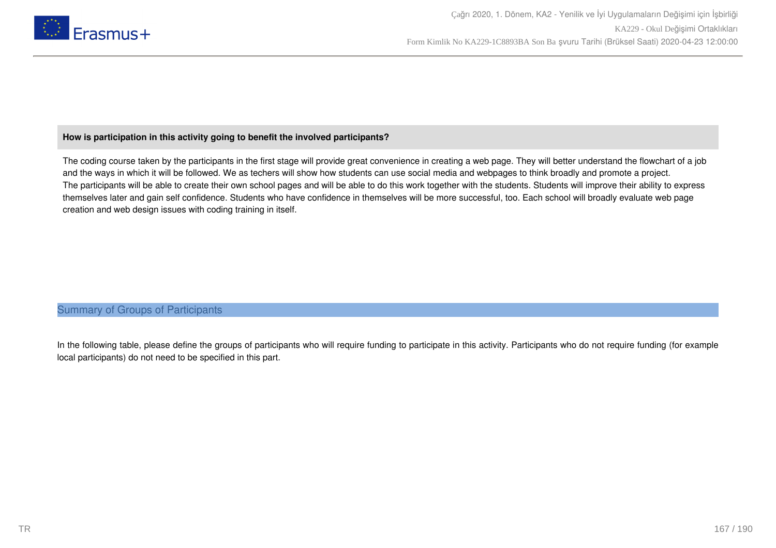

# **How is participation in this activity going to benefit the involved participants?**

The coding course taken by the participants in the first stage will provide great convenience in creating a web page. They will better understand the flowchart of a job and the ways in which it will be followed. We as techers will show how students can use social media and webpages to think broadly and promote a project. The participants will be able to create their own school pages and will be able to do this work together with the students. Students will improve their ability to express themselves later and gain self confidence. Students who have confidence in themselves will be more successful, too. Each school will broadly evaluate web page creation and web design issues with coding training in itself.

# Summary of Groups of Participants

In the following table, please define the groups of participants who will require funding to participate in this activity. Participants who do not require funding (for example local participants) do not need to be specified in this part.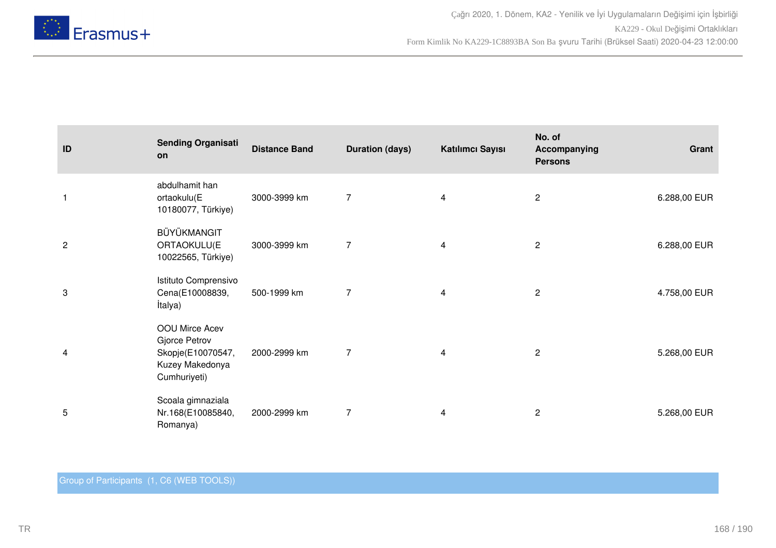

| ID             | <b>Sending Organisati</b><br>on                                                         | <b>Distance Band</b> | <b>Duration (days)</b> | Katılımcı Sayısı        | No. of<br>Accompanying<br><b>Persons</b> | Grant        |
|----------------|-----------------------------------------------------------------------------------------|----------------------|------------------------|-------------------------|------------------------------------------|--------------|
| $\mathbf{1}$   | abdulhamit han<br>ortaokulu(E<br>10180077, Türkiye)                                     | 3000-3999 km         | $\overline{7}$         | 4                       | $\overline{2}$                           | 6.288,00 EUR |
| $\overline{c}$ | BÜYÜKMANGIT<br>ORTAOKULU(E<br>10022565, Türkiye)                                        | 3000-3999 km         | $\overline{7}$         | 4                       | $\mathbf{2}$                             | 6.288,00 EUR |
| 3              | Istituto Comprensivo<br>Cena(E10008839,<br>İtalya)                                      | 500-1999 km          | $\overline{7}$         | 4                       | $\mathbf{2}$                             | 4.758,00 EUR |
| 4              | OOU Mirce Acev<br>Gjorce Petrov<br>Skopje(E10070547,<br>Kuzey Makedonya<br>Cumhuriyeti) | 2000-2999 km         | $\overline{7}$         | 4                       | $\overline{2}$                           | 5.268,00 EUR |
| 5              | Scoala gimnaziala<br>Nr.168(E10085840,<br>Romanya)                                      | 2000-2999 km         | $\overline{7}$         | $\overline{\mathbf{4}}$ | $\overline{2}$                           | 5.268,00 EUR |

# Group of Participants (1, C6 (WEB TOOLS))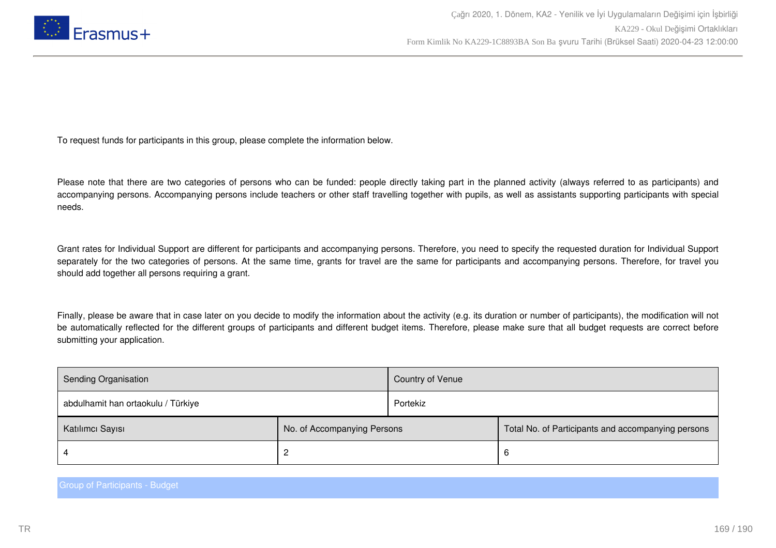

To request funds for participants in this group, please complete the information below.

Please note that there are two categories of persons who can be funded: people directly taking part in the planned activity (always referred to as participants) and accompanying persons. Accompanying persons include teachers or other staff travelling together with pupils, as well as assistants supporting participants with special needs.

Grant rates for Individual Support are different for participants and accompanying persons. Therefore, you need to specify the requested duration for Individual Support separately for the two categories of persons. At the same time, grants for travel are the same for participants and accompanying persons. Therefore, for travel you should add together all persons requiring a grant.

Finally, please be aware that in case later on you decide to modify the information about the activity (e.g. its duration or number of participants), the modification will not be automatically reflected for the different groups of participants and different budget items. Therefore, please make sure that all budget requests are correct before submitting your application.

| Sending Organisation               |                             | Country of Venue |                                                    |
|------------------------------------|-----------------------------|------------------|----------------------------------------------------|
| abdulhamit han ortaokulu / Türkiye |                             | Portekiz         |                                                    |
| Katılımcı Sayısı                   | No. of Accompanying Persons |                  | Total No. of Participants and accompanying persons |
|                                    | ▃                           |                  | -6                                                 |

Group of Participants - Budget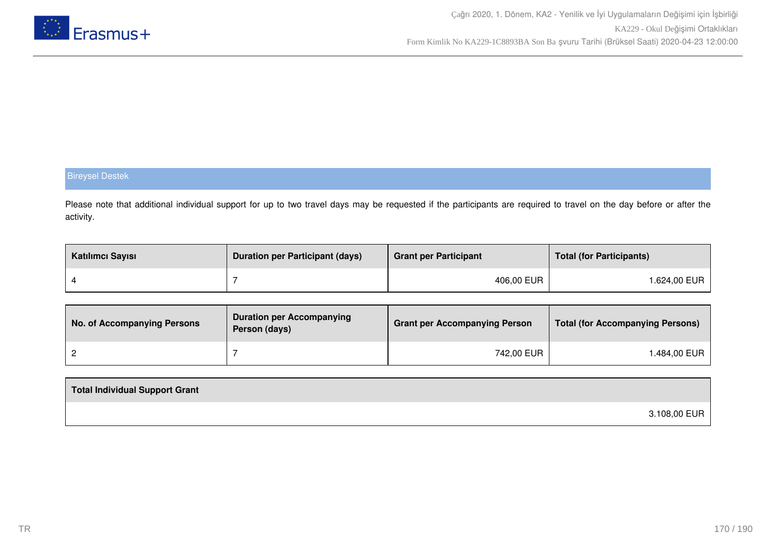

# Bireysel Destek

Please note that additional individual support for up to two travel days may be requested if the participants are required to travel on the day before or after the activity.

| Katılımcı Sayısı | <b>Duration per Participant (days)</b> | <b>Grant per Participant</b> | <b>Total (for Participants)</b> |
|------------------|----------------------------------------|------------------------------|---------------------------------|
|                  |                                        | 406,00 EUR                   | 1.624,00 EUR                    |

| No. of Accompanying Persons | <b>Duration per Accompanying</b><br>Person (days) | <b>Grant per Accompanying Person</b> | <b>Total (for Accompanying Persons)</b> |
|-----------------------------|---------------------------------------------------|--------------------------------------|-----------------------------------------|
|                             |                                                   | 742,00 EUR                           | ⊦.484,00 EUR                            |

| Total Individual Support Grant |              |
|--------------------------------|--------------|
|                                | 3.108,00 EUR |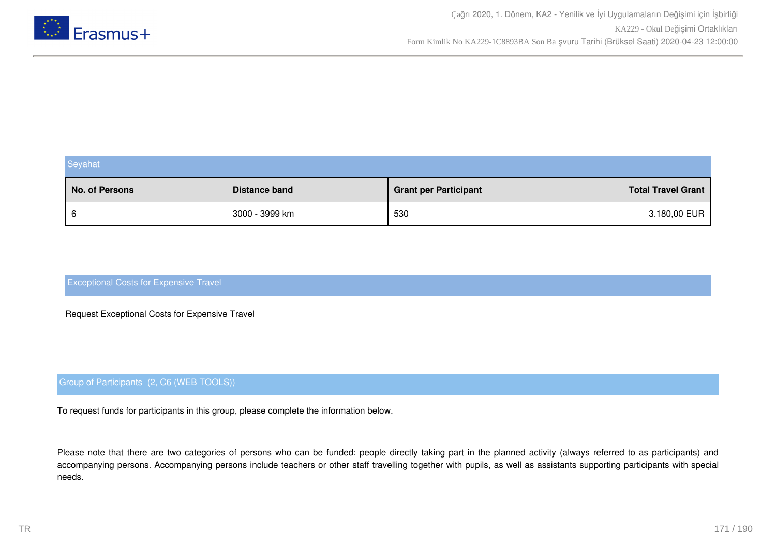

| Seyahat        |                |                              |                           |  |
|----------------|----------------|------------------------------|---------------------------|--|
| No. of Persons | Distance band  | <b>Grant per Participant</b> | <b>Total Travel Grant</b> |  |
| 6              | 3000 - 3999 km | 530                          | 3.180,00 EUR              |  |

Request Exceptional Costs for Expensive Travel

# Group of Participants (2, C6 (WEB TOOLS))

To request funds for participants in this group, please complete the information below.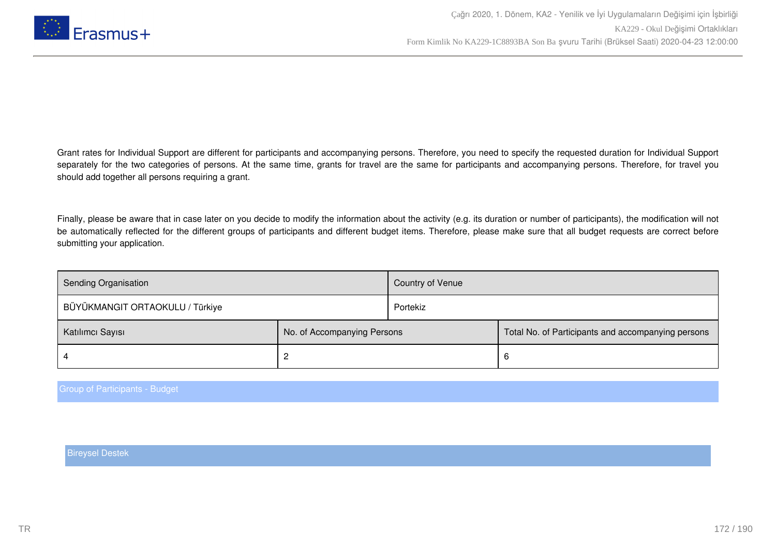

Finally, please be aware that in case later on you decide to modify the information about the activity (e.g. its duration or number of participants), the modification will not be automatically reflected for the different groups of participants and different budget items. Therefore, please make sure that all budget requests are correct before submitting your application.

| Sending Organisation            |                             | Country of Venue |                                                    |
|---------------------------------|-----------------------------|------------------|----------------------------------------------------|
| BÜYÜKMANGIT ORTAOKULU / Türkiye |                             | Portekiz         |                                                    |
| Katılımcı Sayısı                | No. of Accompanying Persons |                  | Total No. of Participants and accompanying persons |
|                                 |                             |                  | b                                                  |

Group of Participants - Budget

Bireysel Destek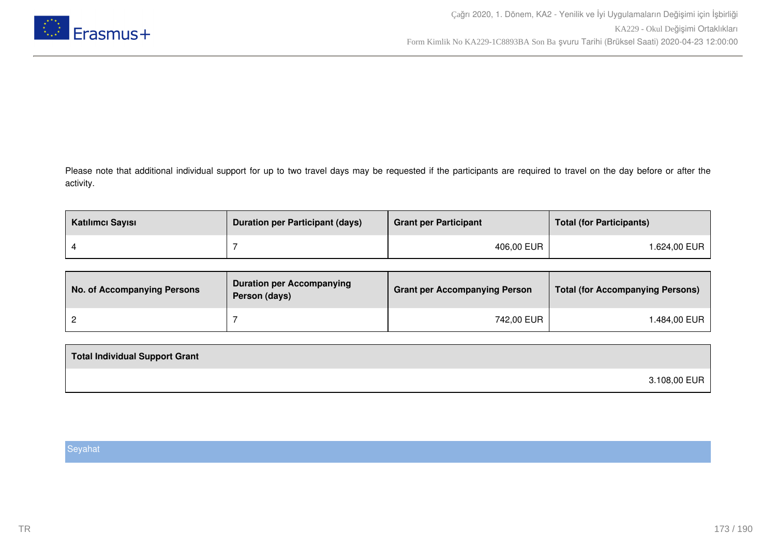

Please note that additional individual support for up to two travel days may be requested if the participants are required to travel on the day before or after the activity.

| Katılımcı Sayısı | <b>Duration per Participant (days)</b> | <b>Grant per Participant</b> | <b>Total (for Participants)</b> |
|------------------|----------------------------------------|------------------------------|---------------------------------|
|                  |                                        | 406,00 EUR                   | 1.624,00 EUR                    |

| No. of Accompanying Persons | <b>Duration per Accompanying</b><br>Person (days) | <b>Grant per Accompanying Person</b> | Total (for Accompanying Persons) |
|-----------------------------|---------------------------------------------------|--------------------------------------|----------------------------------|
|                             |                                                   | 742,00 EUR                           | .484,00 EUR                      |

| 3.108,00 EUR |  |
|--------------|--|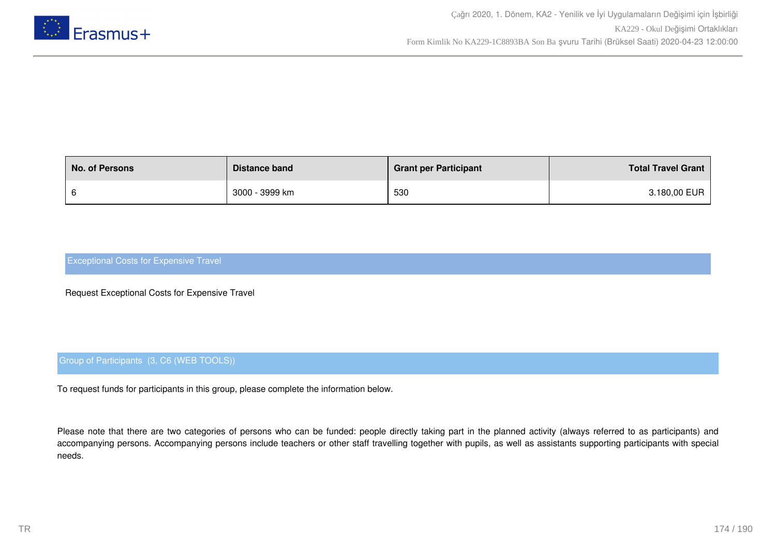

| <b>No. of Persons</b> | Distance band  | <b>Grant per Participant</b> | <b>Total Travel Grant</b> |
|-----------------------|----------------|------------------------------|---------------------------|
|                       | 3000 - 3999 km | 530                          | 3.180,00 EUR              |

Request Exceptional Costs for Expensive Travel

# Group of Participants (3, C6 (WEB TOOLS))

To request funds for participants in this group, please complete the information below.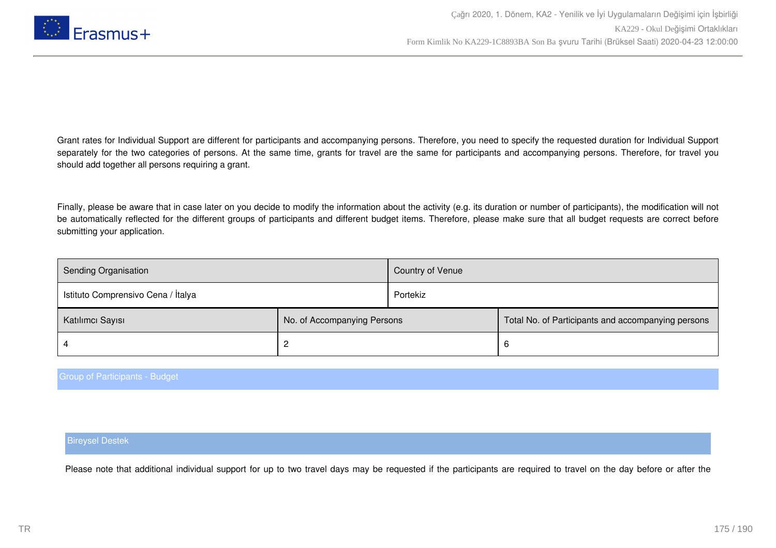

Finally, please be aware that in case later on you decide to modify the information about the activity (e.g. its duration or number of participants), the modification will not be automatically reflected for the different groups of participants and different budget items. Therefore, please make sure that all budget requests are correct before submitting your application.

| Sending Organisation               |                             | Country of Venue |                                                    |
|------------------------------------|-----------------------------|------------------|----------------------------------------------------|
| Istituto Comprensivo Cena / Italya |                             | Portekiz         |                                                    |
| Katılımcı Sayısı                   | No. of Accompanying Persons |                  | Total No. of Participants and accompanying persons |
|                                    |                             |                  | 6                                                  |

#### Group of Participants - Budget

#### Bireysel Destek

Please note that additional individual support for up to two travel days may be requested if the participants are required to travel on the day before or after the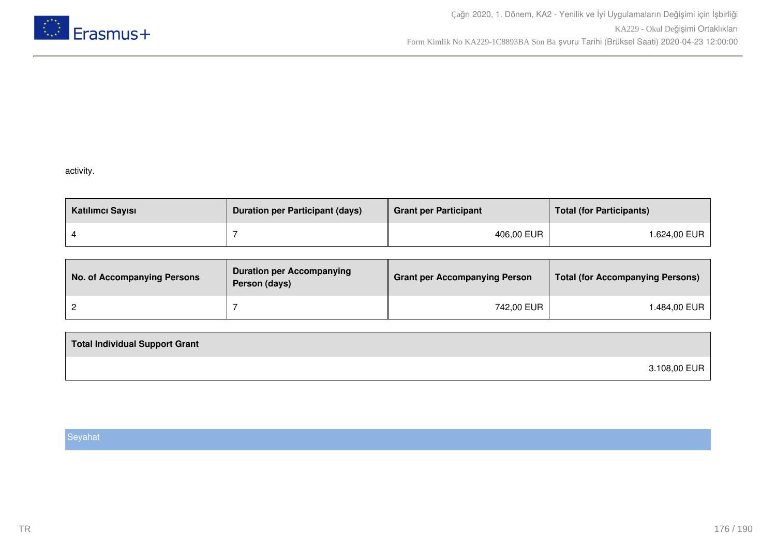

# activity.

| Katılımcı Sayısı | <b>Duration per Participant (days)</b> | <b>Grant per Participant</b> | <b>Total (for Participants)</b> |
|------------------|----------------------------------------|------------------------------|---------------------------------|
|                  |                                        | 406,00 EUR                   | l.624,00 EUR                    |

| No. of Accompanying Persons | <b>Duration per Accompanying</b><br>Person (days) | <b>Grant per Accompanying Person</b> | <b>Total (for Accompanying Persons)</b> |
|-----------------------------|---------------------------------------------------|--------------------------------------|-----------------------------------------|
|                             |                                                   | 742,00 EUR                           | 1.484,00 EUR                            |

| <b>Total Individual Support Grant</b> |              |
|---------------------------------------|--------------|
|                                       | 3.108,00 EUR |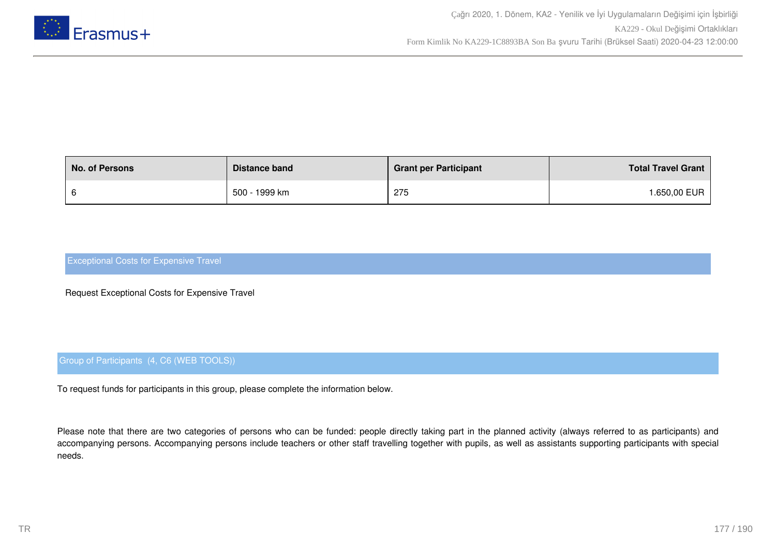

| <b>No. of Persons</b> | Distance band | <b>Grant per Participant</b> | <b>Total Travel Grant</b> |
|-----------------------|---------------|------------------------------|---------------------------|
|                       | 500 - 1999 km | 275                          | <b>.650,00 EUR</b>        |

Request Exceptional Costs for Expensive Travel

# Group of Participants (4, C6 (WEB TOOLS))

To request funds for participants in this group, please complete the information below.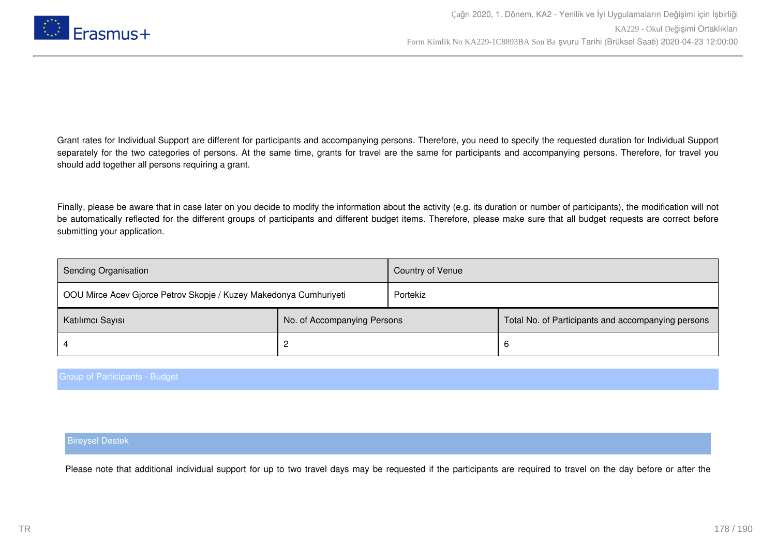

Finally, please be aware that in case later on you decide to modify the information about the activity (e.g. its duration or number of participants), the modification will not be automatically reflected for the different groups of participants and different budget items. Therefore, please make sure that all budget requests are correct before submitting your application.

| Sending Organisation                                              |                             | Country of Venue |                                                    |
|-------------------------------------------------------------------|-----------------------------|------------------|----------------------------------------------------|
| OOU Mirce Acev Gjorce Petrov Skopje / Kuzey Makedonya Cumhuriyeti |                             | Portekiz         |                                                    |
| Katılımcı Sayısı                                                  | No. of Accompanying Persons |                  | Total No. of Participants and accompanying persons |
|                                                                   |                             |                  | 6                                                  |

#### Group of Participants - Budget

#### Bireysel Destek

Please note that additional individual support for up to two travel days may be requested if the participants are required to travel on the day before or after the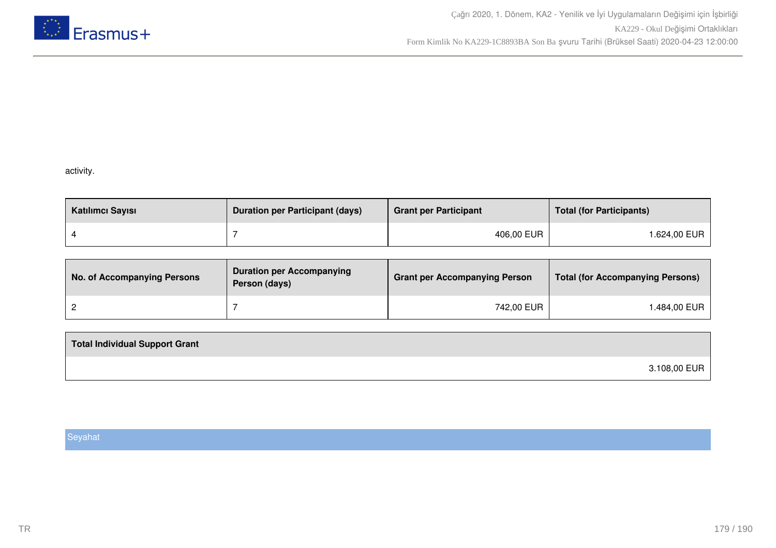

# activity.

| Katılımcı Sayısı | <b>Duration per Participant (days)</b> | <b>Grant per Participant</b> | <b>Total (for Participants)</b> |
|------------------|----------------------------------------|------------------------------|---------------------------------|
|                  |                                        | 406,00 EUR                   | l.624,00 EUR                    |

| No. of Accompanying Persons | <b>Duration per Accompanying</b><br>Person (days) | <b>Grant per Accompanying Person</b> | <b>Total (for Accompanying Persons)</b> |
|-----------------------------|---------------------------------------------------|--------------------------------------|-----------------------------------------|
|                             |                                                   | 742,00 EUR                           | 1.484,00 EUR                            |

| <b>Total Individual Support Grant</b> |              |
|---------------------------------------|--------------|
|                                       | 3.108,00 EUR |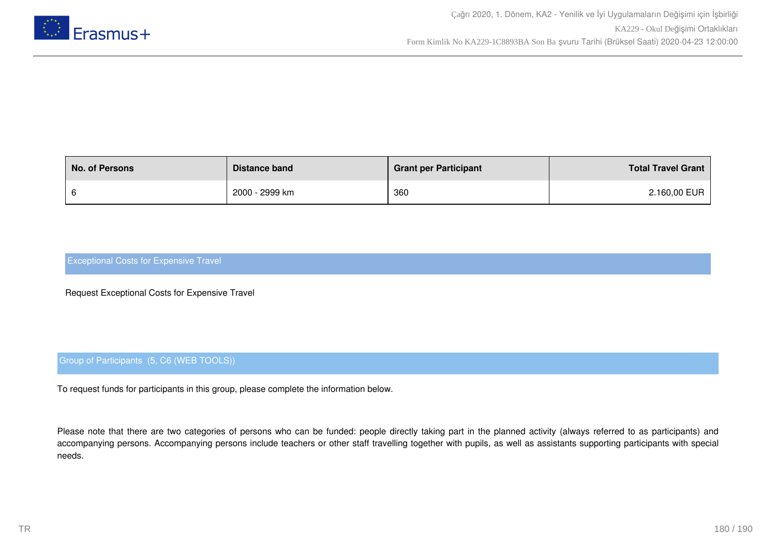

| <b>No. of Persons</b> | Distance band  | <b>Grant per Participant</b> | <b>Total Travel Grant</b> |
|-----------------------|----------------|------------------------------|---------------------------|
|                       | 2000 - 2999 km | 360                          | 2.160,00 EUR              |

Request Exceptional Costs for Expensive Travel

# Group of Participants (5, C6 (WEB TOOLS))

To request funds for participants in this group, please complete the information below.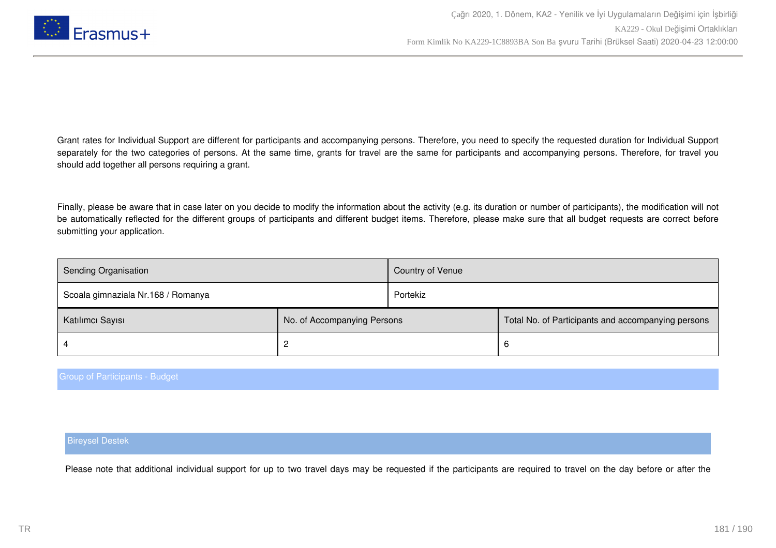

Grant rates for Individual Support are different for participants and accompanying persons. Therefore, you need to specify the requested duration for Individual Support separately for the two categories of persons. At the same time, grants for travel are the same for participants and accompanying persons. Therefore, for travel you should add together all persons requiring a grant.

Finally, please be aware that in case later on you decide to modify the information about the activity (e.g. its duration or number of participants), the modification will not be automatically reflected for the different groups of participants and different budget items. Therefore, please make sure that all budget requests are correct before submitting your application.

| <b>Sending Organisation</b>        |                             | Country of Venue |                                                    |
|------------------------------------|-----------------------------|------------------|----------------------------------------------------|
| Scoala gimnaziala Nr.168 / Romanya |                             | Portekiz         |                                                    |
| Katılımcı Sayısı                   | No. of Accompanying Persons |                  | Total No. of Participants and accompanying persons |
|                                    |                             |                  | 6                                                  |

### Group of Participants - Budget

#### Bireysel Destek

Please note that additional individual support for up to two travel days may be requested if the participants are required to travel on the day before or after the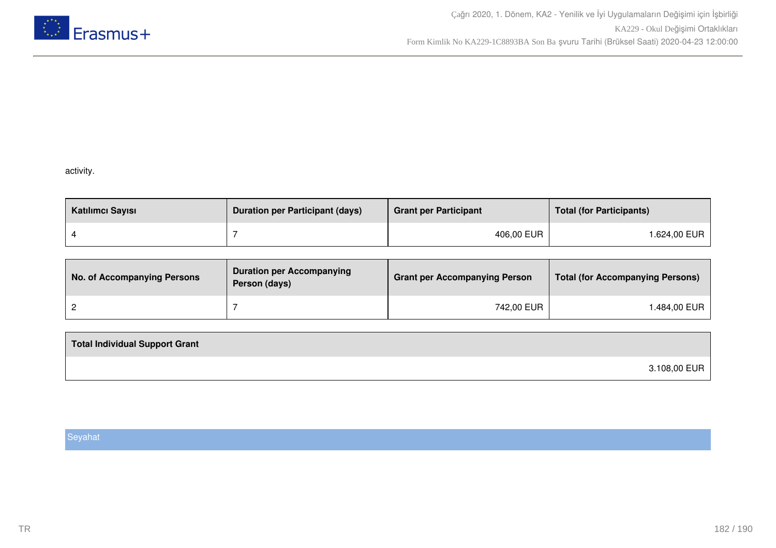

### activity.

| Katılımcı Sayısı | <b>Duration per Participant (days)</b> | <b>Grant per Participant</b> | <b>Total (for Participants)</b> |
|------------------|----------------------------------------|------------------------------|---------------------------------|
|                  |                                        | 406,00 EUR                   | l.624,00 EUR                    |

| <b>No. of Accompanying Persons</b> | <b>Duration per Accompanying</b><br>Person (days) | <b>Grant per Accompanying Person</b> | <b>Total (for Accompanying Persons)</b> |
|------------------------------------|---------------------------------------------------|--------------------------------------|-----------------------------------------|
|                                    |                                                   | 742,00 EUR                           | ⊺.484,00 EUR                            |

| <b>Total Individual Support Grant</b> |              |
|---------------------------------------|--------------|
|                                       | 3.108,00 EUR |

### Seyahat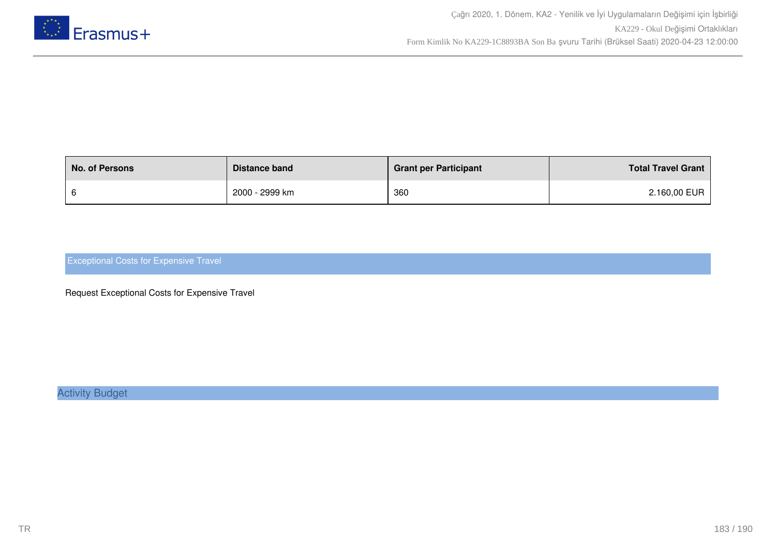

| <b>No. of Persons</b> | Distance band  | <b>Grant per Participant</b> | <b>Total Travel Grant</b> |
|-----------------------|----------------|------------------------------|---------------------------|
|                       | 2000 - 2999 km | 360                          | 2.160,00 EUR              |

### Exceptional Costs for Expensive Travel

Request Exceptional Costs for Expensive Travel

Activity Budget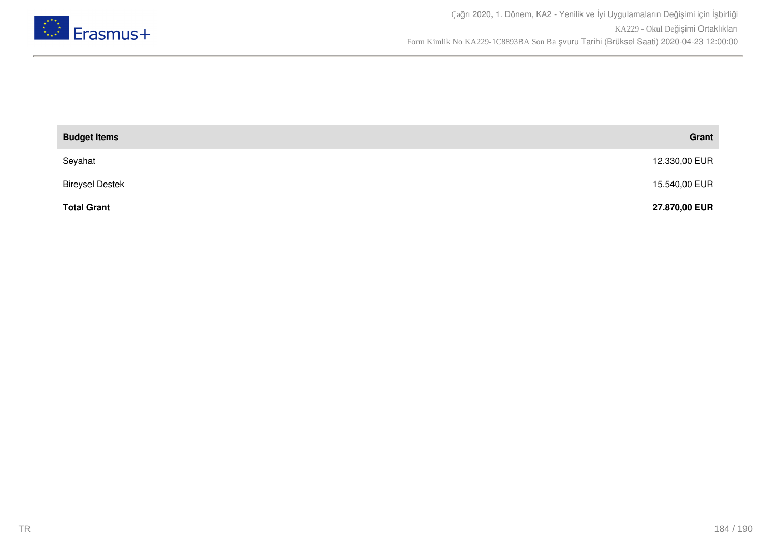

| <b>Budget Items</b>    | Grant         |
|------------------------|---------------|
| Seyahat                | 12.330,00 EUR |
| <b>Bireysel Destek</b> | 15.540,00 EUR |
| <b>Total Grant</b>     | 27.870,00 EUR |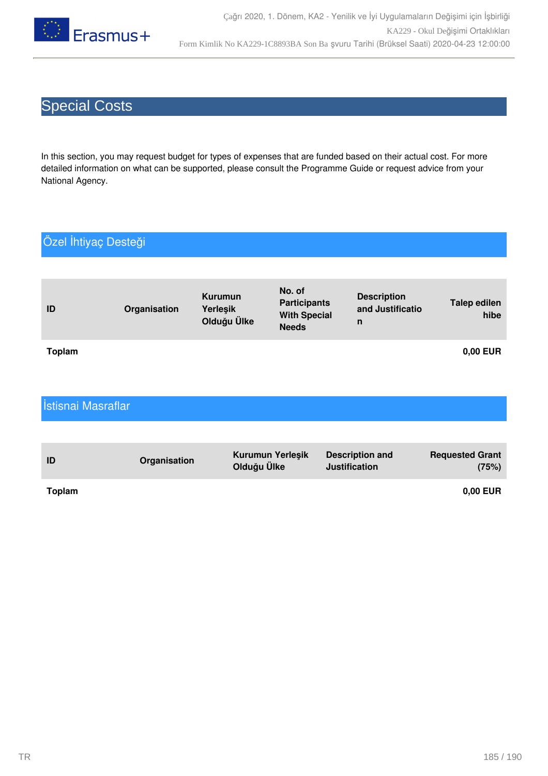

# Special Costs

In this section, you may request budget for types of expenses that are funded based on their actual cost. For more detailed information on what can be supported, please consult the Programme Guide or request advice from your National Agency.

## Özel İhtiyaç Desteği

| ID            | Organisation | Kurumun<br>Yerleşik<br>Olduğu Ülke | No. of<br><b>Participants</b><br><b>With Special</b><br><b>Needs</b> | <b>Description</b><br>and Justificatio<br>n | <b>Talep edilen</b><br>hibe |
|---------------|--------------|------------------------------------|----------------------------------------------------------------------|---------------------------------------------|-----------------------------|
| <b>Toplam</b> |              |                                    |                                                                      |                                             | 0,00 EUR                    |

| Istisnai Masraflar |              |                                 |                                                |                                 |
|--------------------|--------------|---------------------------------|------------------------------------------------|---------------------------------|
|                    |              |                                 |                                                |                                 |
| ID                 | Organisation | Kurumun Yerleşik<br>Olduğu Ülke | <b>Description and</b><br><b>Justification</b> | <b>Requested Grant</b><br>(75%) |
| <b>Toplam</b>      |              |                                 |                                                | 0,00 EUR                        |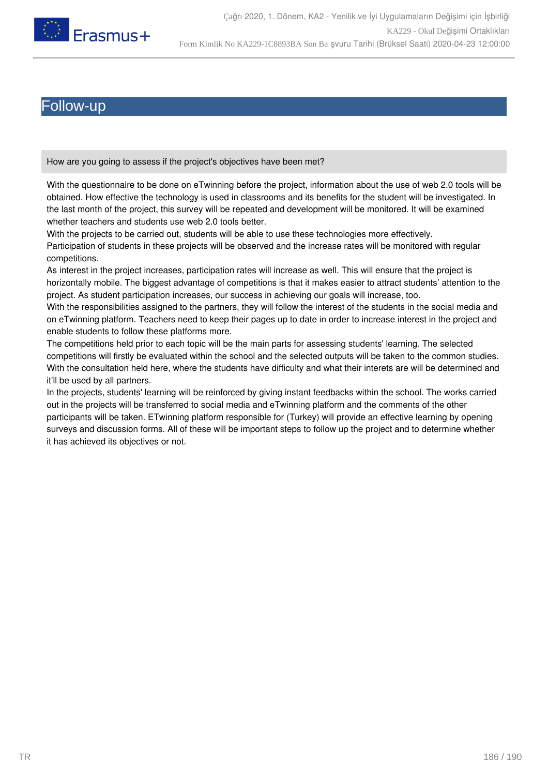

### ollow-up

How are you going to assess if the project's objectives have been met?

With the questionnaire to be done on eTwinning before the project, information about the use of web 2.0 tools will be obtained. How effective the technology is used in classrooms and its benefits for the student will be investigated. In the last month of the project, this survey will be repeated and development will be monitored. It will be examined whether teachers and students use web 2.0 tools better.

With the projects to be carried out, students will be able to use these technologies more effectively. Participation of students in these projects will be observed and the increase rates will be monitored with regular competitions.

As interest in the project increases, participation rates will increase as well. This will ensure that the project is horizontally mobile. The biggest advantage of competitions is that it makes easier to attract students' attention to the project. As student participation increases, our success in achieving our goals will increase, too.

With the responsibilities assigned to the partners, they will follow the interest of the students in the social media and on eTwinning platform. Teachers need to keep their pages up to date in order to increase interest in the project and enable students to follow these platforms more.

The competitions held prior to each topic will be the main parts for assessing students' learning. The selected competitions will firstly be evaluated within the school and the selected outputs will be taken to the common studies. With the consultation held here, where the students have difficulty and what their interets are will be determined and it'll be used by all partners.

In the projects, students' learning will be reinforced by giving instant feedbacks within the school. The works carried out in the projects will be transferred to social media and eTwinning platform and the comments of the other participants will be taken. ETwinning platform responsible for (Turkey) will provide an effective learning by opening surveys and discussion forms. All of these will be important steps to follow up the project and to determine whether it has achieved its objectives or not.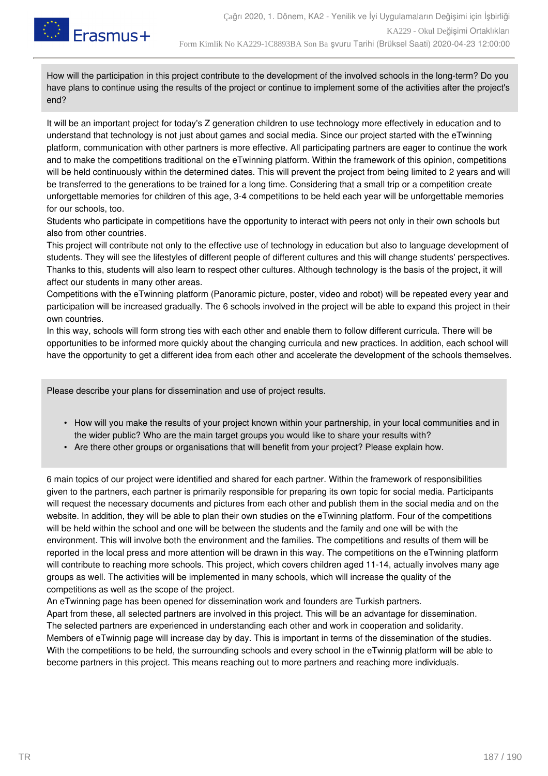

How will the participation in this project contribute to the development of the involved schools in the long-term? Do you have plans to continue using the results of the project or continue to implement some of the activities after the project's end?

It will be an important project for today's Z generation children to use technology more effectively in education and to understand that technology is not just about games and social media. Since our project started with the eTwinning platform, communication with other partners is more effective. All participating partners are eager to continue the work and to make the competitions traditional on the eTwinning platform. Within the framework of this opinion, competitions will be held continuously within the determined dates. This will prevent the project from being limited to 2 years and will be transferred to the generations to be trained for a long time. Considering that a small trip or a competition create unforgettable memories for children of this age, 3-4 competitions to be held each year will be unforgettable memories for our schools, too.

Students who participate in competitions have the opportunity to interact with peers not only in their own schools but also from other countries.

This project will contribute not only to the effective use of technology in education but also to language development of students. They will see the lifestyles of different people of different cultures and this will change students' perspectives. Thanks to this, students will also learn to respect other cultures. Although technology is the basis of the project, it will affect our students in many other areas.

Competitions with the eTwinning platform (Panoramic picture, poster, video and robot) will be repeated every year and participation will be increased gradually. The 6 schools involved in the project will be able to expand this project in their own countries.

In this way, schools will form strong ties with each other and enable them to follow different curricula. There will be opportunities to be informed more quickly about the changing curricula and new practices. In addition, each school will have the opportunity to get a different idea from each other and accelerate the development of the schools themselves.

Please describe your plans for dissemination and use of project results.

- How will you make the results of your project known within your partnership, in your local communities and in the wider public? Who are the main target groups you would like to share your results with?
- Are there other groups or organisations that will benefit from your project? Please explain how.

6 main topics of our project were identified and shared for each partner. Within the framework of responsibilities given to the partners, each partner is primarily responsible for preparing its own topic for social media. Participants will request the necessary documents and pictures from each other and publish them in the social media and on the website. In addition, they will be able to plan their own studies on the eTwinning platform. Four of the competitions will be held within the school and one will be between the students and the family and one will be with the environment. This will involve both the environment and the families. The competitions and results of them will be reported in the local press and more attention will be drawn in this way. The competitions on the eTwinning platform will contribute to reaching more schools. This project, which covers children aged 11-14, actually involves many age groups as well. The activities will be implemented in many schools, which will increase the quality of the competitions as well as the scope of the project.

An eTwinning page has been opened for dissemination work and founders are Turkish partners.

Apart from these, all selected partners are involved in this project. This will be an advantage for dissemination. The selected partners are experienced in understanding each other and work in cooperation and solidarity. Members of eTwinnig page will increase day by day. This is important in terms of the dissemination of the studies. With the competitions to be held, the surrounding schools and every school in the eTwinnig platform will be able to become partners in this project. This means reaching out to more partners and reaching more individuals.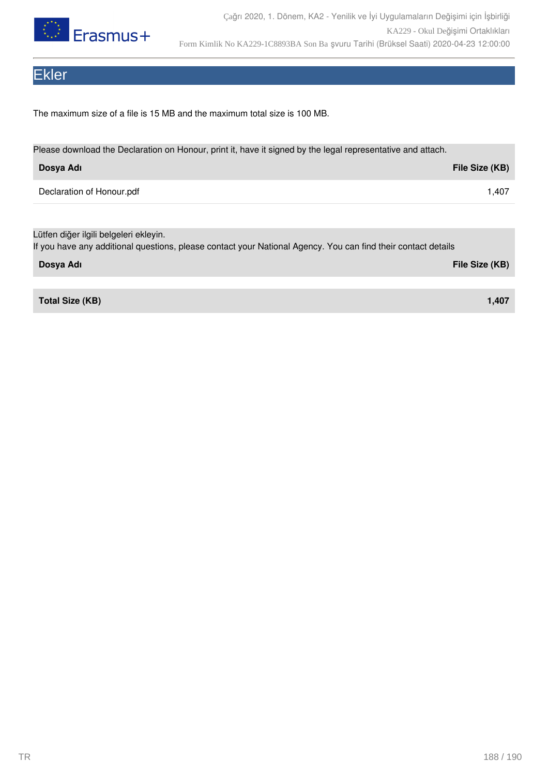

# Ekler

The maximum size of a file is 15 MB and the maximum total size is 100 MB.

| Please download the Declaration on Honour, print it, have it signed by the legal representative and attach.   |                |  |  |  |
|---------------------------------------------------------------------------------------------------------------|----------------|--|--|--|
| Dosya Adı                                                                                                     | File Size (KB) |  |  |  |
| Declaration of Honour.pdf                                                                                     | 1,407          |  |  |  |
|                                                                                                               |                |  |  |  |
| Lütfen diğer ilgili belgeleri ekleyin.                                                                        |                |  |  |  |
| If you have any additional questions, please contact your National Agency. You can find their contact details |                |  |  |  |
| Dosya Adı                                                                                                     | File Size (KB) |  |  |  |

**Total Size (KB) 1,407**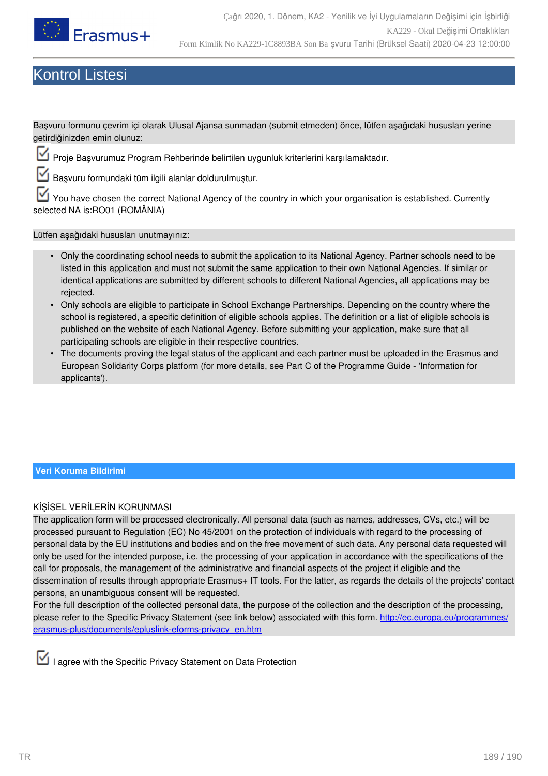

# Kontrol Listesi

Başvuru formunu çevrim içi olarak Ulusal Ajansa sunmadan (submit etmeden) önce, lütfen aşağıdaki hususları yerine getirdiğinizden emin olunuz:

Proje Başvurumuz Program Rehberinde belirtilen uygunluk kriterlerini karşılamaktadır.

Başvuru formundaki tüm ilgili alanlar doldurulmuştur.

You have chosen the correct National Agency of the country in which your organisation is established. Currently selected NA is:RO01 (ROMÂNIA)

Lütfen aşağıdaki hususları unutmayınız:

- Only the coordinating school needs to submit the application to its National Agency. Partner schools need to be listed in this application and must not submit the same application to their own National Agencies. If similar or identical applications are submitted by different schools to different National Agencies, all applications may be rejected.
- Only schools are eligible to participate in School Exchange Partnerships. Depending on the country where the school is registered, a specific definition of eligible schools applies. The definition or a list of eligible schools is published on the website of each National Agency. Before submitting your application, make sure that all participating schools are eligible in their respective countries.
- The documents proving the legal status of the applicant and each partner must be uploaded in the Erasmus and European Solidarity Corps platform (for more details, see Part C of the Programme Guide - 'Information for applicants').

### **Veri Koruma Bildirimi**

### KİŞİSEL VERİLERİN KORUNMASI

The application form will be processed electronically. All personal data (such as names, addresses, CVs, etc.) will be processed pursuant to Regulation (EC) No 45/2001 on the protection of individuals with regard to the processing of personal data by the EU institutions and bodies and on the free movement of such data. Any personal data requested will only be used for the intended purpose, i.e. the processing of your application in accordance with the specifications of the call for proposals, the management of the administrative and financial aspects of the project if eligible and the dissemination of results through appropriate Erasmus+ IT tools. For the latter, as regards the details of the projects' contact persons, an unambiguous consent will be requested.

For the full description of the collected personal data, the purpose of the collection and the description of the processing, please refer to the Specific Privacy Statement (see link below) associated with this form. [http://ec.europa.eu/programmes/](http://ec.europa.eu/programmes/erasmus-plus/documents/epluslink-eforms-privacy_en.htm) [erasmus-plus/documents/epluslink-eforms-privacy\\_en.htm](http://ec.europa.eu/programmes/erasmus-plus/documents/epluslink-eforms-privacy_en.htm)

I agree with the Specific Privacy Statement on Data Protection